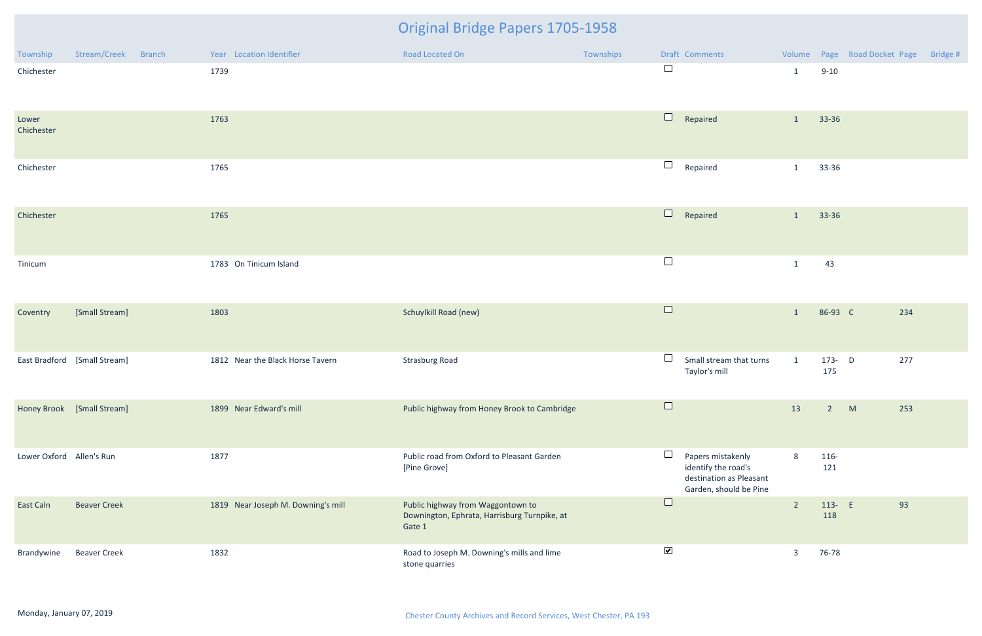| Township                 | Stream/Creek<br><b>Branch</b> | Year Location Identifier           | Road Located On                                                                             | Townships | Draft Comments                                                                                          |                |                | Volume Page Road Docket Page | Bridge # |
|--------------------------|-------------------------------|------------------------------------|---------------------------------------------------------------------------------------------|-----------|---------------------------------------------------------------------------------------------------------|----------------|----------------|------------------------------|----------|
| Chichester               |                               | 1739                               |                                                                                             |           | $\Box$                                                                                                  | $\mathbf{1}$   | $9 - 10$       |                              |          |
| Lower<br>Chichester      |                               | 1763                               |                                                                                             |           | $\Box$<br>Repaired                                                                                      | $\mathbf{1}$   | 33-36          |                              |          |
| Chichester               |                               | 1765                               |                                                                                             |           | $\Box$<br>Repaired                                                                                      | $\mathbf{1}$   | 33-36          |                              |          |
| Chichester               |                               | 1765                               |                                                                                             |           | $\Box$<br>Repaired                                                                                      | $\mathbf{1}$   | 33-36          |                              |          |
| Tinicum                  |                               | 1783 On Tinicum Island             |                                                                                             |           | $\Box$                                                                                                  | $\mathbf{1}$   | 43             |                              |          |
| Coventry                 | [Small Stream]                | 1803                               | Schuylkill Road (new)                                                                       |           | $\Box$                                                                                                  | $\mathbf{1}$   | 86-93 C        | 234                          |          |
|                          | East Bradford [Small Stream]  | 1812 Near the Black Horse Tavern   | <b>Strasburg Road</b>                                                                       |           | $\Box$<br>Small stream that turns<br>Taylor's mill                                                      | $\mathbf{1}$   | 173- D<br>175  | 277                          |          |
|                          | Honey Brook [Small Stream]    | 1899 Near Edward's mill            | Public highway from Honey Brook to Cambridge                                                |           | $\sim$                                                                                                  | 13             | $\overline{2}$ | M<br>253                     |          |
| Lower Oxford Allen's Run |                               | 1877                               | Public road from Oxford to Pleasant Garden<br>[Pine Grove]                                  |           | $\Box$<br>Papers mistakenly<br>identify the road's<br>destination as Pleasant<br>Garden, should be Pine | 8              | 116-<br>121    |                              |          |
| East Caln                | <b>Beaver Creek</b>           | 1819 Near Joseph M. Downing's mill | Public highway from Waggontown to<br>Downington, Ephrata, Harrisburg Turnpike, at<br>Gate 1 |           | $\Box$                                                                                                  | $\overline{2}$ | 113- E<br>118  | 93                           |          |
| Brandywine               | <b>Beaver Creek</b>           | 1832                               | Road to Joseph M. Downing's mills and lime<br>stone quarries                                |           | $\blacktriangledown$                                                                                    | $\overline{3}$ | 76-78          |                              |          |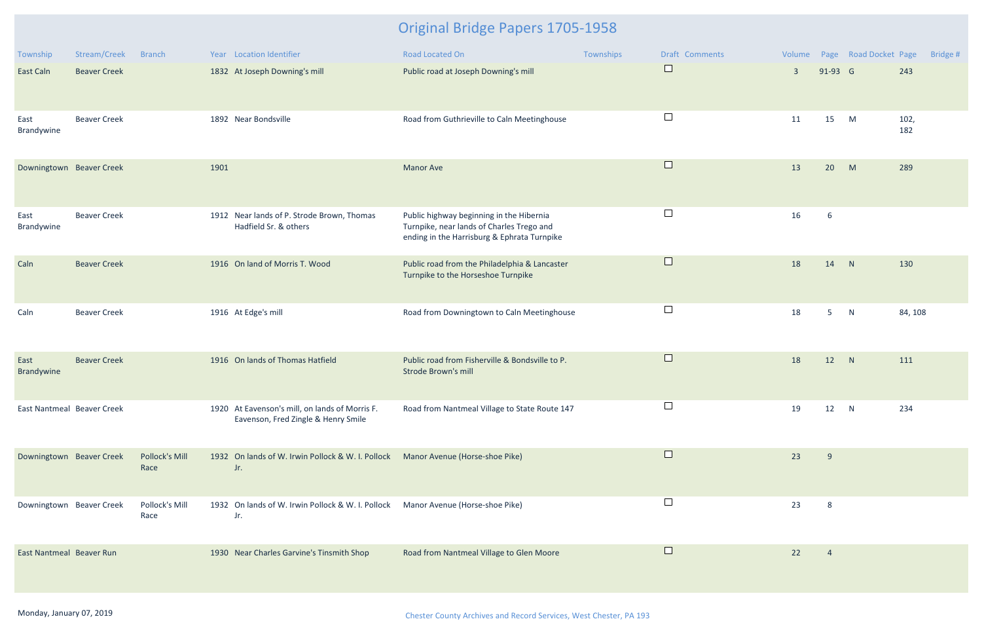| Township                   | Stream/Creek        | <b>Branch</b>                 |      | Year Location Identifier                                                                | Road Located On                                                                                                                      | Townships | <b>Draft Comments</b> | Volume         |             | Page Road Docket Page |             | Bridge # |
|----------------------------|---------------------|-------------------------------|------|-----------------------------------------------------------------------------------------|--------------------------------------------------------------------------------------------------------------------------------------|-----------|-----------------------|----------------|-------------|-----------------------|-------------|----------|
| East Caln                  | <b>Beaver Creek</b> |                               |      | 1832 At Joseph Downing's mill                                                           | Public road at Joseph Downing's mill                                                                                                 |           | $\Box$                | $\overline{3}$ | 91-93 G     |                       | 243         |          |
| East<br>Brandywine         | <b>Beaver Creek</b> |                               |      | 1892 Near Bondsville                                                                    | Road from Guthrieville to Caln Meetinghouse                                                                                          |           | $\sqcup$              | 11             | 15          | M                     | 102,<br>182 |          |
| Downingtown Beaver Creek   |                     |                               | 1901 |                                                                                         | <b>Manor Ave</b>                                                                                                                     |           | $\Box$                | 13             | 20          | M                     | 289         |          |
| East<br>Brandywine         | <b>Beaver Creek</b> |                               |      | 1912 Near lands of P. Strode Brown, Thomas<br>Hadfield Sr. & others                     | Public highway beginning in the Hibernia<br>Turnpike, near lands of Charles Trego and<br>ending in the Harrisburg & Ephrata Turnpike |           | $\Box$                | 16             | 6           |                       |             |          |
| Caln                       | <b>Beaver Creek</b> |                               |      | 1916 On land of Morris T. Wood                                                          | Public road from the Philadelphia & Lancaster<br>Turnpike to the Horseshoe Turnpike                                                  |           | $\Box$                | 18             | 14          | N                     | 130         |          |
| Caln                       | <b>Beaver Creek</b> |                               |      | 1916 At Edge's mill                                                                     | Road from Downingtown to Caln Meetinghouse                                                                                           |           | $\Box$                | 18             | $5^{\circ}$ | N                     | 84, 108     |          |
| East<br>Brandywine         | <b>Beaver Creek</b> |                               |      | 1916 On lands of Thomas Hatfield                                                        | Public road from Fisherville & Bondsville to P.<br><b>Strode Brown's mill</b>                                                        |           | $\Box$                | 18             | 12          | N                     | 111         |          |
| East Nantmeal Beaver Creek |                     |                               |      | 1920 At Eavenson's mill, on lands of Morris F.<br>Eavenson, Fred Zingle & Henry Smile   | Road from Nantmeal Village to State Route 147                                                                                        |           |                       | 19             | 12          | N                     | 234         |          |
| Downingtown Beaver Creek   |                     | <b>Pollock's Mill</b><br>Race |      | 1932 On lands of W. Irwin Pollock & W. I. Pollock Manor Avenue (Horse-shoe Pike)<br>Jr. |                                                                                                                                      |           | $\Box$                | 23             | 9           |                       |             |          |
| Downingtown Beaver Creek   |                     | Pollock's Mill<br>Race        |      | 1932 On lands of W. Irwin Pollock & W. I. Pollock<br>Jr.                                | Manor Avenue (Horse-shoe Pike)                                                                                                       |           |                       | 23             | 8           |                       |             |          |
| East Nantmeal Beaver Run   |                     |                               |      | 1930 Near Charles Garvine's Tinsmith Shop                                               | Road from Nantmeal Village to Glen Moore                                                                                             |           | $\Box$                | 22             | -4          |                       |             |          |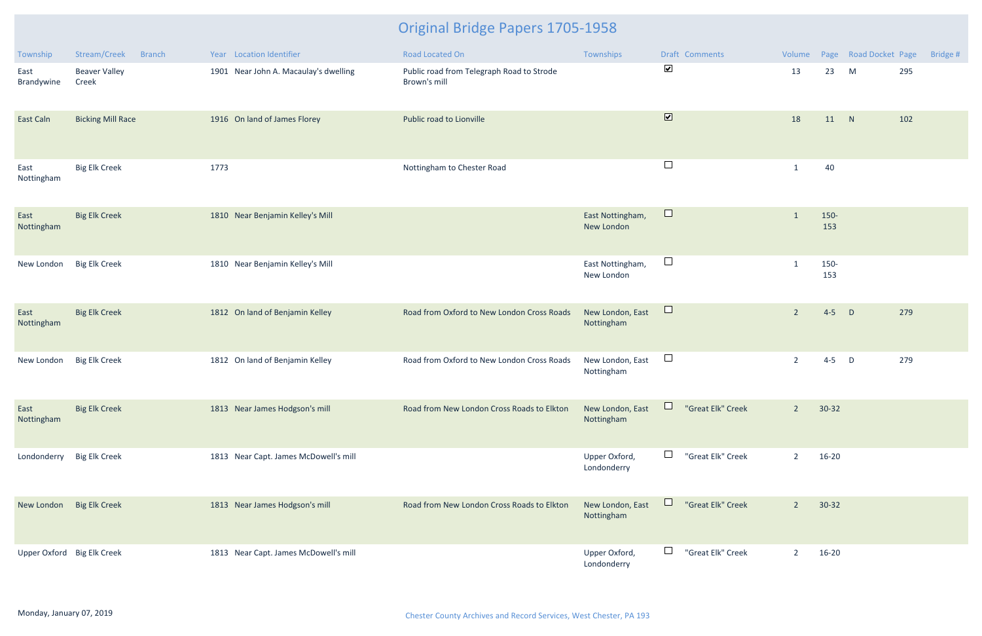| Township                   | Stream/Creek<br><b>Branch</b> | Year Location Identifier              | Road Located On                                           | Townships                      | Draft Comments               | Volume         |             | Page Road Docket Page | Bridge # |
|----------------------------|-------------------------------|---------------------------------------|-----------------------------------------------------------|--------------------------------|------------------------------|----------------|-------------|-----------------------|----------|
| East<br>Brandywine         | <b>Beaver Valley</b><br>Creek | 1901 Near John A. Macaulay's dwelling | Public road from Telegraph Road to Strode<br>Brown's mill |                                | $\blacktriangledown$         | 13             | 23          | M                     | 295      |
| East Caln                  | <b>Bicking Mill Race</b>      | 1916 On land of James Florey          | Public road to Lionville                                  |                                | $\boxed{\blacktriangledown}$ | 18             | 11 N        |                       | 102      |
| East<br>Nottingham         | <b>Big Elk Creek</b>          | 1773                                  | Nottingham to Chester Road                                |                                | $\Box$                       | -1             | 40          |                       |          |
| East<br>Nottingham         | <b>Big Elk Creek</b>          | 1810 Near Benjamin Kelley's Mill      |                                                           | East Nottingham,<br>New London | $\Box$                       | $\mathbf{1}$   | 150-<br>153 |                       |          |
| New London                 | <b>Big Elk Creek</b>          | 1810 Near Benjamin Kelley's Mill      |                                                           | East Nottingham,<br>New London | $\Box$                       |                | 150-<br>153 |                       |          |
| East<br>Nottingham         | <b>Big Elk Creek</b>          | 1812 On land of Benjamin Kelley       | Road from Oxford to New London Cross Roads                | New London, East<br>Nottingham | $\Box$                       | $\overline{2}$ | $4 - 5$     | $\Box$                | 279      |
| New London                 | <b>Big Elk Creek</b>          | 1812 On land of Benjamin Kelley       | Road from Oxford to New London Cross Roads                | New London, East<br>Nottingham | $\Box$                       | $\overline{2}$ | $4 - 5$     | D                     | 279      |
| East<br>Nottingham         | <b>Big Elk Creek</b>          | 1813 Near James Hodgson's mill        | Road from New London Cross Roads to Elkton                | New London, East<br>Nottingham | $\Box$<br>"Great Elk" Creek  | $2^{\circ}$    | $30 - 32$   |                       |          |
| Londonderry                | <b>Big Elk Creek</b>          | 1813 Near Capt. James McDowell's mill |                                                           | Upper Oxford,<br>Londonderry   | $\Box$<br>"Great Elk" Creek  | $\overline{2}$ | $16 - 20$   |                       |          |
| New London Big Elk Creek   |                               | 1813 Near James Hodgson's mill        | Road from New London Cross Roads to Elkton                | New London, East<br>Nottingham | Щ<br>"Great Elk" Creek       | $2^{\circ}$    | $30 - 32$   |                       |          |
| Upper Oxford Big Elk Creek |                               | 1813 Near Capt. James McDowell's mill |                                                           | Upper Oxford,<br>Londonderry   | $\Box$<br>"Great Elk" Creek  | $\overline{2}$ | 16-20       |                       |          |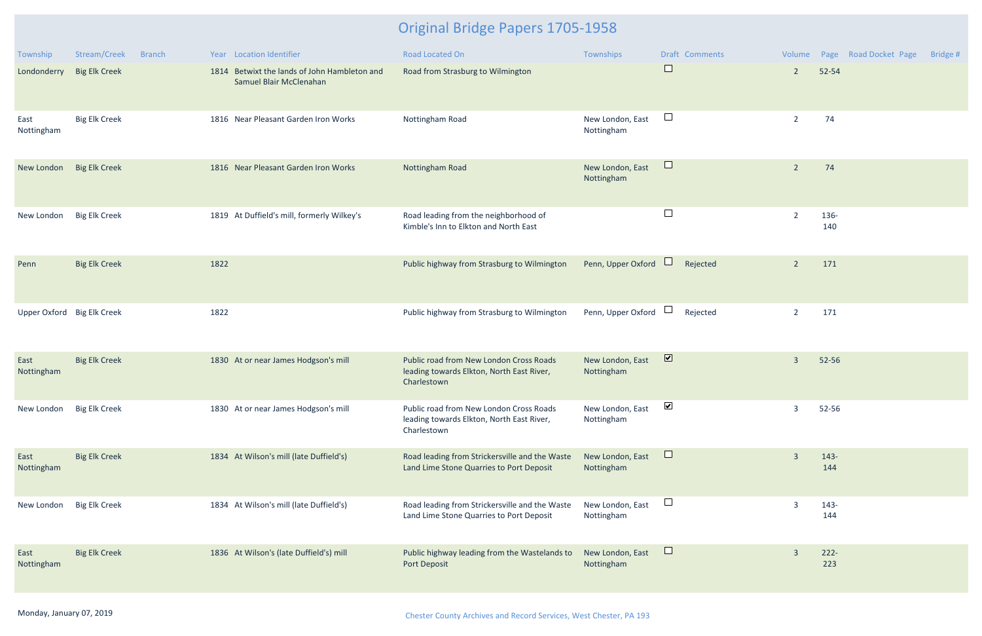| Township                   | Stream/Creek         | <b>Branch</b> |      | Year Location Identifier                                                | Road Located On                                                                                     | Townships                      | <b>Draft Comments</b>   |                |                | Volume Page Road Docket Page | Bridge # |
|----------------------------|----------------------|---------------|------|-------------------------------------------------------------------------|-----------------------------------------------------------------------------------------------------|--------------------------------|-------------------------|----------------|----------------|------------------------------|----------|
| Londonderry                | <b>Big Elk Creek</b> |               |      | 1814 Betwixt the lands of John Hambleton and<br>Samuel Blair McClenahan | Road from Strasburg to Wilmington                                                                   |                                | $\Box$                  | $\overline{2}$ | 52-54          |                              |          |
| East<br>Nottingham         | <b>Big Elk Creek</b> |               |      | 1816 Near Pleasant Garden Iron Works                                    | Nottingham Road                                                                                     | New London, East<br>Nottingham | $\Box$                  | $\overline{2}$ | 74             |                              |          |
| New London                 | <b>Big Elk Creek</b> |               |      | 1816 Near Pleasant Garden Iron Works                                    | Nottingham Road                                                                                     | New London, East<br>Nottingham | $\Box$                  | $\overline{2}$ | 74             |                              |          |
| New London                 | <b>Big Elk Creek</b> |               |      | 1819 At Duffield's mill, formerly Wilkey's                              | Road leading from the neighborhood of<br>Kimble's Inn to Elkton and North East                      |                                | $\Box$                  | $\overline{2}$ | 136-<br>140    |                              |          |
| Penn                       | <b>Big Elk Creek</b> |               | 1822 |                                                                         | Public highway from Strasburg to Wilmington                                                         | Penn, Upper Oxford             | Rejected                | $\overline{2}$ | 171            |                              |          |
| Upper Oxford Big Elk Creek |                      |               | 1822 |                                                                         | Public highway from Strasburg to Wilmington                                                         | Penn, Upper Oxford             | Rejected                | $\overline{2}$ | 171            |                              |          |
| East<br>Nottingham         | <b>Big Elk Creek</b> |               |      | 1830 At or near James Hodgson's mill                                    | Public road from New London Cross Roads<br>leading towards Elkton, North East River,<br>Charlestown | New London, East<br>Nottingham | $\overline{\mathbf{v}}$ | $\overline{3}$ | 52-56          |                              |          |
| New London Big Elk Creek   |                      |               |      | 1830 At or near James Hodgson's mill                                    | Public road from New London Cross Roads<br>leading towards Elkton, North East River,<br>Charlestown | New London, East<br>Nottingham | $\blacktriangledown$    | $\overline{3}$ | 52-56          |                              |          |
| East<br>Nottingham         | <b>Big Elk Creek</b> |               |      | 1834 At Wilson's mill (late Duffield's)                                 | Road leading from Strickersville and the Waste<br>Land Lime Stone Quarries to Port Deposit          | New London, East<br>Nottingham | $\Box$                  | $\overline{3}$ | $143 -$<br>144 |                              |          |
| New London                 | <b>Big Elk Creek</b> |               |      | 1834 At Wilson's mill (late Duffield's)                                 | Road leading from Strickersville and the Waste<br>Land Lime Stone Quarries to Port Deposit          | New London, East<br>Nottingham | $\Box$                  | $\overline{3}$ | 143-<br>144    |                              |          |
| East<br>Nottingham         | <b>Big Elk Creek</b> |               |      | 1836 At Wilson's (late Duffield's) mill                                 | Public highway leading from the Wastelands to<br>Port Deposit                                       | New London, East<br>Nottingham | $\Box$                  | $\overline{3}$ | $222 -$<br>223 |                              |          |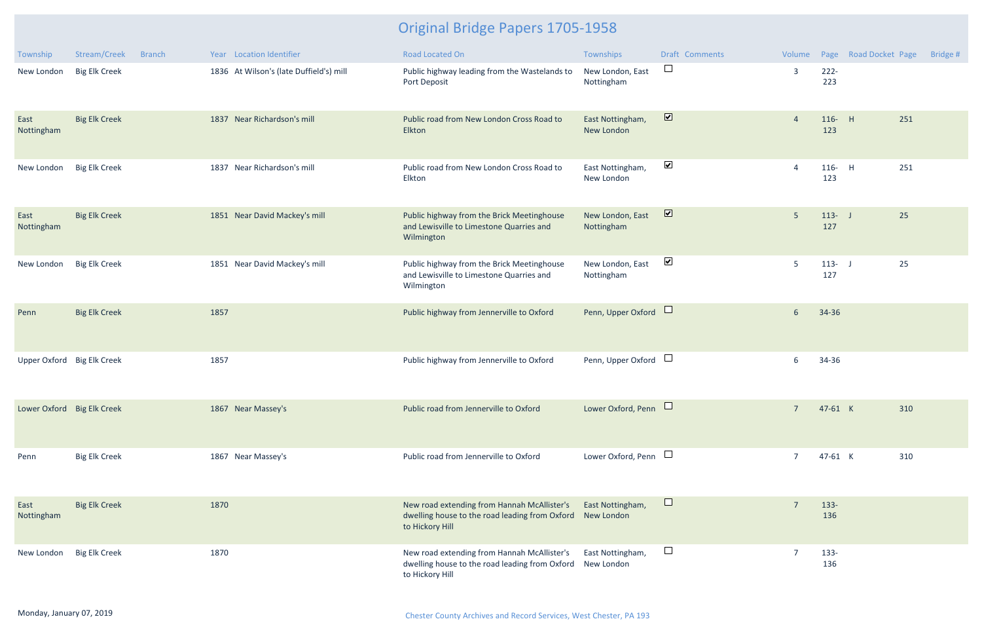| Township                   | Stream/Creek<br><b>Branch</b> | Year Location Identifier                | <b>Road Located On</b>                                                                                                      | Townships                      | <b>Draft Comments</b> | Volume          |                  | Page Road Docket Page | Bridge # |
|----------------------------|-------------------------------|-----------------------------------------|-----------------------------------------------------------------------------------------------------------------------------|--------------------------------|-----------------------|-----------------|------------------|-----------------------|----------|
| New London                 | <b>Big Elk Creek</b>          | 1836 At Wilson's (late Duffield's) mill | Public highway leading from the Wastelands to<br>Port Deposit                                                               | New London, East<br>Nottingham | $\Box$                | $\overline{3}$  | $222 -$<br>223   |                       |          |
| East<br>Nottingham         | <b>Big Elk Creek</b>          | 1837 Near Richardson's mill             | Public road from New London Cross Road to<br>Elkton                                                                         | East Nottingham,<br>New London | $\blacksquare$        | $\overline{4}$  | 116- H<br>123    | 251                   |          |
| New London                 | <b>Big Elk Creek</b>          | 1837 Near Richardson's mill             | Public road from New London Cross Road to<br>Elkton                                                                         | East Nottingham,<br>New London | $\blacktriangledown$  | $\overline{A}$  | $116 -$<br>123   | 251<br>$-H$           |          |
| East<br>Nottingham         | <b>Big Elk Creek</b>          | 1851 Near David Mackey's mill           | Public highway from the Brick Meetinghouse<br>and Lewisville to Limestone Quarries and<br>Wilmington                        | New London, East<br>Nottingham | $\blacksquare$        | $5\phantom{.0}$ | $113 - J$<br>127 | 25                    |          |
| New London                 | <b>Big Elk Creek</b>          | 1851 Near David Mackey's mill           | Public highway from the Brick Meetinghouse<br>and Lewisville to Limestone Quarries and<br>Wilmington                        | New London, East<br>Nottingham | $\blacktriangledown$  | 5               | $113 - 1$<br>127 | 25                    |          |
| Penn                       | <b>Big Elk Creek</b>          | 1857                                    | Public highway from Jennerville to Oxford                                                                                   | Penn, Upper Oxford             |                       | $6\overline{6}$ | 34-36            |                       |          |
| Upper Oxford Big Elk Creek |                               | 1857                                    | Public highway from Jennerville to Oxford                                                                                   | Penn, Upper Oxford             | $\Box$                | 6               | 34-36            |                       |          |
| Lower Oxford Big Elk Creek |                               | 1867 Near Massey's                      | Public road from Jennerville to Oxford                                                                                      | Lower Oxford, Penn             |                       | $\overline{7}$  | 47-61 K          | 310                   |          |
| Penn                       | <b>Big Elk Creek</b>          | 1867 Near Massey's                      | Public road from Jennerville to Oxford                                                                                      | Lower Oxford, Penn $\Box$      |                       | $\overline{7}$  | 47-61 K          | 310                   |          |
| East<br>Nottingham         | <b>Big Elk Creek</b>          | 1870                                    | New road extending from Hannah McAllister's<br>dwelling house to the road leading from Oxford New London<br>to Hickory Hill | East Nottingham,               | $\sqcup$              |                 | $133 -$<br>136   |                       |          |
| New London                 | <b>Big Elk Creek</b>          | 1870                                    | New road extending from Hannah McAllister's<br>dwelling house to the road leading from Oxford<br>to Hickory Hill            | East Nottingham,<br>New London | $\Box$                |                 | 133-<br>136      |                       |          |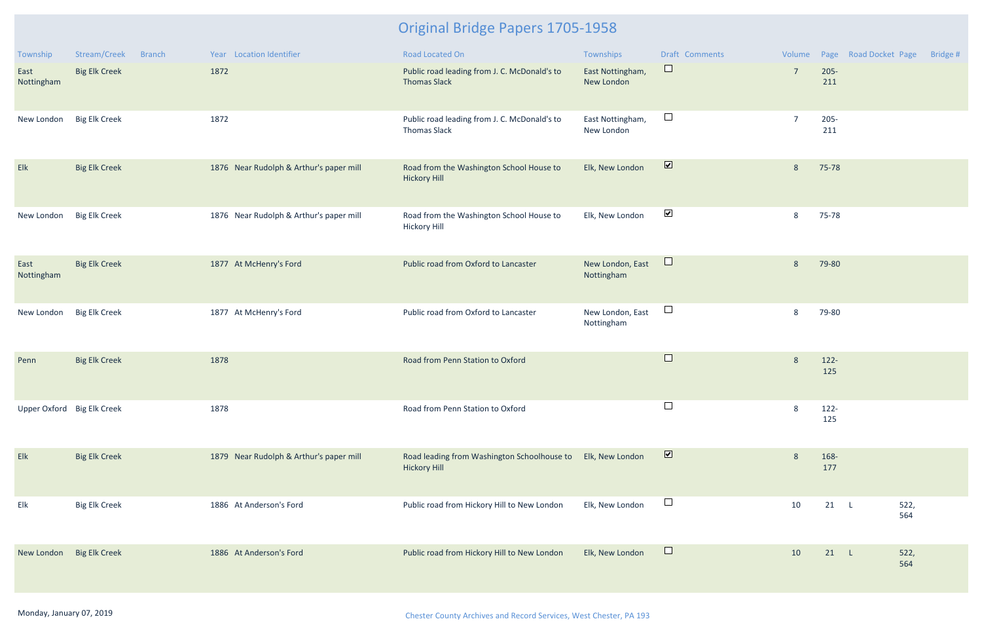| Township                   | Stream/Creek<br><b>Branch</b> | Year Location Identifier                | Road Located On                                                     | Townships                      | <b>Draft Comments</b>    |                 |                | Volume Page Road Docket Page | Bridge # |
|----------------------------|-------------------------------|-----------------------------------------|---------------------------------------------------------------------|--------------------------------|--------------------------|-----------------|----------------|------------------------------|----------|
| East<br>Nottingham         | <b>Big Elk Creek</b>          | 1872                                    | Public road leading from J. C. McDonald's to<br><b>Thomas Slack</b> | East Nottingham,<br>New London | $\Box$                   | $7\overline{ }$ | $205 -$<br>211 |                              |          |
| New London                 | <b>Big Elk Creek</b>          | 1872                                    | Public road leading from J. C. McDonald's to<br><b>Thomas Slack</b> | East Nottingham,<br>New London | $\Box$                   | $\overline{7}$  | $205 -$<br>211 |                              |          |
| Elk                        | <b>Big Elk Creek</b>          | 1876 Near Rudolph & Arthur's paper mill | Road from the Washington School House to<br><b>Hickory Hill</b>     | Elk, New London                | $\overline{\mathbf{v}}$  | 8               | 75-78          |                              |          |
| New London                 | <b>Big Elk Creek</b>          | 1876 Near Rudolph & Arthur's paper mill | Road from the Washington School House to<br><b>Hickory Hill</b>     | Elk, New London                | $\blacktriangledown$     | 8               | 75-78          |                              |          |
| East<br>Nottingham         | <b>Big Elk Creek</b>          | 1877 At McHenry's Ford                  | Public road from Oxford to Lancaster                                | New London, East<br>Nottingham | $\Box$                   | 8               | 79-80          |                              |          |
| New London                 | <b>Big Elk Creek</b>          | 1877 At McHenry's Ford                  | Public road from Oxford to Lancaster                                | New London, East<br>Nottingham | $\Box$                   | 8               | 79-80          |                              |          |
| Penn                       | <b>Big Elk Creek</b>          | 1878                                    | Road from Penn Station to Oxford                                    |                                | $\Box$                   | 8               | $122 -$<br>125 |                              |          |
| Upper Oxford Big Elk Creek |                               | 1878                                    | Road from Penn Station to Oxford                                    |                                | $\overline{\phantom{a}}$ | 8               | $122 -$<br>125 |                              |          |
| Elk                        | <b>Big Elk Creek</b>          | 1879 Near Rudolph & Arthur's paper mill | Road leading from Washington Schoolhouse to<br><b>Hickory Hill</b>  | Elk, New London                | $\overline{\mathbf{v}}$  | 8               | 168-<br>177    |                              |          |
| Elk                        | <b>Big Elk Creek</b>          | 1886 At Anderson's Ford                 | Public road from Hickory Hill to New London                         | Elk, New London                | $\Box$                   | 10              | $21 \quad L$   | 522,<br>564                  |          |
| New London                 | <b>Big Elk Creek</b>          | 1886 At Anderson's Ford                 | Public road from Hickory Hill to New London                         | Elk, New London                | $\Box$                   | 10              | 21             | 522,<br>- L<br>564           |          |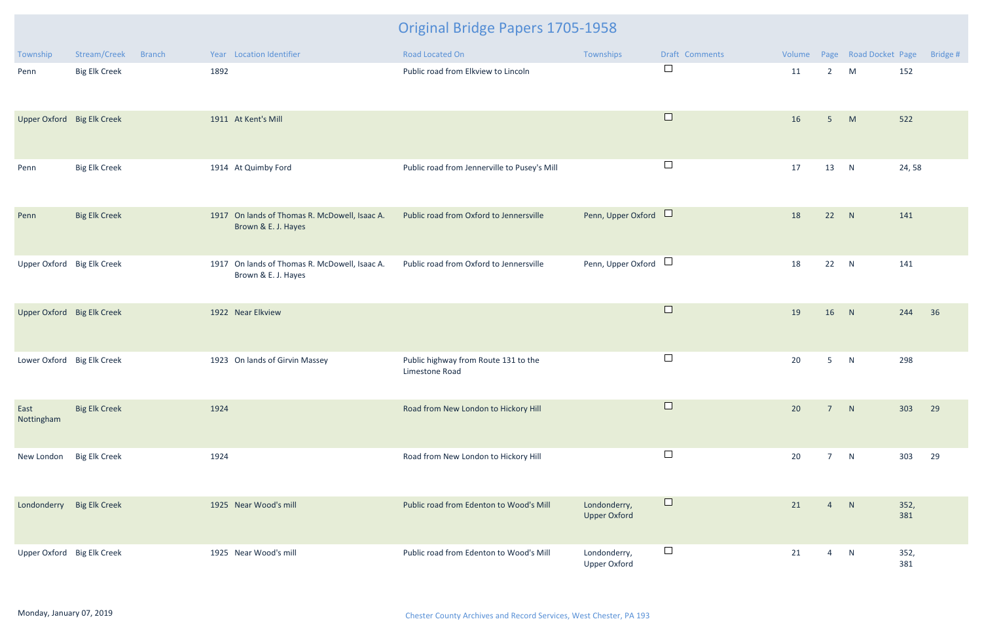| Township                   | Stream/Creek         | <b>Branch</b> | Year Location Identifier                                             | Road Located On                                        | Townships                           | Draft Comments | Volume |                 | Page Road Docket Page |             | Bridge # |
|----------------------------|----------------------|---------------|----------------------------------------------------------------------|--------------------------------------------------------|-------------------------------------|----------------|--------|-----------------|-----------------------|-------------|----------|
| Penn                       | <b>Big Elk Creek</b> |               | 1892                                                                 | Public road from Elkview to Lincoln                    |                                     | $\Box$         | 11     | $2^{\circ}$     | M                     | 152         |          |
| Upper Oxford Big Elk Creek |                      |               | 1911 At Kent's Mill                                                  |                                                        |                                     | $\Box$         | 16     | 5 <sup>1</sup>  | M                     | 522         |          |
| Penn                       | <b>Big Elk Creek</b> |               | 1914 At Quimby Ford                                                  | Public road from Jennerville to Pusey's Mill           |                                     | $\Box$         | 17     | 13              | N                     | 24,58       |          |
| Penn                       | <b>Big Elk Creek</b> |               | 1917 On lands of Thomas R. McDowell, Isaac A.<br>Brown & E. J. Hayes | Public road from Oxford to Jennersville                | Penn, Upper Oxford                  |                | 18     | 22              | N                     | 141         |          |
| Upper Oxford Big Elk Creek |                      |               | 1917 On lands of Thomas R. McDowell, Isaac A.<br>Brown & E. J. Hayes | Public road from Oxford to Jennersville                | Penn, Upper Oxford $\Box$           |                | 18     | 22              | N                     | 141         |          |
| Upper Oxford Big Elk Creek |                      |               | 1922 Near Elkview                                                    |                                                        |                                     | $\Box$         | 19     | 16              | N                     | 244         | 36       |
| Lower Oxford Big Elk Creek |                      |               | 1923 On lands of Girvin Massey                                       | Public highway from Route 131 to the<br>Limestone Road |                                     | $\Box$         | 20     | 5 <sup>5</sup>  | N                     | 298         |          |
| East<br>Nottingham         | <b>Big Elk Creek</b> |               | 1924                                                                 | Road from New London to Hickory Hill                   |                                     | $\Box$         | 20     | $\overline{7}$  | N                     | 303         | 29       |
| New London                 | <b>Big Elk Creek</b> |               | 1924                                                                 | Road from New London to Hickory Hill                   |                                     | $\Box$         | 20     | $7\overline{ }$ | N                     | 303         | 29       |
| Londonderry Big Elk Creek  |                      |               | 1925 Near Wood's mill                                                | Public road from Edenton to Wood's Mill                | Londonderry,<br><b>Upper Oxford</b> | $\Box$         | 21     | $\overline{4}$  | N                     | 352,<br>381 |          |
| Upper Oxford Big Elk Creek |                      |               | 1925 Near Wood's mill                                                | Public road from Edenton to Wood's Mill                | Londonderry,<br><b>Upper Oxford</b> | $\Box$         | 21     | $\overline{4}$  | N                     | 352,<br>381 |          |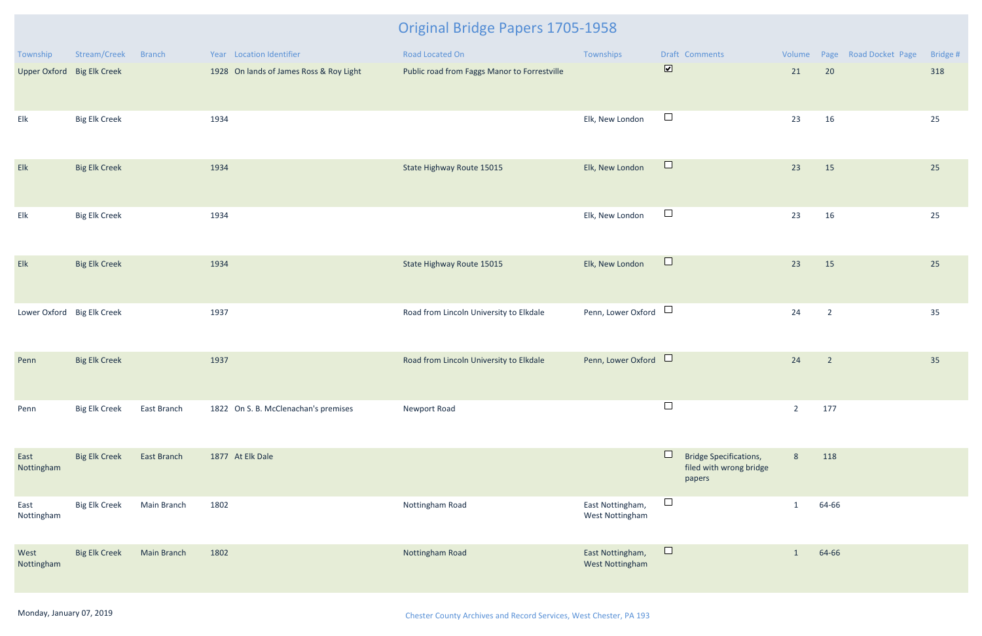| Township                   | Stream/Creek         | <b>Branch</b>      | Year Location Identifier                | Road Located On                              | Townships                           | Draft Comments                                                          | Volume         | Page Road Docket Page    | Bridge # |
|----------------------------|----------------------|--------------------|-----------------------------------------|----------------------------------------------|-------------------------------------|-------------------------------------------------------------------------|----------------|--------------------------|----------|
| Upper Oxford Big Elk Creek |                      |                    | 1928 On lands of James Ross & Roy Light | Public road from Faggs Manor to Forrestville |                                     | $\overline{\mathbf{v}}$                                                 | 21             | 20                       | 318      |
| $\mathsf{Elk}$             | <b>Big Elk Creek</b> |                    | 1934                                    |                                              | Elk, New London                     | $\Box$                                                                  | 23             | 16                       | 25       |
| Elk                        | <b>Big Elk Creek</b> |                    | 1934                                    | State Highway Route 15015                    | Elk, New London                     | $\Box$                                                                  | 23             | 15                       | 25       |
| Elk                        | <b>Big Elk Creek</b> |                    | 1934                                    |                                              | Elk, New London                     | $\Box$                                                                  | 23             | 16                       | 25       |
| Elk                        | <b>Big Elk Creek</b> |                    | 1934                                    | State Highway Route 15015                    | Elk, New London                     | $\Box$                                                                  | 23             | 15                       | 25       |
| Lower Oxford Big Elk Creek |                      |                    | 1937                                    | Road from Lincoln University to Elkdale      | Penn, Lower Oxford                  | $\Box$                                                                  | 24             | $\overline{2}$           | 35       |
| Penn                       | <b>Big Elk Creek</b> |                    | 1937                                    | Road from Lincoln University to Elkdale      | Penn, Lower Oxford                  |                                                                         | 24             | $\overline{\phantom{2}}$ | 35       |
| Penn                       | <b>Big Elk Creek</b> | East Branch        | 1822 On S. B. McClenachan's premises    | Newport Road                                 |                                     | $\Box$                                                                  | $\overline{2}$ | 177                      |          |
| East<br>Nottingham         | <b>Big Elk Creek</b> | East Branch        | 1877 At Elk Dale                        |                                              |                                     | ப<br><b>Bridge Specifications,</b><br>filed with wrong bridge<br>papers | $8\phantom{1}$ | 118                      |          |
| East<br>Nottingham         | <b>Big Elk Creek</b> | Main Branch        | 1802                                    | Nottingham Road                              | East Nottingham,<br>West Nottingham | $\Box$                                                                  | $\mathbf{1}$   | 64-66                    |          |
| West<br>Nottingham         | <b>Big Elk Creek</b> | <b>Main Branch</b> | 1802                                    | Nottingham Road                              | East Nottingham,<br>West Nottingham | $\Box$                                                                  | $\mathbf{1}$   | 64-66                    |          |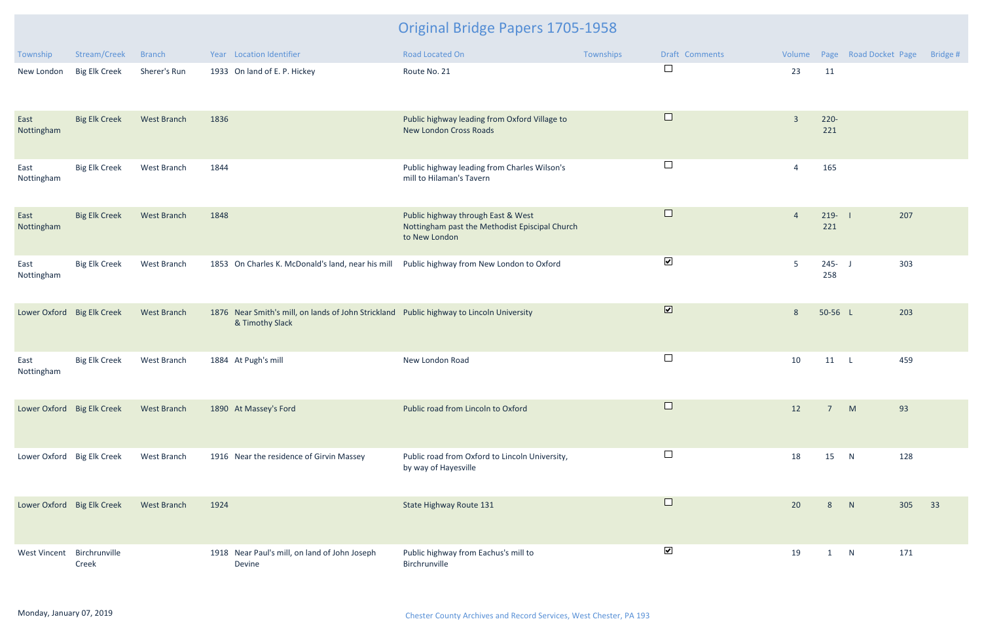| Township                   | Stream/Creek         | <b>Branch</b>      | Year Location Identifier                                                                                    | Road Located On                                                                                       | Townships | Draft Comments          | Volume         |                  | Page Road Docket Page | Bridge # |
|----------------------------|----------------------|--------------------|-------------------------------------------------------------------------------------------------------------|-------------------------------------------------------------------------------------------------------|-----------|-------------------------|----------------|------------------|-----------------------|----------|
| New London                 | <b>Big Elk Creek</b> | Sherer's Run       | 1933 On land of E. P. Hickey                                                                                | Route No. 21                                                                                          |           | $\Box$                  | 23             | 11               |                       |          |
| East<br>Nottingham         | <b>Big Elk Creek</b> | <b>West Branch</b> | 1836                                                                                                        | Public highway leading from Oxford Village to<br><b>New London Cross Roads</b>                        |           | $\Box$                  | $\overline{3}$ | $220 -$<br>221   |                       |          |
| East<br>Nottingham         | <b>Big Elk Creek</b> | West Branch        | 1844                                                                                                        | Public highway leading from Charles Wilson's<br>mill to Hilaman's Tavern                              |           | $\Box$                  | $\overline{4}$ | 165              |                       |          |
| East<br>Nottingham         | <b>Big Elk Creek</b> | <b>West Branch</b> | 1848                                                                                                        | Public highway through East & West<br>Nottingham past the Methodist Episcipal Church<br>to New London |           | $\Box$                  | $\overline{4}$ | $219 -$<br>221   | 207                   |          |
| East<br>Nottingham         | <b>Big Elk Creek</b> | West Branch        | 1853 On Charles K. McDonald's land, near his mill Public highway from New London to Oxford                  |                                                                                                       |           | $\blacktriangledown$    | $5\phantom{.}$ | $245 - J$<br>258 | 303                   |          |
| Lower Oxford Big Elk Creek |                      | West Branch        | 1876 Near Smith's mill, on lands of John Strickland Public highway to Lincoln University<br>& Timothy Slack |                                                                                                       |           | $\overline{\mathbf{v}}$ | $8\phantom{1}$ | 50-56 L          | 203                   |          |
| East<br>Nottingham         | <b>Big Elk Creek</b> | West Branch        | 1884 At Pugh's mill                                                                                         | New London Road                                                                                       |           | $\Box$                  | 10             | $11$ L           | 459                   |          |
| Lower Oxford Big Elk Creek |                      | <b>West Branch</b> | 1890 At Massey's Ford                                                                                       | Public road from Lincoln to Oxford                                                                    |           |                         | 12             | $7^{\circ}$      | 93<br>M               |          |
| Lower Oxford Big Elk Creek |                      | West Branch        | 1916 Near the residence of Girvin Massey                                                                    | Public road from Oxford to Lincoln University,<br>by way of Hayesville                                |           | $\Box$                  | 18             | 15               | 128<br>N              |          |
| Lower Oxford Big Elk Creek |                      | <b>West Branch</b> | 1924                                                                                                        | State Highway Route 131                                                                               |           | $\Box$                  | 20             | 8                | 305<br>N              | 33       |
| West Vincent Birchrunville | Creek                |                    | 1918 Near Paul's mill, on land of John Joseph<br>Devine                                                     | Public highway from Eachus's mill to<br>Birchrunville                                                 |           | $\blacktriangledown$    | 19             | 1                | 171<br>N              |          |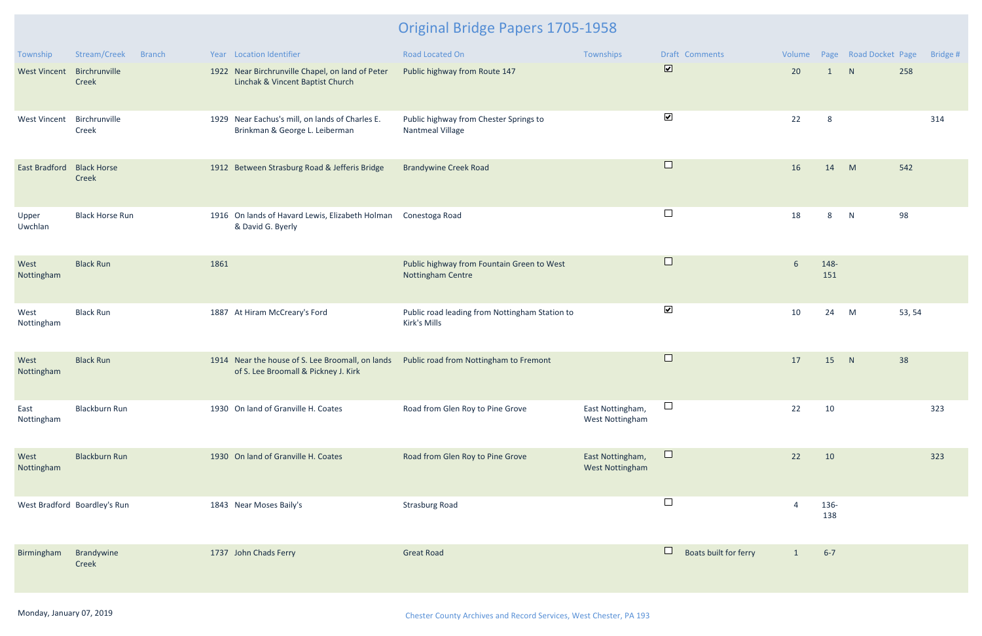| Township             | Stream/Creek<br><b>Branch</b> |      | Year Location Identifier                                                                 | <b>Road Located On</b>                                          | Townships                                  | Draft Comments                  | Volume                 |              | Page Road Docket Page |        | Bridge # |
|----------------------|-------------------------------|------|------------------------------------------------------------------------------------------|-----------------------------------------------------------------|--------------------------------------------|---------------------------------|------------------------|--------------|-----------------------|--------|----------|
| <b>West Vincent</b>  | Birchrunville<br>Creek        |      | 1922 Near Birchrunville Chapel, on land of Peter<br>Linchak & Vincent Baptist Church     | Public highway from Route 147                                   |                                            | $\overline{\mathbf{v}}$         | 20                     | $\mathbf{1}$ | N                     | 258    |          |
| <b>West Vincent</b>  | Birchrunville<br>Creek        |      | 1929 Near Eachus's mill, on lands of Charles E.<br>Brinkman & George L. Leiberman        | Public highway from Chester Springs to<br>Nantmeal Village      |                                            | $\blacktriangledown$            | 22                     | 8            |                       |        | 314      |
| <b>East Bradford</b> | <b>Black Horse</b><br>Creek   |      | 1912 Between Strasburg Road & Jefferis Bridge                                            | <b>Brandywine Creek Road</b>                                    |                                            | $\Box$                          | 16                     | 14           | M                     | 542    |          |
| Upper<br>Uwchlan     | <b>Black Horse Run</b>        |      | 1916 On lands of Havard Lewis, Elizabeth Holman<br>& David G. Byerly                     | Conestoga Road                                                  |                                            | $\Box$                          | 18                     | 8            | N                     | 98     |          |
| West<br>Nottingham   | <b>Black Run</b>              | 1861 |                                                                                          | Public highway from Fountain Green to West<br>Nottingham Centre |                                            | $\Box$                          | $6\phantom{1}6$        | 148-<br>151  |                       |        |          |
| West<br>Nottingham   | <b>Black Run</b>              |      | 1887 At Hiram McCreary's Ford                                                            | Public road leading from Nottingham Station to<br>Kirk's Mills  |                                            | $\blacktriangledown$            | 10                     | 24           | M                     | 53, 54 |          |
| West<br>Nottingham   | <b>Black Run</b>              |      | 1914 Near the house of S. Lee Broomall, on lands<br>of S. Lee Broomall & Pickney J. Kirk | Public road from Nottingham to Fremont                          |                                            | $\Box$                          | 17                     | 15           | N                     | 38     |          |
| East<br>Nottingham   | <b>Blackburn Run</b>          |      | 1930 On land of Granville H. Coates                                                      | Road from Glen Roy to Pine Grove                                | East Nottingham,<br>West Nottingham        | $\Box$                          | 22                     | 10           |                       |        | 323      |
| West<br>Nottingham   | <b>Blackburn Run</b>          |      | 1930 On land of Granville H. Coates                                                      | Road from Glen Roy to Pine Grove                                | East Nottingham,<br><b>West Nottingham</b> | $\Box$                          | 22                     | 10           |                       |        | 323      |
|                      | West Bradford Boardley's Run  |      | 1843 Near Moses Baily's                                                                  | <b>Strasburg Road</b>                                           |                                            | $\Box$                          | $\boldsymbol{\Lambda}$ | 136-<br>138  |                       |        |          |
| Birmingham           | Brandywine<br>Creek           |      | 1737 John Chads Ferry                                                                    | <b>Great Road</b>                                               |                                            | $\Box$<br>Boats built for ferry | $\mathbf{1}$           | $6 - 7$      |                       |        |          |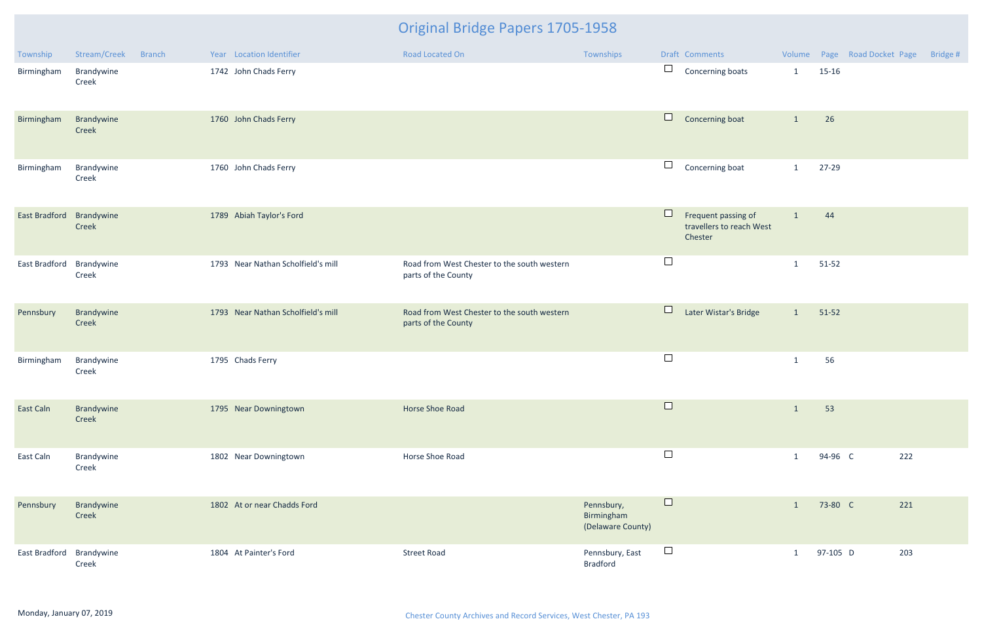| Township      | Stream/Creek        | <b>Branch</b> | Year Location Identifier           | <b>Road Located On</b>                                             | Townships                                     |        | Draft Comments                                             |              |           | Volume Page Road Docket Page | Bridge # |
|---------------|---------------------|---------------|------------------------------------|--------------------------------------------------------------------|-----------------------------------------------|--------|------------------------------------------------------------|--------------|-----------|------------------------------|----------|
| Birmingham    | Brandywine<br>Creek |               | 1742 John Chads Ferry              |                                                                    |                                               | $\Box$ | Concerning boats                                           | $\mathbf{1}$ | $15-16$   |                              |          |
| Birmingham    | Brandywine<br>Creek |               | 1760 John Chads Ferry              |                                                                    |                                               | $\Box$ | Concerning boat                                            | $\mathbf{1}$ | 26        |                              |          |
| Birmingham    | Brandywine<br>Creek |               | 1760 John Chads Ferry              |                                                                    |                                               | $\Box$ | Concerning boat                                            | $\mathbf{1}$ | 27-29     |                              |          |
| East Bradford | Brandywine<br>Creek |               | 1789 Abiah Taylor's Ford           |                                                                    |                                               | Ш      | Frequent passing of<br>travellers to reach West<br>Chester | $\mathbf{1}$ | 44        |                              |          |
| East Bradford | Brandywine<br>Creek |               | 1793 Near Nathan Scholfield's mill | Road from West Chester to the south western<br>parts of the County |                                               | $\Box$ |                                                            | $\mathbf{1}$ | $51 - 52$ |                              |          |
| Pennsbury     | Brandywine<br>Creek |               | 1793 Near Nathan Scholfield's mill | Road from West Chester to the south western<br>parts of the County |                                               | $\Box$ | Later Wistar's Bridge                                      | $\mathbf{1}$ | $51-52$   |                              |          |
| Birmingham    | Brandywine<br>Creek |               | 1795 Chads Ferry                   |                                                                    |                                               | $\Box$ |                                                            | $\mathbf{1}$ | 56        |                              |          |
| East Caln     | Brandywine<br>Creek |               | 1795 Near Downingtown              | Horse Shoe Road                                                    |                                               | $\Box$ |                                                            | $\mathbf{1}$ | 53        |                              |          |
| East Caln     | Brandywine<br>Creek |               | 1802 Near Downingtown              | Horse Shoe Road                                                    |                                               | $\Box$ |                                                            | $\mathbf{1}$ | 94-96 C   | 222                          |          |
| Pennsbury     | Brandywine<br>Creek |               | 1802 At or near Chadds Ford        |                                                                    | Pennsbury,<br>Birmingham<br>(Delaware County) | $\Box$ |                                                            | $\mathbf{1}$ | 73-80 C   | 221                          |          |
| East Bradford | Brandywine<br>Creek |               | 1804 At Painter's Ford             | <b>Street Road</b>                                                 | Pennsbury, East<br><b>Bradford</b>            | $\Box$ |                                                            | $\mathbf{1}$ | 97-105 D  | 203                          |          |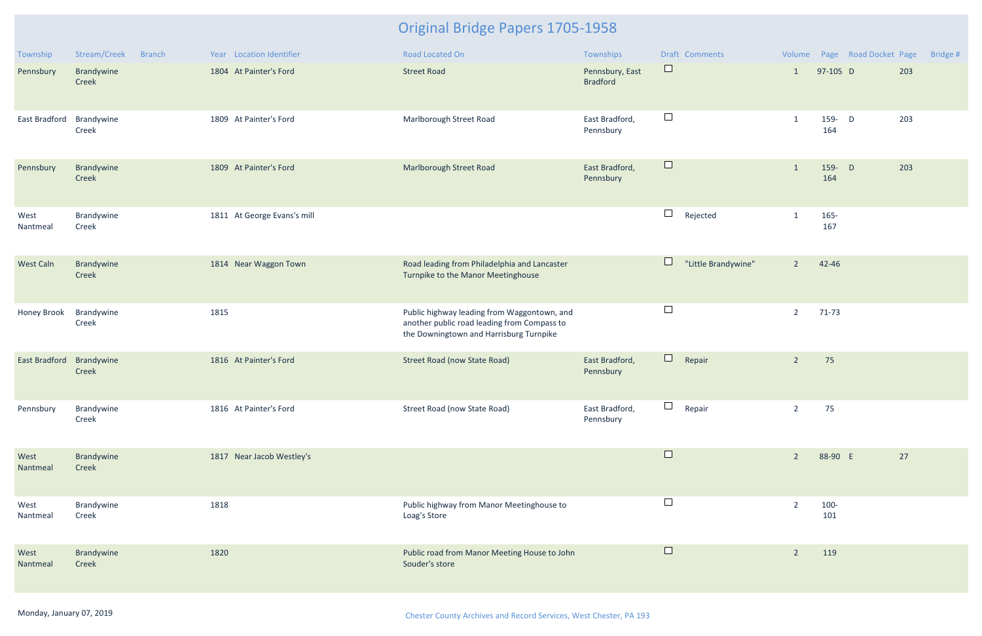| Township             | Stream/Creek<br><b>Branch</b> | Year Location Identifier    | <b>Road Located On</b>                                                                                                                | Townships                          |        | Draft Comments      |                |               | Volume Page Road Docket Page |     | Bridge # |
|----------------------|-------------------------------|-----------------------------|---------------------------------------------------------------------------------------------------------------------------------------|------------------------------------|--------|---------------------|----------------|---------------|------------------------------|-----|----------|
| Pennsbury            | Brandywine<br>Creek           | 1804 At Painter's Ford      | <b>Street Road</b>                                                                                                                    | Pennsbury, East<br><b>Bradford</b> | $\Box$ |                     | $\mathbf{1}$   | 97-105 D      |                              | 203 |          |
| East Bradford        | Brandywine<br>Creek           | 1809 At Painter's Ford      | Marlborough Street Road                                                                                                               | East Bradford,<br>Pennsbury        | $\Box$ |                     | $\mathbf{1}$   | 159- D<br>164 |                              | 203 |          |
| Pennsbury            | Brandywine<br>Creek           | 1809 At Painter's Ford      | Marlborough Street Road                                                                                                               | East Bradford,<br>Pennsbury        | $\Box$ |                     | $\mathbf{1}$   | 159- D<br>164 |                              | 203 |          |
| West<br>Nantmeal     | Brandywine<br>Creek           | 1811 At George Evans's mill |                                                                                                                                       |                                    | $\Box$ | Rejected            | $\mathbf{1}$   | 165-<br>167   |                              |     |          |
| West Caln            | Brandywine<br>Creek           | 1814 Near Waggon Town       | Road leading from Philadelphia and Lancaster<br>Turnpike to the Manor Meetinghouse                                                    |                                    | $\Box$ | "Little Brandywine" | $2^{\circ}$    | 42-46         |                              |     |          |
| Honey Brook          | Brandywine<br>Creek           | 1815                        | Public highway leading from Waggontown, and<br>another public road leading from Compass to<br>the Downingtown and Harrisburg Turnpike |                                    | $\Box$ |                     | $\overline{2}$ | $71-73$       |                              |     |          |
| <b>East Bradford</b> | Brandywine<br>Creek           | 1816 At Painter's Ford      | <b>Street Road (now State Road)</b>                                                                                                   | East Bradford,<br>Pennsbury        | $\Box$ | Repair              | $\overline{2}$ | 75            |                              |     |          |
| Pennsbury            | Brandywine<br>Creek           | 1816 At Painter's Ford      | Street Road (now State Road)                                                                                                          | East Bradford,<br>Pennsbury        | $\Box$ | Repair              | $\overline{2}$ | 75            |                              |     |          |
| West<br>Nantmeal     | Brandywine<br>Creek           | 1817 Near Jacob Westley's   |                                                                                                                                       |                                    | $\Box$ |                     | $\overline{2}$ | 88-90 E       |                              | 27  |          |
| West<br>Nantmeal     | Brandywine<br>Creek           | 1818                        | Public highway from Manor Meetinghouse to<br>Loag's Store                                                                             |                                    | $\Box$ |                     | $\overline{2}$ | 100-<br>101   |                              |     |          |
| West<br>Nantmeal     | Brandywine<br>Creek           | 1820                        | Public road from Manor Meeting House to John<br>Souder's store                                                                        |                                    | $\Box$ |                     | $\overline{2}$ | 119           |                              |     |          |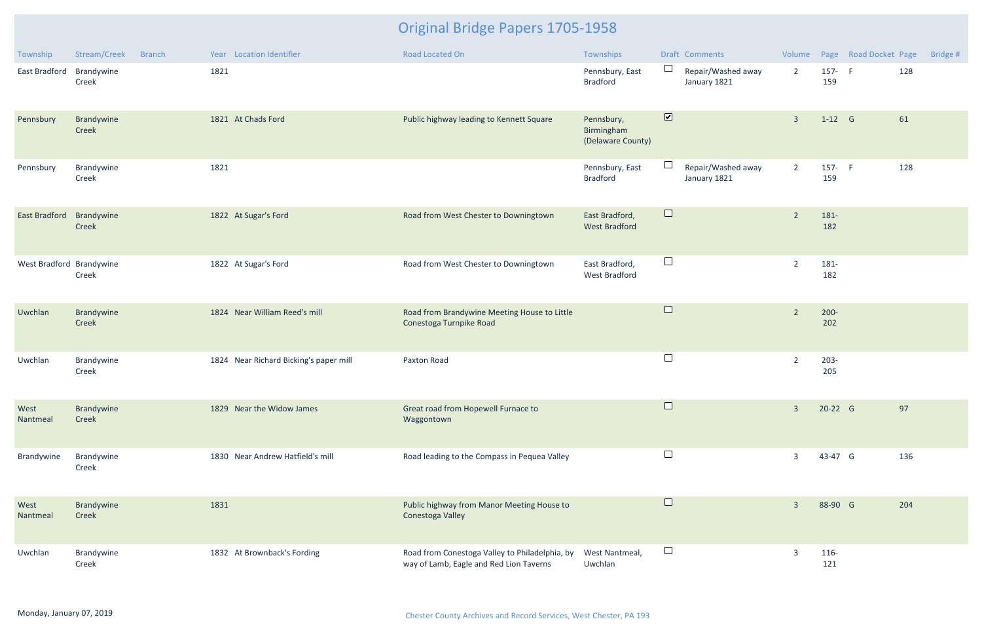| Township                 | Stream/Creek        | <b>Branch</b> |      | Year Location Identifier               | Road Located On                                                                           | Townships                                     |                              | Draft Comments                     |                |                | Volume Page Road Docket Page |     | Bridge # |
|--------------------------|---------------------|---------------|------|----------------------------------------|-------------------------------------------------------------------------------------------|-----------------------------------------------|------------------------------|------------------------------------|----------------|----------------|------------------------------|-----|----------|
| East Bradford            | Brandywine<br>Creek |               | 1821 |                                        |                                                                                           | Pennsbury, East<br><b>Bradford</b>            | ⊔                            | Repair/Washed away<br>January 1821 | $\overline{2}$ | 157- F<br>159  |                              | 128 |          |
| Pennsbury                | Brandywine<br>Creek |               |      | 1821 At Chads Ford                     | Public highway leading to Kennett Square                                                  | Pennsbury,<br>Birmingham<br>(Delaware County) | $\boxed{\blacktriangledown}$ |                                    | $\overline{3}$ | $1-12$ G       |                              | 61  |          |
| Pennsbury                | Brandywine<br>Creek |               | 1821 |                                        |                                                                                           | Pennsbury, East<br><b>Bradford</b>            |                              | Repair/Washed away<br>January 1821 | $\overline{2}$ | 157- F<br>159  |                              | 128 |          |
| East Bradford            | Brandywine<br>Creek |               |      | 1822 At Sugar's Ford                   | Road from West Chester to Downingtown                                                     | East Bradford,<br><b>West Bradford</b>        | $\Box$                       |                                    | $\overline{2}$ | 181-<br>182    |                              |     |          |
| West Bradford Brandywine | Creek               |               |      | 1822 At Sugar's Ford                   | Road from West Chester to Downingtown                                                     | East Bradford,<br><b>West Bradford</b>        | $\Box$                       |                                    | $\overline{2}$ | 181-<br>182    |                              |     |          |
| Uwchlan                  | Brandywine<br>Creek |               |      | 1824 Near William Reed's mill          | Road from Brandywine Meeting House to Little<br>Conestoga Turnpike Road                   |                                               | $\Box$                       |                                    | $\overline{2}$ | $200 -$<br>202 |                              |     |          |
| Uwchlan                  | Brandywine<br>Creek |               |      | 1824 Near Richard Bicking's paper mill | Paxton Road                                                                               |                                               | $\Box$                       |                                    | $\overline{2}$ | $203 -$<br>205 |                              |     |          |
| West<br>Nantmeal         | Brandywine<br>Creek |               |      | 1829 Near the Widow James              | Great road from Hopewell Furnace to<br>Waggontown                                         |                                               | $\Box$                       |                                    | $\overline{3}$ | 20-22 G        |                              | 97  |          |
| Brandywine               | Brandywine<br>Creek |               |      | 1830 Near Andrew Hatfield's mill       | Road leading to the Compass in Pequea Valley                                              |                                               | $\Box$                       |                                    | $\overline{3}$ | 43-47 G        |                              | 136 |          |
| West<br>Nantmeal         | Brandywine<br>Creek |               | 1831 |                                        | Public highway from Manor Meeting House to<br>Conestoga Valley                            |                                               | $\Box$                       |                                    | $\overline{3}$ | 88-90 G        |                              | 204 |          |
| Uwchlan                  | Brandywine<br>Creek |               |      | 1832 At Brownback's Fording            | Road from Conestoga Valley to Philadelphia, by<br>way of Lamb, Eagle and Red Lion Taverns | West Nantmeal,<br>Uwchlan                     | $\Box$                       |                                    | $\overline{3}$ | 116-<br>121    |                              |     |          |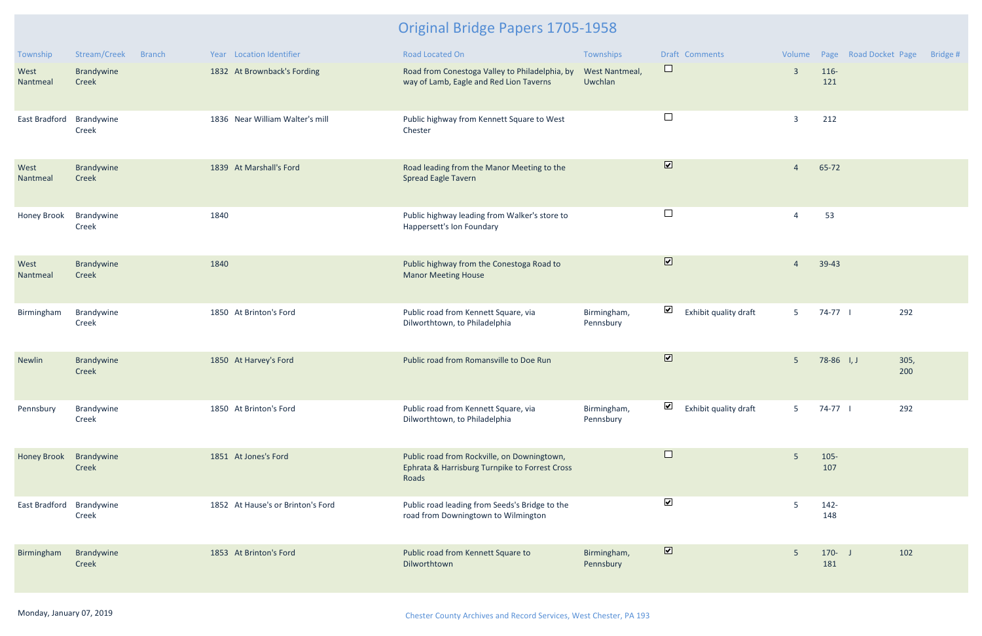| Township           | Stream/Creek        | <b>Branch</b> |      | Year Location Identifier          | <b>Road Located On</b>                                                                                 | Townships                 |                         | Draft Comments        |                         |                  | Volume Page Road Docket Page | Bridge # |
|--------------------|---------------------|---------------|------|-----------------------------------|--------------------------------------------------------------------------------------------------------|---------------------------|-------------------------|-----------------------|-------------------------|------------------|------------------------------|----------|
| West<br>Nantmeal   | Brandywine<br>Creek |               |      | 1832 At Brownback's Fording       | Road from Conestoga Valley to Philadelphia, by<br>way of Lamb, Eagle and Red Lion Taverns              | West Nantmeal,<br>Uwchlan | $\Box$                  |                       | $\overline{\mathbf{3}}$ | 116-<br>121      |                              |          |
| East Bradford      | Brandywine<br>Creek |               |      | 1836 Near William Walter's mill   | Public highway from Kennett Square to West<br>Chester                                                  |                           | $\Box$                  |                       | $\overline{3}$          | 212              |                              |          |
| West<br>Nantmeal   | Brandywine<br>Creek |               |      | 1839 At Marshall's Ford           | Road leading from the Manor Meeting to the<br><b>Spread Eagle Tavern</b>                               |                           | $\blacksquare$          |                       | $\overline{4}$          | 65-72            |                              |          |
| <b>Honey Brook</b> | Brandywine<br>Creek |               | 1840 |                                   | Public highway leading from Walker's store to<br>Happersett's Ion Foundary                             |                           | $\Box$                  |                       | $\overline{4}$          | 53               |                              |          |
| West<br>Nantmeal   | Brandywine<br>Creek |               | 1840 |                                   | Public highway from the Conestoga Road to<br><b>Manor Meeting House</b>                                |                           | $\overline{\mathbf{v}}$ |                       | $\overline{4}$          | 39-43            |                              |          |
| Birmingham         | Brandywine<br>Creek |               |      | 1850 At Brinton's Ford            | Public road from Kennett Square, via<br>Dilworthtown, to Philadelphia                                  | Birmingham,<br>Pennsbury  | $\blacktriangledown$    | Exhibit quality draft | 5 <sub>1</sub>          | 74-77            | 292                          |          |
| Newlin             | Brandywine<br>Creek |               |      | 1850 At Harvey's Ford             | Public road from Romansville to Doe Run                                                                |                           | $\overline{\mathbf{v}}$ |                       | 5 <sup>1</sup>          | $78-86$ I, J     | 305,<br>200                  |          |
| Pennsbury          | Brandywine<br>Creek |               |      | 1850 At Brinton's Ford            | Public road from Kennett Square, via<br>Dilworthtown, to Philadelphia                                  | Birmingham,<br>Pennsbury  | ⊻                       | Exhibit quality draft | 5                       | 74-77            | 292                          |          |
| <b>Honey Brook</b> | Brandywine<br>Creek |               |      | 1851 At Jones's Ford              | Public road from Rockville, on Downingtown,<br>Ephrata & Harrisburg Turnpike to Forrest Cross<br>Roads |                           | $\Box$                  |                       | $5\phantom{.}$          | $105 -$<br>107   |                              |          |
| East Bradford      | Brandywine<br>Creek |               |      | 1852 At Hause's or Brinton's Ford | Public road leading from Seeds's Bridge to the<br>road from Downingtown to Wilmington                  |                           | $\blacktriangledown$    |                       | -5                      | $142 -$<br>148   |                              |          |
| Birmingham         | Brandywine<br>Creek |               |      | 1853 At Brinton's Ford            | Public road from Kennett Square to<br>Dilworthtown                                                     | Birmingham,<br>Pennsbury  | $\blacksquare$          |                       | $5\phantom{.}$          | $170 - J$<br>181 | 102                          |          |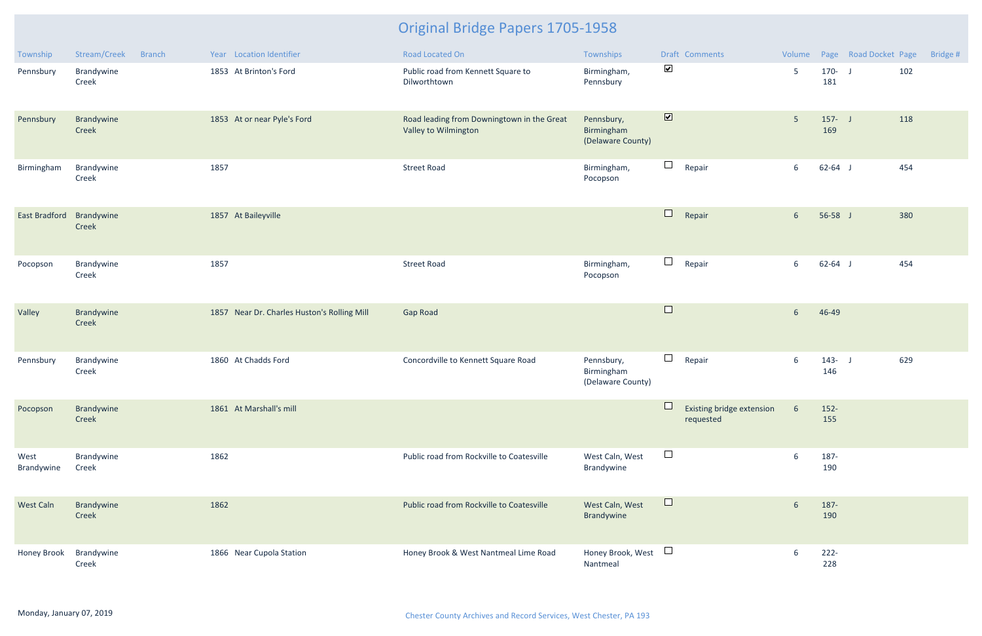| Township             | Stream/Creek<br><b>Branch</b> | Year Location Identifier                    | Road Located On                                                    | Townships                                     |                                        | Draft Comments                         | Volume          |                  | Page Road Docket Page | Bridge # |
|----------------------|-------------------------------|---------------------------------------------|--------------------------------------------------------------------|-----------------------------------------------|----------------------------------------|----------------------------------------|-----------------|------------------|-----------------------|----------|
| Pennsbury            | Brandywine<br>Creek           | 1853 At Brinton's Ford                      | Public road from Kennett Square to<br>Dilworthtown                 | Birmingham,<br>Pennsbury                      | $\blacktriangledown$                   |                                        | $5\phantom{.0}$ | $170 - J$<br>181 | 102                   |          |
| Pennsbury            | Brandywine<br>Creek           | 1853 At or near Pyle's Ford                 | Road leading from Downingtown in the Great<br>Valley to Wilmington | Pennsbury,<br>Birmingham<br>(Delaware County) | $\overline{\mathbf{v}}$                |                                        | 5 <sup>5</sup>  | $157 - J$<br>169 | 118                   |          |
| Birmingham           | Brandywine<br>Creek           | 1857                                        | <b>Street Road</b>                                                 | Birmingham,<br>Pocopson                       | $\Box$                                 | Repair                                 | 6               | $62 - 64$ J      | 454                   |          |
| <b>East Bradford</b> | Brandywine<br>Creek           | 1857 At Baileyville                         |                                                                    |                                               | $\Box$                                 | Repair                                 | $6\overline{6}$ | $56-58$ J        | 380                   |          |
| Pocopson             | Brandywine<br>Creek           | 1857                                        | <b>Street Road</b>                                                 | Birmingham,<br>Pocopson                       | $\Box$                                 | Repair                                 | 6               | $62 - 64$ J      | 454                   |          |
| Valley               | Brandywine<br>Creek           | 1857 Near Dr. Charles Huston's Rolling Mill | <b>Gap Road</b>                                                    |                                               | $\Box$                                 |                                        | 6               | 46-49            |                       |          |
| Pennsbury            | Brandywine<br>Creek           | 1860 At Chadds Ford                         | Concordville to Kennett Square Road                                | Pennsbury,<br>Birmingham<br>(Delaware County) | $\Box$                                 | Repair                                 | 6               | $143 - J$<br>146 | 629                   |          |
| Pocopson             | Brandywine<br>Creek           | 1861 At Marshall's mill                     |                                                                    |                                               |                                        | Existing bridge extension<br>requested | $6\overline{6}$ | $152 -$<br>155   |                       |          |
| West<br>Brandywine   | Brandywine<br>Creek           | 1862                                        | Public road from Rockville to Coatesville                          | West Caln, West<br>Brandywine                 | $\Box$                                 |                                        | 6               | 187-<br>190      |                       |          |
| West Caln            | Brandywine<br>Creek           | 1862                                        | Public road from Rockville to Coatesville                          | West Caln, West<br>Brandywine                 | $\Box$                                 |                                        | $6\phantom{1}6$ | 187-<br>190      |                       |          |
| Honey Brook          | Brandywine<br>Creek           | 1866 Near Cupola Station                    | Honey Brook & West Nantmeal Lime Road                              | Honey Brook, West<br>Nantmeal                 | $\begin{array}{c} \square \end{array}$ |                                        | 6               | $222 -$<br>228   |                       |          |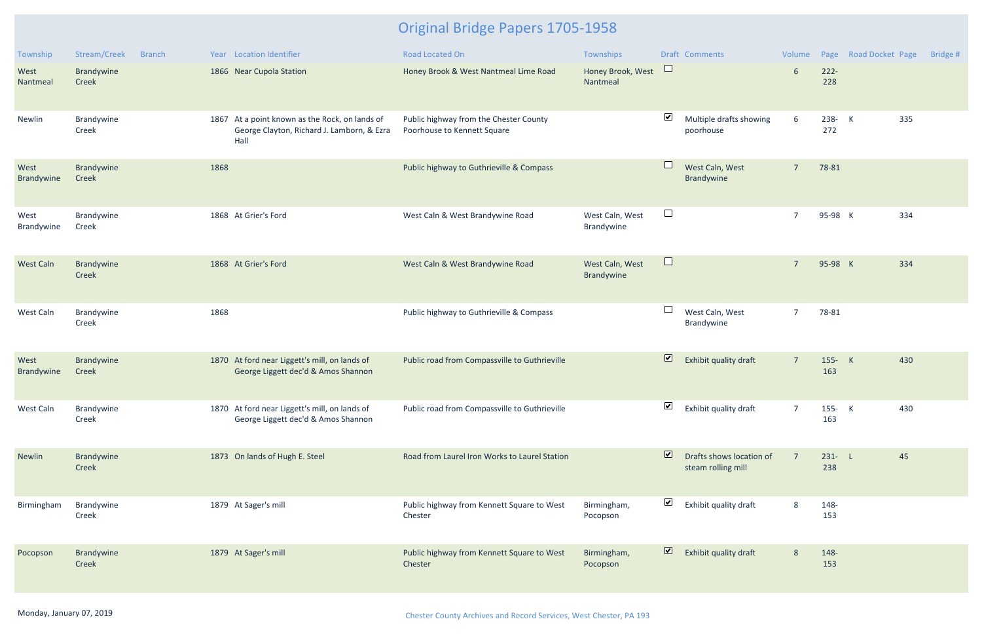| Township           | Stream/Creek        | <b>Branch</b> |      | Year Location Identifier                                                                             | <b>Road Located On</b>                                                | Townships                     |                         | <b>Draft Comments</b>                          | Volume          |                  | Page Road Docket Page |     | Bridge # |
|--------------------|---------------------|---------------|------|------------------------------------------------------------------------------------------------------|-----------------------------------------------------------------------|-------------------------------|-------------------------|------------------------------------------------|-----------------|------------------|-----------------------|-----|----------|
| West<br>Nantmeal   | Brandywine<br>Creek |               |      | 1866 Near Cupola Station                                                                             | Honey Brook & West Nantmeal Lime Road                                 | Honey Brook, West<br>Nantmeal | $\Box$                  |                                                | 6               | $222 -$<br>228   |                       |     |          |
| Newlin             | Brandywine<br>Creek |               |      | 1867 At a point known as the Rock, on lands of<br>George Clayton, Richard J. Lamborn, & Ezra<br>Hall | Public highway from the Chester County<br>Poorhouse to Kennett Square |                               | $\blacktriangledown$    | Multiple drafts showing<br>poorhouse           | $6\phantom{1}6$ | 238- K<br>272    |                       | 335 |          |
| West<br>Brandywine | Brandywine<br>Creek |               | 1868 |                                                                                                      | Public highway to Guthrieville & Compass                              |                               | $\Box$                  | West Caln, West<br>Brandywine                  | $\overline{7}$  | 78-81            |                       |     |          |
| West<br>Brandywine | Brandywine<br>Creek |               |      | 1868 At Grier's Ford                                                                                 | West Caln & West Brandywine Road                                      | West Caln, West<br>Brandywine | $\Box$                  |                                                | $\overline{7}$  | 95-98 K          |                       | 334 |          |
| <b>West Caln</b>   | Brandywine<br>Creek |               |      | 1868 At Grier's Ford                                                                                 | West Caln & West Brandywine Road                                      | West Caln, West<br>Brandywine | $\Box$                  |                                                | $\overline{7}$  | 95-98 K          |                       | 334 |          |
| West Caln          | Brandywine<br>Creek |               | 1868 |                                                                                                      | Public highway to Guthrieville & Compass                              |                               |                         | West Caln, West<br>Brandywine                  | $\overline{7}$  | 78-81            |                       |     |          |
| West<br>Brandywine | Brandywine<br>Creek |               |      | 1870 At ford near Liggett's mill, on lands of<br>George Liggett dec'd & Amos Shannon                 | Public road from Compassville to Guthrieville                         |                               | $\overline{\mathbf{v}}$ | Exhibit quality draft                          | $\overline{7}$  | 155- K<br>163    |                       | 430 |          |
| West Caln          | Brandywine<br>Creek |               |      | 1870 At ford near Liggett's mill, on lands of<br>George Liggett dec'd & Amos Shannon                 | Public road from Compassville to Guthrieville                         |                               | $\blacktriangledown$    | Exhibit quality draft                          | $\overline{7}$  | 155- K<br>163    |                       | 430 |          |
| <b>Newlin</b>      | Brandywine<br>Creek |               |      | 1873 On lands of Hugh E. Steel                                                                       | Road from Laurel Iron Works to Laurel Station                         |                               | $\overline{\mathbf{z}}$ | Drafts shows location of<br>steam rolling mill | $\overline{7}$  | $231 - L$<br>238 |                       | 45  |          |
| Birmingham         | Brandywine<br>Creek |               |      | 1879 At Sager's mill                                                                                 | Public highway from Kennett Square to West<br>Chester                 | Birmingham,<br>Pocopson       | $\blacktriangledown$    | Exhibit quality draft                          | 8               | 148-<br>153      |                       |     |          |
| Pocopson           | Brandywine<br>Creek |               |      | 1879 At Sager's mill                                                                                 | Public highway from Kennett Square to West<br>Chester                 | Birmingham,<br>Pocopson       | $\triangleright$        | Exhibit quality draft                          | 8               | 148-<br>153      |                       |     |          |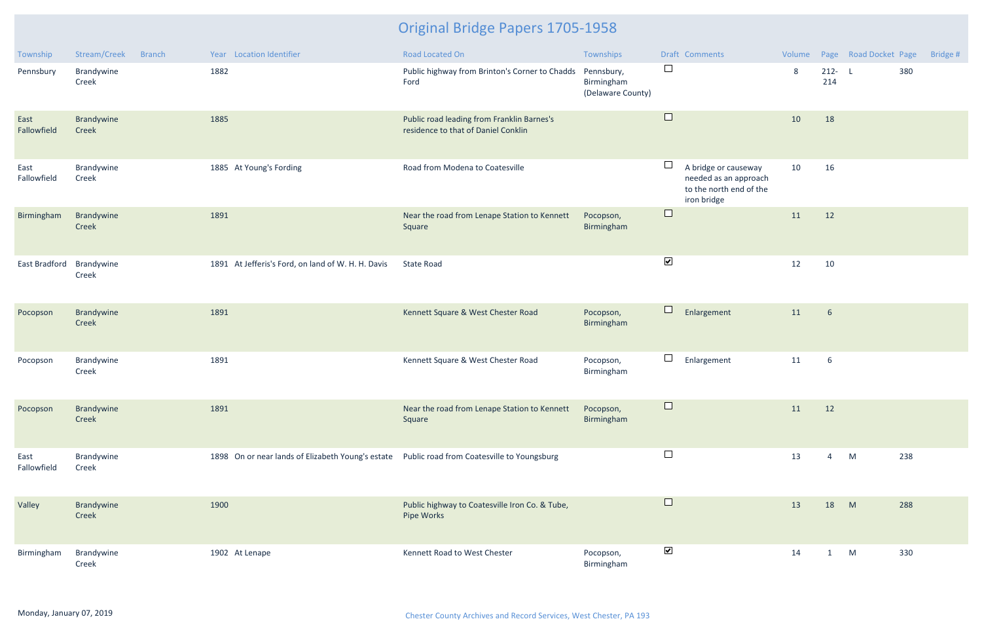| Township            | Stream/Creek<br><b>Branch</b> | Year Location Identifier                                                                     | Road Located On                                                                   | Townships                                     |                      | Draft Comments                                                                          |    |                  | Volume Page Road Docket Page |     | Bridge # |
|---------------------|-------------------------------|----------------------------------------------------------------------------------------------|-----------------------------------------------------------------------------------|-----------------------------------------------|----------------------|-----------------------------------------------------------------------------------------|----|------------------|------------------------------|-----|----------|
| Pennsbury           | Brandywine<br>Creek           | 1882                                                                                         | Public highway from Brinton's Corner to Chadds<br>Ford                            | Pennsbury,<br>Birmingham<br>(Delaware County) | $\Box$               |                                                                                         | 8  | $212 - L$<br>214 |                              | 380 |          |
| East<br>Fallowfield | Brandywine<br>Creek           | 1885                                                                                         | Public road leading from Franklin Barnes's<br>residence to that of Daniel Conklin |                                               | $\Box$               |                                                                                         | 10 | 18               |                              |     |          |
| East<br>Fallowfield | Brandywine<br>Creek           | 1885 At Young's Fording                                                                      | Road from Modena to Coatesville                                                   |                                               | ⊔                    | A bridge or causeway<br>needed as an approach<br>to the north end of the<br>iron bridge | 10 | 16               |                              |     |          |
| Birmingham          | Brandywine<br>Creek           | 1891                                                                                         | Near the road from Lenape Station to Kennett<br>Square                            | Pocopson,<br>Birmingham                       | $\Box$               |                                                                                         | 11 | 12               |                              |     |          |
| East Bradford       | Brandywine<br>Creek           | 1891 At Jefferis's Ford, on land of W. H. H. Davis                                           | <b>State Road</b>                                                                 |                                               | $\blacktriangledown$ |                                                                                         | 12 | 10               |                              |     |          |
| Pocopson            | Brandywine<br>Creek           | 1891                                                                                         | Kennett Square & West Chester Road                                                | Pocopson,<br>Birmingham                       | $\Box$               | Enlargement                                                                             | 11 | 6                |                              |     |          |
| Pocopson            | Brandywine<br>Creek           | 1891                                                                                         | Kennett Square & West Chester Road                                                | Pocopson,<br>Birmingham                       | $\sqcup$             | Enlargement                                                                             | 11 | 6                |                              |     |          |
| Pocopson            | Brandywine<br>Creek           | 1891                                                                                         | Near the road from Lenape Station to Kennett<br>Square                            | Pocopson,<br>Birmingham                       |                      |                                                                                         | 11 | 12               |                              |     |          |
| East<br>Fallowfield | Brandywine<br>Creek           | 1898 On or near lands of Elizabeth Young's estate Public road from Coatesville to Youngsburg |                                                                                   |                                               | $\Box$               |                                                                                         | 13 | $\overline{4}$   | M                            | 238 |          |
| Valley              | Brandywine<br>Creek           | 1900                                                                                         | Public highway to Coatesville Iron Co. & Tube,<br>Pipe Works                      |                                               | $\Box$               |                                                                                         | 13 | 18               | M                            | 288 |          |
| Birmingham          | Brandywine<br>Creek           | 1902 At Lenape                                                                               | Kennett Road to West Chester                                                      | Pocopson,<br>Birmingham                       | $\blacktriangledown$ |                                                                                         | 14 | $\mathbf{1}$     | M                            | 330 |          |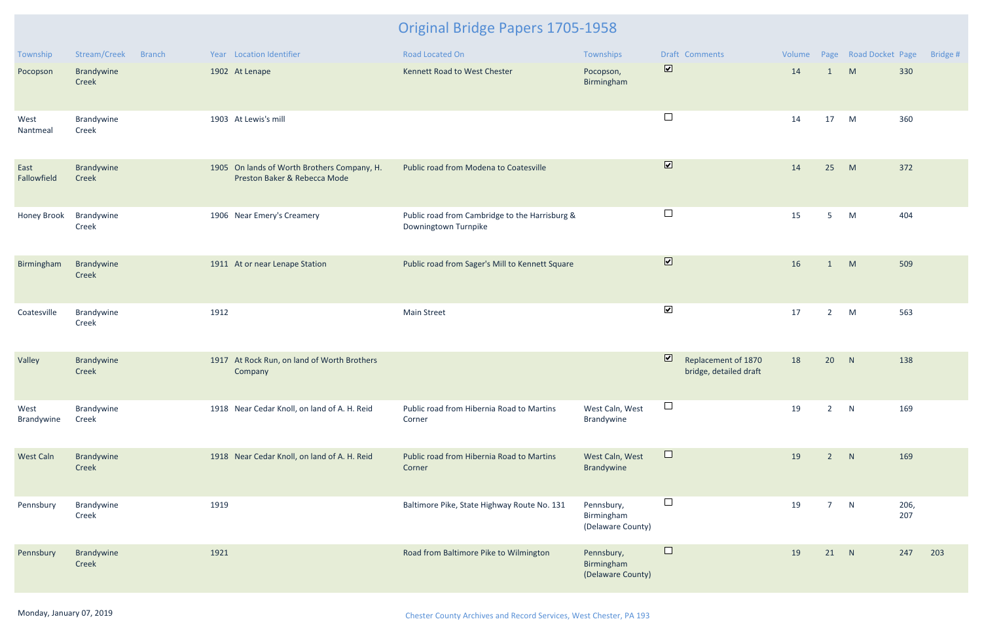| Township            | Stream/Creek<br><b>Branch</b> | Year Location Identifier                                                    | Road Located On                                                        | Townships                                     | Draft Comments                                                           | Volume |                | Page Road Docket Page |             | Bridge # |
|---------------------|-------------------------------|-----------------------------------------------------------------------------|------------------------------------------------------------------------|-----------------------------------------------|--------------------------------------------------------------------------|--------|----------------|-----------------------|-------------|----------|
| Pocopson            | Brandywine<br>Creek           | 1902 At Lenape                                                              | Kennett Road to West Chester                                           | Pocopson,<br>Birmingham                       | $\overline{\mathbf{v}}$                                                  | 14     | 1              | M                     | 330         |          |
| West<br>Nantmeal    | Brandywine<br>Creek           | 1903 At Lewis's mill                                                        |                                                                        |                                               | $\Box$                                                                   | 14     | 17             | M                     | 360         |          |
| East<br>Fallowfield | Brandywine<br>Creek           | 1905 On lands of Worth Brothers Company, H.<br>Preston Baker & Rebecca Mode | Public road from Modena to Coatesville                                 |                                               | $\overline{\mathbf{v}}$                                                  | 14     | 25             | M                     | 372         |          |
| Honey Brook         | Brandywine<br>Creek           | 1906 Near Emery's Creamery                                                  | Public road from Cambridge to the Harrisburg &<br>Downingtown Turnpike |                                               | $\Box$                                                                   | 15     | 5 <sub>1</sub> | M                     | 404         |          |
| Birmingham          | Brandywine<br>Creek           | 1911 At or near Lenape Station                                              | Public road from Sager's Mill to Kennett Square                        |                                               | $\overline{\mathbf{v}}$                                                  | 16     | 1              | M                     | 509         |          |
| Coatesville         | Brandywine<br>Creek           | 1912                                                                        | <b>Main Street</b>                                                     |                                               | $\blacktriangleright$                                                    | 17     | $2^{\circ}$    | M                     | 563         |          |
| Valley              | Brandywine<br>Creek           | 1917 At Rock Run, on land of Worth Brothers<br>Company                      |                                                                        |                                               | $\overline{\mathbf{v}}$<br>Replacement of 1870<br>bridge, detailed draft | 18     | 20             | N                     | 138         |          |
| West<br>Brandywine  | Brandywine<br>Creek           | 1918 Near Cedar Knoll, on land of A. H. Reid                                | Public road from Hibernia Road to Martins<br>Corner                    | West Caln, West<br>Brandywine                 | ⊔                                                                        | 19     | $2^{\circ}$    | N                     | 169         |          |
| <b>West Caln</b>    | Brandywine<br>Creek           | 1918 Near Cedar Knoll, on land of A. H. Reid                                | Public road from Hibernia Road to Martins<br>Corner                    | West Caln, West<br>Brandywine                 | $\Box$                                                                   | 19     | $2^{\circ}$    | N                     | 169         |          |
| Pennsbury           | Brandywine<br>Creek           | 1919                                                                        | Baltimore Pike, State Highway Route No. 131                            | Pennsbury,<br>Birmingham<br>(Delaware County) | $\Box$                                                                   | 19     | $7^{\circ}$    | N                     | 206,<br>207 |          |
| Pennsbury           | Brandywine<br>Creek           | 1921                                                                        | Road from Baltimore Pike to Wilmington                                 | Pennsbury,<br>Birmingham<br>(Delaware County) | $\Box$                                                                   | 19     | 21             | N                     | 247         | 203      |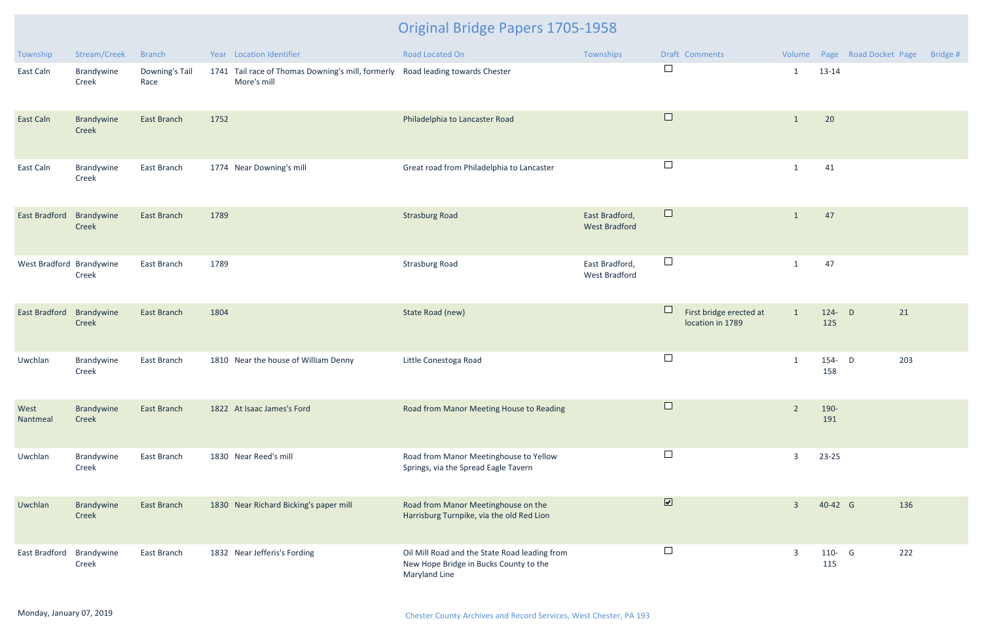| Township                 | Stream/Creek        | <b>Branch</b>          |      | Year Location Identifier                                                                      | Road Located On                                                                                          | Townships                              |                              | Draft Comments                              |                |                  | Volume Page Road Docket Page | Bridge # |
|--------------------------|---------------------|------------------------|------|-----------------------------------------------------------------------------------------------|----------------------------------------------------------------------------------------------------------|----------------------------------------|------------------------------|---------------------------------------------|----------------|------------------|------------------------------|----------|
| East Caln                | Brandywine<br>Creek | Downing's Tail<br>Race |      | 1741 Tail race of Thomas Downing's mill, formerly Road leading towards Chester<br>More's mill |                                                                                                          |                                        | $\Box$                       |                                             | $\mathbf{1}$   | 13-14            |                              |          |
| East Caln                | Brandywine<br>Creek | East Branch            | 1752 |                                                                                               | Philadelphia to Lancaster Road                                                                           |                                        | $\Box$                       |                                             | $\mathbf{1}$   | 20               |                              |          |
| East Caln                | Brandywine<br>Creek | East Branch            |      | 1774 Near Downing's mill                                                                      | Great road from Philadelphia to Lancaster                                                                |                                        | $\Box$                       |                                             | $\mathbf{1}$   | 41               |                              |          |
| <b>East Bradford</b>     | Brandywine<br>Creek | <b>East Branch</b>     | 1789 |                                                                                               | <b>Strasburg Road</b>                                                                                    | East Bradford,<br><b>West Bradford</b> | $\Box$                       |                                             | $\mathbf{1}$   | 47               |                              |          |
| West Bradford Brandywine | Creek               | East Branch            | 1789 |                                                                                               | <b>Strasburg Road</b>                                                                                    | East Bradford,<br>West Bradford        | $\Box$                       |                                             | $\mathbf{1}$   | 47               |                              |          |
| <b>East Bradford</b>     | Brandywine<br>Creek | <b>East Branch</b>     | 1804 |                                                                                               | State Road (new)                                                                                         |                                        |                              | First bridge erected at<br>location in 1789 | $\mathbf{1}$   | $124 - D$<br>125 | 21                           |          |
| Uwchlan                  | Brandywine<br>Creek | East Branch            |      | 1810 Near the house of William Denny                                                          | Little Conestoga Road                                                                                    |                                        | $\Box$                       |                                             | $\mathbf{1}$   | 154- D<br>158    | 203                          |          |
| West<br>Nantmeal         | Brandywine<br>Creek | <b>East Branch</b>     |      | 1822 At Isaac James's Ford                                                                    | Road from Manor Meeting House to Reading                                                                 |                                        |                              |                                             | $\overline{2}$ | 190-<br>191      |                              |          |
| Uwchlan                  | Brandywine<br>Creek | East Branch            |      | 1830 Near Reed's mill                                                                         | Road from Manor Meetinghouse to Yellow<br>Springs, via the Spread Eagle Tavern                           |                                        | $\Box$                       |                                             | 3              | $23 - 25$        |                              |          |
| Uwchlan                  | Brandywine<br>Creek | East Branch            |      | 1830 Near Richard Bicking's paper mill                                                        | Road from Manor Meetinghouse on the<br>Harrisburg Turnpike, via the old Red Lion                         |                                        | $\boxed{\blacktriangledown}$ |                                             | $\overline{3}$ | 40-42 G          | 136                          |          |
| East Bradford            | Brandywine<br>Creek | East Branch            |      | 1832 Near Jefferis's Fording                                                                  | Oil Mill Road and the State Road leading from<br>New Hope Bridge in Bucks County to the<br>Maryland Line |                                        | $\Box$                       |                                             | 3              | 110- G<br>115    | 222                          |          |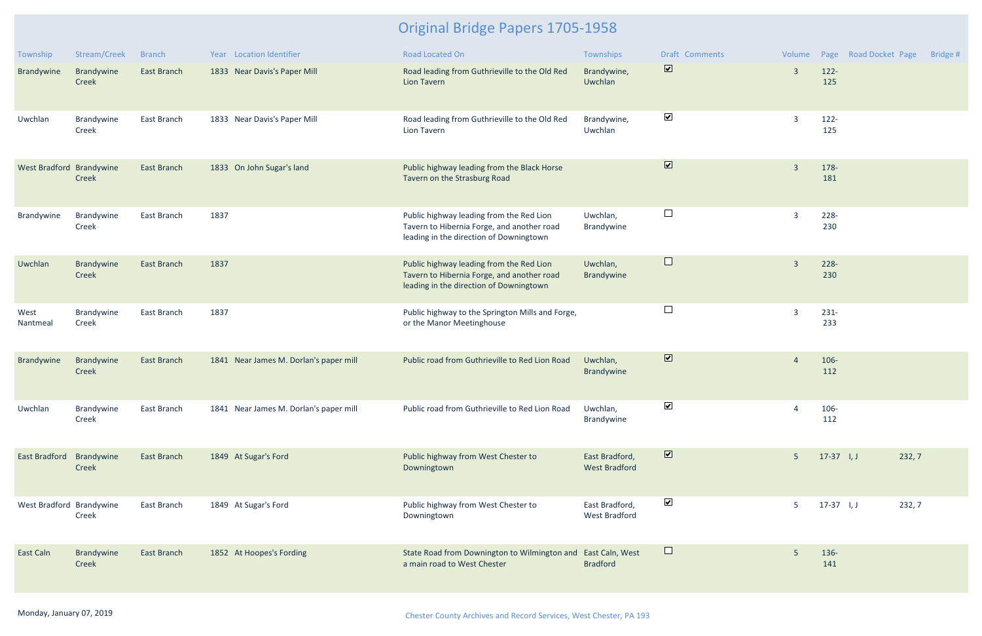| Township                 | Stream/Creek               | <b>Branch</b>      | Year Location Identifier               | <b>Road Located On</b>                                                                                                            | Townships                              | <b>Draft Comments</b>        | Volume         |                | Page Road Docket Page | Bridge # |
|--------------------------|----------------------------|--------------------|----------------------------------------|-----------------------------------------------------------------------------------------------------------------------------------|----------------------------------------|------------------------------|----------------|----------------|-----------------------|----------|
| Brandywine               | Brandywine<br>Creek        | East Branch        | 1833 Near Davis's Paper Mill           | Road leading from Guthrieville to the Old Red<br>Lion Tavern                                                                      | Brandywine,<br>Uwchlan                 | $\boxed{\blacktriangledown}$ | $\overline{3}$ | $122 -$<br>125 |                       |          |
| Uwchlan                  | Brandywine<br>Creek        | East Branch        | 1833 Near Davis's Paper Mill           | Road leading from Guthrieville to the Old Red<br>Lion Tavern                                                                      | Brandywine,<br>Uwchlan                 | $\blacktriangledown$         | $\overline{3}$ | $122 -$<br>125 |                       |          |
| West Bradford Brandywine | Creek                      | <b>East Branch</b> | 1833 On John Sugar's land              | Public highway leading from the Black Horse<br>Tavern on the Strasburg Road                                                       |                                        | $\boxed{\blacktriangledown}$ | $\overline{3}$ | 178-<br>181    |                       |          |
| Brandywine               | Brandywine<br>Creek        | East Branch        | 1837                                   | Public highway leading from the Red Lion<br>Tavern to Hibernia Forge, and another road<br>leading in the direction of Downingtown | Uwchlan,<br>Brandywine                 | $\Box$                       | $\overline{3}$ | 228-<br>230    |                       |          |
| Uwchlan                  | Brandywine<br>Creek        | <b>East Branch</b> | 1837                                   | Public highway leading from the Red Lion<br>Tavern to Hibernia Forge, and another road<br>leading in the direction of Downingtown | Uwchlan,<br>Brandywine                 | $\Box$                       | $\overline{3}$ | $228 -$<br>230 |                       |          |
| West<br>Nantmeal         | Brandywine<br>Creek        | East Branch        | 1837                                   | Public highway to the Springton Mills and Forge,<br>or the Manor Meetinghouse                                                     |                                        | $\Box$                       | $\overline{3}$ | $231 -$<br>233 |                       |          |
| Brandywine               | Brandywine<br>Creek        | <b>East Branch</b> | 1841 Near James M. Dorlan's paper mill | Public road from Guthrieville to Red Lion Road                                                                                    | Uwchlan,<br>Brandywine                 | $\overline{\mathbf{v}}$      | $\overline{A}$ | 106-<br>112    |                       |          |
| Uwchlan                  | Brandywine<br>Creek        | East Branch        | 1841 Near James M. Dorlan's paper mill | Public road from Guthrieville to Red Lion Road                                                                                    | Uwchlan,<br>Brandywine                 | $\blacktriangledown$         | $\overline{A}$ | 106-<br>112    |                       |          |
| East Bradford            | Brandywine<br><b>Creek</b> | <b>East Branch</b> | 1849 At Sugar's Ford                   | Public highway from West Chester to<br>Downingtown                                                                                | East Bradford,<br><b>West Bradford</b> | $\overline{\mathbf{v}}$      | 5 <sup>1</sup> | $17-37$ I, J   | 232, 7                |          |
| West Bradford Brandywine | Creek                      | East Branch        | 1849 At Sugar's Ford                   | Public highway from West Chester to<br>Downingtown                                                                                | East Bradford,<br>West Bradford        | $\blacktriangledown$         | 5              | $17-37$ I, J   | 232,7                 |          |
| East Caln                | Brandywine<br>Creek        | East Branch        | 1852 At Hoopes's Fording               | State Road from Downington to Wilmington and<br>a main road to West Chester                                                       | East Caln, West<br><b>Bradford</b>     | $\Box$                       | 5              | 136-<br>141    |                       |          |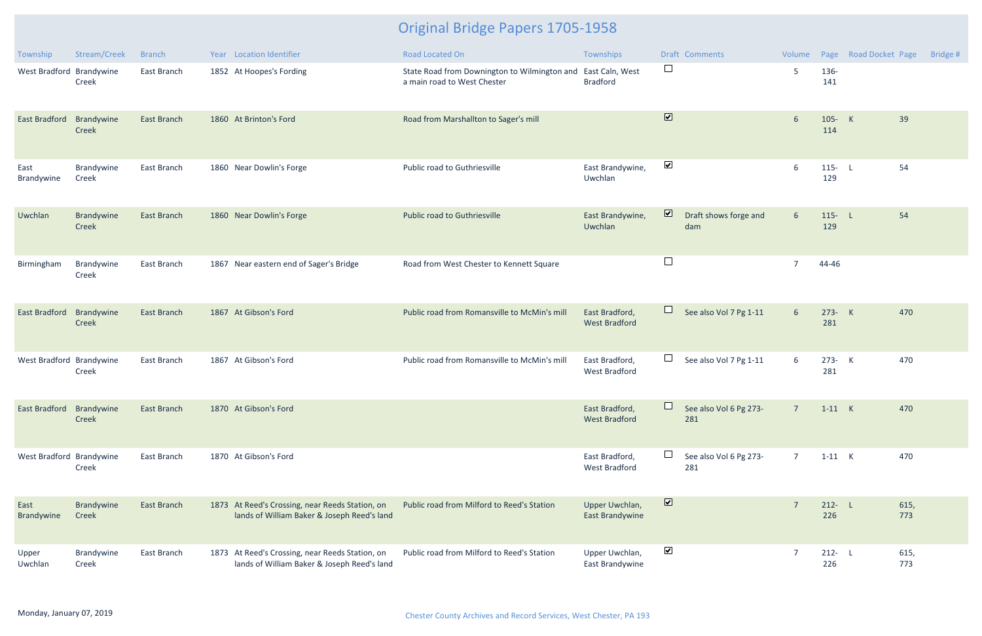| Township                 | Stream/Creek        | <b>Branch</b>      | Year Location Identifier                                                                       | Road Located On                                                                             | Townships                              |                          | <b>Draft Comments</b>         | Volume          |                  | Page Road Docket Page | Bridge #    |
|--------------------------|---------------------|--------------------|------------------------------------------------------------------------------------------------|---------------------------------------------------------------------------------------------|----------------------------------------|--------------------------|-------------------------------|-----------------|------------------|-----------------------|-------------|
| West Bradford Brandywine | Creek               | East Branch        | 1852 At Hoopes's Fording                                                                       | State Road from Downington to Wilmington and East Caln, West<br>a main road to West Chester | <b>Bradford</b>                        | $\Box$                   |                               | 5               | 136-<br>141      |                       |             |
| East Bradford            | Brandywine<br>Creek | <b>East Branch</b> | 1860 At Brinton's Ford                                                                         | Road from Marshallton to Sager's mill                                                       |                                        | $\overline{\mathbf{v}}$  |                               | 6               | 105- K<br>114    |                       | 39          |
| East<br>Brandywine       | Brandywine<br>Creek | East Branch        | 1860 Near Dowlin's Forge                                                                       | Public road to Guthriesville                                                                | East Brandywine,<br>Uwchlan            | $\blacktriangledown$     |                               | 6               | $115 - L$<br>129 |                       | 54          |
| Uwchlan                  | Brandywine<br>Creek | <b>East Branch</b> | 1860 Near Dowlin's Forge                                                                       | <b>Public road to Guthriesville</b>                                                         | East Brandywine,<br>Uwchlan            | $\overline{\mathbf{v}}$  | Draft shows forge and<br>dam  | $6\overline{6}$ | $115 - L$<br>129 |                       | 54          |
| Birmingham               | Brandywine<br>Creek | East Branch        | 1867 Near eastern end of Sager's Bridge                                                        | Road from West Chester to Kennett Square                                                    |                                        | $\Box$                   |                               | $\overline{7}$  | 44-46            |                       |             |
| East Bradford            | Brandywine<br>Creek | <b>East Branch</b> | 1867 At Gibson's Ford                                                                          | Public road from Romansville to McMin's mill                                                | East Bradford,<br><b>West Bradford</b> | $\Box$                   | See also Vol 7 Pg 1-11        | $6\overline{6}$ | 273- K<br>281    |                       | 470         |
| West Bradford Brandywine | Creek               | East Branch        | 1867 At Gibson's Ford                                                                          | Public road from Romansville to McMin's mill                                                | East Bradford,<br><b>West Bradford</b> | $\Box$                   | See also Vol 7 Pg 1-11        | $6\overline{6}$ | 273- K<br>281    |                       | 470         |
| East Bradford            | Brandywine<br>Creek | <b>East Branch</b> | 1870 At Gibson's Ford                                                                          |                                                                                             | East Bradford,<br><b>West Bradford</b> | $\overline{\phantom{0}}$ | See also Vol 6 Pg 273-<br>281 | $\overline{7}$  | $1-11$ K         |                       | 470         |
| West Bradford Brandywine | Creek               | East Branch        | 1870 At Gibson's Ford                                                                          |                                                                                             | East Bradford,<br><b>West Bradford</b> | $\Box$                   | See also Vol 6 Pg 273-<br>281 | $\overline{7}$  | $1-11$ K         |                       | 470         |
| East<br>Brandywine       | Brandywine<br>Creek | East Branch        | 1873 At Reed's Crossing, near Reeds Station, on<br>lands of William Baker & Joseph Reed's land | Public road from Milford to Reed's Station                                                  | Upper Uwchlan,<br>East Brandywine      | $\triangledown$          |                               | $\overline{7}$  | $212 - L$<br>226 |                       | 615,<br>773 |
| Upper<br>Uwchlan         | Brandywine<br>Creek | East Branch        | 1873 At Reed's Crossing, near Reeds Station, on<br>lands of William Baker & Joseph Reed's land | Public road from Milford to Reed's Station                                                  | Upper Uwchlan,<br>East Brandywine      | $\blacktriangledown$     |                               | $\overline{7}$  | $212 - L$<br>226 |                       | 615,<br>773 |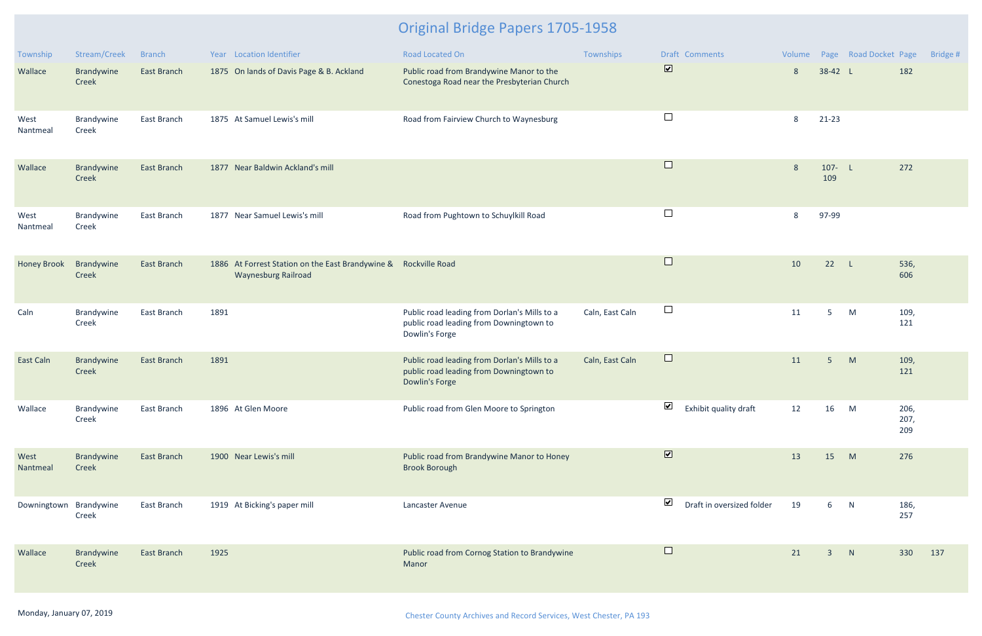| Township               | Stream/Creek        | <b>Branch</b>      | Year Location Identifier                                                                      | <b>Road Located On</b>                                                                                    | Townships       | <b>Draft Comments</b>                             |    |                 | Volume Page Road Docket Page |                     | Bridge # |
|------------------------|---------------------|--------------------|-----------------------------------------------------------------------------------------------|-----------------------------------------------------------------------------------------------------------|-----------------|---------------------------------------------------|----|-----------------|------------------------------|---------------------|----------|
| Wallace                | Brandywine<br>Creek | East Branch        | 1875 On lands of Davis Page & B. Ackland                                                      | Public road from Brandywine Manor to the<br>Conestoga Road near the Presbyterian Church                   |                 | $\overline{\mathbf{v}}$                           | 8  | 38-42 L         |                              | 182                 |          |
| West<br>Nantmeal       | Brandywine<br>Creek | East Branch        | 1875 At Samuel Lewis's mill                                                                   | Road from Fairview Church to Waynesburg                                                                   |                 | $\Box$                                            | 8  | $21 - 23$       |                              |                     |          |
| Wallace                | Brandywine<br>Creek | East Branch        | 1877 Near Baldwin Ackland's mill                                                              |                                                                                                           |                 | $\Box$                                            | 8  | 107- $L$<br>109 |                              | 272                 |          |
| West<br>Nantmeal       | Brandywine<br>Creek | East Branch        | 1877 Near Samuel Lewis's mill                                                                 | Road from Pughtown to Schuylkill Road                                                                     |                 | $\Box$                                            | 8  | 97-99           |                              |                     |          |
| <b>Honey Brook</b>     | Brandywine<br>Creek | East Branch        | 1886 At Forrest Station on the East Brandywine & Rockville Road<br><b>Waynesburg Railroad</b> |                                                                                                           |                 | $\Box$                                            | 10 | 22              | L.                           | 536,<br>606         |          |
| Caln                   | Brandywine<br>Creek | East Branch        | 1891                                                                                          | Public road leading from Dorlan's Mills to a<br>public road leading from Downingtown to<br>Dowlin's Forge | Caln, East Caln | $\Box$                                            | 11 | 5               | M                            | 109,<br>121         |          |
| East Caln              | Brandywine<br>Creek | <b>East Branch</b> | 1891                                                                                          | Public road leading from Dorlan's Mills to a<br>public road leading from Downingtown to<br>Dowlin's Forge | Caln, East Caln | $\Box$                                            | 11 | $5\phantom{.}$  | M                            | 109,<br>121         |          |
| Wallace                | Brandywine<br>Creek | East Branch        | 1896 At Glen Moore                                                                            | Public road from Glen Moore to Springton                                                                  |                 | V<br>Exhibit quality draft                        | 12 | 16              | M                            | 206,<br>207,<br>209 |          |
| West<br>Nantmeal       | Brandywine<br>Creek | East Branch        | 1900 Near Lewis's mill                                                                        | Public road from Brandywine Manor to Honey<br><b>Brook Borough</b>                                        |                 | $\overline{\mathbf{v}}$                           | 13 | 15              | M                            | 276                 |          |
| Downingtown Brandywine | Creek               | East Branch        | 1919 At Bicking's paper mill                                                                  | Lancaster Avenue                                                                                          |                 | $\blacktriangledown$<br>Draft in oversized folder | 19 | 6               | N                            | 186,<br>257         |          |
| Wallace                | Brandywine<br>Creek | East Branch        | 1925                                                                                          | Public road from Cornog Station to Brandywine<br>Manor                                                    |                 | $\Box$                                            | 21 | $\overline{3}$  | N                            | 330                 | 137      |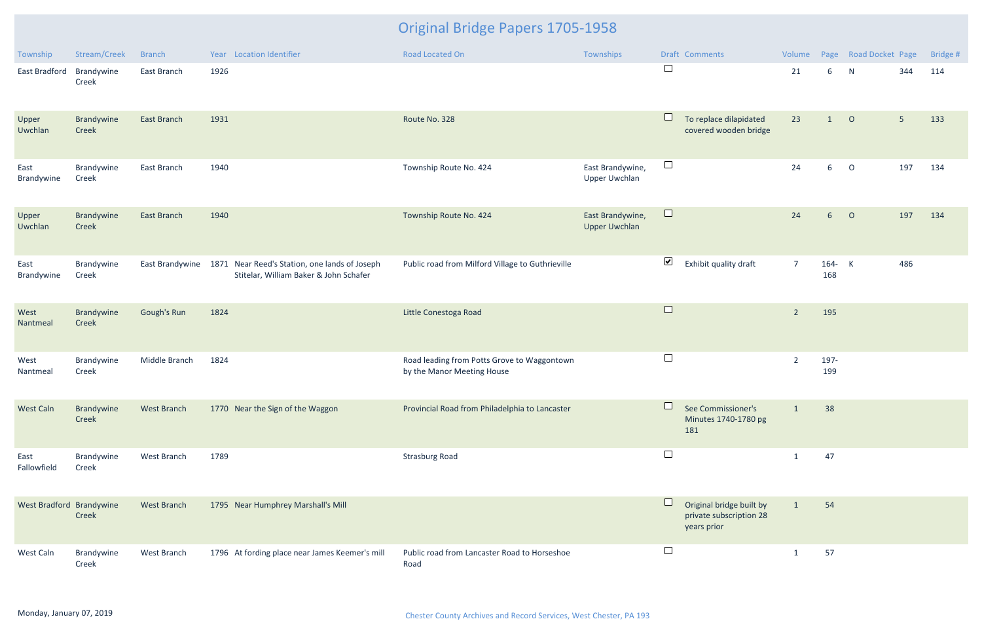| Township                 | Stream/Creek        | <b>Branch</b>      |      | Year Location Identifier                                                                                | <b>Road Located On</b>                                                    | Townships                                |                      | Draft Comments                                                     | Volume         |                 | Page Road Docket Page |                | Bridge # |
|--------------------------|---------------------|--------------------|------|---------------------------------------------------------------------------------------------------------|---------------------------------------------------------------------------|------------------------------------------|----------------------|--------------------------------------------------------------------|----------------|-----------------|-----------------------|----------------|----------|
| East Bradford            | Brandywine<br>Creek | East Branch        | 1926 |                                                                                                         |                                                                           |                                          | $\Box$               |                                                                    | 21             | 6               | N                     | 344            | 114      |
| Upper<br>Uwchlan         | Brandywine<br>Creek | East Branch        | 1931 |                                                                                                         | Route No. 328                                                             |                                          | $\Box$               | To replace dilapidated<br>covered wooden bridge                    | 23             | 1               | $\circ$               | 5 <sub>1</sub> | 133      |
| East<br>Brandywine       | Brandywine<br>Creek | East Branch        | 1940 |                                                                                                         | Township Route No. 424                                                    | East Brandywine,<br><b>Upper Uwchlan</b> | $\Box$               |                                                                    | 24             | $6\overline{6}$ | $\overline{O}$        | 197            | 134      |
| Upper<br>Uwchlan         | Brandywine<br>Creek | East Branch        | 1940 |                                                                                                         | Township Route No. 424                                                    | East Brandywine,<br><b>Upper Uwchlan</b> | $\Box$               |                                                                    | 24             | 6 <sup>1</sup>  | $\overline{O}$        | 197            | 134      |
| East<br>Brandywine       | Brandywine<br>Creek |                    |      | East Brandywine 1871 Near Reed's Station, one lands of Joseph<br>Stitelar, William Baker & John Schafer | Public road from Milford Village to Guthrieville                          |                                          | $\blacktriangledown$ | Exhibit quality draft                                              | $\overline{7}$ | 164- K<br>168   |                       | 486            |          |
| West<br>Nantmeal         | Brandywine<br>Creek | Gough's Run        | 1824 |                                                                                                         | Little Conestoga Road                                                     |                                          | $\Box$               |                                                                    | $\overline{2}$ | 195             |                       |                |          |
| West<br>Nantmeal         | Brandywine<br>Creek | Middle Branch      | 1824 |                                                                                                         | Road leading from Potts Grove to Waggontown<br>by the Manor Meeting House |                                          | $\Box$               |                                                                    | $\overline{2}$ | 197-<br>199     |                       |                |          |
| <b>West Caln</b>         | Brandywine<br>Creek | <b>West Branch</b> |      | 1770 Near the Sign of the Waggon                                                                        | Provincial Road from Philadelphia to Lancaster                            |                                          |                      | See Commissioner's<br>Minutes 1740-1780 pg<br>181                  | $\mathbf{1}$   | 38              |                       |                |          |
| East<br>Fallowfield      | Brandywine<br>Creek | West Branch        | 1789 |                                                                                                         | <b>Strasburg Road</b>                                                     |                                          | $\Box$               |                                                                    | 1              | 47              |                       |                |          |
| West Bradford Brandywine | Creek               | West Branch        |      | 1795 Near Humphrey Marshall's Mill                                                                      |                                                                           |                                          |                      | Original bridge built by<br>private subscription 28<br>years prior | $\mathbf{1}$   | 54              |                       |                |          |
| West Caln                | Brandywine<br>Creek | West Branch        |      | 1796 At fording place near James Keemer's mill                                                          | Public road from Lancaster Road to Horseshoe<br>Road                      |                                          | $\Box$               |                                                                    | -1             | 57              |                       |                |          |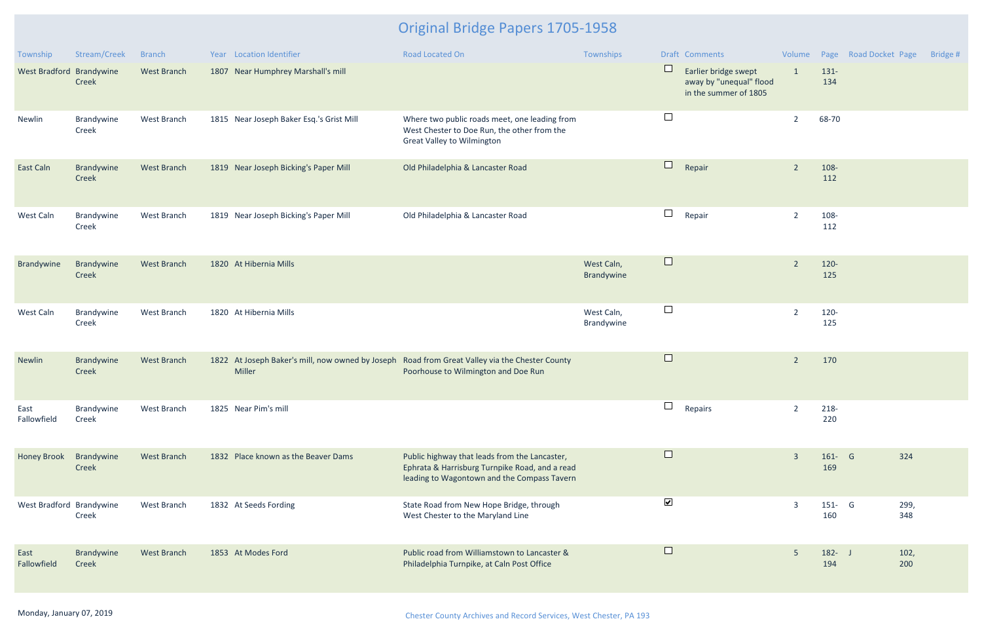| Township                 | Stream/Creek               | <b>Branch</b>      | Year Location Identifier                                                                                 | Road Located On                                                                                                                                | Townships                |                          | Draft Comments                                                           | Volume         |                  | Page Road Docket Page | Bridge # |
|--------------------------|----------------------------|--------------------|----------------------------------------------------------------------------------------------------------|------------------------------------------------------------------------------------------------------------------------------------------------|--------------------------|--------------------------|--------------------------------------------------------------------------|----------------|------------------|-----------------------|----------|
| West Bradford Brandywine | <b>Creek</b>               | West Branch        | 1807 Near Humphrey Marshall's mill                                                                       |                                                                                                                                                |                          | $\Box$                   | Earlier bridge swept<br>away by "unequal" flood<br>in the summer of 1805 | $\mathbf{1}$   | $131 -$<br>134   |                       |          |
| Newlin                   | Brandywine<br>Creek        | West Branch        | 1815 Near Joseph Baker Esq.'s Grist Mill                                                                 | Where two public roads meet, one leading from<br>West Chester to Doe Run, the other from the<br><b>Great Valley to Wilmington</b>              |                          | $\overline{\phantom{a}}$ |                                                                          | $\overline{2}$ | 68-70            |                       |          |
| <b>East Caln</b>         | Brandywine<br>Creek        | West Branch        | 1819 Near Joseph Bicking's Paper Mill                                                                    | Old Philadelphia & Lancaster Road                                                                                                              |                          | $\Box$                   | Repair                                                                   | $\overline{2}$ | 108-<br>112      |                       |          |
| West Caln                | Brandywine<br>Creek        | West Branch        | 1819 Near Joseph Bicking's Paper Mill                                                                    | Old Philadelphia & Lancaster Road                                                                                                              |                          | $\Box$                   | Repair                                                                   | $\overline{2}$ | 108-<br>112      |                       |          |
| Brandywine               | Brandywine<br>Creek        | West Branch        | 1820 At Hibernia Mills                                                                                   |                                                                                                                                                | West Caln,<br>Brandywine | $\Box$                   |                                                                          | $\overline{2}$ | $120 -$<br>125   |                       |          |
| West Caln                | Brandywine<br>Creek        | West Branch        | 1820 At Hibernia Mills                                                                                   |                                                                                                                                                | West Caln,<br>Brandywine | $\Box$                   |                                                                          | $\overline{2}$ | 120-<br>125      |                       |          |
| Newlin                   | Brandywine<br>Creek        | West Branch        | 1822 At Joseph Baker's mill, now owned by Joseph Road from Great Valley via the Chester County<br>Miller | Poorhouse to Wilmington and Doe Run                                                                                                            |                          | $\Box$                   |                                                                          | $\overline{2}$ | 170              |                       |          |
| East<br>Fallowfield      | Brandywine<br>Creek        | West Branch        | 1825 Near Pim's mill                                                                                     |                                                                                                                                                |                          | $\Box$                   | Repairs                                                                  | $\overline{2}$ | 218-<br>220      |                       |          |
| <b>Honey Brook</b>       | Brandywine<br><b>Creek</b> | <b>West Branch</b> | 1832 Place known as the Beaver Dams                                                                      | Public highway that leads from the Lancaster,<br>Ephrata & Harrisburg Turnpike Road, and a read<br>leading to Wagontown and the Compass Tavern |                          | $\Box$                   |                                                                          | $\overline{3}$ | $161 - G$<br>169 | 324                   |          |
| West Bradford Brandywine | Creek                      | West Branch        | 1832 At Seeds Fording                                                                                    | State Road from New Hope Bridge, through<br>West Chester to the Maryland Line                                                                  |                          | $\blacktriangledown$     |                                                                          | $\overline{3}$ | $151 - G$<br>160 | 299,<br>348           |          |
| East<br>Fallowfield      | Brandywine<br>Creek        | <b>West Branch</b> | 1853 At Modes Ford                                                                                       | Public road from Williamstown to Lancaster &<br>Philadelphia Turnpike, at Caln Post Office                                                     |                          | $\Box$                   |                                                                          | 5              | $182 - J$<br>194 | 102,<br>200           |          |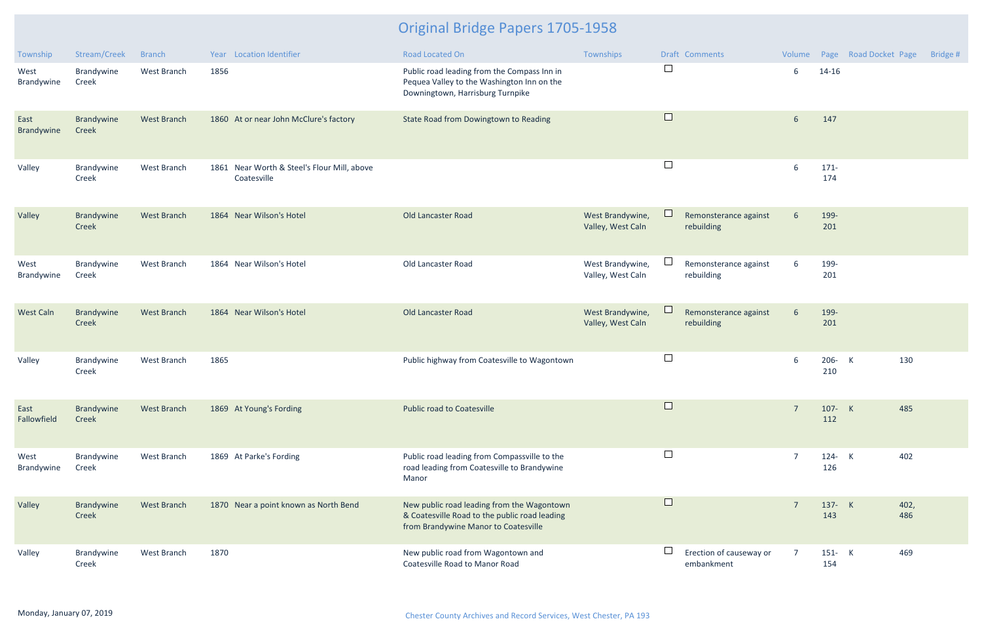| Township            | Stream/Creek        | <b>Branch</b>      | Year Location Identifier                                   | Road Located On                                                                                                                     | Townships                             | <b>Draft Comments</b>                 | Volume          |                | Page Road Docket Page | Bridge # |
|---------------------|---------------------|--------------------|------------------------------------------------------------|-------------------------------------------------------------------------------------------------------------------------------------|---------------------------------------|---------------------------------------|-----------------|----------------|-----------------------|----------|
| West<br>Brandywine  | Brandywine<br>Creek | West Branch        | 1856                                                       | Public road leading from the Compass Inn in<br>Pequea Valley to the Washington Inn on the<br>Downingtown, Harrisburg Turnpike       |                                       | $\Box$                                | 6               | 14-16          |                       |          |
| East<br>Brandywine  | Brandywine<br>Creek | <b>West Branch</b> | 1860 At or near John McClure's factory                     | State Road from Dowingtown to Reading                                                                                               |                                       | $\Box$                                | 6               | 147            |                       |          |
| Valley              | Brandywine<br>Creek | West Branch        | 1861 Near Worth & Steel's Flour Mill, above<br>Coatesville |                                                                                                                                     |                                       | $\Box$                                | 6               | $171 -$<br>174 |                       |          |
| Valley              | Brandywine<br>Creek | <b>West Branch</b> | 1864 Near Wilson's Hotel                                   | Old Lancaster Road                                                                                                                  | West Brandywine,<br>Valley, West Caln | Remonsterance against<br>rebuilding   | $6\overline{6}$ | 199-<br>201    |                       |          |
| West<br>Brandywine  | Brandywine<br>Creek | West Branch        | 1864 Near Wilson's Hotel                                   | Old Lancaster Road                                                                                                                  | West Brandywine,<br>Valley, West Caln | Remonsterance against<br>rebuilding   | 6               | 199-<br>201    |                       |          |
| <b>West Caln</b>    | Brandywine<br>Creek | <b>West Branch</b> | 1864 Near Wilson's Hotel                                   | Old Lancaster Road                                                                                                                  | West Brandywine,<br>Valley, West Caln | Remonsterance against<br>rebuilding   | $6\overline{6}$ | 199-<br>201    |                       |          |
| Valley              | Brandywine<br>Creek | West Branch        | 1865                                                       | Public highway from Coatesville to Wagontown                                                                                        |                                       | $\Box$                                | 6               | 206- K<br>210  | 130                   |          |
| East<br>Fallowfield | Brandywine<br>Creek | <b>West Branch</b> | 1869 At Young's Fording                                    | <b>Public road to Coatesville</b>                                                                                                   |                                       | $\Box$                                | $\overline{7}$  | 107- K<br>112  | 485                   |          |
| West<br>Brandywine  | Brandywine<br>Creek | West Branch        | 1869 At Parke's Fording                                    | Public road leading from Compassville to the<br>road leading from Coatesville to Brandywine<br>Manor                                |                                       | $\Box$                                | $\overline{7}$  | 124- K<br>126  | 402                   |          |
| Valley              | Brandywine<br>Creek | <b>West Branch</b> | 1870 Near a point known as North Bend                      | New public road leading from the Wagontown<br>& Coatesville Road to the public road leading<br>from Brandywine Manor to Coatesville |                                       | $\Box$                                | $\overline{7}$  | 137- K<br>143  | 402,<br>486           |          |
| Valley              | Brandywine<br>Creek | West Branch        | 1870                                                       | New public road from Wagontown and<br>Coatesville Road to Manor Road                                                                |                                       | Erection of causeway or<br>embankment | $\overline{7}$  | 151- K<br>154  | 469                   |          |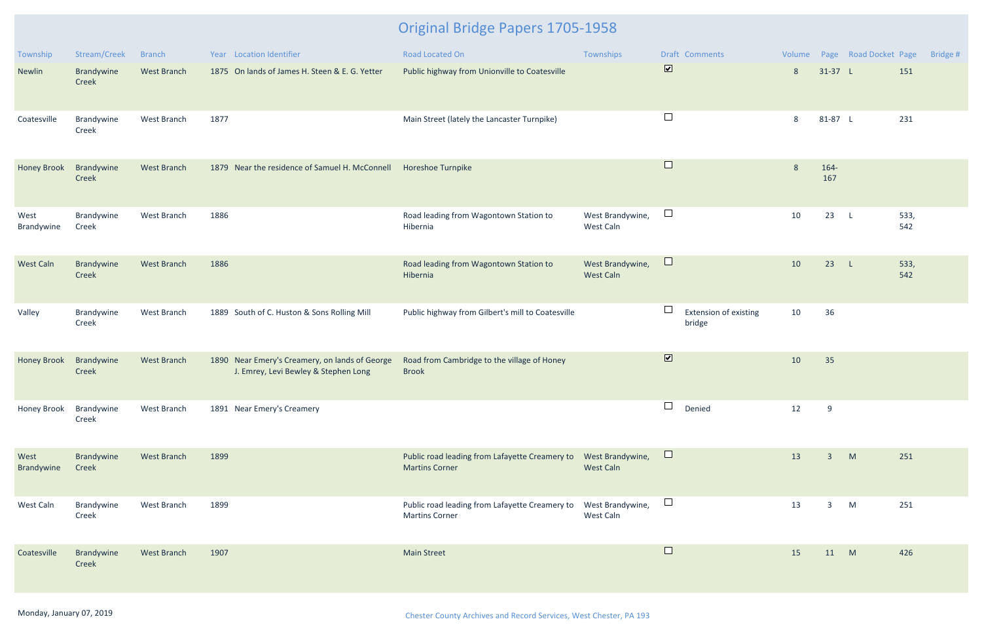| Township           | Stream/Creek        | <b>Branch</b>      | Year Location Identifier                                                               | Road Located On                                                         | Townships                            |                         | Draft Comments                  |    |                | Volume Page Road Docket Page |             | Bridge # |
|--------------------|---------------------|--------------------|----------------------------------------------------------------------------------------|-------------------------------------------------------------------------|--------------------------------------|-------------------------|---------------------------------|----|----------------|------------------------------|-------------|----------|
| Newlin             | Brandywine<br>Creek | <b>West Branch</b> | 1875 On lands of James H. Steen & E. G. Yetter                                         | Public highway from Unionville to Coatesville                           |                                      | $\overline{\mathbf{v}}$ |                                 | 8  | $31-37$ L      |                              | 151         |          |
| Coatesville        | Brandywine<br>Creek | West Branch        | 1877                                                                                   | Main Street (lately the Lancaster Turnpike)                             |                                      | $\Box$                  |                                 | 8  | 81-87 L        |                              | 231         |          |
| <b>Honey Brook</b> | Brandywine<br>Creek | <b>West Branch</b> | 1879 Near the residence of Samuel H. McConnell                                         | <b>Horeshoe Turnpike</b>                                                |                                      | $\Box$                  |                                 | 8  | 164-<br>167    |                              |             |          |
| West<br>Brandywine | Brandywine<br>Creek | West Branch        | 1886                                                                                   | Road leading from Wagontown Station to<br>Hibernia                      | West Brandywine,<br>West Caln        | $\Box$                  |                                 | 10 | 23             | $\mathsf{L}$                 | 533,<br>542 |          |
| <b>West Caln</b>   | Brandywine<br>Creek | <b>West Branch</b> | 1886                                                                                   | Road leading from Wagontown Station to<br>Hibernia                      | West Brandywine,<br><b>West Caln</b> | $\Box$                  |                                 | 10 | 23             | $\mathsf{L}$                 | 533,<br>542 |          |
| Valley             | Brandywine<br>Creek | West Branch        | 1889 South of C. Huston & Sons Rolling Mill                                            | Public highway from Gilbert's mill to Coatesville                       |                                      | $\Box$                  | Extension of existing<br>bridge | 10 | 36             |                              |             |          |
| <b>Honey Brook</b> | Brandywine<br>Creek | <b>West Branch</b> | 1890 Near Emery's Creamery, on lands of George<br>J. Emrey, Levi Bewley & Stephen Long | Road from Cambridge to the village of Honey<br><b>Brook</b>             |                                      | $\overline{\mathbf{v}}$ |                                 | 10 | 35             |                              |             |          |
| Honey Brook        | Brandywine<br>Creek | West Branch        | 1891 Near Emery's Creamery                                                             |                                                                         |                                      | $\Box$                  | Denied                          | 12 | 9              |                              |             |          |
| West<br>Brandywine | Brandywine<br>Creek | West Branch        | 1899                                                                                   | Public road leading from Lafayette Creamery to<br><b>Martins Corner</b> | West Brandywine,<br><b>West Caln</b> | $\Box$                  |                                 | 13 | $\overline{3}$ | M                            | 251         |          |
| West Caln          | Brandywine<br>Creek | West Branch        | 1899                                                                                   | Public road leading from Lafayette Creamery to<br><b>Martins Corner</b> | West Brandywine,<br>West Caln        | $\sqcup$                |                                 | 13 | $\mathbf{3}$   | M                            | 251         |          |
| Coatesville        | Brandywine<br>Creek | <b>West Branch</b> | 1907                                                                                   | <b>Main Street</b>                                                      |                                      | $\Box$                  |                                 | 15 | 11 M           |                              | 426         |          |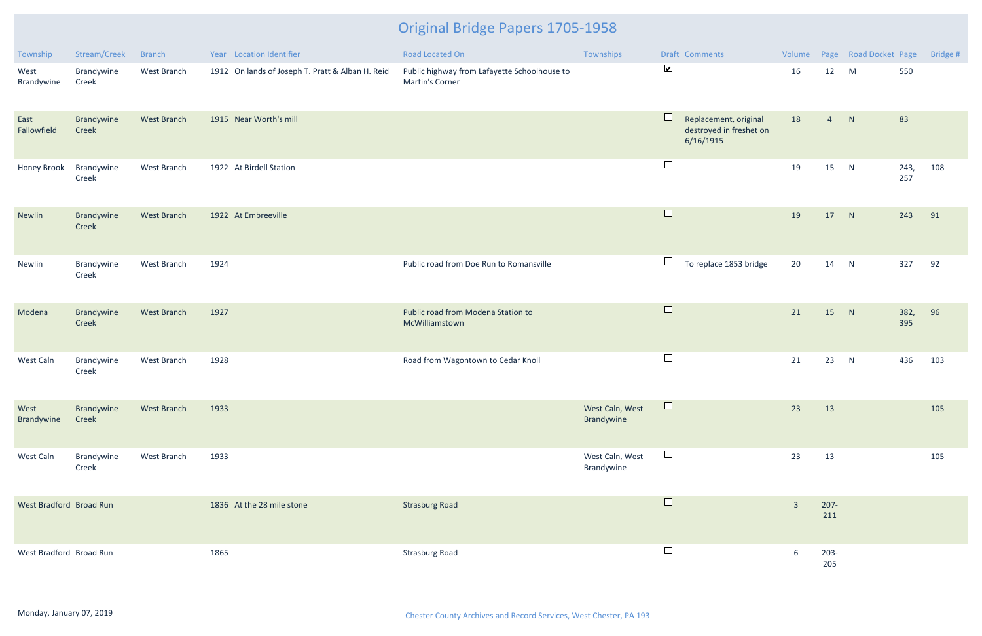| Township                | Stream/Creek        | <b>Branch</b>      | Year Location Identifier                         | Road Located On                                                 | Townships                     |                      | Draft Comments                                                |                |                | Volume Page Road Docket Page |             | Bridge # |
|-------------------------|---------------------|--------------------|--------------------------------------------------|-----------------------------------------------------------------|-------------------------------|----------------------|---------------------------------------------------------------|----------------|----------------|------------------------------|-------------|----------|
| West<br>Brandywine      | Brandywine<br>Creek | West Branch        | 1912 On lands of Joseph T. Pratt & Alban H. Reid | Public highway from Lafayette Schoolhouse to<br>Martin's Corner |                               | $\blacktriangledown$ |                                                               | 16             | 12             | M                            | 550         |          |
| East<br>Fallowfield     | Brandywine<br>Creek | West Branch        | 1915 Near Worth's mill                           |                                                                 |                               |                      | Replacement, original<br>destroyed in freshet on<br>6/16/1915 | 18             | 4 N            |                              | 83          |          |
| Honey Brook             | Brandywine<br>Creek | West Branch        | 1922 At Birdell Station                          |                                                                 |                               | $\Box$               |                                                               | 19             | 15             | N                            | 243,<br>257 | 108      |
| Newlin                  | Brandywine<br>Creek | West Branch        | 1922 At Embreeville                              |                                                                 |                               | $\Box$               |                                                               | 19             | 17             | N                            | 243         | 91       |
| Newlin                  | Brandywine<br>Creek | West Branch        | 1924                                             | Public road from Doe Run to Romansville                         |                               | $\Box$               | To replace 1853 bridge                                        | 20             | 14 N           |                              | 327         | 92       |
| Modena                  | Brandywine<br>Creek | West Branch        | 1927                                             | Public road from Modena Station to<br>McWilliamstown            |                               | $\Box$               |                                                               | 21             | 15             | N                            | 382,<br>395 | 96       |
| West Caln               | Brandywine<br>Creek | West Branch        | 1928                                             | Road from Wagontown to Cedar Knoll                              |                               | $\Box$               |                                                               | 21             | 23             | N                            | 436         | 103      |
| West<br>Brandywine      | Brandywine<br>Creek | <b>West Branch</b> | 1933                                             |                                                                 | West Caln, West<br>Brandywine | $\Box$               |                                                               | 23             | 13             |                              |             | 105      |
| West Caln               | Brandywine<br>Creek | West Branch        | 1933                                             |                                                                 | West Caln, West<br>Brandywine | $\Box$               |                                                               | 23             | 13             |                              |             | 105      |
| West Bradford Broad Run |                     |                    | 1836 At the 28 mile stone                        | <b>Strasburg Road</b>                                           |                               | $\Box$               |                                                               | $\overline{3}$ | $207 -$<br>211 |                              |             |          |
| West Bradford Broad Run |                     |                    | 1865                                             | <b>Strasburg Road</b>                                           |                               | $\Box$               |                                                               | 6              | $203 -$<br>205 |                              |             |          |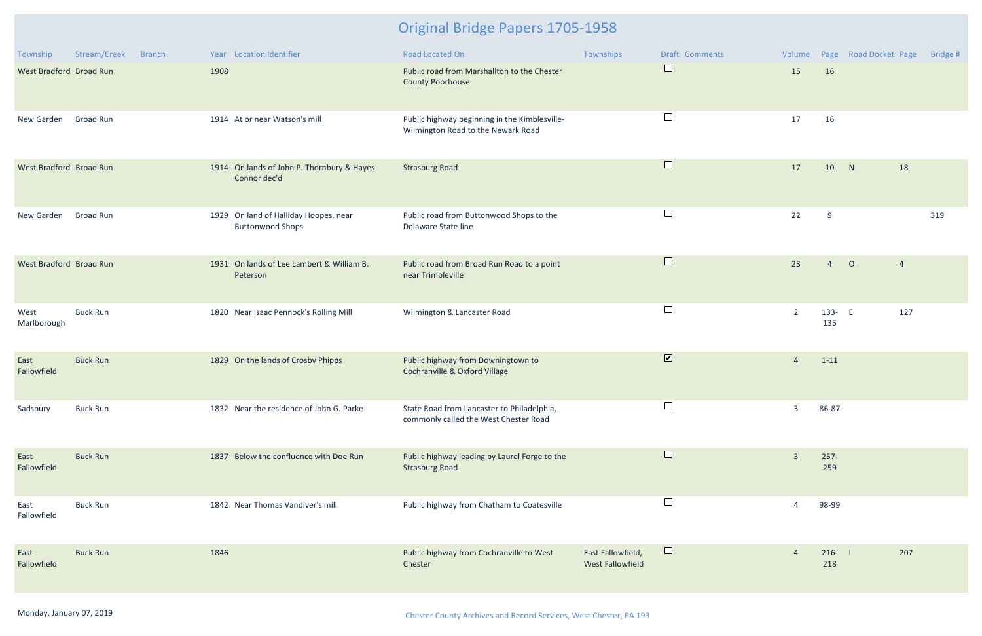| Township                | Stream/Creek<br><b>Branch</b> | Year Location Identifier                                         | Road Located On                                                                     | Townships                                    | Draft Comments          | Volume         |                  | Page Road Docket Page |                | Bridge # |
|-------------------------|-------------------------------|------------------------------------------------------------------|-------------------------------------------------------------------------------------|----------------------------------------------|-------------------------|----------------|------------------|-----------------------|----------------|----------|
| West Bradford Broad Run |                               | 1908                                                             | Public road from Marshallton to the Chester<br><b>County Poorhouse</b>              |                                              | $\Box$                  | 15             | 16               |                       |                |          |
| New Garden              | <b>Broad Run</b>              | 1914 At or near Watson's mill                                    | Public highway beginning in the Kimblesville-<br>Wilmington Road to the Newark Road |                                              | $\Box$                  | 17             | 16               |                       |                |          |
| West Bradford Broad Run |                               | 1914 On lands of John P. Thornbury & Hayes<br>Connor dec'd       | <b>Strasburg Road</b>                                                               |                                              | $\Box$                  | 17             | 10               | N                     | 18             |          |
| New Garden              | <b>Broad Run</b>              | 1929 On land of Halliday Hoopes, near<br><b>Buttonwood Shops</b> | Public road from Buttonwood Shops to the<br>Delaware State line                     |                                              | $\Box$                  | 22             | 9                |                       |                | 319      |
| West Bradford Broad Run |                               | 1931 On lands of Lee Lambert & William B.<br>Peterson            | Public road from Broad Run Road to a point<br>near Trimbleville                     |                                              | $\Box$                  | 23             | $\overline{4}$   | $\circ$               | $\overline{4}$ |          |
| West<br>Marlborough     | <b>Buck Run</b>               | 1820 Near Isaac Pennock's Rolling Mill                           | Wilmington & Lancaster Road                                                         |                                              | $\Box$                  | $\overline{2}$ | 133- E<br>135    |                       | 127            |          |
| East<br>Fallowfield     | <b>Buck Run</b>               | 1829 On the lands of Crosby Phipps                               | Public highway from Downingtown to<br>Cochranville & Oxford Village                 |                                              | $\overline{\mathbf{v}}$ | $\overline{4}$ | $1 - 11$         |                       |                |          |
| Sadsbury                | <b>Buck Run</b>               | 1832 Near the residence of John G. Parke                         | State Road from Lancaster to Philadelphia,<br>commonly called the West Chester Road |                                              |                         | $\overline{3}$ | 86-87            |                       |                |          |
| East<br>Fallowfield     | <b>Buck Run</b>               | 1837 Below the confluence with Doe Run                           | Public highway leading by Laurel Forge to the<br><b>Strasburg Road</b>              |                                              | $\Box$                  | $\overline{3}$ | $257 -$<br>259   |                       |                |          |
| East<br>Fallowfield     | <b>Buck Run</b>               | 1842 Near Thomas Vandiver's mill                                 | Public highway from Chatham to Coatesville                                          |                                              | $\vert \ \ \vert$       |                | 98-99            |                       |                |          |
| East<br>Fallowfield     | <b>Buck Run</b>               | 1846                                                             | Public highway from Cochranville to West<br>Chester                                 | East Fallowfield,<br><b>West Fallowfield</b> | $\Box$                  |                | $216 - 1$<br>218 |                       | 207            |          |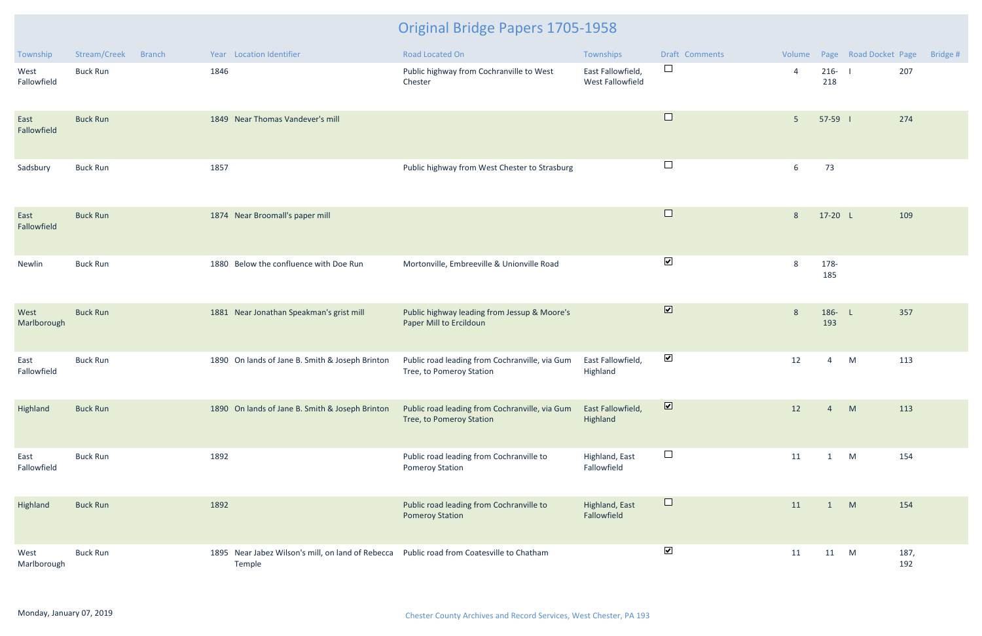| Township            | Stream/Creek    | Branch | Year Location Identifier                                                                            | <b>Road Located On</b>                                                     | Townships                             | <b>Draft Comments</b>   |                |                  | Volume Page Road Docket Page | Bridge # |
|---------------------|-----------------|--------|-----------------------------------------------------------------------------------------------------|----------------------------------------------------------------------------|---------------------------------------|-------------------------|----------------|------------------|------------------------------|----------|
| West<br>Fallowfield | <b>Buck Run</b> |        | 1846                                                                                                | Public highway from Cochranville to West<br>Chester                        | East Fallowfield,<br>West Fallowfield | $\Box$                  | $\overline{4}$ | $216 - 1$<br>218 | 207                          |          |
| East<br>Fallowfield | <b>Buck Run</b> |        | 1849 Near Thomas Vandever's mill                                                                    |                                                                            |                                       | $\Box$                  | 5 <sup>5</sup> | 57-59 1          | 274                          |          |
| Sadsbury            | <b>Buck Run</b> |        | 1857                                                                                                | Public highway from West Chester to Strasburg                              |                                       | $\Box$                  | 6              | 73               |                              |          |
| East<br>Fallowfield | <b>Buck Run</b> |        | 1874 Near Broomall's paper mill                                                                     |                                                                            |                                       | $\Box$                  | 8              | 17-20 L          | 109                          |          |
| Newlin              | <b>Buck Run</b> |        | 1880 Below the confluence with Doe Run                                                              | Mortonville, Embreeville & Unionville Road                                 |                                       | $\blacktriangledown$    | 8              | 178-<br>185      |                              |          |
| West<br>Marlborough | <b>Buck Run</b> |        | 1881 Near Jonathan Speakman's grist mill                                                            | Public highway leading from Jessup & Moore's<br>Paper Mill to Ercildoun    |                                       | $\overline{\mathbf{v}}$ | 8              | 186- L<br>193    | 357                          |          |
| East<br>Fallowfield | <b>Buck Run</b> |        | 1890 On lands of Jane B. Smith & Joseph Brinton                                                     | Public road leading from Cochranville, via Gum<br>Tree, to Pomeroy Station | East Fallowfield,<br>Highland         | $\blacktriangledown$    | 12             | 4                | 113<br>M                     |          |
| Highland            | <b>Buck Run</b> |        | 1890 On lands of Jane B. Smith & Joseph Brinton                                                     | Public road leading from Cochranville, via Gum<br>Tree, to Pomeroy Station | East Fallowfield,<br>Highland         | $\overline{\mathbf{v}}$ | 12             | $\overline{4}$   | 113<br>M                     |          |
| East<br>Fallowfield | <b>Buck Run</b> |        | 1892                                                                                                | Public road leading from Cochranville to<br><b>Pomeroy Station</b>         | Highland, East<br>Fallowfield         | $\Box$                  | 11             | 1                | 154<br>M                     |          |
| Highland            | <b>Buck Run</b> |        | 1892                                                                                                | Public road leading from Cochranville to<br><b>Pomeroy Station</b>         | Highland, East<br>Fallowfield         | $\Box$                  | 11             | $\mathbf{1}$     | M<br>154                     |          |
| West<br>Marlborough | <b>Buck Run</b> |        | 1895 Near Jabez Wilson's mill, on land of Rebecca Public road from Coatesville to Chatham<br>Temple |                                                                            |                                       | $\blacktriangledown$    | 11             | 11 M             | 187,<br>192                  |          |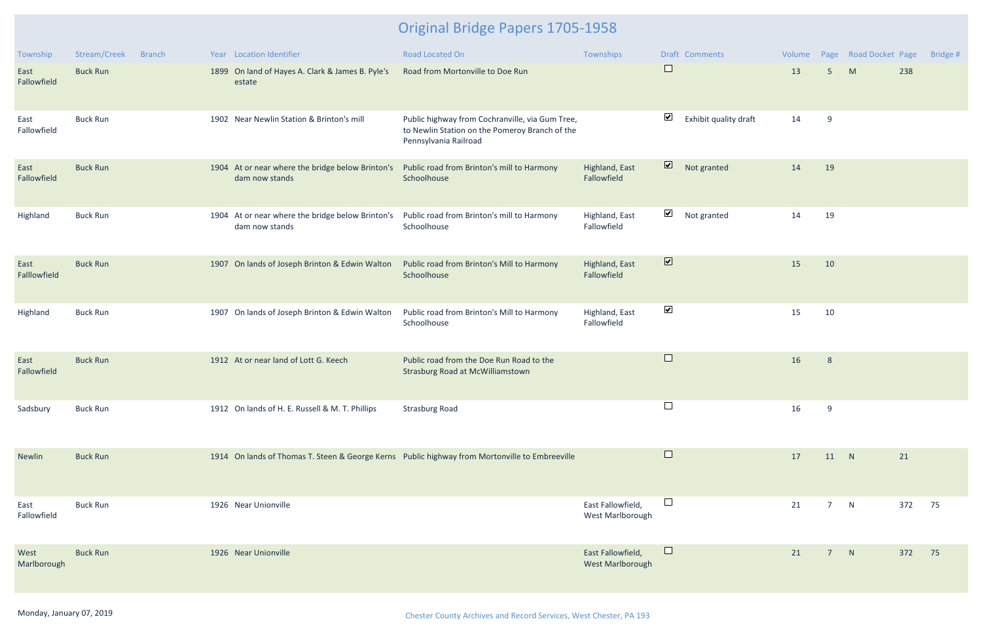| Township             | Stream/Creek<br><b>Branch</b> | Year Location Identifier                                           | <b>Road Located On</b>                                                                                                     | Townships                                    | <b>Draft Comments</b>                          | Volume |                 | Page Road Docket Page |     | Bridge # |
|----------------------|-------------------------------|--------------------------------------------------------------------|----------------------------------------------------------------------------------------------------------------------------|----------------------------------------------|------------------------------------------------|--------|-----------------|-----------------------|-----|----------|
| East<br>Fallowfield  | <b>Buck Run</b>               | 1899 On land of Hayes A. Clark & James B. Pyle's<br>estate         | Road from Mortonville to Doe Run                                                                                           |                                              | $\Box$                                         | 13     | 5 <sup>5</sup>  | M                     | 238 |          |
| East<br>Fallowfield  | <b>Buck Run</b>               | 1902 Near Newlin Station & Brinton's mill                          | Public highway from Cochranville, via Gum Tree,<br>to Newlin Station on the Pomeroy Branch of the<br>Pennsylvania Railroad |                                              | $\blacktriangleright$<br>Exhibit quality draft | 14     | 9               |                       |     |          |
| East<br>Fallowfield  | <b>Buck Run</b>               | 1904 At or near where the bridge below Brinton's<br>dam now stands | Public road from Brinton's mill to Harmony<br>Schoolhouse                                                                  | Highland, East<br>Fallowfield                | $\overline{\mathbf{v}}$<br>Not granted         | 14     | 19              |                       |     |          |
| Highland             | <b>Buck Run</b>               | 1904 At or near where the bridge below Brinton's<br>dam now stands | Public road from Brinton's mill to Harmony<br>Schoolhouse                                                                  | Highland, East<br>Fallowfield                | $\blacktriangledown$<br>Not granted            | 14     | 19              |                       |     |          |
| East<br>Falllowfield | <b>Buck Run</b>               | 1907 On lands of Joseph Brinton & Edwin Walton                     | Public road from Brinton's Mill to Harmony<br>Schoolhouse                                                                  | Highland, East<br>Fallowfield                | $\overline{\mathbf{v}}$                        | 15     | 10              |                       |     |          |
| Highland             | <b>Buck Run</b>               | 1907 On lands of Joseph Brinton & Edwin Walton                     | Public road from Brinton's Mill to Harmony<br>Schoolhouse                                                                  | Highland, East<br>Fallowfield                | $\blacktriangleright$                          | 15     | 10              |                       |     |          |
| East<br>Fallowfield  | <b>Buck Run</b>               | 1912 At or near land of Lott G. Keech                              | Public road from the Doe Run Road to the<br><b>Strasburg Road at McWilliamstown</b>                                        |                                              | $\Box$                                         | 16     | 8               |                       |     |          |
| Sadsbury             | <b>Buck Run</b>               | 1912 On lands of H. E. Russell & M. T. Phillips                    | <b>Strasburg Road</b>                                                                                                      |                                              | $\Box$                                         | 16     | 9               |                       |     |          |
| Newlin               | <b>Buck Run</b>               |                                                                    | 1914 On lands of Thomas T. Steen & George Kerns Public highway from Mortonville to Embreeville                             |                                              | $\Box$                                         | 17     | 11 N            |                       | 21  |          |
| East<br>Fallowfield  | <b>Buck Run</b>               | 1926 Near Unionville                                               |                                                                                                                            | East Fallowfield,<br>West Marlborough        | $\Box$                                         | 21     | $7\overline{ }$ | N                     | 372 | 75       |
| West<br>Marlborough  | <b>Buck Run</b>               | 1926 Near Unionville                                               |                                                                                                                            | East Fallowfield,<br><b>West Marlborough</b> | $\Box$                                         | 21     | $7^{\circ}$     | N                     | 372 | 75       |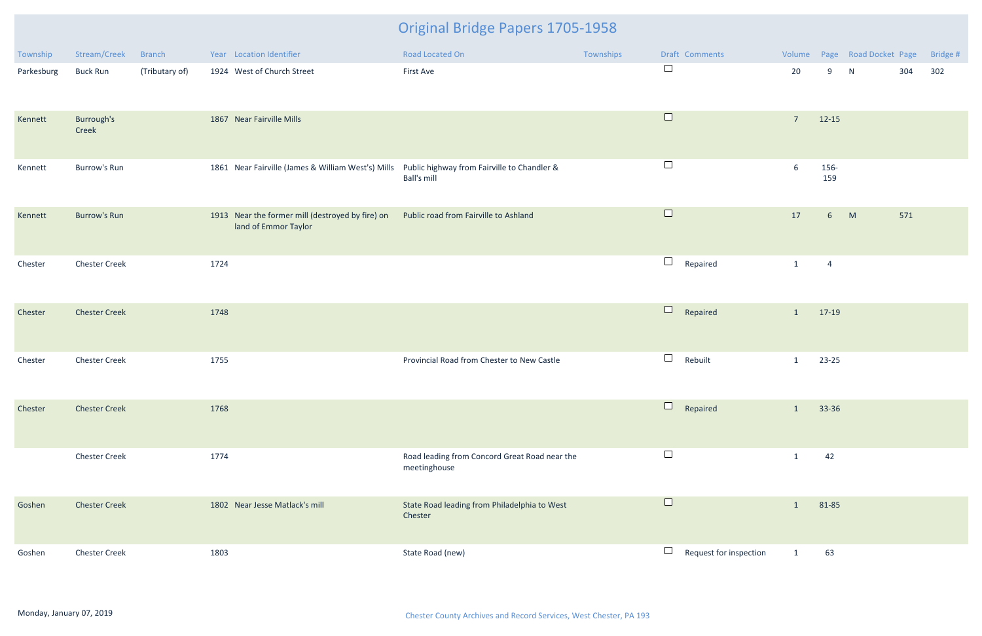| Township   | Stream/Creek         | <b>Branch</b>  | Year Location Identifier                                                                       | Road Located On                                               | Townships |                                       | Draft Comments         |                |                | Volume Page Road Docket Page |     | Bridge # |
|------------|----------------------|----------------|------------------------------------------------------------------------------------------------|---------------------------------------------------------------|-----------|---------------------------------------|------------------------|----------------|----------------|------------------------------|-----|----------|
| Parkesburg | <b>Buck Run</b>      | (Tributary of) | 1924 West of Church Street                                                                     | First Ave                                                     |           | $\Box$                                |                        | 20             | 9              | N                            | 304 | 302      |
| Kennett    | Burrough's<br>Creek  |                | 1867 Near Fairville Mills                                                                      |                                                               |           | $\Box$                                |                        | $\overline{7}$ | $12 - 15$      |                              |     |          |
| Kennett    | Burrow's Run         |                | 1861 Near Fairville (James & William West's) Mills Public highway from Fairville to Chandler & | <b>Ball's mill</b>                                            |           | $\Box$                                |                        | 6              | 156-<br>159    |                              |     |          |
| Kennett    | <b>Burrow's Run</b>  |                | 1913 Near the former mill (destroyed by fire) on<br>land of Emmor Taylor                       | Public road from Fairville to Ashland                         |           | $\Box$                                |                        | 17             | 6 <sup>1</sup> | M                            | 571 |          |
| Chester    | <b>Chester Creek</b> |                | 1724                                                                                           |                                                               |           | $\Box$                                | Repaired               | $\mathbf{1}$   | $\overline{4}$ |                              |     |          |
| Chester    | <b>Chester Creek</b> |                | 1748                                                                                           |                                                               |           | $\Box$                                | Repaired               | $\mathbf{1}$   | 17-19          |                              |     |          |
| Chester    | <b>Chester Creek</b> |                | 1755                                                                                           | Provincial Road from Chester to New Castle                    |           | $\Box$                                | Rebuilt                | $\mathbf{1}$   | $23 - 25$      |                              |     |          |
| Chester    | <b>Chester Creek</b> |                | 1768                                                                                           |                                                               |           | ⊔                                     | Repaired               | $\mathbf{1}$   | 33-36          |                              |     |          |
|            | <b>Chester Creek</b> |                | 1774                                                                                           | Road leading from Concord Great Road near the<br>meetinghouse |           | $\Box$                                |                        | 1              | 42             |                              |     |          |
| Goshen     | <b>Chester Creek</b> |                | 1802 Near Jesse Matlack's mill                                                                 | State Road leading from Philadelphia to West<br>Chester       |           | $\Box$                                |                        | $\mathbf{1}$   | 81-85          |                              |     |          |
| Goshen     | <b>Chester Creek</b> |                | 1803                                                                                           | State Road (new)                                              |           | $\begin{array}{c} \hline \end{array}$ | Request for inspection | $\mathbf{1}$   | 63             |                              |     |          |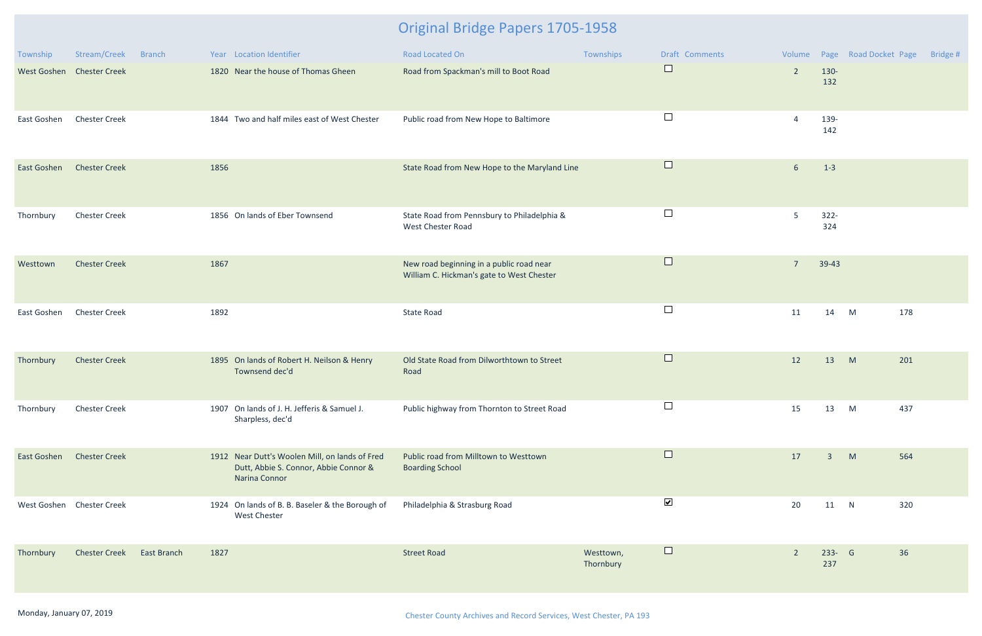| Township                  | Stream/Creek         | <b>Branch</b> |      | Year Location Identifier                                                                                 | Road Located On                                                                       | Townships              | Draft Comments       |                |                | Volume Page Road Docket Page | Bridge # |
|---------------------------|----------------------|---------------|------|----------------------------------------------------------------------------------------------------------|---------------------------------------------------------------------------------------|------------------------|----------------------|----------------|----------------|------------------------------|----------|
| West Goshen Chester Creek |                      |               |      | 1820 Near the house of Thomas Gheen                                                                      | Road from Spackman's mill to Boot Road                                                |                        | $\Box$               | $\overline{2}$ | 130-<br>132    |                              |          |
| East Goshen               | <b>Chester Creek</b> |               |      | 1844 Two and half miles east of West Chester                                                             | Public road from New Hope to Baltimore                                                |                        | $\Box$               | $\overline{4}$ | 139-<br>142    |                              |          |
| East Goshen               | <b>Chester Creek</b> |               | 1856 |                                                                                                          | State Road from New Hope to the Maryland Line                                         |                        | $\Box$               | 6              | $1-3$          |                              |          |
| Thornbury                 | <b>Chester Creek</b> |               |      | 1856 On lands of Eber Townsend                                                                           | State Road from Pennsbury to Philadelphia &<br>West Chester Road                      |                        | $\Box$               | 5              | $322 -$<br>324 |                              |          |
| Westtown                  | <b>Chester Creek</b> |               | 1867 |                                                                                                          | New road beginning in a public road near<br>William C. Hickman's gate to West Chester |                        | $\Box$               | $\overline{7}$ | 39-43          |                              |          |
| East Goshen               | <b>Chester Creek</b> |               | 1892 |                                                                                                          | <b>State Road</b>                                                                     |                        | $\Box$               | 11             | 14             | M                            | 178      |
| Thornbury                 | <b>Chester Creek</b> |               |      | 1895 On lands of Robert H. Neilson & Henry<br>Townsend dec'd                                             | Old State Road from Dilworthtown to Street<br>Road                                    |                        | $\Box$               | 12             | 13             | M                            | 201      |
| Thornbury                 | <b>Chester Creek</b> |               |      | 1907 On lands of J. H. Jefferis & Samuel J.<br>Sharpless, dec'd                                          | Public highway from Thornton to Street Road                                           |                        | $\Box$               | 15             | 13             | M                            | 437      |
| East Goshen               | <b>Chester Creek</b> |               |      | 1912 Near Dutt's Woolen Mill, on lands of Fred<br>Dutt, Abbie S. Connor, Abbie Connor &<br>Narina Connor | Public road from Milltown to Westtown<br><b>Boarding School</b>                       |                        | $\Box$               | 17             | $\overline{3}$ | M                            | 564      |
| West Goshen Chester Creek |                      |               |      | 1924 On lands of B. B. Baseler & the Borough of<br><b>West Chester</b>                                   | Philadelphia & Strasburg Road                                                         |                        | $\blacktriangledown$ | 20             | 11 N           |                              | 320      |
| Thornbury                 | <b>Chester Creek</b> | East Branch   | 1827 |                                                                                                          | <b>Street Road</b>                                                                    | Westtown,<br>Thornbury | $\Box$               | $\overline{2}$ | 233- G<br>237  |                              | 36       |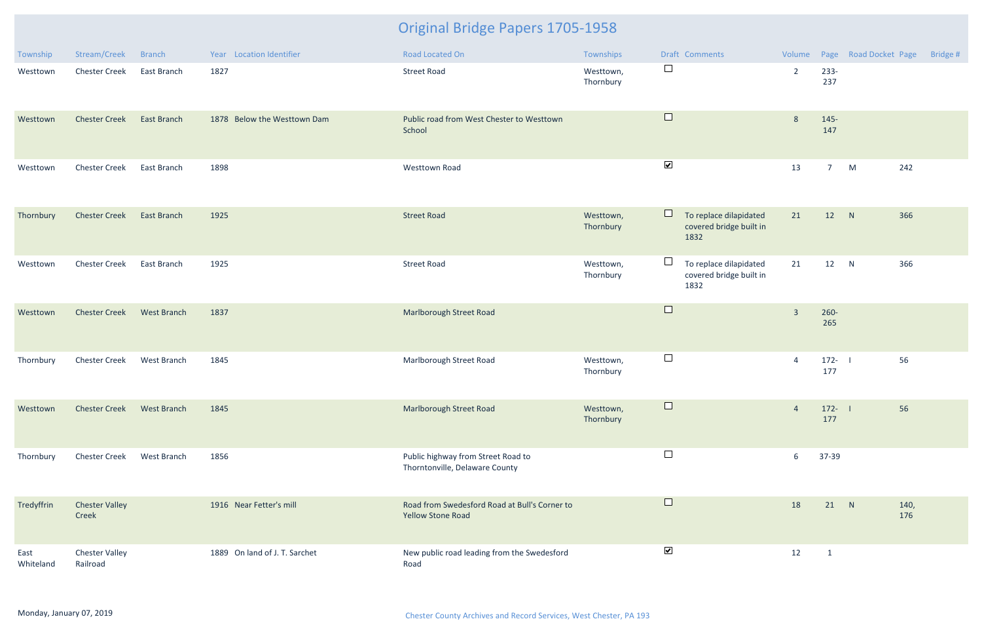| Township          | Stream/Creek                      | <b>Branch</b>      | Year Location Identifier      | Road Located On                                                           | Townships              |                      | Draft Comments                                            | Volume         |                  | Page Road Docket Page | Bridge # |
|-------------------|-----------------------------------|--------------------|-------------------------------|---------------------------------------------------------------------------|------------------------|----------------------|-----------------------------------------------------------|----------------|------------------|-----------------------|----------|
| Westtown          | <b>Chester Creek</b>              | East Branch        | 1827                          | <b>Street Road</b>                                                        | Westtown,<br>Thornbury | $\Box$               |                                                           | $\overline{2}$ | 233-<br>237      |                       |          |
| Westtown          | <b>Chester Creek</b>              | <b>East Branch</b> | 1878 Below the Westtown Dam   | Public road from West Chester to Westtown<br>School                       |                        | $\Box$               |                                                           | 8              | $145 -$<br>147   |                       |          |
| Westtown          | <b>Chester Creek</b>              | East Branch        | 1898                          | <b>Westtown Road</b>                                                      |                        | $\blacktriangledown$ |                                                           | 13             | 7 <sup>7</sup>   | 242<br>M              |          |
| Thornbury         | <b>Chester Creek</b>              | <b>East Branch</b> | 1925                          | <b>Street Road</b>                                                        | Westtown,<br>Thornbury | $\Box$               | To replace dilapidated<br>covered bridge built in<br>1832 | 21             | 12 N             | 366                   |          |
| Westtown          | <b>Chester Creek</b>              | East Branch        | 1925                          | <b>Street Road</b>                                                        | Westtown,<br>Thornbury | $\Box$               | To replace dilapidated<br>covered bridge built in<br>1832 | 21             | 12 N             | 366                   |          |
| Westtown          | <b>Chester Creek</b>              | <b>West Branch</b> | 1837                          | <b>Marlborough Street Road</b>                                            |                        | $\Box$               |                                                           | $\overline{3}$ | $260 -$<br>265   |                       |          |
| Thornbury         | <b>Chester Creek</b>              | West Branch        | 1845                          | Marlborough Street Road                                                   | Westtown,<br>Thornbury | $\Box$               |                                                           | $\overline{4}$ | $172 -$<br>177   | 56                    |          |
| Westtown          | <b>Chester Creek</b>              | West Branch        | 1845                          | <b>Marlborough Street Road</b>                                            | Westtown,<br>Thornbury |                      |                                                           | $\overline{4}$ | $172 - 1$<br>177 | 56                    |          |
| Thornbury         | <b>Chester Creek</b>              | West Branch        | 1856                          | Public highway from Street Road to<br>Thorntonville, Delaware County      |                        | $\Box$               |                                                           | 6              | 37-39            |                       |          |
| Tredyffrin        | <b>Chester Valley</b><br>Creek    |                    | 1916 Near Fetter's mill       | Road from Swedesford Road at Bull's Corner to<br><b>Yellow Stone Road</b> |                        | $\Box$               |                                                           | 18             | 21 N             | 140,<br>176           |          |
| East<br>Whiteland | <b>Chester Valley</b><br>Railroad |                    | 1889 On land of J. T. Sarchet | New public road leading from the Swedesford<br>Road                       |                        | $\blacktriangledown$ |                                                           | 12             | $\overline{1}$   |                       |          |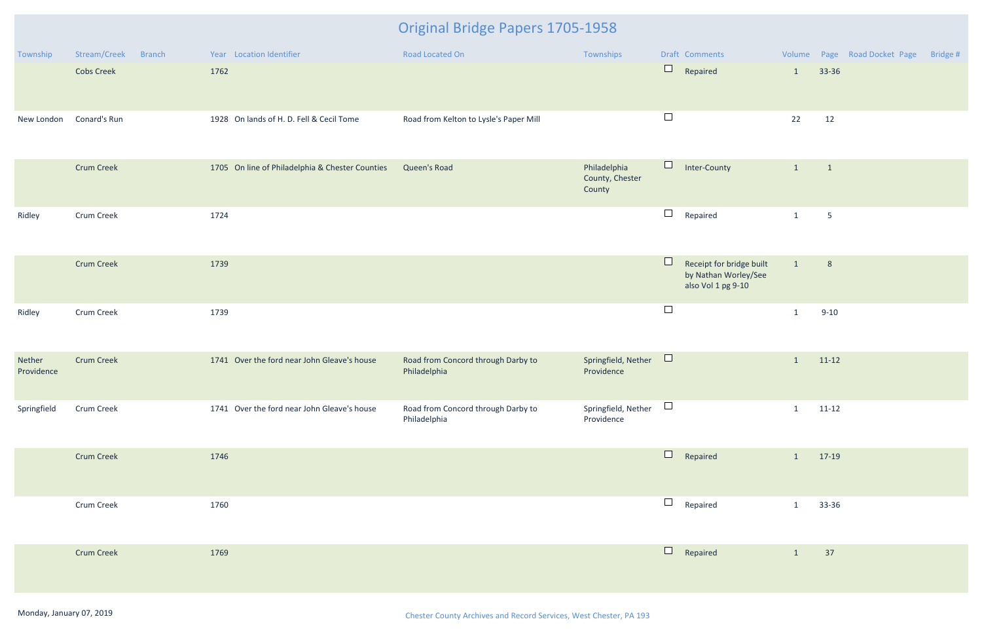| Township             | Stream/Creek      | <b>Branch</b> | Year Location Identifier                        | <b>Road Located On</b>                             | Townships                                 |        | Draft Comments                                                         |              |                 | Volume Page Road Docket Page | Bridge # |
|----------------------|-------------------|---------------|-------------------------------------------------|----------------------------------------------------|-------------------------------------------|--------|------------------------------------------------------------------------|--------------|-----------------|------------------------------|----------|
|                      | <b>Cobs Creek</b> |               | 1762                                            |                                                    |                                           | $\Box$ | Repaired                                                               | $\mathbf{1}$ | 33-36           |                              |          |
| New London           | Conard's Run      |               | 1928 On lands of H. D. Fell & Cecil Tome        | Road from Kelton to Lysle's Paper Mill             |                                           | $\Box$ |                                                                        | 22           | 12              |                              |          |
|                      | <b>Crum Creek</b> |               | 1705 On line of Philadelphia & Chester Counties | Queen's Road                                       | Philadelphia<br>County, Chester<br>County | $\Box$ | Inter-County                                                           | $\mathbf{1}$ | $\overline{1}$  |                              |          |
| Ridley               | <b>Crum Creek</b> |               | 1724                                            |                                                    |                                           | $\Box$ | Repaired                                                               | $\mathbf{1}$ | $5\phantom{.0}$ |                              |          |
|                      | <b>Crum Creek</b> |               | 1739                                            |                                                    |                                           | $\Box$ | Receipt for bridge built<br>by Nathan Worley/See<br>also Vol 1 pg 9-10 | $\mathbf{1}$ | 8               |                              |          |
| Ridley               | Crum Creek        |               | 1739                                            |                                                    |                                           | $\Box$ |                                                                        | $\mathbf{1}$ | $9 - 10$        |                              |          |
| Nether<br>Providence | <b>Crum Creek</b> |               | 1741 Over the ford near John Gleave's house     | Road from Concord through Darby to<br>Philadelphia | Springfield, Nether<br>Providence         | $\Box$ |                                                                        | $\mathbf{1}$ | $11-12$         |                              |          |
| Springfield          | Crum Creek        |               | 1741 Over the ford near John Gleave's house     | Road from Concord through Darby to<br>Philadelphia | Springfield, Nether<br>Providence         | $\Box$ |                                                                        | $\mathbf{1}$ | $11 - 12$       |                              |          |
|                      | <b>Crum Creek</b> |               | 1746                                            |                                                    |                                           | $\Box$ | Repaired                                                               | $\mathbf{1}$ | 17-19           |                              |          |
|                      | Crum Creek        |               | 1760                                            |                                                    |                                           | $\Box$ | Repaired                                                               | $\mathbf{1}$ | 33-36           |                              |          |
|                      | <b>Crum Creek</b> |               | 1769                                            |                                                    |                                           | $\Box$ | Repaired                                                               | $\mathbf{1}$ | 37              |                              |          |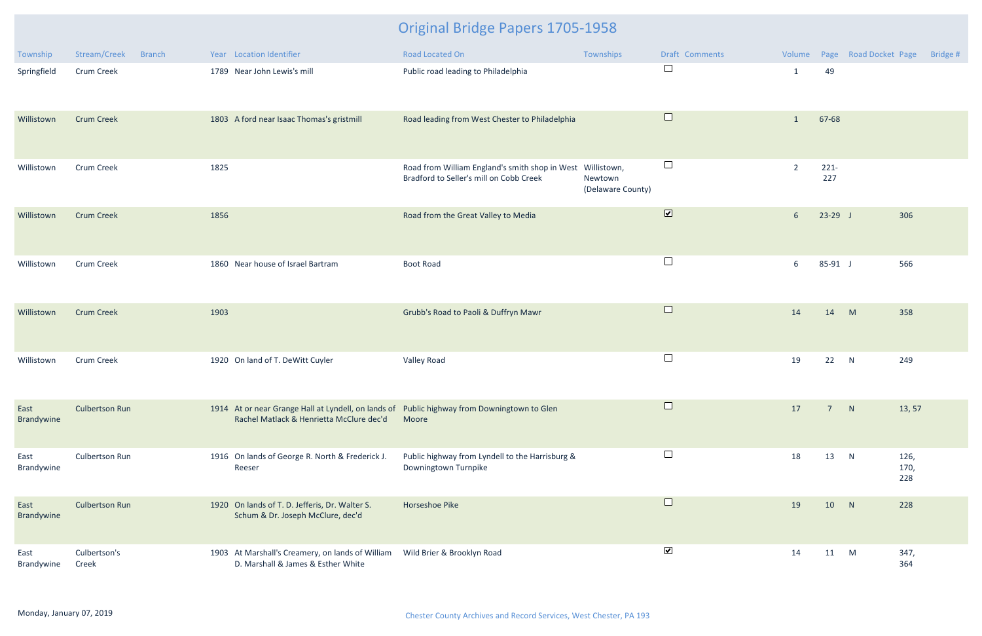| Township           | Stream/Creek<br><b>Branch</b> | Year Location Identifier                                                                                                                | <b>Road Located On</b>                                                                                | Townships                    | Draft Comments               | Volume         |                | Page Road Docket Page | Bridge #            |
|--------------------|-------------------------------|-----------------------------------------------------------------------------------------------------------------------------------------|-------------------------------------------------------------------------------------------------------|------------------------------|------------------------------|----------------|----------------|-----------------------|---------------------|
| Springfield        | Crum Creek                    | 1789 Near John Lewis's mill                                                                                                             | Public road leading to Philadelphia                                                                   |                              | $\Box$                       | $\mathbf 1$    | 49             |                       |                     |
| Willistown         | <b>Crum Creek</b>             | 1803 A ford near Isaac Thomas's gristmill                                                                                               | Road leading from West Chester to Philadelphia                                                        |                              | $\Box$                       | $\mathbf{1}$   | 67-68          |                       |                     |
| Willistown         | Crum Creek                    | 1825                                                                                                                                    | Road from William England's smith shop in West Willistown,<br>Bradford to Seller's mill on Cobb Creek | Newtown<br>(Delaware County) | $\Box$                       | $\overline{2}$ | $221 -$<br>227 |                       |                     |
| Willistown         | <b>Crum Creek</b>             | 1856                                                                                                                                    | Road from the Great Valley to Media                                                                   |                              | $\boxed{\blacktriangledown}$ | 6 <sup>1</sup> | $23-29$ J      |                       | 306                 |
| Willistown         | <b>Crum Creek</b>             | 1860 Near house of Israel Bartram                                                                                                       | <b>Boot Road</b>                                                                                      |                              | $\Box$                       | 6              | 85-91 J        |                       | 566                 |
| Willistown         | <b>Crum Creek</b>             | 1903                                                                                                                                    | Grubb's Road to Paoli & Duffryn Mawr                                                                  |                              | $\Box$                       | 14             | 14             | M                     | 358                 |
| Willistown         | Crum Creek                    | 1920 On land of T. DeWitt Cuyler                                                                                                        | Valley Road                                                                                           |                              | $\Box$                       | 19             | 22             | N                     | 249                 |
| East<br>Brandywine | <b>Culbertson Run</b>         | 1914 At or near Grange Hall at Lyndell, on lands of Public highway from Downingtown to Glen<br>Rachel Matlack & Henrietta McClure dec'd | Moore                                                                                                 |                              |                              | 17             | $7^{\circ}$    | N                     | 13, 57              |
| East<br>Brandywine | <b>Culbertson Run</b>         | 1916 On lands of George R. North & Frederick J.<br>Reeser                                                                               | Public highway from Lyndell to the Harrisburg &<br>Downingtown Turnpike                               |                              | $\Box$                       | 18             | 13             | N                     | 126,<br>170,<br>228 |
| East<br>Brandywine | <b>Culbertson Run</b>         | 1920 On lands of T. D. Jefferis, Dr. Walter S.<br>Schum & Dr. Joseph McClure, dec'd                                                     | Horseshoe Pike                                                                                        |                              | $\Box$                       | 19             | 10             | N                     | 228                 |
| East<br>Brandywine | Culbertson's<br>Creek         | 1903 At Marshall's Creamery, on lands of William<br>D. Marshall & James & Esther White                                                  | Wild Brier & Brooklyn Road                                                                            |                              | $\blacktriangledown$         | 14             | 11 M           |                       | 347,<br>364         |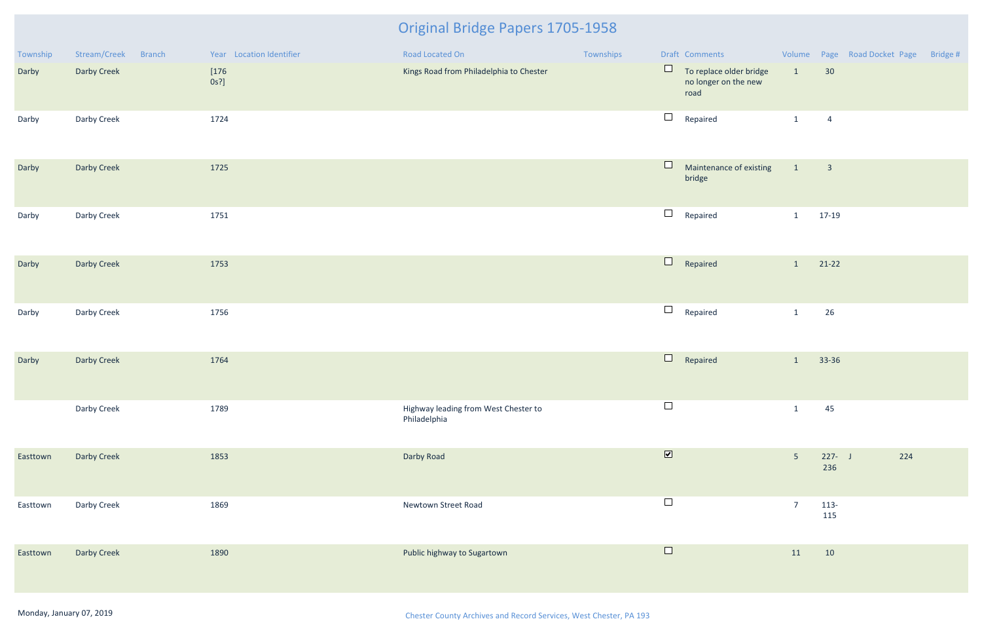| Township | Stream/Creek<br>Branch | Year Location Identifier | Road Located On                                      | Townships |                         | Draft Comments                                          |                 |                            | Volume Page Road Docket Page Bridge # |  |
|----------|------------------------|--------------------------|------------------------------------------------------|-----------|-------------------------|---------------------------------------------------------|-----------------|----------------------------|---------------------------------------|--|
| Darby    | Darby Creek            | $[176$<br>$0s$ ?]        | Kings Road from Philadelphia to Chester              |           | $\Box$                  | To replace older bridge<br>no longer on the new<br>road | $\vert 1 \vert$ | 30                         |                                       |  |
| Darby    | Darby Creek            | 1724                     |                                                      |           | $\Box$                  | Repaired                                                | $\mathbf{1}$    | $\overline{4}$             |                                       |  |
| Darby    | Darby Creek            | 1725                     |                                                      |           | $\Box$                  | Maintenance of existing<br>bridge                       | $\vert$ 1       | $\overline{\phantom{a}}$ 3 |                                       |  |
| Darby    | Darby Creek            | 1751                     |                                                      |           | $\Box$                  | Repaired                                                | $\mathbf{1}$    | 17-19                      |                                       |  |
| Darby    | Darby Creek            | 1753                     |                                                      |           | $\Box$                  | Repaired                                                | $\mathbf{1}$    | $21-22$                    |                                       |  |
| Darby    | Darby Creek            | 1756                     |                                                      |           | $\Box$                  | Repaired                                                | $\mathbf{1}$    | 26                         |                                       |  |
| Darby    | Darby Creek            | 1764                     |                                                      |           | $\Box$                  | Repaired                                                | $\mathbf{1}$    | 33-36                      |                                       |  |
|          | Darby Creek            | 1789                     | Highway leading from West Chester to<br>Philadelphia |           | $\Box$                  |                                                         | $\mathbf{1}$    | 45                         |                                       |  |
| Easttown | Darby Creek            | 1853                     | Darby Road                                           |           | $\overline{\mathbf{v}}$ |                                                         | $5\phantom{.}$  | $227 - J$<br>236           | 224                                   |  |
| Easttown | Darby Creek            | 1869                     | Newtown Street Road                                  |           | $\Box$                  |                                                         | $\overline{7}$  | 113-<br>115                |                                       |  |
| Easttown | Darby Creek            | 1890                     | Public highway to Sugartown                          |           | $\Box$                  |                                                         | 11              | 10                         |                                       |  |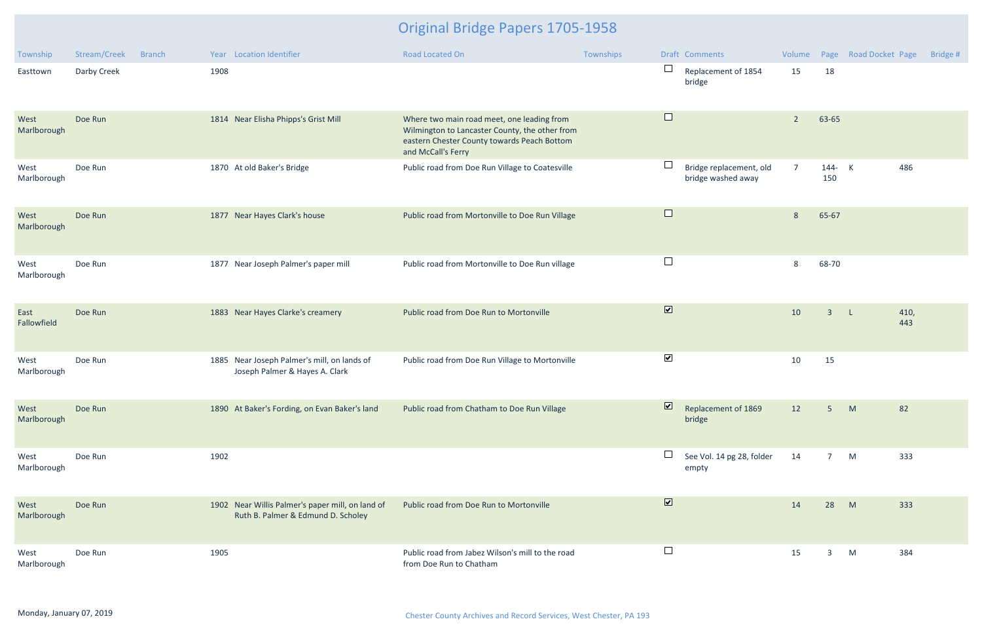| Township            | Stream/Creek | <b>Branch</b> |      | Year Location Identifier                                                               | <b>Road Located On</b>                                                                                                                                            | Townships |                         | Draft Comments                                | Volume         |                | Page Road Docket Page |             | Bridge # |
|---------------------|--------------|---------------|------|----------------------------------------------------------------------------------------|-------------------------------------------------------------------------------------------------------------------------------------------------------------------|-----------|-------------------------|-----------------------------------------------|----------------|----------------|-----------------------|-------------|----------|
| Easttown            | Darby Creek  |               | 1908 |                                                                                        |                                                                                                                                                                   |           | $\Box$                  | Replacement of 1854<br>bridge                 | 15             | 18             |                       |             |          |
| West<br>Marlborough | Doe Run      |               |      | 1814 Near Elisha Phipps's Grist Mill                                                   | Where two main road meet, one leading from<br>Wilmington to Lancaster County, the other from<br>eastern Chester County towards Peach Bottom<br>and McCall's Ferry |           | $\Box$                  |                                               | $\overline{2}$ | 63-65          |                       |             |          |
| West<br>Marlborough | Doe Run      |               |      | 1870 At old Baker's Bridge                                                             | Public road from Doe Run Village to Coatesville                                                                                                                   |           | $\Box$                  | Bridge replacement, old<br>bridge washed away | $\overline{7}$ | 144- K<br>150  |                       | 486         |          |
| West<br>Marlborough | Doe Run      |               |      | 1877 Near Hayes Clark's house                                                          | Public road from Mortonville to Doe Run Village                                                                                                                   |           | $\Box$                  |                                               | 8              | 65-67          |                       |             |          |
| West<br>Marlborough | Doe Run      |               |      | 1877 Near Joseph Palmer's paper mill                                                   | Public road from Mortonville to Doe Run village                                                                                                                   |           | $\Box$                  |                                               | 8              | 68-70          |                       |             |          |
| East<br>Fallowfield | Doe Run      |               |      | 1883 Near Hayes Clarke's creamery                                                      | Public road from Doe Run to Mortonville                                                                                                                           |           | $\overline{\mathbf{v}}$ |                                               | 10             | $\overline{3}$ | $\mathsf{L}$          | 410,<br>443 |          |
| West<br>Marlborough | Doe Run      |               |      | 1885 Near Joseph Palmer's mill, on lands of<br>Joseph Palmer & Hayes A. Clark          | Public road from Doe Run Village to Mortonville                                                                                                                   |           | $\blacktriangledown$    |                                               | 10             | 15             |                       |             |          |
| West<br>Marlborough | Doe Run      |               |      | 1890 At Baker's Fording, on Evan Baker's land                                          | Public road from Chatham to Doe Run Village                                                                                                                       |           | $\overline{\mathbf{v}}$ | Replacement of 1869<br>bridge                 | 12             | 5 <sup>1</sup> | M                     | 82          |          |
| West<br>Marlborough | Doe Run      |               | 1902 |                                                                                        |                                                                                                                                                                   |           | $\Box$                  | See Vol. 14 pg 28, folder<br>empty            | 14             | 7 M            |                       | 333         |          |
| West<br>Marlborough | Doe Run      |               |      | 1902 Near Willis Palmer's paper mill, on land of<br>Ruth B. Palmer & Edmund D. Scholey | Public road from Doe Run to Mortonville                                                                                                                           |           | $\overline{\mathbf{v}}$ |                                               | 14             | 28             | M                     | 333         |          |
| West<br>Marlborough | Doe Run      |               | 1905 |                                                                                        | Public road from Jabez Wilson's mill to the road<br>from Doe Run to Chatham                                                                                       |           | $\Box$                  |                                               | 15             | $\mathbf{3}$   | M                     | 384         |          |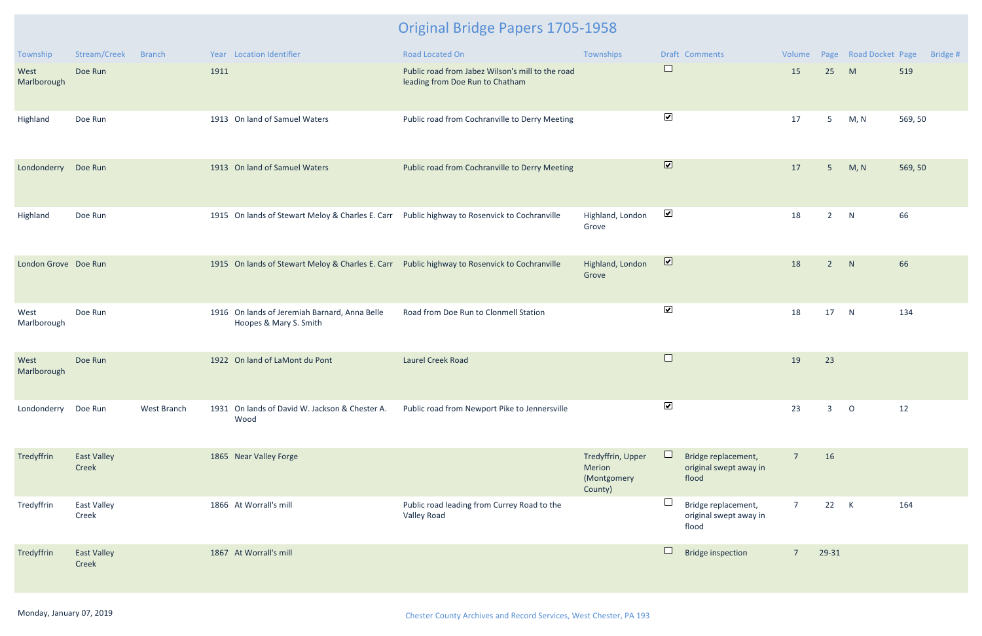| Township             | Stream/Creek                | <b>Branch</b> |      | Year Location Identifier                                                                     | Road Located On                                                                     | Townships                                             |                         | Draft Comments                                         | Volume          |                | Page Road Docket Page |         | Bridge # |
|----------------------|-----------------------------|---------------|------|----------------------------------------------------------------------------------------------|-------------------------------------------------------------------------------------|-------------------------------------------------------|-------------------------|--------------------------------------------------------|-----------------|----------------|-----------------------|---------|----------|
| West<br>Marlborough  | Doe Run                     |               | 1911 |                                                                                              | Public road from Jabez Wilson's mill to the road<br>leading from Doe Run to Chatham |                                                       | $\sqcup$                |                                                        | 15              | 25             | M                     | 519     |          |
| Highland             | Doe Run                     |               |      | 1913 On land of Samuel Waters                                                                | Public road from Cochranville to Derry Meeting                                      |                                                       | $\blacktriangledown$    |                                                        | 17              | 5 <sub>1</sub> | M, N                  | 569, 50 |          |
| Londonderry          | Doe Run                     |               |      | 1913 On land of Samuel Waters                                                                | Public road from Cochranville to Derry Meeting                                      |                                                       | $\overline{\mathbf{v}}$ |                                                        | 17              | $5\phantom{.}$ | M, N                  | 569, 50 |          |
| Highland             | Doe Run                     |               |      | 1915 On lands of Stewart Meloy & Charles E. Carr Public highway to Rosenvick to Cochranville |                                                                                     | Highland, London<br>Grove                             | $\blacktriangledown$    |                                                        | 18              | $\overline{2}$ | N                     | 66      |          |
| London Grove Doe Run |                             |               |      | 1915 On lands of Stewart Meloy & Charles E. Carr Public highway to Rosenvick to Cochranville |                                                                                     | Highland, London<br>Grove                             | $\overline{\mathbf{v}}$ |                                                        | 18              | $\overline{2}$ | N                     | 66      |          |
| West<br>Marlborough  | Doe Run                     |               |      | 1916 On lands of Jeremiah Barnard, Anna Belle<br>Hoopes & Mary S. Smith                      | Road from Doe Run to Clonmell Station                                               |                                                       | $\blacktriangledown$    |                                                        | 18              | 17             | N                     | 134     |          |
| West<br>Marlborough  | Doe Run                     |               |      | 1922 On land of LaMont du Pont                                                               | <b>Laurel Creek Road</b>                                                            |                                                       | $\Box$                  |                                                        | 19              | 23             |                       |         |          |
| Londonderry Doe Run  |                             | West Branch   |      | 1931 On lands of David W. Jackson & Chester A.<br>Wood                                       | Public road from Newport Pike to Jennersville                                       |                                                       | $\blacktriangledown$    |                                                        | 23              | 3              | $\circ$               | 12      |          |
| Tredyffrin           | <b>East Valley</b><br>Creek |               |      | 1865 Near Valley Forge                                                                       |                                                                                     | Tredyffrin, Upper<br>Merion<br>(Montgomery<br>County) |                         | Bridge replacement,<br>original swept away in<br>flood | $7\overline{ }$ | 16             |                       |         |          |
| Tredyffrin           | <b>East Valley</b><br>Creek |               |      | 1866 At Worrall's mill                                                                       | Public road leading from Currey Road to the<br>Valley Road                          |                                                       |                         | Bridge replacement,<br>original swept away in<br>flood | $\overline{7}$  | 22             | $\mathsf{K}$          | 164     |          |
| Tredyffrin           | <b>East Valley</b><br>Creek |               |      | 1867 At Worrall's mill                                                                       |                                                                                     |                                                       |                         | <b>Bridge inspection</b>                               | $\overline{7}$  | 29-31          |                       |         |          |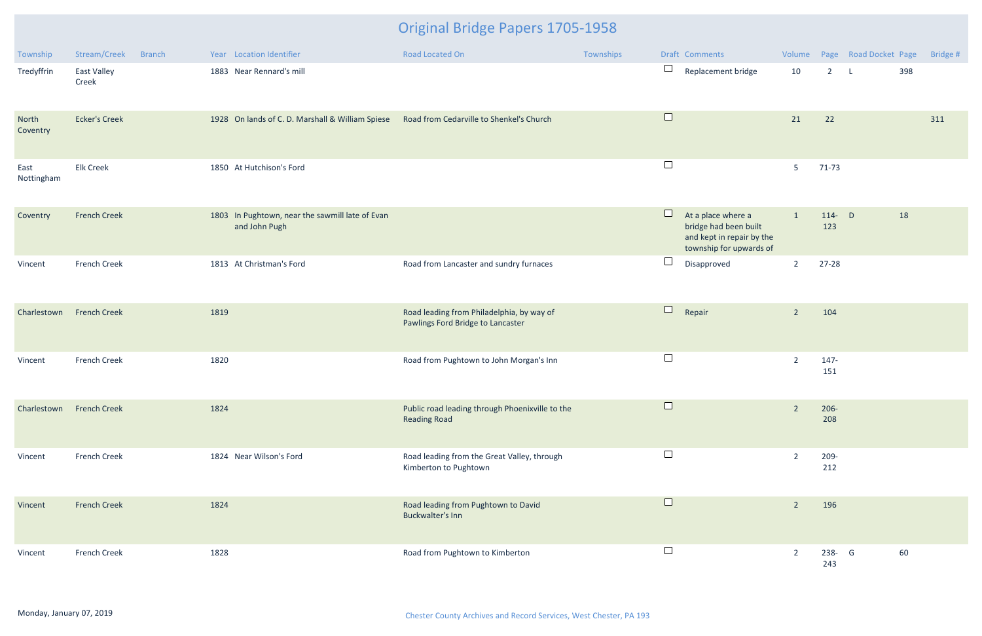| Township                 | Stream/Creek<br><b>Branch</b> | Year Location Identifier                                         | Road Located On                                                                | Townships | Draft Comments                                                                                                |                |                 | Volume Page Road Docket Page |     | Bridge # |
|--------------------------|-------------------------------|------------------------------------------------------------------|--------------------------------------------------------------------------------|-----------|---------------------------------------------------------------------------------------------------------------|----------------|-----------------|------------------------------|-----|----------|
| Tredyffrin               | East Valley<br>Creek          | 1883 Near Rennard's mill                                         |                                                                                |           | $\Box$<br>Replacement bridge                                                                                  | 10             | $2^{\circ}$     | $\mathsf{L}$                 | 398 |          |
| North<br>Coventry        | <b>Ecker's Creek</b>          | 1928 On lands of C. D. Marshall & William Spiese                 | Road from Cedarville to Shenkel's Church                                       |           | $\Box$                                                                                                        | 21             | 22              |                              |     | 311      |
| East<br>Nottingham       | <b>Elk Creek</b>              | 1850 At Hutchison's Ford                                         |                                                                                |           | $\Box$                                                                                                        | 5              | $71-73$         |                              |     |          |
| Coventry                 | <b>French Creek</b>           | 1803 In Pughtown, near the sawmill late of Evan<br>and John Pugh |                                                                                |           | $\Box$<br>At a place where a<br>bridge had been built<br>and kept in repair by the<br>township for upwards of | $\mathbf{1}$   | 114- $D$<br>123 |                              | 18  |          |
| Vincent                  | <b>French Creek</b>           | 1813 At Christman's Ford                                         | Road from Lancaster and sundry furnaces                                        |           | $\overline{\phantom{a}}$<br>Disapproved                                                                       | $\overline{2}$ | $27 - 28$       |                              |     |          |
| Charlestown              | <b>French Creek</b>           | 1819                                                             | Road leading from Philadelphia, by way of<br>Pawlings Ford Bridge to Lancaster |           | $\Box$<br>Repair                                                                                              | $\overline{2}$ | 104             |                              |     |          |
| Vincent                  | <b>French Creek</b>           | 1820                                                             | Road from Pughtown to John Morgan's Inn                                        |           | $\Box$                                                                                                        | $\overline{2}$ | 147-<br>151     |                              |     |          |
| Charlestown French Creek |                               | 1824                                                             | Public road leading through Phoenixville to the<br><b>Reading Road</b>         |           |                                                                                                               | $\overline{2}$ | $206 -$<br>208  |                              |     |          |
| Vincent                  | <b>French Creek</b>           | 1824 Near Wilson's Ford                                          | Road leading from the Great Valley, through<br>Kimberton to Pughtown           |           | $\Box$                                                                                                        | $\overline{2}$ | 209-<br>212     |                              |     |          |
| Vincent                  | <b>French Creek</b>           | 1824                                                             | Road leading from Pughtown to David<br>Buckwalter's Inn                        |           | $\Box$                                                                                                        | $\overline{2}$ | 196             |                              |     |          |
| Vincent                  | <b>French Creek</b>           | 1828                                                             | Road from Pughtown to Kimberton                                                |           | $\Box$                                                                                                        | $\overline{2}$ | 238- G<br>243   |                              | 60  |          |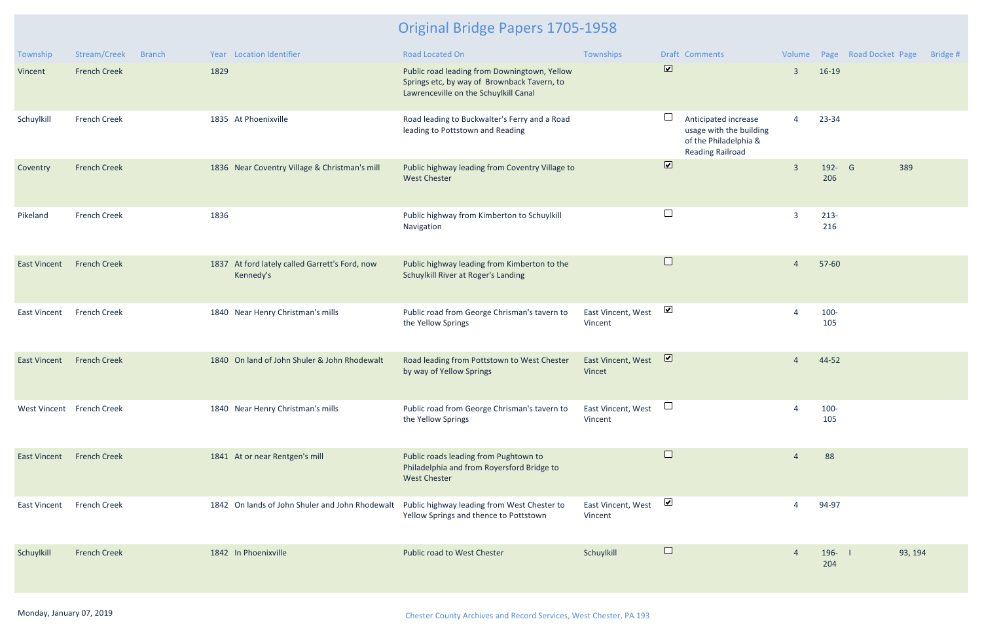| Township                  | Stream/Creek        | <b>Branch</b> |      | Year Location Identifier                                    | <b>Road Located On</b>                                                                                                               | Townships                     |                              | <b>Draft Comments</b>                                                                               |                |                  | Volume Page Road Docket Page | Bridge # |
|---------------------------|---------------------|---------------|------|-------------------------------------------------------------|--------------------------------------------------------------------------------------------------------------------------------------|-------------------------------|------------------------------|-----------------------------------------------------------------------------------------------------|----------------|------------------|------------------------------|----------|
| Vincent                   | <b>French Creek</b> |               | 1829 |                                                             | Public road leading from Downingtown, Yellow<br>Springs etc, by way of Brownback Tavern, to<br>Lawrenceville on the Schuylkill Canal |                               | $\overline{\mathbf{v}}$      |                                                                                                     | $\overline{3}$ | $16-19$          |                              |          |
| Schuylkill                | <b>French Creek</b> |               |      | 1835 At Phoenixville                                        | Road leading to Buckwalter's Ferry and a Road<br>leading to Pottstown and Reading                                                    |                               | $\Box$                       | Anticipated increase<br>usage with the building<br>of the Philadelphia &<br><b>Reading Railroad</b> | $\overline{4}$ | 23-34            |                              |          |
| Coventry                  | <b>French Creek</b> |               |      | 1836 Near Coventry Village & Christman's mill               | Public highway leading from Coventry Village to<br><b>West Chester</b>                                                               |                               | $\boxed{\blacktriangledown}$ |                                                                                                     | $\overline{3}$ | 192- G<br>206    | 389                          |          |
| Pikeland                  | <b>French Creek</b> |               | 1836 |                                                             | Public highway from Kimberton to Schuylkill<br>Navigation                                                                            |                               | $\Box$                       |                                                                                                     | $\overline{3}$ | $213-$<br>216    |                              |          |
| <b>East Vincent</b>       | <b>French Creek</b> |               |      | 1837 At ford lately called Garrett's Ford, now<br>Kennedy's | Public highway leading from Kimberton to the<br>Schuylkill River at Roger's Landing                                                  |                               | $\Box$                       |                                                                                                     | 4              | 57-60            |                              |          |
| <b>East Vincent</b>       | <b>French Creek</b> |               |      | 1840 Near Henry Christman's mills                           | Public road from George Chrisman's tavern to<br>the Yellow Springs                                                                   | East Vincent, West<br>Vincent | $\blacktriangledown$         |                                                                                                     |                | 100-<br>105      |                              |          |
| <b>East Vincent</b>       | <b>French Creek</b> |               |      | 1840 On land of John Shuler & John Rhodewalt                | Road leading from Pottstown to West Chester<br>by way of Yellow Springs                                                              | East Vincent, West<br>Vincet  | $\overline{\mathbf{v}}$      |                                                                                                     | 4              | 44-52            |                              |          |
| West Vincent French Creek |                     |               |      | 1840 Near Henry Christman's mills                           | Public road from George Chrisman's tavern to<br>the Yellow Springs                                                                   | East Vincent, West<br>Vincent |                              |                                                                                                     |                | 100-<br>105      |                              |          |
| <b>East Vincent</b>       | <b>French Creek</b> |               |      | 1841 At or near Rentgen's mill                              | Public roads leading from Pughtown to<br>Philadelphia and from Royersford Bridge to<br><b>West Chester</b>                           |                               | $\Box$                       |                                                                                                     |                | 88               |                              |          |
| <b>East Vincent</b>       | <b>French Creek</b> |               |      | 1842 On lands of John Shuler and John Rhodewalt             | Public highway leading from West Chester to<br>Yellow Springs and thence to Pottstown                                                | East Vincent, West<br>Vincent | $\blacktriangledown$         |                                                                                                     |                | 94-97            |                              |          |
| Schuylkill                | <b>French Creek</b> |               |      | 1842 In Phoenixville                                        | Public road to West Chester                                                                                                          | Schuylkill                    | $\Box$                       |                                                                                                     |                | $196 - 1$<br>204 | 93, 194                      |          |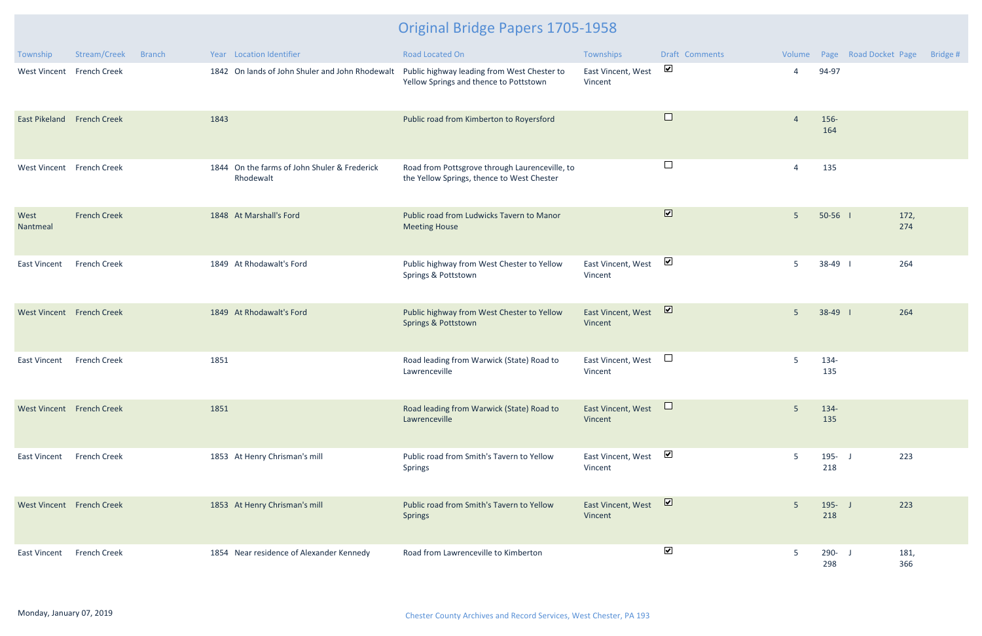| Township                   | Stream/Creek<br><b>Branch</b> | Year Location Identifier                                  | Road Located On                                                                              | Townships                     | Draft Comments          | Volume         | Page Road Docket Page | Bridge #    |
|----------------------------|-------------------------------|-----------------------------------------------------------|----------------------------------------------------------------------------------------------|-------------------------------|-------------------------|----------------|-----------------------|-------------|
| <b>West Vincent</b>        | <b>French Creek</b>           | 1842 On lands of John Shuler and John Rhodewalt           | Public highway leading from West Chester to<br>Yellow Springs and thence to Pottstown        | East Vincent, West<br>Vincent | $\blacktriangledown$    | 4              | 94-97                 |             |
| East Pikeland French Creek |                               | 1843                                                      | Public road from Kimberton to Royersford                                                     |                               | $\Box$                  | $\overline{4}$ | 156-<br>164           |             |
| West Vincent French Creek  |                               | 1844 On the farms of John Shuler & Frederick<br>Rhodewalt | Road from Pottsgrove through Laurenceville, to<br>the Yellow Springs, thence to West Chester |                               | $\Box$                  | 4              | 135                   |             |
| West<br>Nantmeal           | <b>French Creek</b>           | 1848 At Marshall's Ford                                   | Public road from Ludwicks Tavern to Manor<br><b>Meeting House</b>                            |                               | $\overline{\mathbf{v}}$ | 5 <sup>5</sup> | $50-56$ 1             | 172,<br>274 |
| <b>East Vincent</b>        | <b>French Creek</b>           | 1849 At Rhodawalt's Ford                                  | Public highway from West Chester to Yellow<br>Springs & Pottstown                            | East Vincent, West<br>Vincent | $\blacktriangledown$    | 5              | 38-49                 | 264         |
| West Vincent French Creek  |                               | 1849 At Rhodawalt's Ford                                  | Public highway from West Chester to Yellow<br>Springs & Pottstown                            | East Vincent, West<br>Vincent | $\overline{\mathbf{v}}$ | 5 <sup>5</sup> | $38-49$               | 264         |
| <b>East Vincent</b>        | <b>French Creek</b>           | 1851                                                      | Road leading from Warwick (State) Road to<br>Lawrenceville                                   | East Vincent, West<br>Vincent | $\Box$                  | 5              | 134-<br>135           |             |
| West Vincent French Creek  |                               | 1851                                                      | Road leading from Warwick (State) Road to<br>Lawrenceville                                   | East Vincent, West<br>Vincent |                         | 5              | 134-<br>135           |             |
| <b>East Vincent</b>        | <b>French Creek</b>           | 1853 At Henry Chrisman's mill                             | Public road from Smith's Tavern to Yellow<br><b>Springs</b>                                  | East Vincent, West<br>Vincent | $\blacktriangledown$    | 5              | $195 - J$<br>218      | 223         |
| West Vincent French Creek  |                               | 1853 At Henry Chrisman's mill                             | Public road from Smith's Tavern to Yellow<br><b>Springs</b>                                  | East Vincent, West<br>Vincent | $\triangledown$         | 5 <sup>5</sup> | $195 - J$<br>218      | 223         |
| East Vincent               | <b>French Creek</b>           | 1854 Near residence of Alexander Kennedy                  | Road from Lawrenceville to Kimberton                                                         |                               | $\blacktriangledown$    | 5              | 290- J<br>298         | 181,<br>366 |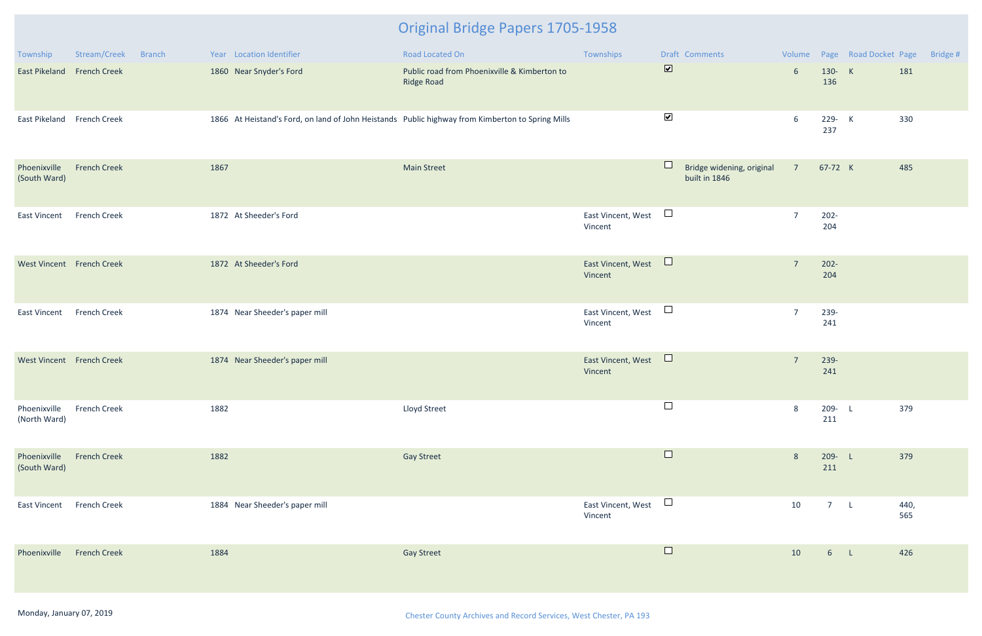| Township                     | Stream/Creek        | <b>Branch</b> |      | Year Location Identifier       | Road Located On                                                                                  | Townships                     |                         | Draft Comments                             |                 |                  | Volume Page Road Docket Page |             | Bridge # |
|------------------------------|---------------------|---------------|------|--------------------------------|--------------------------------------------------------------------------------------------------|-------------------------------|-------------------------|--------------------------------------------|-----------------|------------------|------------------------------|-------------|----------|
| East Pikeland French Creek   |                     |               |      | 1860 Near Snyder's Ford        | Public road from Phoenixville & Kimberton to<br><b>Ridge Road</b>                                |                               | $\overline{\mathbf{v}}$ |                                            | $6\overline{6}$ | 130- K<br>136    |                              | 181         |          |
| East Pikeland French Creek   |                     |               |      |                                | 1866 At Heistand's Ford, on land of John Heistands Public highway from Kimberton to Spring Mills |                               | $\blacktriangleright$   |                                            | 6               | 229- K<br>237    |                              | 330         |          |
| Phoenixville<br>(South Ward) | <b>French Creek</b> |               | 1867 |                                | <b>Main Street</b>                                                                               |                               | $\Box$                  | Bridge widening, original<br>built in 1846 | $7^{\circ}$     | 67-72 K          |                              | 485         |          |
| East Vincent                 | <b>French Creek</b> |               |      | 1872 At Sheeder's Ford         |                                                                                                  | East Vincent, West<br>Vincent | $\Box$                  |                                            | $\overline{7}$  | $202 -$<br>204   |                              |             |          |
| West Vincent French Creek    |                     |               |      | 1872 At Sheeder's Ford         |                                                                                                  | East Vincent, West<br>Vincent | $\Box$                  |                                            | $7\overline{ }$ | $202 -$<br>204   |                              |             |          |
| East Vincent                 | <b>French Creek</b> |               |      | 1874 Near Sheeder's paper mill |                                                                                                  | East Vincent, West<br>Vincent | $\Box$                  |                                            | $\overline{7}$  | 239-<br>241      |                              |             |          |
| West Vincent French Creek    |                     |               |      | 1874 Near Sheeder's paper mill |                                                                                                  | East Vincent, West<br>Vincent | $\Box$                  |                                            | $7\overline{ }$ | 239-<br>241      |                              |             |          |
| Phoenixville<br>(North Ward) | <b>French Creek</b> |               | 1882 |                                | Lloyd Street                                                                                     |                               | $\Box$                  |                                            | 8               | 209- L<br>211    |                              | 379         |          |
| Phoenixville<br>(South Ward) | <b>French Creek</b> |               | 1882 |                                | <b>Gay Street</b>                                                                                |                               | $\Box$                  |                                            | 8               | $209 - L$<br>211 |                              | 379         |          |
| East Vincent                 | French Creek        |               |      | 1884 Near Sheeder's paper mill |                                                                                                  | East Vincent, West<br>Vincent | $\Box$                  |                                            | 10              | 7 L              |                              | 440,<br>565 |          |
| Phoenixville                 | <b>French Creek</b> |               | 1884 |                                | <b>Gay Street</b>                                                                                |                               | $\Box$                  |                                            | 10              | 6 <sub>L</sub>   |                              | 426         |          |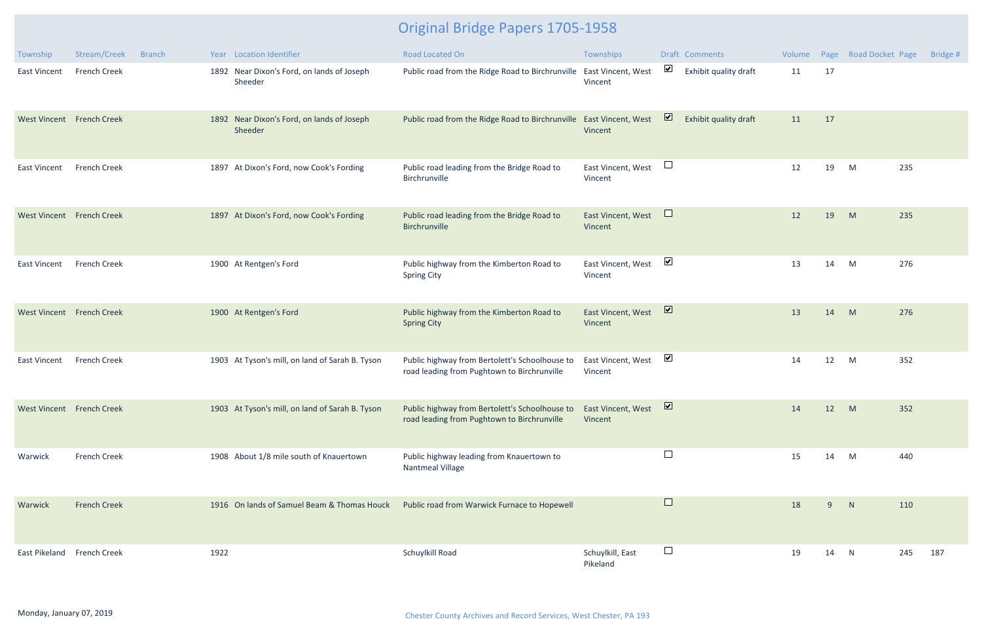| Township                   | Stream/Creek        | <b>Branch</b> |      | Year Location Identifier                              | Road Located On                                                                               | Townships                     |                         | Draft Comments        | Volume |    | Page Road Docket Page |     | Bridge # |
|----------------------------|---------------------|---------------|------|-------------------------------------------------------|-----------------------------------------------------------------------------------------------|-------------------------------|-------------------------|-----------------------|--------|----|-----------------------|-----|----------|
| <b>East Vincent</b>        | <b>French Creek</b> |               |      | 1892 Near Dixon's Ford, on lands of Joseph<br>Sheeder | Public road from the Ridge Road to Birchrunville East Vincent, West                           | Vincent                       | $\blacktriangledown$    | Exhibit quality draft | 11     | 17 |                       |     |          |
| West Vincent French Creek  |                     |               |      | 1892 Near Dixon's Ford, on lands of Joseph<br>Sheeder | Public road from the Ridge Road to Birchrunville East Vincent, West                           | Vincent                       | $\overline{\mathbf{v}}$ | Exhibit quality draft | 11     | 17 |                       |     |          |
| <b>East Vincent</b>        | <b>French Creek</b> |               |      | 1897 At Dixon's Ford, now Cook's Fording              | Public road leading from the Bridge Road to<br>Birchrunville                                  | East Vincent, West<br>Vincent | $\Box$                  |                       | 12     | 19 | M                     | 235 |          |
| West Vincent French Creek  |                     |               |      | 1897 At Dixon's Ford, now Cook's Fording              | Public road leading from the Bridge Road to<br>Birchrunville                                  | East Vincent, West<br>Vincent | $\Box$                  |                       | 12     | 19 | M                     | 235 |          |
| <b>East Vincent</b>        | <b>French Creek</b> |               |      | 1900 At Rentgen's Ford                                | Public highway from the Kimberton Road to<br><b>Spring City</b>                               | East Vincent, West<br>Vincent | $\blacktriangledown$    |                       | 13     | 14 | M                     | 276 |          |
| West Vincent French Creek  |                     |               |      | 1900 At Rentgen's Ford                                | Public highway from the Kimberton Road to<br><b>Spring City</b>                               | East Vincent, West<br>Vincent | $\overline{\mathbf{v}}$ |                       | 13     | 14 | M                     | 276 |          |
| <b>East Vincent</b>        | <b>French Creek</b> |               |      | 1903 At Tyson's mill, on land of Sarah B. Tyson       | Public highway from Bertolett's Schoolhouse to<br>road leading from Pughtown to Birchrunville | East Vincent, West<br>Vincent | $\blacktriangledown$    |                       | 14     | 12 | M                     | 352 |          |
| West Vincent French Creek  |                     |               |      | 1903 At Tyson's mill, on land of Sarah B. Tyson       | Public highway from Bertolett's Schoolhouse to<br>road leading from Pughtown to Birchrunville | East Vincent, West<br>Vincent | $\triangleright$        |                       | 14     | 12 | M                     | 352 |          |
| Warwick                    | <b>French Creek</b> |               |      | 1908 About 1/8 mile south of Knauertown               | Public highway leading from Knauertown to<br>Nantmeal Village                                 |                               | $\Box$                  |                       | 15     | 14 | M                     | 440 |          |
| Warwick                    | <b>French Creek</b> |               |      | 1916 On lands of Samuel Beam & Thomas Houck           | Public road from Warwick Furnace to Hopewell                                                  |                               | $\Box$                  |                       | 18     | 9  | N                     | 110 |          |
| East Pikeland French Creek |                     |               | 1922 |                                                       | Schuylkill Road                                                                               | Schuylkill, East<br>Pikeland  | $\Box$                  |                       | 19     | 14 | $\mathbb N$           | 245 | 187      |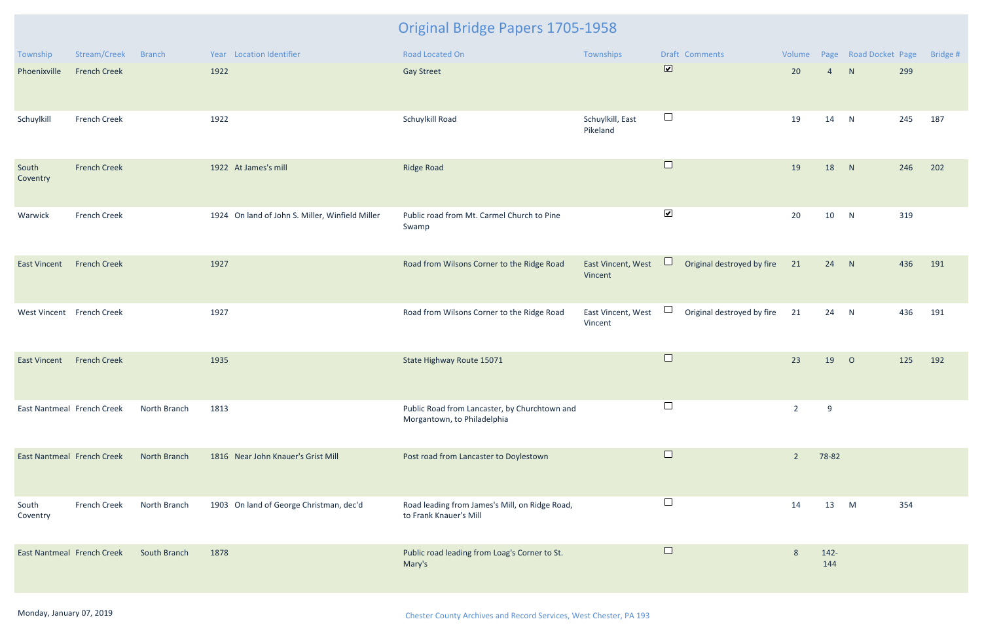| Township                   | Stream/Creek        | <b>Branch</b> | Year Location Identifier                        | <b>Road Located On</b>                                                       | Townships                     | Draft Comments                                                      | Volume         |                | Page Road Docket Page |     | Bridge # |
|----------------------------|---------------------|---------------|-------------------------------------------------|------------------------------------------------------------------------------|-------------------------------|---------------------------------------------------------------------|----------------|----------------|-----------------------|-----|----------|
| Phoenixville               | <b>French Creek</b> |               | 1922                                            | <b>Gay Street</b>                                                            |                               | $\overline{\mathbf{v}}$                                             | 20             | $\overline{4}$ | N                     | 299 |          |
| Schuylkill                 | <b>French Creek</b> |               | 1922                                            | Schuylkill Road                                                              | Schuylkill, East<br>Pikeland  | $\Box$                                                              | 19             | 14             | N                     | 245 | 187      |
| South<br>Coventry          | <b>French Creek</b> |               | 1922 At James's mill                            | <b>Ridge Road</b>                                                            |                               | $\Box$                                                              | 19             | 18             | N                     | 246 | 202      |
| Warwick                    | <b>French Creek</b> |               | 1924 On land of John S. Miller, Winfield Miller | Public road from Mt. Carmel Church to Pine<br>Swamp                          |                               | $\blacktriangledown$                                                | 20             | 10             | N                     | 319 |          |
| <b>East Vincent</b>        | <b>French Creek</b> |               | 1927                                            | Road from Wilsons Corner to the Ridge Road                                   | East Vincent, West<br>Vincent | $\Box$<br>Original destroyed by fire                                | 21             | 24 N           |                       | 436 | 191      |
| West Vincent French Creek  |                     |               | 1927                                            | Road from Wilsons Corner to the Ridge Road                                   | East Vincent, West<br>Vincent | $\begin{array}{c} \hline \end{array}$<br>Original destroyed by fire | 21             | 24 N           |                       | 436 | 191      |
| <b>East Vincent</b>        | <b>French Creek</b> |               | 1935                                            | State Highway Route 15071                                                    |                               | $\Box$                                                              | 23             | 19             | $\overline{O}$        | 125 | 192      |
| East Nantmeal French Creek |                     | North Branch  | 1813                                            | Public Road from Lancaster, by Churchtown and<br>Morgantown, to Philadelphia |                               |                                                                     | $\overline{2}$ | 9              |                       |     |          |
| East Nantmeal French Creek |                     | North Branch  | 1816 Near John Knauer's Grist Mill              | Post road from Lancaster to Doylestown                                       |                               | $\Box$                                                              | $\overline{2}$ | 78-82          |                       |     |          |
| South<br>Coventry          | <b>French Creek</b> | North Branch  | 1903 On land of George Christman, dec'd         | Road leading from James's Mill, on Ridge Road,<br>to Frank Knauer's Mill     |                               |                                                                     | 14             | 13             | M                     | 354 |          |
| East Nantmeal French Creek |                     | South Branch  | 1878                                            | Public road leading from Loag's Corner to St.<br>Mary's                      |                               | $\Box$                                                              | 8              | $142 -$<br>144 |                       |     |          |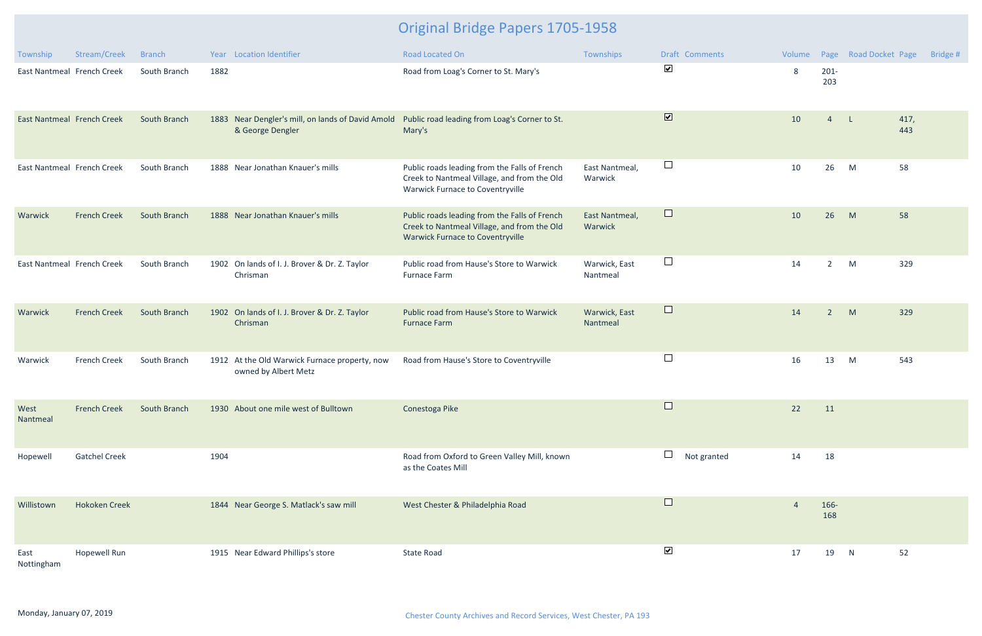| Township                          | Stream/Creek         | <b>Branch</b> |      | Year Location Identifier                                              | <b>Road Located On</b>                                                                                                                  | Townships                 | <b>Draft Comments</b>        | Volume |                | Page Road Docket Page |             | Bridge # |
|-----------------------------------|----------------------|---------------|------|-----------------------------------------------------------------------|-----------------------------------------------------------------------------------------------------------------------------------------|---------------------------|------------------------------|--------|----------------|-----------------------|-------------|----------|
| East Nantmeal French Creek        |                      | South Branch  | 1882 |                                                                       | Road from Loag's Corner to St. Mary's                                                                                                   |                           | $\blacktriangledown$         | 8      | $201 -$<br>203 |                       |             |          |
| <b>East Nantmeal French Creek</b> |                      | South Branch  |      | 1883 Near Dengler's mill, on lands of David Amold<br>& George Dengler | Public road leading from Loag's Corner to St.<br>Mary's                                                                                 |                           | $\boxed{\blacktriangledown}$ | 10     | $\overline{4}$ | $\mathsf{L}$          | 417,<br>443 |          |
| East Nantmeal French Creek        |                      | South Branch  |      | 1888 Near Jonathan Knauer's mills                                     | Public roads leading from the Falls of French<br>Creek to Nantmeal Village, and from the Old<br>Warwick Furnace to Coventryville        | East Nantmeal,<br>Warwick | $\Box$                       | 10     | 26             | M                     | 58          |          |
| Warwick                           | <b>French Creek</b>  | South Branch  |      | 1888 Near Jonathan Knauer's mills                                     | Public roads leading from the Falls of French<br>Creek to Nantmeal Village, and from the Old<br><b>Warwick Furnace to Coventryville</b> | East Nantmeal,<br>Warwick | $\Box$                       | 10     | 26             | M                     | 58          |          |
| East Nantmeal French Creek        |                      | South Branch  |      | 1902 On lands of I. J. Brover & Dr. Z. Taylor<br>Chrisman             | Public road from Hause's Store to Warwick<br>Furnace Farm                                                                               | Warwick, East<br>Nantmeal | $\Box$                       | 14     | $\overline{2}$ | M                     | 329         |          |
| Warwick                           | <b>French Creek</b>  | South Branch  |      | 1902 On lands of I. J. Brover & Dr. Z. Taylor<br>Chrisman             | Public road from Hause's Store to Warwick<br><b>Furnace Farm</b>                                                                        | Warwick, East<br>Nantmeal | $\Box$                       | 14     | $\overline{2}$ | M                     | 329         |          |
| Warwick                           | <b>French Creek</b>  | South Branch  |      | 1912 At the Old Warwick Furnace property, now<br>owned by Albert Metz | Road from Hause's Store to Coventryville                                                                                                |                           | $\Box$                       | 16     | 13             | M                     | 543         |          |
| West<br>Nantmeal                  | <b>French Creek</b>  | South Branch  |      | 1930 About one mile west of Bulltown                                  | Conestoga Pike                                                                                                                          |                           | $\overline{\phantom{0}}$     | 22     | 11             |                       |             |          |
| Hopewell                          | <b>Gatchel Creek</b> |               | 1904 |                                                                       | Road from Oxford to Green Valley Mill, known<br>as the Coates Mill                                                                      |                           | $\Box$<br>Not granted        | 14     | 18             |                       |             |          |
| Willistown                        | <b>Hokoken Creek</b> |               |      | 1844 Near George S. Matlack's saw mill                                | West Chester & Philadelphia Road                                                                                                        |                           | $\Box$                       | 4      | 166-<br>168    |                       |             |          |
| East<br>Nottingham                | <b>Hopewell Run</b>  |               |      | 1915 Near Edward Phillips's store                                     | <b>State Road</b>                                                                                                                       |                           | $\blacktriangledown$         | 17     | 19             | N                     | 52          |          |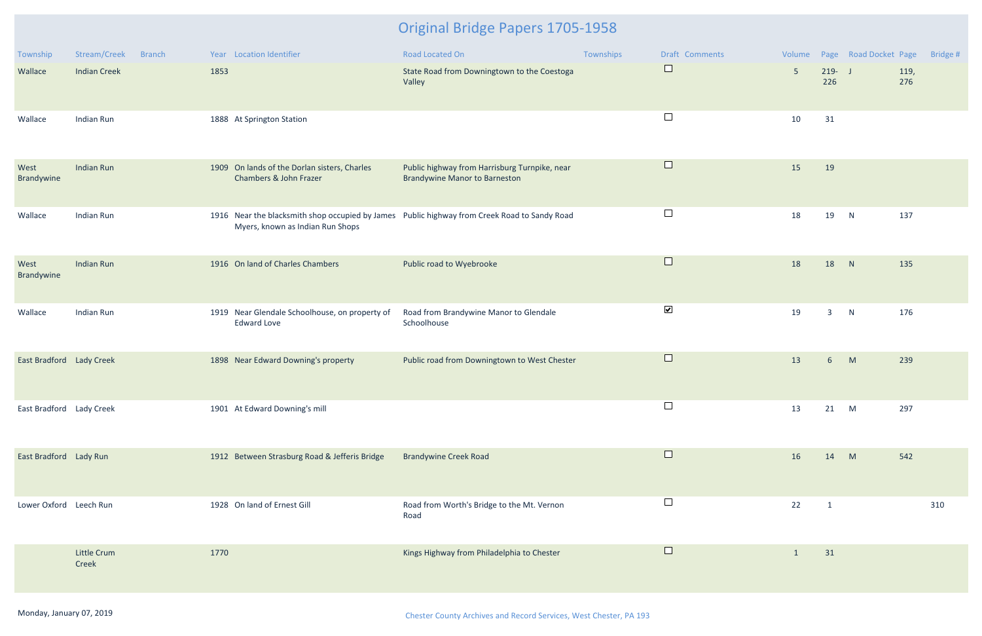| Township                 | Stream/Creek<br><b>Branch</b> | Year Location Identifier                                                                                                         | Road Located On                                                                       | Townships | Draft Comments       | Volume         |                  | Page Road Docket Page | Bridge # |
|--------------------------|-------------------------------|----------------------------------------------------------------------------------------------------------------------------------|---------------------------------------------------------------------------------------|-----------|----------------------|----------------|------------------|-----------------------|----------|
| Wallace                  | <b>Indian Creek</b>           | 1853                                                                                                                             | State Road from Downingtown to the Coestoga<br>Valley                                 |           | $\Box$               | 5 <sup>5</sup> | $219 - J$<br>226 | 119,<br>276           |          |
| Wallace                  | Indian Run                    | 1888 At Springton Station                                                                                                        |                                                                                       |           | $\Box$               | 10             | 31               |                       |          |
| West<br>Brandywine       | <b>Indian Run</b>             | 1909 On lands of the Dorlan sisters, Charles<br>Chambers & John Frazer                                                           | Public highway from Harrisburg Turnpike, near<br><b>Brandywine Manor to Barneston</b> |           | $\Box$               | 15             | 19               |                       |          |
| Wallace                  | Indian Run                    | 1916 Near the blacksmith shop occupied by James Public highway from Creek Road to Sandy Road<br>Myers, known as Indian Run Shops |                                                                                       |           | $\Box$               | 18             | 19               | N<br>137              |          |
| West<br>Brandywine       | <b>Indian Run</b>             | 1916 On land of Charles Chambers                                                                                                 | Public road to Wyebrooke                                                              |           | $\Box$               | 18             | 18               | N<br>135              |          |
| Wallace                  | Indian Run                    | 1919 Near Glendale Schoolhouse, on property of<br><b>Edward Love</b>                                                             | Road from Brandywine Manor to Glendale<br>Schoolhouse                                 |           | $\blacktriangledown$ | 19             | $\mathbf{3}$     | N<br>176              |          |
| East Bradford Lady Creek |                               | 1898 Near Edward Downing's property                                                                                              | Public road from Downingtown to West Chester                                          |           | $\Box$               | 13             | 6                | M<br>239              |          |
| East Bradford Lady Creek |                               | 1901 At Edward Downing's mill                                                                                                    |                                                                                       |           | ப                    | 13             | 21               | 297<br>M              |          |
| East Bradford Lady Run   |                               | 1912 Between Strasburg Road & Jefferis Bridge                                                                                    | <b>Brandywine Creek Road</b>                                                          |           | $\Box$               | 16             | 14 M             | 542                   |          |
| Lower Oxford Leech Run   |                               | 1928 On land of Ernest Gill                                                                                                      | Road from Worth's Bridge to the Mt. Vernon<br>Road                                    |           | $\Box$               | 22             | $\overline{1}$   |                       | 310      |
|                          | <b>Little Crum</b><br>Creek   | 1770                                                                                                                             | Kings Highway from Philadelphia to Chester                                            |           | $\Box$               | $\mathbf{1}$   | 31               |                       |          |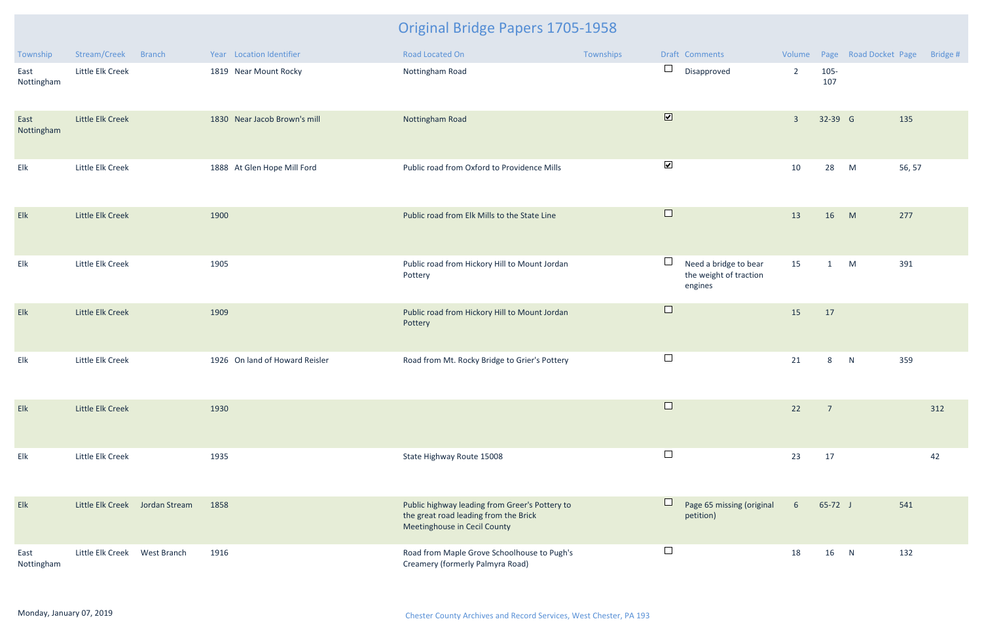| Township           | Stream/Creek                   | <b>Branch</b> |      | Year Location Identifier       | Road Located On                                                                                                         | Townships |                              | Draft Comments                                             | Volume          |                | Page Road Docket Page |        | Bridge # |
|--------------------|--------------------------------|---------------|------|--------------------------------|-------------------------------------------------------------------------------------------------------------------------|-----------|------------------------------|------------------------------------------------------------|-----------------|----------------|-----------------------|--------|----------|
| East<br>Nottingham | Little Elk Creek               |               |      | 1819 Near Mount Rocky          | Nottingham Road                                                                                                         |           | $\Box$                       | Disapproved                                                | $\overline{2}$  | $105 -$<br>107 |                       |        |          |
| East<br>Nottingham | Little Elk Creek               |               |      | 1830 Near Jacob Brown's mill   | Nottingham Road                                                                                                         |           | $\boxed{\blacktriangledown}$ |                                                            | $\overline{3}$  | 32-39 G        |                       | 135    |          |
| Elk                | Little Elk Creek               |               |      | 1888 At Glen Hope Mill Ford    | Public road from Oxford to Providence Mills                                                                             |           | $\blacktriangledown$         |                                                            | 10              | 28             | M                     | 56, 57 |          |
| Elk                | Little Elk Creek               |               | 1900 |                                | Public road from Elk Mills to the State Line                                                                            |           | $\Box$                       |                                                            | 13              | 16             | M                     | 277    |          |
| Elk                | Little Elk Creek               |               | 1905 |                                | Public road from Hickory Hill to Mount Jordan<br>Pottery                                                                |           |                              | Need a bridge to bear<br>the weight of traction<br>engines | 15              | 1              | M                     | 391    |          |
| Elk                | Little Elk Creek               |               | 1909 |                                | Public road from Hickory Hill to Mount Jordan<br>Pottery                                                                |           | $\Box$                       |                                                            | 15              | 17             |                       |        |          |
| Elk                | Little Elk Creek               |               |      | 1926 On land of Howard Reisler | Road from Mt. Rocky Bridge to Grier's Pottery                                                                           |           | $\Box$                       |                                                            | 21              | 8              | N                     | 359    |          |
| Elk                | Little Elk Creek               |               | 1930 |                                |                                                                                                                         |           | $\Box$                       |                                                            | 22              | $\overline{7}$ |                       |        | 312      |
| Elk                | Little Elk Creek               |               | 1935 |                                | State Highway Route 15008                                                                                               |           | $\Box$                       |                                                            | 23              | 17             |                       |        | 42       |
| Elk                | Little Elk Creek Jordan Stream |               | 1858 |                                | Public highway leading from Greer's Pottery to<br>the great road leading from the Brick<br>Meetinghouse in Cecil County |           |                              | Page 65 missing (original<br>petition)                     | $6\overline{6}$ | $65-72$ J      |                       | 541    |          |
| East<br>Nottingham | Little Elk Creek               | West Branch   | 1916 |                                | Road from Maple Grove Schoolhouse to Pugh's<br>Creamery (formerly Palmyra Road)                                         |           | $\Box$                       |                                                            | 18              | 16             | N                     | 132    |          |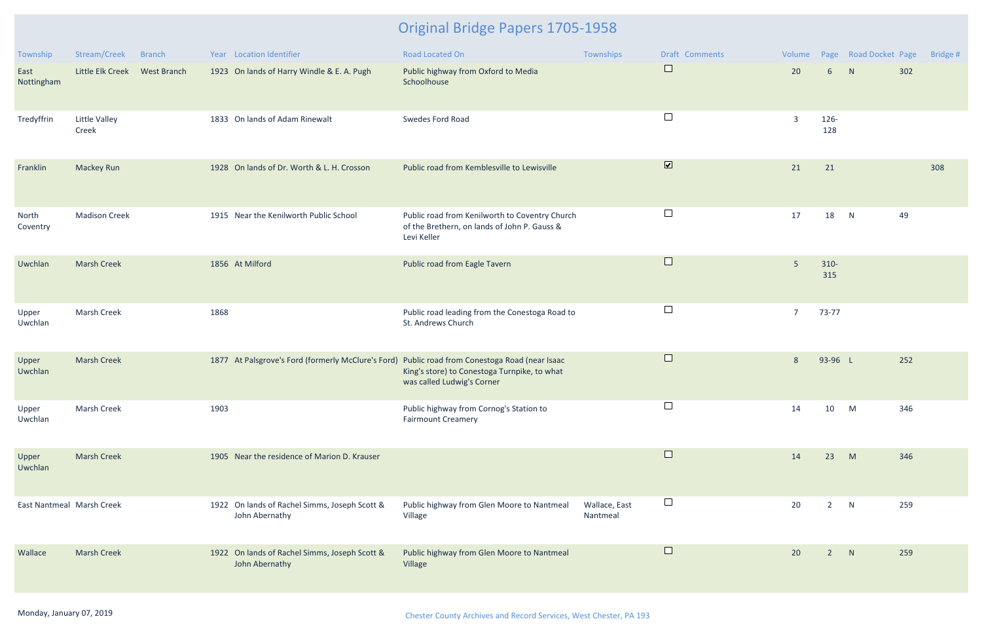| Township                  | Stream/Creek                  | <b>Branch</b> |      | Year Location Identifier                                        | <b>Road Located On</b>                                                                                                                                                       | Townships                 | <b>Draft Comments</b>        | Volume         |                 | Page Road Docket Page |     | Bridge # |
|---------------------------|-------------------------------|---------------|------|-----------------------------------------------------------------|------------------------------------------------------------------------------------------------------------------------------------------------------------------------------|---------------------------|------------------------------|----------------|-----------------|-----------------------|-----|----------|
| East<br>Nottingham        | Little Elk Creek              | West Branch   |      | 1923 On lands of Harry Windle & E. A. Pugh                      | Public highway from Oxford to Media<br>Schoolhouse                                                                                                                           |                           | $\Box$                       | 20             | $6\overline{6}$ | N                     | 302 |          |
| Tredyffrin                | <b>Little Valley</b><br>Creek |               |      | 1833 On lands of Adam Rinewalt                                  | Swedes Ford Road                                                                                                                                                             |                           | $\Box$                       | 3              | 126-<br>128     |                       |     |          |
| Franklin                  | Mackey Run                    |               |      | 1928 On lands of Dr. Worth & L. H. Crosson                      | Public road from Kemblesville to Lewisville                                                                                                                                  |                           | $\boxed{\blacktriangledown}$ | 21             | 21              |                       |     | 308      |
| North<br>Coventry         | <b>Madison Creek</b>          |               |      | 1915 Near the Kenilworth Public School                          | Public road from Kenilworth to Coventry Church<br>of the Brethern, on lands of John P. Gauss &<br>Levi Keller                                                                |                           | $\Box$                       | 17             | 18              | N                     | 49  |          |
| Uwchlan                   | <b>Marsh Creek</b>            |               |      | 1856 At Milford                                                 | Public road from Eagle Tavern                                                                                                                                                |                           | $\Box$                       | 5              | $310 -$<br>315  |                       |     |          |
| Upper<br>Uwchlan          | Marsh Creek                   |               | 1868 |                                                                 | Public road leading from the Conestoga Road to<br>St. Andrews Church                                                                                                         |                           | $\Box$                       | $\overline{7}$ | 73-77           |                       |     |          |
| Upper<br>Uwchlan          | <b>Marsh Creek</b>            |               |      |                                                                 | 1877 At Palsgrove's Ford (formerly McClure's Ford) Public road from Conestoga Road (near Isaac<br>King's store) to Conestoga Turnpike, to what<br>was called Ludwig's Corner |                           | $\Box$                       | 8              | 93-96 L         |                       | 252 |          |
| Upper<br>Uwchlan          | Marsh Creek                   |               | 1903 |                                                                 | Public highway from Cornog's Station to<br><b>Fairmount Creamery</b>                                                                                                         |                           |                              | 14             | 10              | M                     | 346 |          |
| Upper<br>Uwchlan          | <b>Marsh Creek</b>            |               |      | 1905 Near the residence of Marion D. Krauser                    |                                                                                                                                                                              |                           | $\Box$                       | 14             | 23              | M                     | 346 |          |
| East Nantmeal Marsh Creek |                               |               |      | 1922 On lands of Rachel Simms, Joseph Scott &<br>John Abernathy | Public highway from Glen Moore to Nantmeal<br>Village                                                                                                                        | Wallace, East<br>Nantmeal | ⊔                            | 20             | $\overline{2}$  | N                     | 259 |          |
| Wallace                   | <b>Marsh Creek</b>            |               |      | 1922 On lands of Rachel Simms, Joseph Scott &<br>John Abernathy | Public highway from Glen Moore to Nantmeal<br>Village                                                                                                                        |                           | $\Box$                       | 20             | $\overline{2}$  | N                     | 259 |          |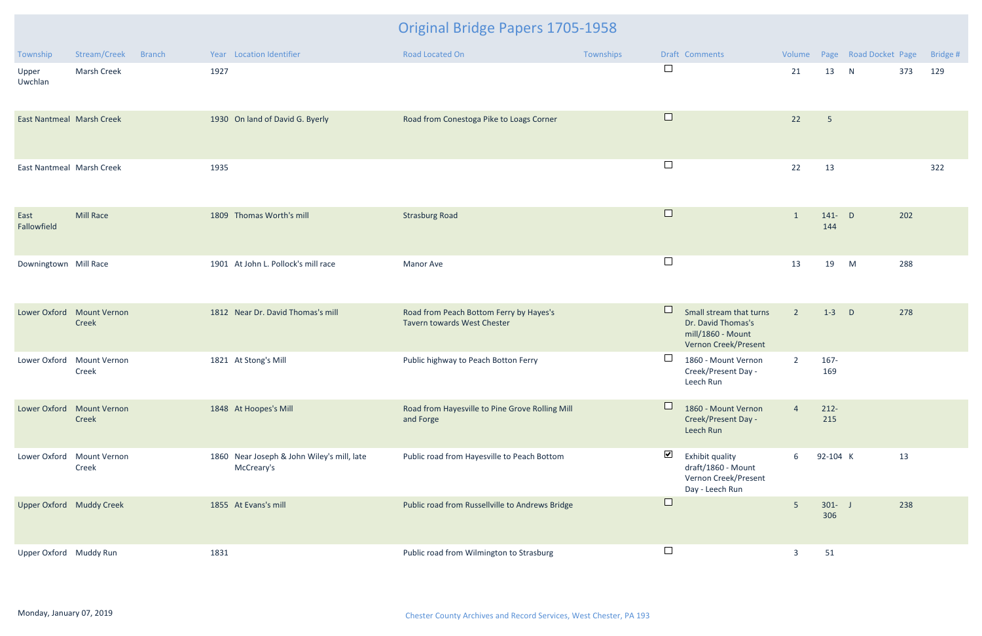| Township                         | Stream/Creek                       | <b>Branch</b> |      | Year Location Identifier                                 | Road Located On                                                        | Townships |                          | Draft Comments                                                                             |                |                  | Volume Page Road Docket Page |     | Bridge # |
|----------------------------------|------------------------------------|---------------|------|----------------------------------------------------------|------------------------------------------------------------------------|-----------|--------------------------|--------------------------------------------------------------------------------------------|----------------|------------------|------------------------------|-----|----------|
| Upper<br>Uwchlan                 | <b>Marsh Creek</b>                 |               | 1927 |                                                          |                                                                        |           | $\Box$                   |                                                                                            | 21             | 13               | N                            | 373 | 129      |
| <b>East Nantmeal Marsh Creek</b> |                                    |               |      | 1930 On land of David G. Byerly                          | Road from Conestoga Pike to Loags Corner                               |           | $\Box$                   |                                                                                            | 22             | $5\phantom{.}$   |                              |     |          |
| East Nantmeal Marsh Creek        |                                    |               | 1935 |                                                          |                                                                        |           | $\overline{\phantom{a}}$ |                                                                                            | 22             | 13               |                              |     | 322      |
| East<br>Fallowfield              | <b>Mill Race</b>                   |               |      | 1809 Thomas Worth's mill                                 | <b>Strasburg Road</b>                                                  |           | $\Box$                   |                                                                                            | $\overline{1}$ | $141 - D$<br>144 |                              | 202 |          |
| Downingtown Mill Race            |                                    |               |      | 1901 At John L. Pollock's mill race                      | Manor Ave                                                              |           | $\Box$                   |                                                                                            | 13             | 19               | M                            | 288 |          |
| Lower Oxford                     | <b>Mount Vernon</b><br>Creek       |               |      | 1812 Near Dr. David Thomas's mill                        | Road from Peach Bottom Ferry by Hayes's<br>Tavern towards West Chester |           |                          | Small stream that turns<br>Dr. David Thomas's<br>mill/1860 - Mount<br>Vernon Creek/Present | $\overline{2}$ | $1-3$            | $\mathsf{D}$                 | 278 |          |
| Lower Oxford                     | <b>Mount Vernon</b><br>Creek       |               |      | 1821 At Stong's Mill                                     | Public highway to Peach Botton Ferry                                   |           |                          | 1860 - Mount Vernon<br>Creek/Present Day -<br>Leech Run                                    | $\overline{2}$ | $167 -$<br>169   |                              |     |          |
|                                  | Lower Oxford Mount Vernon<br>Creek |               |      | 1848 At Hoopes's Mill                                    | Road from Hayesville to Pine Grove Rolling Mill<br>and Forge           |           |                          | 1860 - Mount Vernon<br>Creek/Present Day -<br>Leech Run                                    | $\overline{4}$ | $212 -$<br>215   |                              |     |          |
| Lower Oxford                     | <b>Mount Vernon</b><br>Creek       |               |      | 1860 Near Joseph & John Wiley's mill, late<br>McCreary's | Public road from Hayesville to Peach Bottom                            |           | $\blacktriangledown$     | Exhibit quality<br>draft/1860 - Mount<br>Vernon Creek/Present<br>Day - Leech Run           | 6              | 92-104 K         |                              | 13  |          |
| Upper Oxford Muddy Creek         |                                    |               |      | 1855 At Evans's mill                                     | Public road from Russellville to Andrews Bridge                        |           | $\Box$                   |                                                                                            | 5 <sub>o</sub> | $301 - J$<br>306 |                              | 238 |          |
| Upper Oxford Muddy Run           |                                    |               | 1831 |                                                          | Public road from Wilmington to Strasburg                               |           | $\overline{\phantom{a}}$ |                                                                                            | $\overline{3}$ | 51               |                              |     |          |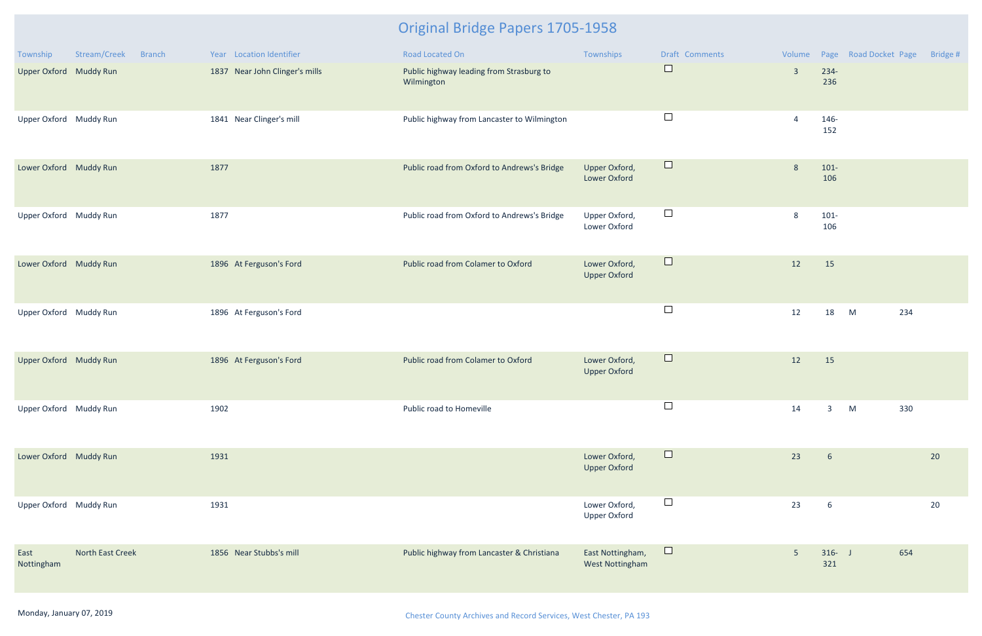| Township               | Stream/Creek     | Branch | Year Location Identifier       | Road Located On                                        | Townships                            | <b>Draft Comments</b> |                |                  | Volume Page Road Docket Page Bridge # |    |
|------------------------|------------------|--------|--------------------------------|--------------------------------------------------------|--------------------------------------|-----------------------|----------------|------------------|---------------------------------------|----|
| Upper Oxford Muddy Run |                  |        | 1837 Near John Clinger's mills | Public highway leading from Strasburg to<br>Wilmington |                                      | $\Box$                | $\overline{3}$ | 234-<br>236      |                                       |    |
| Upper Oxford Muddy Run |                  |        | 1841 Near Clinger's mill       | Public highway from Lancaster to Wilmington            |                                      | $\Box$                | $\overline{4}$ | 146-<br>152      |                                       |    |
| Lower Oxford Muddy Run |                  |        | 1877                           | Public road from Oxford to Andrews's Bridge            | Upper Oxford,<br><b>Lower Oxford</b> | $\Box$                | 8              | $101 -$<br>106   |                                       |    |
| Upper Oxford Muddy Run |                  |        | 1877                           | Public road from Oxford to Andrews's Bridge            | Upper Oxford,<br>Lower Oxford        | $\Box$                | 8              | $101 -$<br>106   |                                       |    |
| Lower Oxford Muddy Run |                  |        | 1896 At Ferguson's Ford        | Public road from Colamer to Oxford                     | Lower Oxford,<br><b>Upper Oxford</b> | $\Box$                | 12             | 15               |                                       |    |
| Upper Oxford Muddy Run |                  |        | 1896 At Ferguson's Ford        |                                                        |                                      | $\Box$                | 12             | 18               | 234<br>M                              |    |
| Upper Oxford Muddy Run |                  |        | 1896 At Ferguson's Ford        | Public road from Colamer to Oxford                     | Lower Oxford,<br><b>Upper Oxford</b> | $\Box$                | 12             | 15               |                                       |    |
| Upper Oxford Muddy Run |                  |        | 1902                           | Public road to Homeville                               |                                      | $\Box$                | 14             | $\overline{3}$   | M<br>330                              |    |
| Lower Oxford Muddy Run |                  |        | 1931                           |                                                        | Lower Oxford,<br><b>Upper Oxford</b> | $\Box$                | 23             | $6\overline{6}$  |                                       | 20 |
| Upper Oxford Muddy Run |                  |        | 1931                           |                                                        | Lower Oxford,<br><b>Upper Oxford</b> | $\Box$                | 23             | $6\overline{6}$  |                                       | 20 |
| East<br>Nottingham     | North East Creek |        | 1856 Near Stubbs's mill        | Public highway from Lancaster & Christiana             | East Nottingham,<br>West Nottingham  | $\Box$                | $5\phantom{.}$ | $316 - J$<br>321 | 654                                   |    |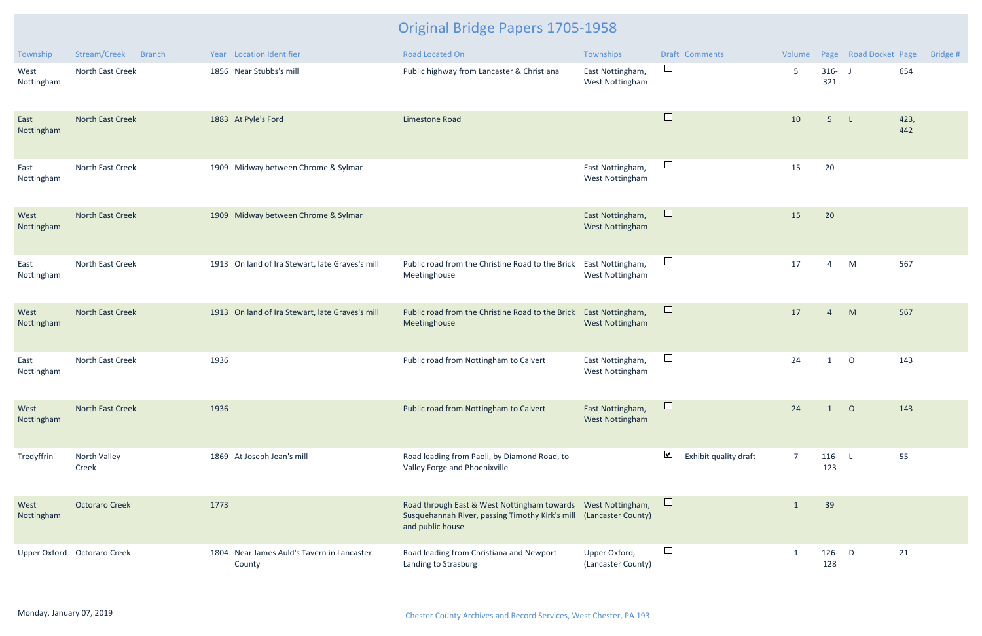| Township           | Stream/Creek<br><b>Branch</b> |      | Year Location Identifier                             | Road Located On                                                                                                                                         | Townships                                  | <b>Draft Comments</b>                         | Volume         |                  | Page Road Docket Page | Bridge #    |
|--------------------|-------------------------------|------|------------------------------------------------------|---------------------------------------------------------------------------------------------------------------------------------------------------------|--------------------------------------------|-----------------------------------------------|----------------|------------------|-----------------------|-------------|
| West<br>Nottingham | North East Creek              |      | 1856 Near Stubbs's mill                              | Public highway from Lancaster & Christiana                                                                                                              | East Nottingham,<br><b>West Nottingham</b> | $\Box$                                        | 5              | $316 - 1$<br>321 |                       | 654         |
| East<br>Nottingham | <b>North East Creek</b>       |      | 1883 At Pyle's Ford                                  | Limestone Road                                                                                                                                          |                                            | $\Box$                                        | 10             | 5 <sub>5</sub>   | $\mathsf{L}$          | 423,<br>442 |
| East<br>Nottingham | North East Creek              |      | 1909 Midway between Chrome & Sylmar                  |                                                                                                                                                         | East Nottingham,<br>West Nottingham        | $\Box$                                        | 15             | 20               |                       |             |
| West<br>Nottingham | <b>North East Creek</b>       |      | 1909 Midway between Chrome & Sylmar                  |                                                                                                                                                         | East Nottingham,<br><b>West Nottingham</b> | $\Box$                                        | 15             | 20               |                       |             |
| East<br>Nottingham | North East Creek              |      | 1913 On land of Ira Stewart, late Graves's mill      | Public road from the Christine Road to the Brick<br>Meetinghouse                                                                                        | East Nottingham,<br><b>West Nottingham</b> | $\Box$                                        | 17             | 4                | M                     | 567         |
| West<br>Nottingham | <b>North East Creek</b>       |      | 1913 On land of Ira Stewart, late Graves's mill      | Public road from the Christine Road to the Brick<br>Meetinghouse                                                                                        | East Nottingham,<br><b>West Nottingham</b> | $\Box$                                        | 17             | $\overline{4}$   | M                     | 567         |
| East<br>Nottingham | North East Creek              | 1936 |                                                      | Public road from Nottingham to Calvert                                                                                                                  | East Nottingham,<br><b>West Nottingham</b> | $\Box$                                        | 24             | $\mathbf{1}$     | $\circ$               | 143         |
| West<br>Nottingham | North East Creek              | 1936 |                                                      | Public road from Nottingham to Calvert                                                                                                                  | East Nottingham,<br>West Nottingham        | $\Box$                                        | 24             |                  | $\circ$               | 143         |
| Tredyffrin         | North Valley<br>Creek         |      | 1869 At Joseph Jean's mill                           | Road leading from Paoli, by Diamond Road, to<br>Valley Forge and Phoenixville                                                                           |                                            | $\blacktriangledown$<br>Exhibit quality draft | $\overline{7}$ | $116 - L$<br>123 |                       | 55          |
| West<br>Nottingham | <b>Octoraro Creek</b>         | 1773 |                                                      | Road through East & West Nottingham towards  West Nottingham,<br>Susquehannah River, passing Timothy Kirk's mill (Lancaster County)<br>and public house |                                            | $\Box$                                        |                | 39               |                       |             |
|                    | Upper Oxford Octoraro Creek   |      | 1804 Near James Auld's Tavern in Lancaster<br>County | Road leading from Christiana and Newport<br>Landing to Strasburg                                                                                        | Upper Oxford,<br>(Lancaster County)        | $\overline{\phantom{a}}$                      |                | 126- $D$<br>128  |                       | 21          |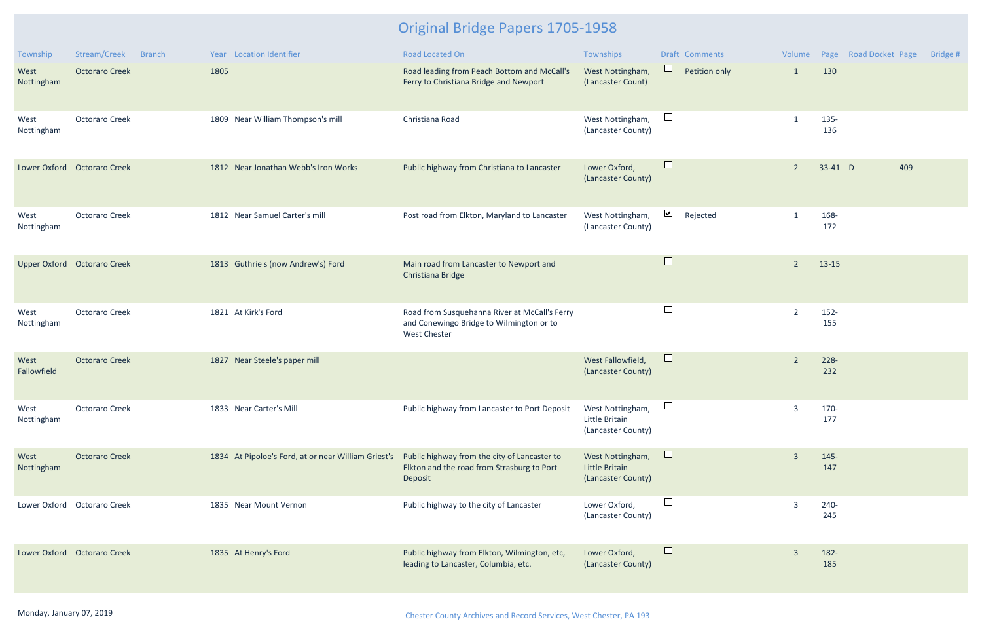| Township            | Stream/Creek                | <b>Branch</b> | Year Location Identifier                            | <b>Road Located On</b>                                                                                           | Townships                                                |                      | <b>Draft Comments</b> |                |                | Volume Page Road Docket Page | Bridge # |
|---------------------|-----------------------------|---------------|-----------------------------------------------------|------------------------------------------------------------------------------------------------------------------|----------------------------------------------------------|----------------------|-----------------------|----------------|----------------|------------------------------|----------|
| West<br>Nottingham  | <b>Octoraro Creek</b>       |               | 1805                                                | Road leading from Peach Bottom and McCall's<br>Ferry to Christiana Bridge and Newport                            | West Nottingham,<br>(Lancaster Count)                    | $\Box$               | Petition only         | $\mathbf{1}$   | 130            |                              |          |
| West<br>Nottingham  | <b>Octoraro Creek</b>       |               | 1809 Near William Thompson's mill                   | Christiana Road                                                                                                  | West Nottingham,<br>(Lancaster County)                   | $\sqcup$             |                       | $\mathbf{1}$   | 135-<br>136    |                              |          |
|                     | Lower Oxford Octoraro Creek |               | 1812 Near Jonathan Webb's Iron Works                | Public highway from Christiana to Lancaster                                                                      | Lower Oxford,<br>(Lancaster County)                      | $\Box$               |                       | $\overline{2}$ | 33-41 D        | 409                          |          |
| West<br>Nottingham  | <b>Octoraro Creek</b>       |               | 1812 Near Samuel Carter's mill                      | Post road from Elkton, Maryland to Lancaster                                                                     | West Nottingham,<br>(Lancaster County)                   | $\blacktriangledown$ | Rejected              |                | 168-<br>172    |                              |          |
|                     | Upper Oxford Octoraro Creek |               | 1813 Guthrie's (now Andrew's) Ford                  | Main road from Lancaster to Newport and<br>Christiana Bridge                                                     |                                                          | $\Box$               |                       | $\overline{2}$ | $13-15$        |                              |          |
| West<br>Nottingham  | <b>Octoraro Creek</b>       |               | 1821 At Kirk's Ford                                 | Road from Susquehanna River at McCall's Ferry<br>and Conewingo Bridge to Wilmington or to<br><b>West Chester</b> |                                                          | $\Box$               |                       | $\overline{2}$ | $152 -$<br>155 |                              |          |
| West<br>Fallowfield | <b>Octoraro Creek</b>       |               | 1827 Near Steele's paper mill                       |                                                                                                                  | West Fallowfield,<br>(Lancaster County)                  | $\Box$               |                       | $\overline{2}$ | 228-<br>232    |                              |          |
| West<br>Nottingham  | <b>Octoraro Creek</b>       |               | 1833 Near Carter's Mill                             | Public highway from Lancaster to Port Deposit                                                                    | West Nottingham,<br>Little Britain<br>(Lancaster County) | $\Box$               |                       | $\overline{3}$ | 170-<br>177    |                              |          |
| West<br>Nottingham  | <b>Octoraro Creek</b>       |               | 1834 At Pipoloe's Ford, at or near William Griest's | Public highway from the city of Lancaster to<br>Elkton and the road from Strasburg to Port<br>Deposit            | West Nottingham,<br>Little Britain<br>(Lancaster County) | $\Box$               |                       | $\overline{3}$ | 145-<br>147    |                              |          |
|                     | Lower Oxford Octoraro Creek |               | 1835 Near Mount Vernon                              | Public highway to the city of Lancaster                                                                          | Lower Oxford,<br>(Lancaster County)                      | $\Box$               |                       | 3              | 240-<br>245    |                              |          |
|                     | Lower Oxford Octoraro Creek |               | 1835 At Henry's Ford                                | Public highway from Elkton, Wilmington, etc,<br>leading to Lancaster, Columbia, etc.                             | Lower Oxford,<br>(Lancaster County)                      | $\Box$               |                       | $\overline{3}$ | 182-<br>185    |                              |          |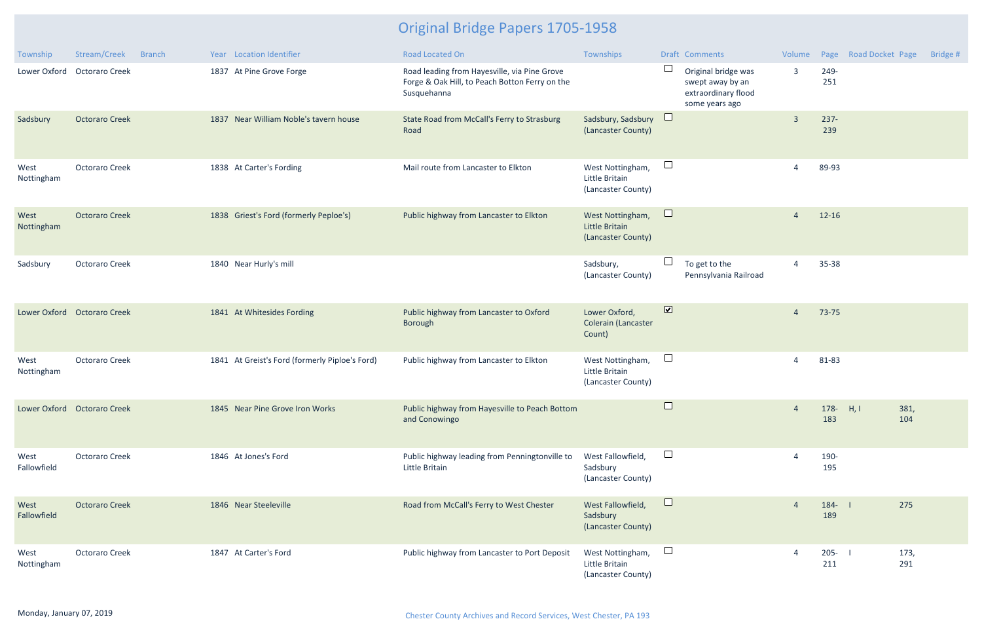| Township            | Stream/Creek                | <b>Branch</b> | Year Location Identifier                       | <b>Road Located On</b>                                                                                        | Townships                                                |                              | Draft Comments                                                                   | Volume         |                    | Page Road Docket Page | Bridge # |
|---------------------|-----------------------------|---------------|------------------------------------------------|---------------------------------------------------------------------------------------------------------------|----------------------------------------------------------|------------------------------|----------------------------------------------------------------------------------|----------------|--------------------|-----------------------|----------|
|                     | Lower Oxford Octoraro Creek |               | 1837 At Pine Grove Forge                       | Road leading from Hayesville, via Pine Grove<br>Forge & Oak Hill, to Peach Botton Ferry on the<br>Susquehanna |                                                          | ⊔                            | Original bridge was<br>swept away by an<br>extraordinary flood<br>some years ago | $\overline{3}$ | 249-<br>251        |                       |          |
| Sadsbury            | <b>Octoraro Creek</b>       |               | 1837 Near William Noble's tavern house         | State Road from McCall's Ferry to Strasburg<br>Road                                                           | Sadsbury, Sadsbury<br>(Lancaster County)                 | $\Box$                       |                                                                                  | $\overline{3}$ | $237 -$<br>239     |                       |          |
| West<br>Nottingham  | <b>Octoraro Creek</b>       |               | 1838 At Carter's Fording                       | Mail route from Lancaster to Elkton                                                                           | West Nottingham,<br>Little Britain<br>(Lancaster County) | $\Box$                       |                                                                                  | 4              | 89-93              |                       |          |
| West<br>Nottingham  | <b>Octoraro Creek</b>       |               | 1838 Griest's Ford (formerly Peploe's)         | Public highway from Lancaster to Elkton                                                                       | West Nottingham,<br>Little Britain<br>(Lancaster County) | $\Box$                       |                                                                                  | $\overline{4}$ | 12-16              |                       |          |
| Sadsbury            | <b>Octoraro Creek</b>       |               | 1840 Near Hurly's mill                         |                                                                                                               | Sadsbury,<br>(Lancaster County)                          |                              | To get to the<br>Pennsylvania Railroad                                           | $\overline{4}$ | 35-38              |                       |          |
|                     | Lower Oxford Octoraro Creek |               | 1841 At Whitesides Fording                     | Public highway from Lancaster to Oxford<br>Borough                                                            | Lower Oxford,<br>Colerain (Lancaster<br>Count)           | $\boxed{\blacktriangledown}$ |                                                                                  | $\overline{4}$ | 73-75              |                       |          |
| West<br>Nottingham  | <b>Octoraro Creek</b>       |               | 1841 At Greist's Ford (formerly Piploe's Ford) | Public highway from Lancaster to Elkton                                                                       | West Nottingham,<br>Little Britain<br>(Lancaster County) | $\Box$                       |                                                                                  | 4              | 81-83              |                       |          |
|                     | Lower Oxford Octoraro Creek |               | 1845 Near Pine Grove Iron Works                | Public highway from Hayesville to Peach Bottom<br>and Conowingo                                               |                                                          | $\Box$                       |                                                                                  | $\overline{4}$ | 178- $H, I$<br>183 | 381,<br>104           |          |
| West<br>Fallowfield | <b>Octoraro Creek</b>       |               | 1846 At Jones's Ford                           | Public highway leading from Penningtonville to<br>Little Britain                                              | West Fallowfield,<br>Sadsbury<br>(Lancaster County)      | $\Box$                       |                                                                                  | $\overline{4}$ | 190-<br>195        |                       |          |
| West<br>Fallowfield | <b>Octoraro Creek</b>       |               | 1846 Near Steeleville                          | Road from McCall's Ferry to West Chester                                                                      | West Fallowfield,<br>Sadsbury<br>(Lancaster County)      | $\Box$                       |                                                                                  | $\overline{4}$ | $184 - 1$<br>189   | 275                   |          |
| West<br>Nottingham  | <b>Octoraro Creek</b>       |               | 1847 At Carter's Ford                          | Public highway from Lancaster to Port Deposit                                                                 | West Nottingham,<br>Little Britain<br>(Lancaster County) | $\Box$                       |                                                                                  | $\overline{4}$ | $205 -$<br>211     | 173,<br>291           |          |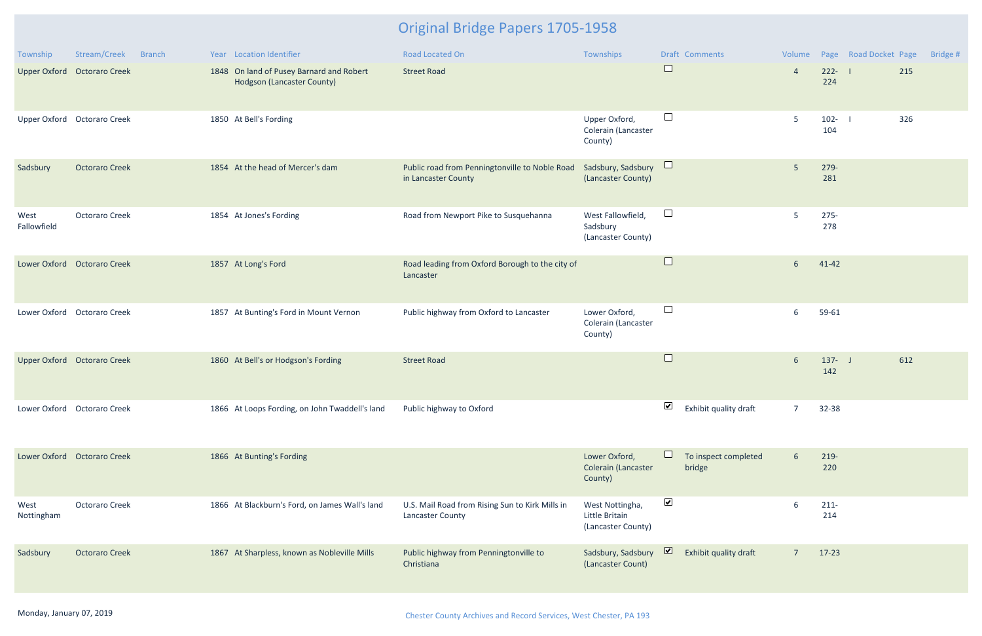| Township            | Stream/Creek                | <b>Branch</b> | Year Location Identifier                                               | Road Located On                                                       | Townships                                               |                      | <b>Draft Comments</b>          |                |                  | Volume Page Road Docket Page | Bridge # |
|---------------------|-----------------------------|---------------|------------------------------------------------------------------------|-----------------------------------------------------------------------|---------------------------------------------------------|----------------------|--------------------------------|----------------|------------------|------------------------------|----------|
|                     | Upper Oxford Octoraro Creek |               | 1848 On land of Pusey Barnard and Robert<br>Hodgson (Lancaster County) | <b>Street Road</b>                                                    |                                                         | $\Box$               |                                | $\overline{4}$ | $222 - 1$<br>224 | 215                          |          |
|                     | Upper Oxford Octoraro Creek |               | 1850 At Bell's Fording                                                 |                                                                       | Upper Oxford,<br>Colerain (Lancaster<br>County)         | $\Box$               |                                | 5              | $102 - 1$<br>104 | 326                          |          |
| Sadsbury            | <b>Octoraro Creek</b>       |               | 1854 At the head of Mercer's dam                                       | Public road from Penningtonville to Noble Road<br>in Lancaster County | Sadsbury, Sadsbury<br>(Lancaster County)                | $\Box$               |                                | $5\phantom{.}$ | 279-<br>281      |                              |          |
| West<br>Fallowfield | <b>Octoraro Creek</b>       |               | 1854 At Jones's Fording                                                | Road from Newport Pike to Susquehanna                                 | West Fallowfield,<br>Sadsbury<br>(Lancaster County)     | $\Box$               |                                | 5              | $275 -$<br>278   |                              |          |
|                     | Lower Oxford Octoraro Creek |               | 1857 At Long's Ford                                                    | Road leading from Oxford Borough to the city of<br>Lancaster          |                                                         | $\Box$               |                                | $6\phantom{1}$ | $41 - 42$        |                              |          |
|                     | Lower Oxford Octoraro Creek |               | 1857 At Bunting's Ford in Mount Vernon                                 | Public highway from Oxford to Lancaster                               | Lower Oxford,<br>Colerain (Lancaster<br>County)         | $\Box$               |                                | 6              | 59-61            |                              |          |
|                     | Upper Oxford Octoraro Creek |               | 1860 At Bell's or Hodgson's Fording                                    | <b>Street Road</b>                                                    |                                                         | $\Box$               |                                | 6              | $137 - J$<br>142 | 612                          |          |
|                     | Lower Oxford Octoraro Creek |               | 1866 At Loops Fording, on John Twaddell's land                         | Public highway to Oxford                                              |                                                         | $\blacktriangledown$ | Exhibit quality draft          | $\overline{7}$ | 32-38            |                              |          |
|                     | Lower Oxford Octoraro Creek |               | 1866 At Bunting's Fording                                              |                                                                       | Lower Oxford,<br>Colerain (Lancaster<br>County)         |                      | To inspect completed<br>bridge | 6              | 219-<br>220      |                              |          |
| West<br>Nottingham  | <b>Octoraro Creek</b>       |               | 1866 At Blackburn's Ford, on James Wall's land                         | U.S. Mail Road from Rising Sun to Kirk Mills in<br>Lancaster County   | West Nottingha,<br>Little Britain<br>(Lancaster County) | $\blacktriangledown$ |                                | 6              | $211 -$<br>214   |                              |          |
| Sadsbury            | <b>Octoraro Creek</b>       |               | 1867 At Sharpless, known as Nobleville Mills                           | Public highway from Penningtonville to<br>Christiana                  | Sadsbury, Sadsbury<br>(Lancaster Count)                 | <sub>2</sub>         | Exhibit quality draft          | $\overline{7}$ | $17-23$          |                              |          |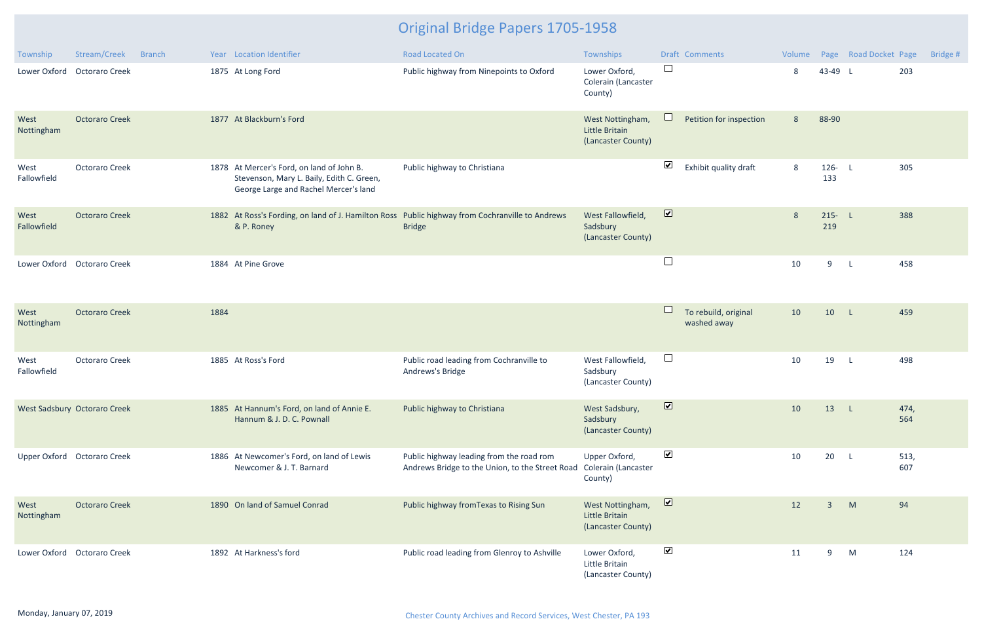| Township            | Stream/Creek<br><b>Branch</b> | Year Location Identifier                                                                                                        | <b>Road Located On</b>                                                                      | Townships                                                | Draft Comments                                | Volume |                  | Page Road Docket Page | Bridge #    |
|---------------------|-------------------------------|---------------------------------------------------------------------------------------------------------------------------------|---------------------------------------------------------------------------------------------|----------------------------------------------------------|-----------------------------------------------|--------|------------------|-----------------------|-------------|
|                     | Lower Oxford Octoraro Creek   | 1875 At Long Ford                                                                                                               | Public highway from Ninepoints to Oxford                                                    | Lower Oxford,<br>Colerain (Lancaster<br>County)          | $\Box$                                        | 8      | 43-49 L          |                       | 203         |
| West<br>Nottingham  | <b>Octoraro Creek</b>         | 1877 At Blackburn's Ford                                                                                                        |                                                                                             | West Nottingham,<br>Little Britain<br>(Lancaster County) | ⊔<br>Petition for inspection                  | 8      | 88-90            |                       |             |
| West<br>Fallowfield | <b>Octoraro Creek</b>         | 1878 At Mercer's Ford, on land of John B.<br>Stevenson, Mary L. Baily, Edith C. Green,<br>George Large and Rachel Mercer's land | Public highway to Christiana                                                                |                                                          | $\blacktriangledown$<br>Exhibit quality draft | 8      | $126 - L$<br>133 |                       | 305         |
| West<br>Fallowfield | <b>Octoraro Creek</b>         | 1882 At Ross's Fording, on land of J. Hamilton Ross Public highway from Cochranville to Andrews<br>& P. Roney                   | <b>Bridge</b>                                                                               | West Fallowfield,<br>Sadsbury<br>(Lancaster County)      | $\overline{\mathbf{v}}$                       | 8      | $215 - L$<br>219 |                       | 388         |
|                     | Lower Oxford Octoraro Creek   | 1884 At Pine Grove                                                                                                              |                                                                                             |                                                          | $\Box$                                        | 10     | 9                | $\mathsf{L}$          | 458         |
| West<br>Nottingham  | <b>Octoraro Creek</b>         | 1884                                                                                                                            |                                                                                             |                                                          | To rebuild, original<br>washed away           | 10     | 10 L             |                       | 459         |
| West<br>Fallowfield | <b>Octoraro Creek</b>         | 1885 At Ross's Ford                                                                                                             | Public road leading from Cochranville to<br>Andrews's Bridge                                | West Fallowfield,<br>Sadsbury<br>(Lancaster County)      | $\Box$                                        | 10     | 19               | $\mathsf{L}$          | 498         |
|                     | West Sadsbury Octoraro Creek  | 1885 At Hannum's Ford, on land of Annie E.<br>Hannum & J. D. C. Pownall                                                         | Public highway to Christiana                                                                | West Sadsbury,<br>Sadsbury<br>(Lancaster County)         | $\overline{\mathbf{v}}$                       | 10     | 13 L             |                       | 474,<br>564 |
|                     | Upper Oxford Octoraro Creek   | 1886 At Newcomer's Ford, on land of Lewis<br>Newcomer & J. T. Barnard                                                           | Public highway leading from the road rom<br>Andrews Bridge to the Union, to the Street Road | Upper Oxford,<br>Colerain (Lancaster<br>County)          | $\blacktriangledown$                          | 10     | 20 L             |                       | 513,<br>607 |
| West<br>Nottingham  | <b>Octoraro Creek</b>         | 1890 On land of Samuel Conrad                                                                                                   | Public highway from Texas to Rising Sun                                                     | West Nottingham,<br>Little Britain<br>(Lancaster County) | $\overline{\mathbf{z}}$                       | 12     | 3                | M                     | 94          |
|                     | Lower Oxford Octoraro Creek   | 1892 At Harkness's ford                                                                                                         | Public road leading from Glenroy to Ashville                                                | Lower Oxford,<br>Little Britain<br>(Lancaster County)    | $\blacktriangledown$                          | 11     | 9                | M                     | 124         |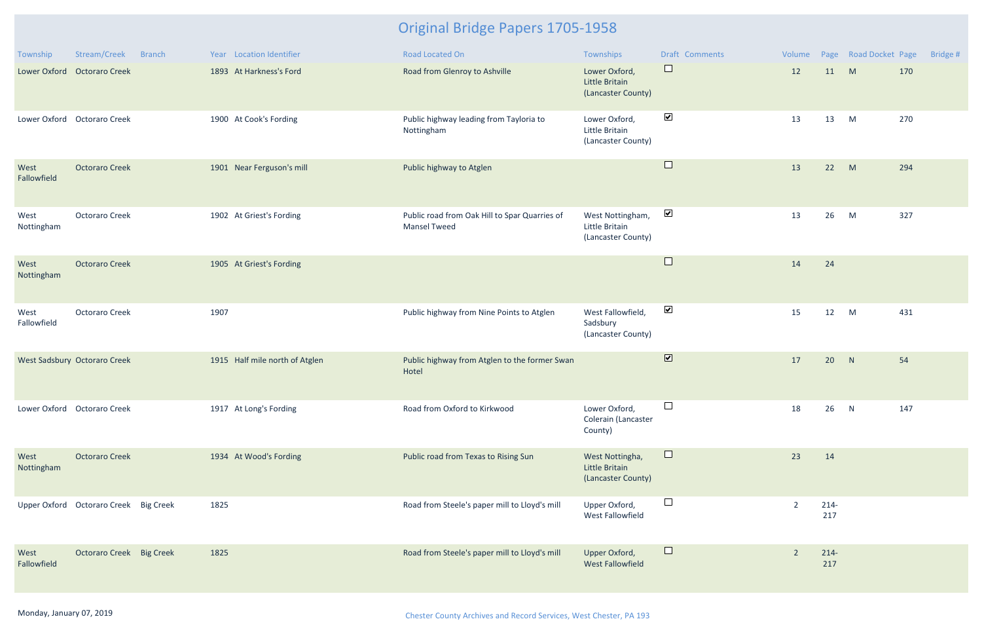| Township            | Stream/Creek                          | <b>Branch</b> | Year Location Identifier       | Road Located On                                                      | Townships                                                | Draft Comments               | Volume         |               | Page Road Docket Page | Bridge # |
|---------------------|---------------------------------------|---------------|--------------------------------|----------------------------------------------------------------------|----------------------------------------------------------|------------------------------|----------------|---------------|-----------------------|----------|
|                     | Lower Oxford Octoraro Creek           |               | 1893 At Harkness's Ford        | Road from Glenroy to Ashville                                        | Lower Oxford,<br>Little Britain<br>(Lancaster County)    | $\Box$                       | 12             | 11            | M                     | 170      |
|                     | Lower Oxford Octoraro Creek           |               | 1900 At Cook's Fording         | Public highway leading from Tayloria to<br>Nottingham                | Lower Oxford,<br>Little Britain<br>(Lancaster County)    | $\blacktriangledown$         | 13             | 13            | M                     | 270      |
| West<br>Fallowfield | <b>Octoraro Creek</b>                 |               | 1901 Near Ferguson's mill      | Public highway to Atglen                                             |                                                          | $\Box$                       | 13             | 22            | M                     | 294      |
| West<br>Nottingham  | <b>Octoraro Creek</b>                 |               | 1902 At Griest's Fording       | Public road from Oak Hill to Spar Quarries of<br><b>Mansel Tweed</b> | West Nottingham,<br>Little Britain<br>(Lancaster County) | $\blacktriangledown$         | 13             | 26            | M                     | 327      |
| West<br>Nottingham  | <b>Octoraro Creek</b>                 |               | 1905 At Griest's Fording       |                                                                      |                                                          | $\Box$                       | 14             | 24            |                       |          |
| West<br>Fallowfield | <b>Octoraro Creek</b>                 |               | 1907                           | Public highway from Nine Points to Atglen                            | West Fallowfield,<br>Sadsbury<br>(Lancaster County)      | $\blacktriangledown$         | 15             | 12            | M                     | 431      |
|                     | West Sadsbury Octoraro Creek          |               | 1915 Half mile north of Atglen | Public highway from Atglen to the former Swan<br>Hotel               |                                                          | $\boxed{\blacktriangledown}$ | 17             | 20            | N                     | 54       |
|                     | Lower Oxford Octoraro Creek           |               | 1917 At Long's Fording         | Road from Oxford to Kirkwood                                         | Lower Oxford,<br>Colerain (Lancaster<br>County)          | $\Box$                       | 18             | 26            | N                     | 147      |
| West<br>Nottingham  | <b>Octoraro Creek</b>                 |               | 1934 At Wood's Fording         | Public road from Texas to Rising Sun                                 | West Nottingha,<br>Little Britain<br>(Lancaster County)  | $\Box$                       | 23             | 14            |                       |          |
|                     | Upper Oxford Octoraro Creek Big Creek |               | 1825                           | Road from Steele's paper mill to Lloyd's mill                        | Upper Oxford,<br>West Fallowfield                        | $\Box$                       | $\overline{2}$ | $214-$<br>217 |                       |          |
| West<br>Fallowfield | Octoraro Creek Big Creek              |               | 1825                           | Road from Steele's paper mill to Lloyd's mill                        | Upper Oxford,<br><b>West Fallowfield</b>                 | $\Box$                       | $\overline{2}$ | $214-$<br>217 |                       |          |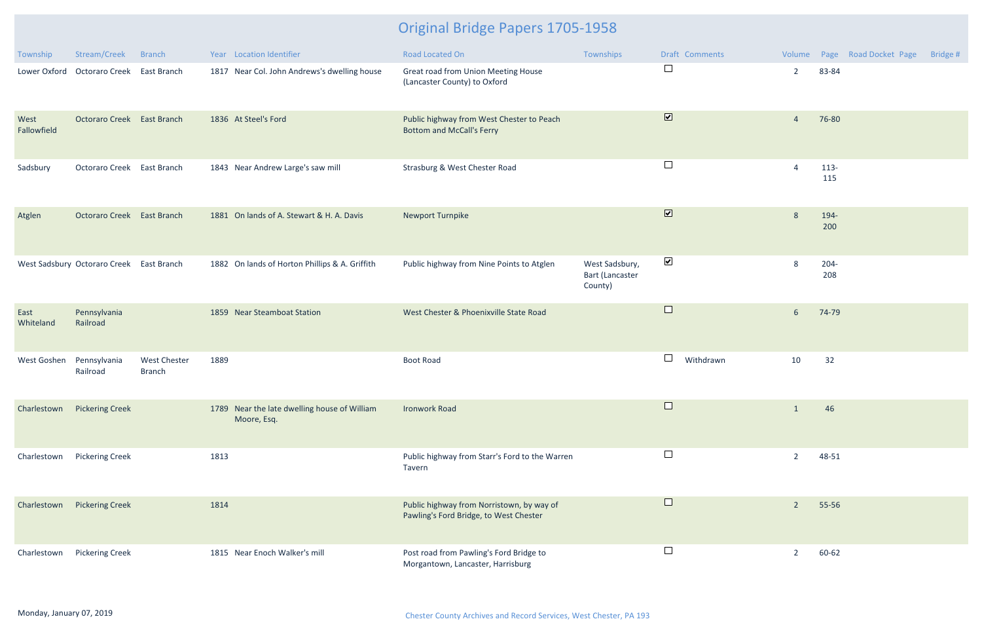| Township            | Stream/Creek                             | <b>Branch</b>                        |      | Year Location Identifier                                    | Road Located On                                                                     | Townships                                           |                              | Draft Comments |                |                | Volume Page Road Docket Page | Bridge # |
|---------------------|------------------------------------------|--------------------------------------|------|-------------------------------------------------------------|-------------------------------------------------------------------------------------|-----------------------------------------------------|------------------------------|----------------|----------------|----------------|------------------------------|----------|
|                     | Lower Oxford Octoraro Creek East Branch  |                                      |      | 1817 Near Col. John Andrews's dwelling house                | Great road from Union Meeting House<br>(Lancaster County) to Oxford                 |                                                     | $\Box$                       |                | $\overline{2}$ | 83-84          |                              |          |
| West<br>Fallowfield | Octoraro Creek East Branch               |                                      |      | 1836 At Steel's Ford                                        | Public highway from West Chester to Peach<br><b>Bottom and McCall's Ferry</b>       |                                                     | $\boxed{\blacktriangledown}$ |                | $\overline{4}$ | 76-80          |                              |          |
| Sadsbury            | Octoraro Creek East Branch               |                                      |      | 1843 Near Andrew Large's saw mill                           | Strasburg & West Chester Road                                                       |                                                     | $\Box$                       |                | $\overline{4}$ | 113-<br>115    |                              |          |
| Atglen              | Octoraro Creek East Branch               |                                      |      | 1881 On lands of A. Stewart & H. A. Davis                   | Newport Turnpike                                                                    |                                                     | $\boxed{\blacktriangledown}$ |                | 8              | 194-<br>200    |                              |          |
|                     | West Sadsbury Octoraro Creek East Branch |                                      |      | 1882 On lands of Horton Phillips & A. Griffith              | Public highway from Nine Points to Atglen                                           | West Sadsbury,<br><b>Bart (Lancaster</b><br>County) | $\blacktriangledown$         |                | 8              | $204 -$<br>208 |                              |          |
| East<br>Whiteland   | Pennsylvania<br>Railroad                 |                                      |      | 1859 Near Steamboat Station                                 | West Chester & Phoenixville State Road                                              |                                                     | $\Box$                       |                | $6\phantom{.}$ | 74-79          |                              |          |
| West Goshen         | Pennsylvania<br>Railroad                 | <b>West Chester</b><br><b>Branch</b> | 1889 |                                                             | <b>Boot Road</b>                                                                    |                                                     | $\Box$                       | Withdrawn      | 10             | 32             |                              |          |
|                     | Charlestown Pickering Creek              |                                      |      | 1789 Near the late dwelling house of William<br>Moore, Esq. | <b>Ironwork Road</b>                                                                |                                                     | $\Box$                       |                | $\overline{1}$ | 46             |                              |          |
| Charlestown         | <b>Pickering Creek</b>                   |                                      | 1813 |                                                             | Public highway from Starr's Ford to the Warren<br>Tavern                            |                                                     | $\overline{\phantom{a}}$     |                | $\overline{2}$ | 48-51          |                              |          |
| Charlestown         | <b>Pickering Creek</b>                   |                                      | 1814 |                                                             | Public highway from Norristown, by way of<br>Pawling's Ford Bridge, to West Chester |                                                     | $\Box$                       |                | $\overline{2}$ | 55-56          |                              |          |
| Charlestown         | <b>Pickering Creek</b>                   |                                      |      | 1815 Near Enoch Walker's mill                               | Post road from Pawling's Ford Bridge to<br>Morgantown, Lancaster, Harrisburg        |                                                     | $\Box$                       |                | $\overline{2}$ | 60-62          |                              |          |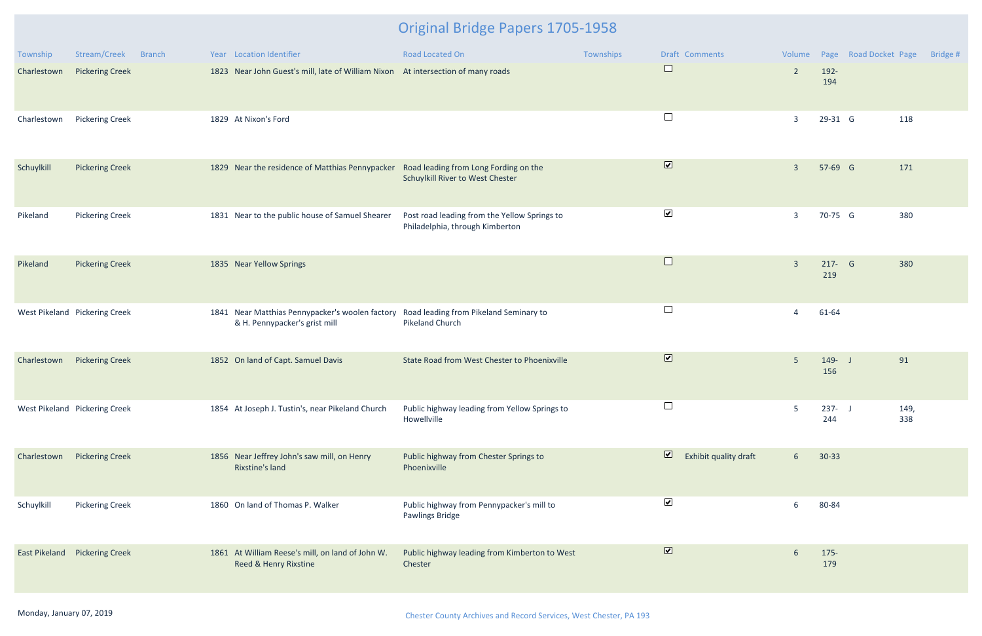| Township    | Stream/Creek                         | <b>Branch</b> | Year Location Identifier                                                                                                | <b>Road Located On</b>                                                          | Townships | Draft Comments                                   |                |                  | Volume Page Road Docket Page | Bridge # |
|-------------|--------------------------------------|---------------|-------------------------------------------------------------------------------------------------------------------------|---------------------------------------------------------------------------------|-----------|--------------------------------------------------|----------------|------------------|------------------------------|----------|
| Charlestown | <b>Pickering Creek</b>               |               | 1823 Near John Guest's mill, late of William Nixon At intersection of many roads                                        |                                                                                 |           | $\Box$                                           | $\overline{2}$ | 192-<br>194      |                              |          |
| Charlestown | <b>Pickering Creek</b>               |               | 1829 At Nixon's Ford                                                                                                    |                                                                                 |           | $\Box$                                           | $\overline{3}$ | 29-31 G          | 118                          |          |
| Schuylkill  | <b>Pickering Creek</b>               |               | 1829 Near the residence of Matthias Pennypacker Road leading from Long Fording on the                                   | Schuylkill River to West Chester                                                |           | $\boxed{\blacktriangledown}$                     | $\overline{3}$ | 57-69 G          | 171                          |          |
| Pikeland    | <b>Pickering Creek</b>               |               | 1831 Near to the public house of Samuel Shearer                                                                         | Post road leading from the Yellow Springs to<br>Philadelphia, through Kimberton |           | $\blacktriangledown$                             | $\overline{3}$ | 70-75 G          | 380                          |          |
| Pikeland    | <b>Pickering Creek</b>               |               | 1835 Near Yellow Springs                                                                                                |                                                                                 |           | $\Box$                                           | $\overline{3}$ | 217- G<br>219    | 380                          |          |
|             | West Pikeland Pickering Creek        |               | 1841 Near Matthias Pennypacker's woolen factory Road leading from Pikeland Seminary to<br>& H. Pennypacker's grist mill | Pikeland Church                                                                 |           | $\Box$                                           | $\overline{4}$ | 61-64            |                              |          |
| Charlestown | <b>Pickering Creek</b>               |               | 1852 On land of Capt. Samuel Davis                                                                                      | State Road from West Chester to Phoenixville                                    |           | $\overline{\mathbf{v}}$                          | $5\phantom{.}$ | $149 - J$<br>156 | 91                           |          |
|             | West Pikeland Pickering Creek        |               | 1854 At Joseph J. Tustin's, near Pikeland Church                                                                        | Public highway leading from Yellow Springs to<br>Howellville                    |           | └                                                | 5              | $237 - J$<br>244 | 149,<br>338                  |          |
| Charlestown | <b>Pickering Creek</b>               |               | 1856 Near Jeffrey John's saw mill, on Henry<br>Rixstine's land                                                          | Public highway from Chester Springs to<br>Phoenixville                          |           | $\overline{\mathbf{v}}$<br>Exhibit quality draft | 6 <sup>1</sup> | $30 - 33$        |                              |          |
| Schuylkill  | <b>Pickering Creek</b>               |               | 1860 On land of Thomas P. Walker                                                                                        | Public highway from Pennypacker's mill to<br>Pawlings Bridge                    |           | $\blacktriangledown$                             | 6              | 80-84            |                              |          |
|             | <b>East Pikeland</b> Pickering Creek |               | 1861 At William Reese's mill, on land of John W.<br>Reed & Henry Rixstine                                               | Public highway leading from Kimberton to West<br>Chester                        |           | $\overline{\mathbf{v}}$                          | 6              | $175 -$<br>179   |                              |          |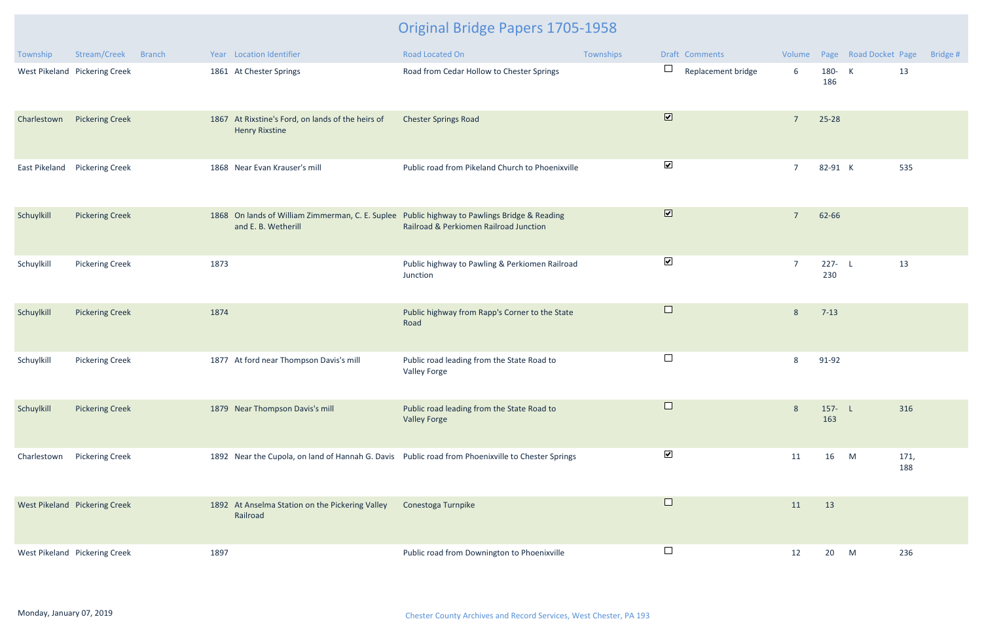| Township      | Stream/Creek<br><b>Branch</b> | Year Location Identifier                                                                                            | Road Located On                                                   | Townships | Draft Comments               |                |                  | Volume Page Road Docket Page | Bridge #    |
|---------------|-------------------------------|---------------------------------------------------------------------------------------------------------------------|-------------------------------------------------------------------|-----------|------------------------------|----------------|------------------|------------------------------|-------------|
|               | West Pikeland Pickering Creek | 1861 At Chester Springs                                                                                             | Road from Cedar Hollow to Chester Springs                         |           | $\Box$<br>Replacement bridge | 6              | 180- K<br>186    | 13                           |             |
| Charlestown   | <b>Pickering Creek</b>        | 1867 At Rixstine's Ford, on lands of the heirs of<br><b>Henry Rixstine</b>                                          | <b>Chester Springs Road</b>                                       |           | $\overline{\mathbf{v}}$      | $\overline{7}$ | 25-28            |                              |             |
| East Pikeland | <b>Pickering Creek</b>        | 1868 Near Evan Krauser's mill                                                                                       | Public road from Pikeland Church to Phoenixville                  |           | $\blacktriangledown$         | $\overline{7}$ | 82-91 K          |                              | 535         |
| Schuylkill    | <b>Pickering Creek</b>        | 1868 On lands of William Zimmerman, C. E. Suplee Public highway to Pawlings Bridge & Reading<br>and E. B. Wetherill | Railroad & Perkiomen Railroad Junction                            |           | $\overline{\mathbf{v}}$      | $\overline{7}$ | 62-66            |                              |             |
| Schuylkill    | <b>Pickering Creek</b>        | 1873                                                                                                                | Public highway to Pawling & Perkiomen Railroad<br>Junction        |           | $\blacktriangledown$         | $\overline{7}$ | $227 - L$<br>230 | 13                           |             |
| Schuylkill    | <b>Pickering Creek</b>        | 1874                                                                                                                | Public highway from Rapp's Corner to the State<br>Road            |           | $\Box$                       | 8              | $7 - 13$         |                              |             |
| Schuylkill    | <b>Pickering Creek</b>        | 1877 At ford near Thompson Davis's mill                                                                             | Public road leading from the State Road to<br><b>Valley Forge</b> |           | $\Box$                       | 8              | 91-92            |                              |             |
| Schuylkill    | <b>Pickering Creek</b>        | 1879 Near Thompson Davis's mill                                                                                     | Public road leading from the State Road to<br><b>Valley Forge</b> |           |                              | 8              | $157 - L$<br>163 |                              | 316         |
| Charlestown   | <b>Pickering Creek</b>        | 1892 Near the Cupola, on land of Hannah G. Davis Public road from Phoenixville to Chester Springs                   |                                                                   |           | $\blacktriangledown$         | 11             | 16               | M                            | 171,<br>188 |
|               | West Pikeland Pickering Creek | 1892 At Anselma Station on the Pickering Valley<br>Railroad                                                         | Conestoga Turnpike                                                |           | $\Box$                       | 11             | 13               |                              |             |
|               | West Pikeland Pickering Creek | 1897                                                                                                                | Public road from Downington to Phoenixville                       |           | $\Box$                       | 12             | 20               | M                            | 236         |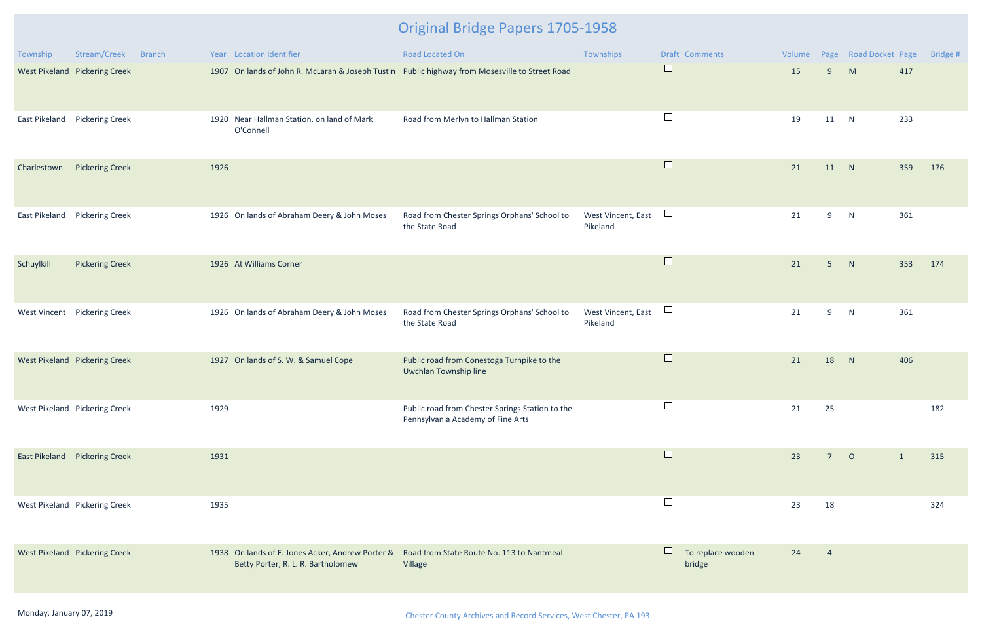| Township      | Stream/Creek                         | <b>Branch</b> |      | Year Location Identifier                                                               | Road Located On                                                                                | Townships                      |        | Draft Comments              | Volume |                | Page Road Docket Page |              | Bridge # |
|---------------|--------------------------------------|---------------|------|----------------------------------------------------------------------------------------|------------------------------------------------------------------------------------------------|--------------------------------|--------|-----------------------------|--------|----------------|-----------------------|--------------|----------|
|               | West Pikeland Pickering Creek        |               |      |                                                                                        | 1907 On lands of John R. McLaran & Joseph Tustin Public highway from Mosesville to Street Road |                                | $\Box$ |                             | 15     | 9              | M                     | 417          |          |
|               | East Pikeland Pickering Creek        |               |      | 1920 Near Hallman Station, on land of Mark<br>O'Connell                                | Road from Merlyn to Hallman Station                                                            |                                | $\Box$ |                             | 19     | 11             | N                     | 233          |          |
| Charlestown   | <b>Pickering Creek</b>               |               | 1926 |                                                                                        |                                                                                                |                                | $\Box$ |                             | 21     | 11             | N                     | 359          | 176      |
| East Pikeland | <b>Pickering Creek</b>               |               |      | 1926 On lands of Abraham Deery & John Moses                                            | Road from Chester Springs Orphans' School to<br>the State Road                                 | West Vincent, East<br>Pikeland | $\Box$ |                             | 21     | 9              | N                     | 361          |          |
| Schuylkill    | <b>Pickering Creek</b>               |               |      | 1926 At Williams Corner                                                                |                                                                                                |                                | $\Box$ |                             | 21     | 5 <sub>5</sub> | N                     | 353          | 174      |
|               | West Vincent Pickering Creek         |               |      | 1926 On lands of Abraham Deery & John Moses                                            | Road from Chester Springs Orphans' School to<br>the State Road                                 | West Vincent, East<br>Pikeland | $\Box$ |                             | 21     | 9              | N                     | 361          |          |
|               | West Pikeland Pickering Creek        |               |      | 1927 On lands of S. W. & Samuel Cope                                                   | Public road from Conestoga Turnpike to the<br>Uwchlan Township line                            |                                | $\Box$ |                             | 21     | 18             | N                     | 406          |          |
|               | West Pikeland Pickering Creek        |               | 1929 |                                                                                        | Public road from Chester Springs Station to the<br>Pennsylvania Academy of Fine Arts           |                                | └      |                             | 21     | 25             |                       |              | 182      |
|               | <b>East Pikeland</b> Pickering Creek |               | 1931 |                                                                                        |                                                                                                |                                | $\Box$ |                             | 23     | 7              | $\circ$               | $\mathbf{1}$ | 315      |
|               | West Pikeland Pickering Creek        |               | 1935 |                                                                                        |                                                                                                |                                | $\Box$ |                             | 23     | 18             |                       |              | 324      |
|               | West Pikeland Pickering Creek        |               |      | 1938 On lands of E. Jones Acker, Andrew Porter &<br>Betty Porter, R. L. R. Bartholomew | Road from State Route No. 113 to Nantmeal<br>Village                                           |                                | $\Box$ | To replace wooden<br>bridge | 24     | $\overline{4}$ |                       |              |          |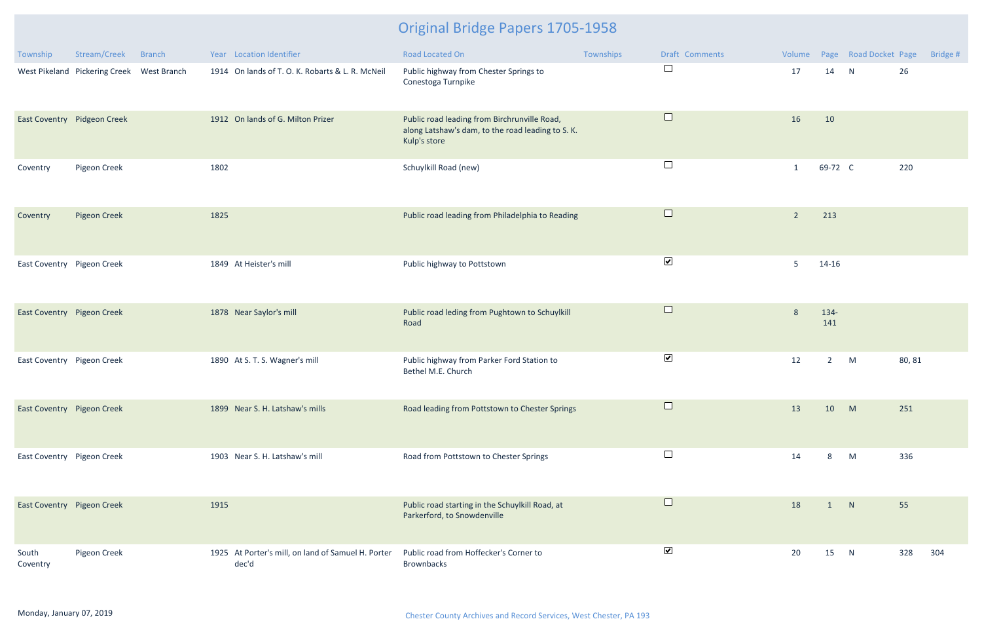| Township                   | Stream/Creek                              | <b>Branch</b> | Year Location Identifier                                    | <b>Road Located On</b>                                                                                            | Townships | Draft Comments       |                |                | Volume Page Road Docket Page |        | Bridge # |
|----------------------------|-------------------------------------------|---------------|-------------------------------------------------------------|-------------------------------------------------------------------------------------------------------------------|-----------|----------------------|----------------|----------------|------------------------------|--------|----------|
|                            | West Pikeland Pickering Creek West Branch |               | 1914 On lands of T. O. K. Robarts & L. R. McNeil            | Public highway from Chester Springs to<br>Conestoga Turnpike                                                      |           | $\Box$               | 17             | 14             | N                            | 26     |          |
|                            | East Coventry Pidgeon Creek               |               | 1912 On lands of G. Milton Prizer                           | Public road leading from Birchrunville Road,<br>along Latshaw's dam, to the road leading to S. K.<br>Kulp's store |           | $\Box$               | 16             | 10             |                              |        |          |
| Coventry                   | Pigeon Creek                              |               | 1802                                                        | Schuylkill Road (new)                                                                                             |           | $\Box$               | $\mathbf{1}$   | 69-72 C        |                              | 220    |          |
| Coventry                   | <b>Pigeon Creek</b>                       |               | 1825                                                        | Public road leading from Philadelphia to Reading                                                                  |           | $\Box$               | $\overline{2}$ | 213            |                              |        |          |
| East Coventry Pigeon Creek |                                           |               | 1849 At Heister's mill                                      | Public highway to Pottstown                                                                                       |           | $\blacktriangledown$ | 5              | $14 - 16$      |                              |        |          |
| East Coventry Pigeon Creek |                                           |               | 1878 Near Saylor's mill                                     | Public road leding from Pughtown to Schuylkill<br>Road                                                            |           | $\Box$               | 8              | 134-<br>141    |                              |        |          |
| East Coventry Pigeon Creek |                                           |               | 1890 At S. T. S. Wagner's mill                              | Public highway from Parker Ford Station to<br>Bethel M.E. Church                                                  |           | $\blacktriangledown$ | 12             | $\overline{2}$ | M                            | 80, 81 |          |
| East Coventry Pigeon Creek |                                           |               | 1899 Near S. H. Latshaw's mills                             | Road leading from Pottstown to Chester Springs                                                                    |           | $\Box$               | 13             | 10             | M                            | 251    |          |
| East Coventry Pigeon Creek |                                           |               | 1903 Near S. H. Latshaw's mill                              | Road from Pottstown to Chester Springs                                                                            |           | $\Box$               | 14             | 8              | M                            | 336    |          |
| East Coventry Pigeon Creek |                                           |               | 1915                                                        | Public road starting in the Schuylkill Road, at<br>Parkerford, to Snowdenville                                    |           | $\Box$               | 18             |                | N                            | 55     |          |
| South<br>Coventry          | Pigeon Creek                              |               | 1925 At Porter's mill, on land of Samuel H. Porter<br>dec'd | Public road from Hoffecker's Corner to<br><b>Brownbacks</b>                                                       |           | $\blacktriangledown$ | 20             | 15             | N                            | 328    | 304      |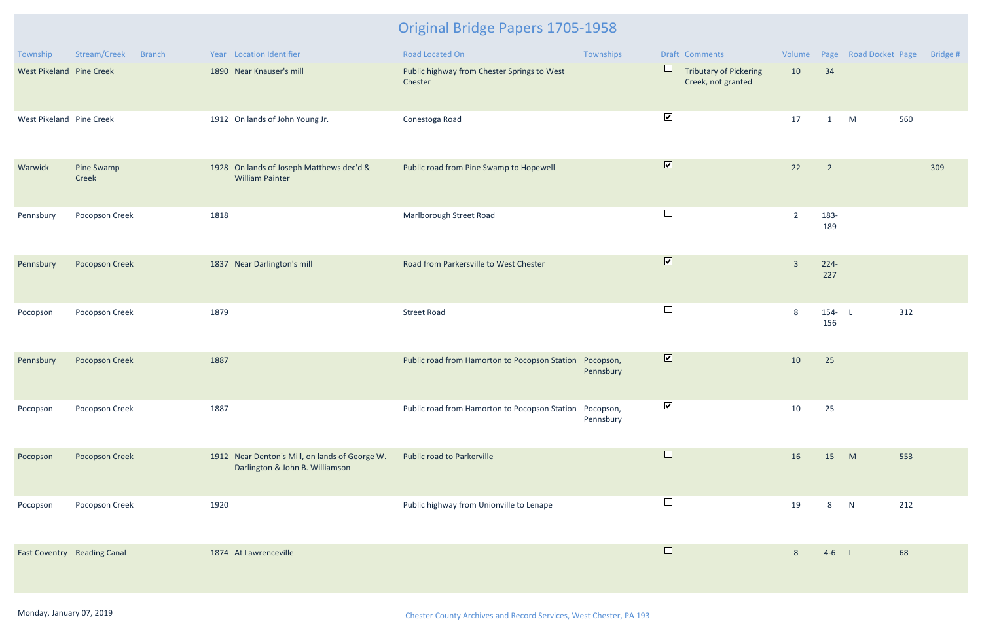| Township                           | Stream/Creek<br><b>Branch</b> | Year Location Identifier                                                          | Road Located On                                         | Townships              | Draft Comments                                         |                |                          | Volume Page Road Docket Page |     | Bridge # |
|------------------------------------|-------------------------------|-----------------------------------------------------------------------------------|---------------------------------------------------------|------------------------|--------------------------------------------------------|----------------|--------------------------|------------------------------|-----|----------|
| West Pikeland Pine Creek           |                               | 1890 Near Knauser's mill                                                          | Public highway from Chester Springs to West<br>Chester  |                        | $\Box$<br>Tributary of Pickering<br>Creek, not granted | 10             | 34                       |                              |     |          |
| West Pikeland Pine Creek           |                               | 1912 On lands of John Young Jr.                                                   | Conestoga Road                                          |                        | $\blacktriangledown$                                   | 17             | $\mathbf{1}$             | M                            | 560 |          |
| Warwick                            | Pine Swamp<br>Creek           | 1928 On lands of Joseph Matthews dec'd &<br><b>William Painter</b>                | Public road from Pine Swamp to Hopewell                 |                        | $\overline{\mathbf{v}}$                                | 22             | $\overline{\phantom{2}}$ |                              |     | 309      |
| Pennsbury                          | Pocopson Creek                | 1818                                                                              | Marlborough Street Road                                 |                        | $\Box$                                                 | $\overline{2}$ | 183-<br>189              |                              |     |          |
| Pennsbury                          | <b>Pocopson Creek</b>         | 1837 Near Darlington's mill                                                       | Road from Parkersville to West Chester                  |                        | $\overline{\mathbf{v}}$                                | $\overline{3}$ | $224 -$<br>227           |                              |     |          |
| Pocopson                           | Pocopson Creek                | 1879                                                                              | <b>Street Road</b>                                      |                        | $\Box$                                                 | 8              | $154 - L$<br>156         |                              | 312 |          |
| Pennsbury                          | <b>Pocopson Creek</b>         | 1887                                                                              | Public road from Hamorton to Pocopson Station           | Pocopson,<br>Pennsbury | $\overline{\mathbf{v}}$                                | 10             | 25                       |                              |     |          |
| Pocopson                           | Pocopson Creek                | 1887                                                                              | Public road from Hamorton to Pocopson Station Pocopson, | Pennsbury              | ⊻                                                      | 10             | 25                       |                              |     |          |
| Pocopson                           | Pocopson Creek                | 1912 Near Denton's Mill, on lands of George W.<br>Darlington & John B. Williamson | Public road to Parkerville                              |                        | $\Box$                                                 | 16             | 15                       | M                            | 553 |          |
| Pocopson                           | Pocopson Creek                | 1920                                                                              | Public highway from Unionville to Lenape                |                        | $\Box$                                                 | 19             | 8                        | N                            | 212 |          |
| <b>East Coventry Reading Canal</b> |                               | 1874 At Lawrenceville                                                             |                                                         |                        | $\Box$                                                 | 8              | $4-6$ L                  |                              | 68  |          |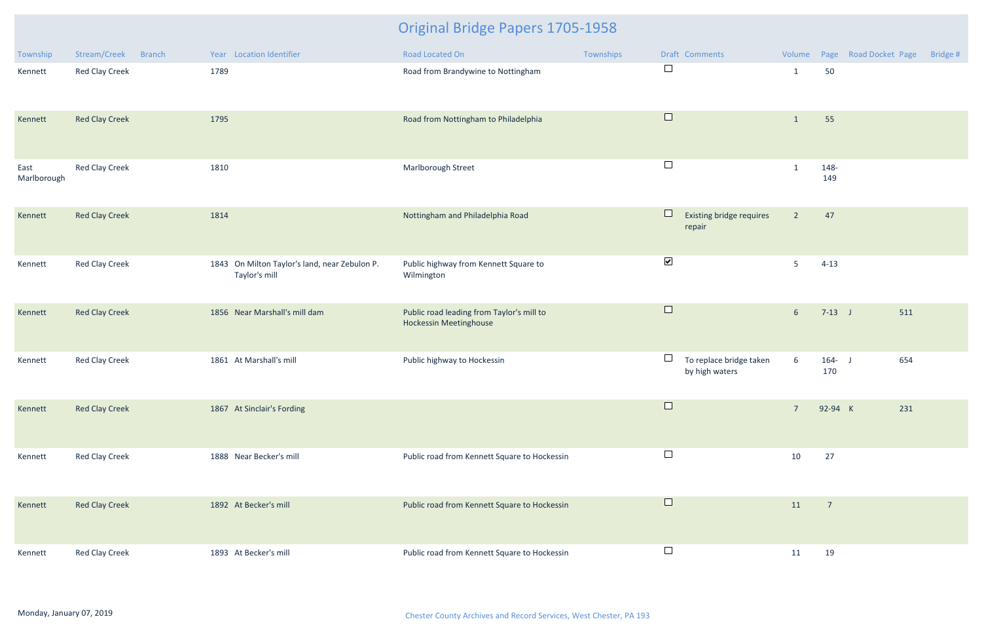| Township            | Stream/Creek<br><b>Branch</b> | Year Location Identifier                                       | Road Located On                                                            | Townships | Draft Comments                                      | Volume          |                  | Page Road Docket Page | Bridge # |
|---------------------|-------------------------------|----------------------------------------------------------------|----------------------------------------------------------------------------|-----------|-----------------------------------------------------|-----------------|------------------|-----------------------|----------|
| Kennett             | Red Clay Creek                | 1789                                                           | Road from Brandywine to Nottingham                                         |           | $\Box$                                              | $\mathbf{1}$    | 50               |                       |          |
| Kennett             | <b>Red Clay Creek</b>         | 1795                                                           | Road from Nottingham to Philadelphia                                       |           | $\Box$                                              | $\mathbf 1$     | 55               |                       |          |
| East<br>Marlborough | Red Clay Creek                | 1810                                                           | Marlborough Street                                                         |           | $\Box$                                              | $\mathbf{1}$    | 148-<br>149      |                       |          |
| Kennett             | <b>Red Clay Creek</b>         | 1814                                                           | Nottingham and Philadelphia Road                                           |           | $\Box$<br>Existing bridge requires<br>repair        | $\overline{2}$  | 47               |                       |          |
| Kennett             | Red Clay Creek                | 1843 On Milton Taylor's land, near Zebulon P.<br>Taylor's mill | Public highway from Kennett Square to<br>Wilmington                        |           | $\blacktriangledown$                                | 5               | $4 - 13$         |                       |          |
| Kennett             | <b>Red Clay Creek</b>         | 1856 Near Marshall's mill dam                                  | Public road leading from Taylor's mill to<br><b>Hockessin Meetinghouse</b> |           | $\Box$                                              | 6 <sup>1</sup>  | $7-13$ J         | 511                   |          |
| Kennett             | Red Clay Creek                | 1861 At Marshall's mill                                        | Public highway to Hockessin                                                |           | $\Box$<br>To replace bridge taken<br>by high waters | $6\overline{6}$ | $164 - J$<br>170 | 654                   |          |
| Kennett             | <b>Red Clay Creek</b>         | 1867 At Sinclair's Fording                                     |                                                                            |           | $\Box$                                              | $7\overline{ }$ | 92-94 K          | 231                   |          |
| Kennett             | <b>Red Clay Creek</b>         | 1888 Near Becker's mill                                        | Public road from Kennett Square to Hockessin                               |           | $\Box$                                              | 10              | 27               |                       |          |
| Kennett             | <b>Red Clay Creek</b>         | 1892 At Becker's mill                                          | Public road from Kennett Square to Hockessin                               |           | $\Box$                                              | 11              | $\overline{7}$   |                       |          |
| Kennett             | Red Clay Creek                | 1893 At Becker's mill                                          | Public road from Kennett Square to Hockessin                               |           | $\Box$                                              | 11              | 19               |                       |          |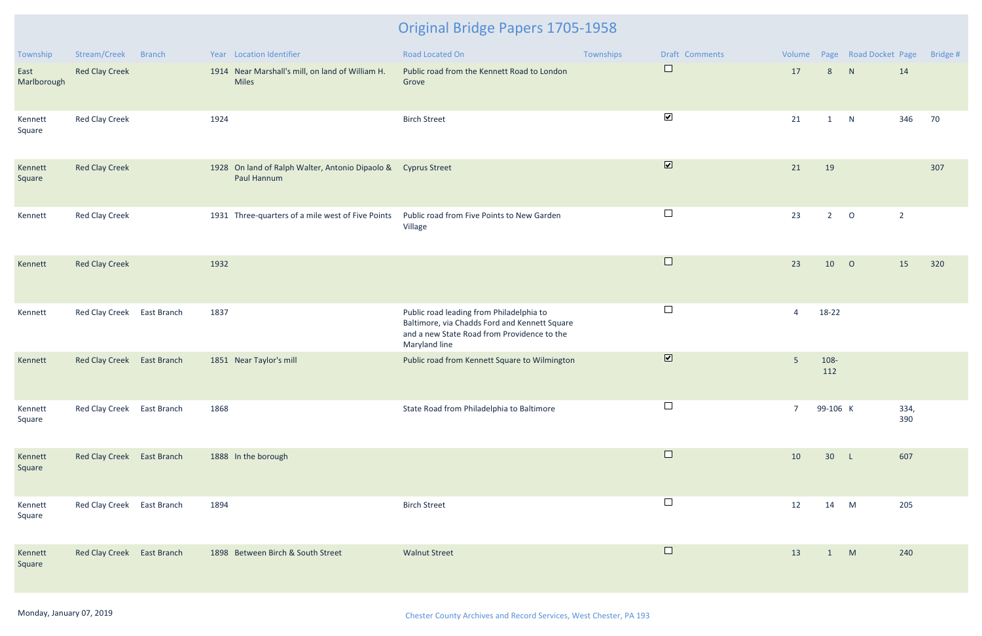| Township            | Stream/Creek               | Branch | Year Location Identifier                                                     | Road Located On                                                                                                                                           | Townships | Draft Comments                        | Volume         |              | Page Road Docket Page |                | Bridge # |
|---------------------|----------------------------|--------|------------------------------------------------------------------------------|-----------------------------------------------------------------------------------------------------------------------------------------------------------|-----------|---------------------------------------|----------------|--------------|-----------------------|----------------|----------|
| East<br>Marlborough | <b>Red Clay Creek</b>      |        | 1914 Near Marshall's mill, on land of William H.<br><b>Miles</b>             | Public road from the Kennett Road to London<br>Grove                                                                                                      |           | $\begin{array}{c} \hline \end{array}$ | 17             | 8            | N                     | 14             |          |
| Kennett<br>Square   | <b>Red Clay Creek</b>      |        | 1924                                                                         | <b>Birch Street</b>                                                                                                                                       |           | $\blacktriangledown$                  | 21             | $\mathbf{1}$ | N                     | 346            | 70       |
| Kennett<br>Square   | <b>Red Clay Creek</b>      |        | 1928 On land of Ralph Walter, Antonio Dipaolo & Cyprus Street<br>Paul Hannum |                                                                                                                                                           |           | $\blacksquare$                        | 21             | 19           |                       |                | 307      |
| Kennett             | <b>Red Clay Creek</b>      |        | 1931 Three-quarters of a mile west of Five Points                            | Public road from Five Points to New Garden<br>Village                                                                                                     |           | $\Box$                                | 23             | $2^{\circ}$  | $\circ$               | $\overline{2}$ |          |
| Kennett             | <b>Red Clay Creek</b>      |        | 1932                                                                         |                                                                                                                                                           |           | $\Box$                                | 23             | 10           | $\overline{O}$        | 15             | 320      |
| Kennett             | Red Clay Creek East Branch |        | 1837                                                                         | Public road leading from Philadelphia to<br>Baltimore, via Chadds Ford and Kennett Square<br>and a new State Road from Providence to the<br>Maryland line |           | $\Box$                                | $\overline{4}$ | 18-22        |                       |                |          |
| Kennett             | Red Clay Creek East Branch |        | 1851 Near Taylor's mill                                                      | Public road from Kennett Square to Wilmington                                                                                                             |           | $\overline{\mathbf{v}}$               | 5 <sup>1</sup> | 108-<br>112  |                       |                |          |
| Kennett<br>Square   | Red Clay Creek East Branch |        | 1868                                                                         | State Road from Philadelphia to Baltimore                                                                                                                 |           | $\Box$                                | 7 <sup>7</sup> | 99-106 K     |                       | 334,<br>390    |          |
| Kennett<br>Square   | Red Clay Creek East Branch |        | 1888 In the borough                                                          |                                                                                                                                                           |           | $\Box$                                | 10             | 30 L         |                       | 607            |          |
| Kennett<br>Square   | Red Clay Creek East Branch |        | 1894                                                                         | <b>Birch Street</b>                                                                                                                                       |           | $\Box$                                | 12             | 14 M         |                       | 205            |          |
| Kennett<br>Square   | Red Clay Creek East Branch |        | 1898 Between Birch & South Street                                            | <b>Walnut Street</b>                                                                                                                                      |           | $\Box$                                | 13             | $\mathbf{1}$ | M                     | 240            |          |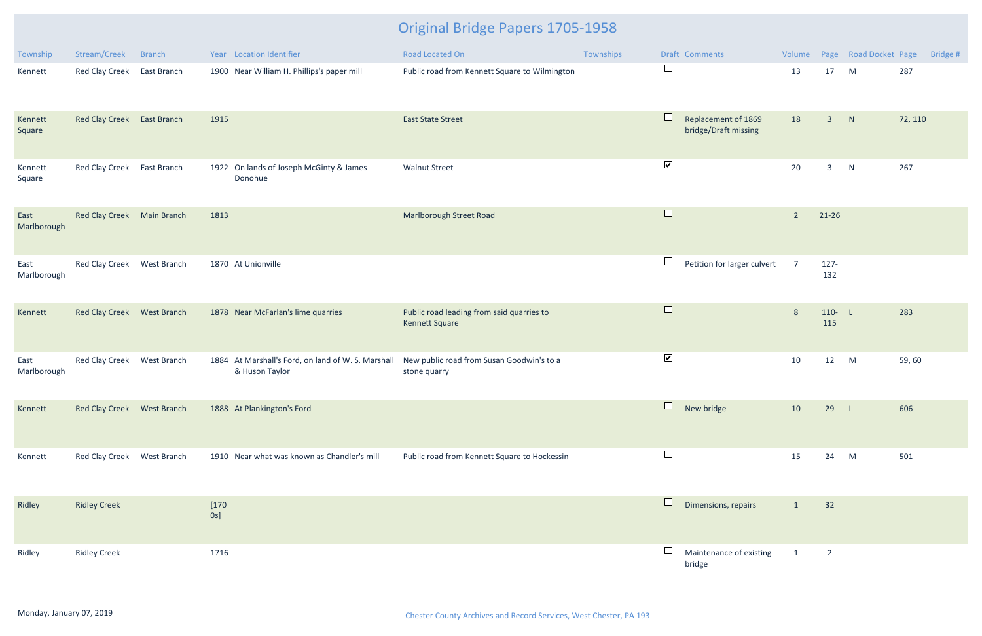| Township            | Stream/Creek               | <b>Branch</b>      | Year Location Identifier                                             | Road Located On                                                    | Townships |                       | Draft Comments                              | Volume         |                | Page Road Docket Page |         | Bridge # |
|---------------------|----------------------------|--------------------|----------------------------------------------------------------------|--------------------------------------------------------------------|-----------|-----------------------|---------------------------------------------|----------------|----------------|-----------------------|---------|----------|
| Kennett             | Red Clay Creek             | East Branch        | 1900 Near William H. Phillips's paper mill                           | Public road from Kennett Square to Wilmington                      |           | $\Box$                |                                             | 13             | 17             | M                     | 287     |          |
| Kennett<br>Square   | <b>Red Clay Creek</b>      | <b>East Branch</b> | 1915                                                                 | <b>East State Street</b>                                           |           |                       | Replacement of 1869<br>bridge/Draft missing | 18             | $\overline{3}$ | N                     | 72, 110 |          |
| Kennett<br>Square   | <b>Red Clay Creek</b>      | East Branch        | 1922 On lands of Joseph McGinty & James<br>Donohue                   | <b>Walnut Street</b>                                               |           | $\blacktriangleright$ |                                             | 20             | $\mathbf{3}$   | N                     | 267     |          |
| East<br>Marlborough | <b>Red Clay Creek</b>      | Main Branch        | 1813                                                                 | Marlborough Street Road                                            |           | $\Box$                |                                             | $\overline{2}$ | $21 - 26$      |                       |         |          |
| East<br>Marlborough | Red Clay Creek             | West Branch        | 1870 At Unionville                                                   |                                                                    |           | $\Box$                | Petition for larger culvert                 | $\overline{7}$ | $127 -$<br>132 |                       |         |          |
| Kennett             | <b>Red Clay Creek</b>      | West Branch        | 1878 Near McFarlan's lime quarries                                   | Public road leading from said quarries to<br><b>Kennett Square</b> |           | $\Box$                |                                             | 8              | 110- L<br>115  |                       | 283     |          |
| East<br>Marlborough | Red Clay Creek             | West Branch        | 1884 At Marshall's Ford, on land of W. S. Marshall<br>& Huson Taylor | New public road from Susan Goodwin's to a<br>stone quarry          |           | $\blacktriangledown$  |                                             | 10             | 12             | M                     | 59,60   |          |
| Kennett             | Red Clay Creek West Branch |                    | 1888 At Plankington's Ford                                           |                                                                    |           | $\Box$                | New bridge                                  | 10             | 29             | -L.                   | 606     |          |
| Kennett             | Red Clay Creek West Branch |                    | 1910 Near what was known as Chandler's mill                          | Public road from Kennett Square to Hockessin                       |           |                       |                                             | 15             | 24             | M                     | 501     |          |
| Ridley              | <b>Ridley Creek</b>        |                    | $[170$<br>$0s$ ]                                                     |                                                                    |           | $\Box$                | Dimensions, repairs                         | $\mathbf{1}$   | 32             |                       |         |          |
| Ridley              | <b>Ridley Creek</b>        |                    | 1716                                                                 |                                                                    |           |                       | Maintenance of existing<br>bridge           | $\mathbf{1}$   | $\overline{2}$ |                       |         |          |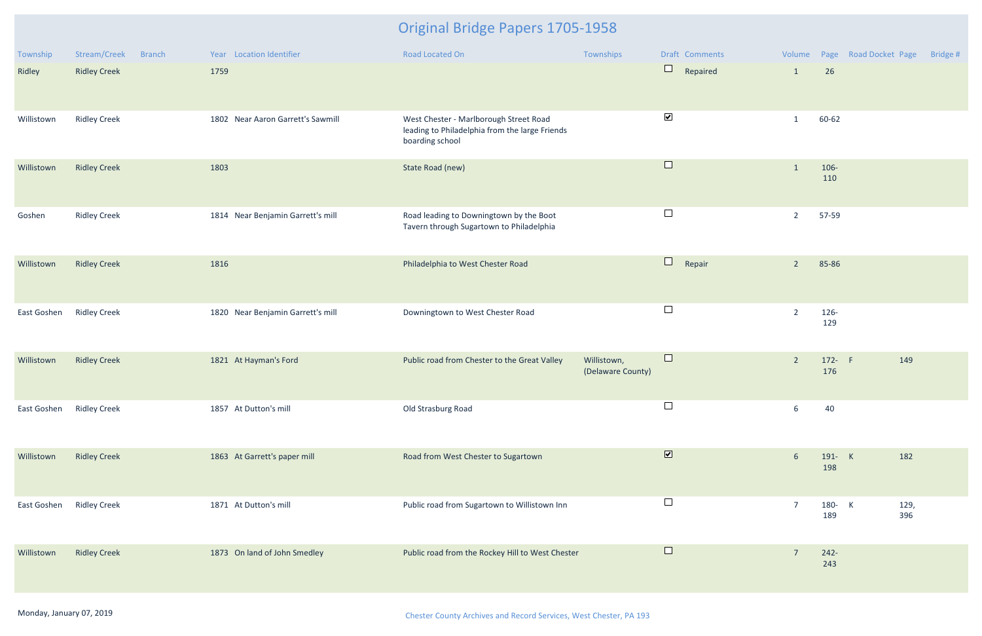| Township    | Stream/Creek<br><b>Branch</b> | Year Location Identifier          | Road Located On                                                                                             | Townships                        | Draft Comments                                   |                 |                | Volume Page Road Docket Page | Bridge # |
|-------------|-------------------------------|-----------------------------------|-------------------------------------------------------------------------------------------------------------|----------------------------------|--------------------------------------------------|-----------------|----------------|------------------------------|----------|
| Ridley      | <b>Ridley Creek</b>           | 1759                              |                                                                                                             |                                  | $\Box$<br>Repaired                               | $\mathbf{1}$    | 26             |                              |          |
| Willistown  | <b>Ridley Creek</b>           | 1802 Near Aaron Garrett's Sawmill | West Chester - Marlborough Street Road<br>leading to Philadelphia from the large Friends<br>boarding school |                                  | $\blacktriangledown$                             | $\mathbf{1}$    | 60-62          |                              |          |
| Willistown  | <b>Ridley Creek</b>           | 1803                              | State Road (new)                                                                                            |                                  | $\Box$                                           | $\mathbf{1}$    | 106-<br>110    |                              |          |
| Goshen      | <b>Ridley Creek</b>           | 1814 Near Benjamin Garrett's mill | Road leading to Downingtown by the Boot<br>Tavern through Sugartown to Philadelphia                         |                                  | $\Box$                                           | $\overline{2}$  | 57-59          |                              |          |
| Willistown  | <b>Ridley Creek</b>           | 1816                              | Philadelphia to West Chester Road                                                                           |                                  | $\begin{array}{c} \square \end{array}$<br>Repair | $\overline{2}$  | 85-86          |                              |          |
| East Goshen | <b>Ridley Creek</b>           | 1820 Near Benjamin Garrett's mill | Downingtown to West Chester Road                                                                            |                                  | $\Box$                                           | $\overline{2}$  | 126-<br>129    |                              |          |
| Willistown  | <b>Ridley Creek</b>           | 1821 At Hayman's Ford             | Public road from Chester to the Great Valley                                                                | Willistown,<br>(Delaware County) | $\Box$                                           | $\overline{2}$  | 172- F<br>176  | 149                          |          |
| East Goshen | <b>Ridley Creek</b>           | 1857 At Dutton's mill             | Old Strasburg Road                                                                                          |                                  | $\Box$                                           | 6               | 40             |                              |          |
| Willistown  | <b>Ridley Creek</b>           | 1863 At Garrett's paper mill      | Road from West Chester to Sugartown                                                                         |                                  | $\overline{\mathbf{v}}$                          | $6\overline{6}$ | 191- K<br>198  | 182                          |          |
| East Goshen | <b>Ridley Creek</b>           | 1871 At Dutton's mill             | Public road from Sugartown to Willistown Inn                                                                |                                  | $\Box$                                           | $\overline{7}$  | 180- K<br>189  | 129,<br>396                  |          |
| Willistown  | <b>Ridley Creek</b>           | 1873 On land of John Smedley      | Public road from the Rockey Hill to West Chester                                                            |                                  | $\Box$                                           | $\overline{7}$  | $242 -$<br>243 |                              |          |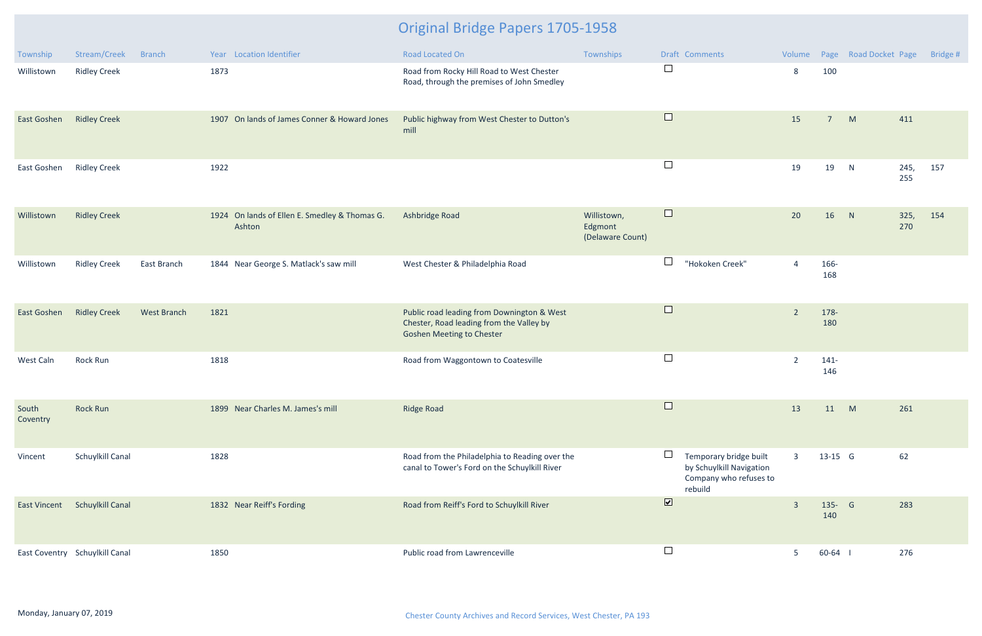| Township          | Stream/Creek                   | <b>Branch</b>      |      | Year Location Identifier                                | Road Located On                                                                                                            | Townships                                  |                | Draft Comments                                                                          | Volume         |                | Page Road Docket Page |             | Bridge # |
|-------------------|--------------------------------|--------------------|------|---------------------------------------------------------|----------------------------------------------------------------------------------------------------------------------------|--------------------------------------------|----------------|-----------------------------------------------------------------------------------------|----------------|----------------|-----------------------|-------------|----------|
| Willistown        | <b>Ridley Creek</b>            |                    | 1873 |                                                         | Road from Rocky Hill Road to West Chester<br>Road, through the premises of John Smedley                                    |                                            | $\Box$         |                                                                                         | 8              | 100            |                       |             |          |
| East Goshen       | <b>Ridley Creek</b>            |                    |      | 1907 On lands of James Conner & Howard Jones            | Public highway from West Chester to Dutton's<br>mill                                                                       |                                            | $\Box$         |                                                                                         | 15             | $\overline{7}$ | M                     | 411         |          |
| East Goshen       | <b>Ridley Creek</b>            |                    | 1922 |                                                         |                                                                                                                            |                                            | $\Box$         |                                                                                         | 19             | 19             | N                     | 245,<br>255 | 157      |
| Willistown        | <b>Ridley Creek</b>            |                    |      | 1924 On lands of Ellen E. Smedley & Thomas G.<br>Ashton | Ashbridge Road                                                                                                             | Willistown,<br>Edgmont<br>(Delaware Count) | $\Box$         |                                                                                         | 20             | 16             | N                     | 325,<br>270 | 154      |
| Willistown        | <b>Ridley Creek</b>            | East Branch        |      | 1844 Near George S. Matlack's saw mill                  | West Chester & Philadelphia Road                                                                                           |                                            | $\Box$         | "Hokoken Creek"                                                                         | $\overline{4}$ | 166-<br>168    |                       |             |          |
| East Goshen       | <b>Ridley Creek</b>            | <b>West Branch</b> | 1821 |                                                         | Public road leading from Downington & West<br>Chester, Road leading from the Valley by<br><b>Goshen Meeting to Chester</b> |                                            | $\Box$         |                                                                                         | $\overline{2}$ | 178-<br>180    |                       |             |          |
| West Caln         | Rock Run                       |                    | 1818 |                                                         | Road from Waggontown to Coatesville                                                                                        |                                            | $\Box$         |                                                                                         | $\overline{2}$ | $141 -$<br>146 |                       |             |          |
| South<br>Coventry | <b>Rock Run</b>                |                    |      | 1899 Near Charles M. James's mill                       | <b>Ridge Road</b>                                                                                                          |                                            | $\Box$         |                                                                                         | 13             | 11 M           |                       | 261         |          |
| Vincent           | Schuylkill Canal               |                    | 1828 |                                                         | Road from the Philadelphia to Reading over the<br>canal to Tower's Ford on the Schuylkill River                            |                                            |                | Temporary bridge built<br>by Schuylkill Navigation<br>Company who refuses to<br>rebuild | $\overline{3}$ | 13-15 G        |                       | 62          |          |
|                   | East Vincent Schuylkill Canal  |                    |      | 1832 Near Reiff's Fording                               | Road from Reiff's Ford to Schuylkill River                                                                                 |                                            | $\blacksquare$ |                                                                                         | $\overline{3}$ | 135- G<br>140  |                       | 283         |          |
|                   | East Coventry Schuylkill Canal |                    | 1850 |                                                         | Public road from Lawrenceville                                                                                             |                                            | $\Box$         |                                                                                         | 5              | $60-64$        |                       | 276         |          |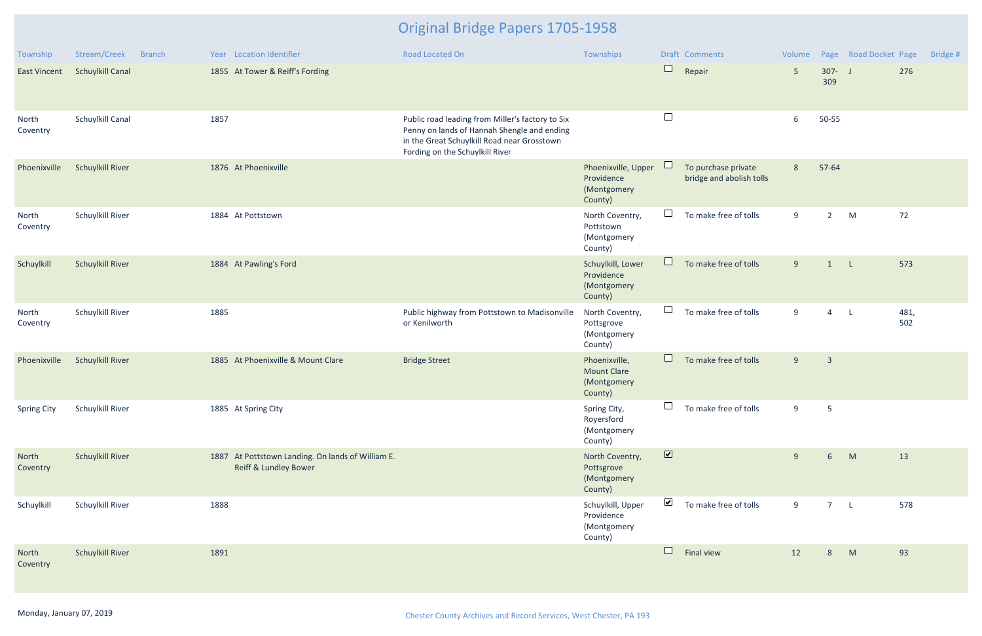| Township            | Stream/Creek<br><b>Branch</b> | Year Location Identifier                                                              | <b>Road Located On</b>                                                                                                                                                            | Townships                                                     |                         | Draft Comments                                  | Volume          |                  | Page Road Docket Page |             | Bridge # |
|---------------------|-------------------------------|---------------------------------------------------------------------------------------|-----------------------------------------------------------------------------------------------------------------------------------------------------------------------------------|---------------------------------------------------------------|-------------------------|-------------------------------------------------|-----------------|------------------|-----------------------|-------------|----------|
| <b>East Vincent</b> | <b>Schuylkill Canal</b>       | 1855 At Tower & Reiff's Fording                                                       |                                                                                                                                                                                   |                                                               | $\Box$                  | Repair                                          | $5\overline{)}$ | $307 - J$<br>309 |                       | 276         |          |
| North<br>Coventry   | Schuylkill Canal              | 1857                                                                                  | Public road leading from Miller's factory to Six<br>Penny on lands of Hannah Shengle and ending<br>in the Great Schuylkill Road near Grosstown<br>Fording on the Schuylkill River |                                                               | $\Box$                  |                                                 | 6               | 50-55            |                       |             |          |
| Phoenixville        | <b>Schuylkill River</b>       | 1876 At Phoenixville                                                                  |                                                                                                                                                                                   | Phoenixville, Upper<br>Providence<br>(Montgomery<br>County)   | ⊔                       | To purchase private<br>bridge and abolish tolls | 8               | 57-64            |                       |             |          |
| North<br>Coventry   | Schuylkill River              | 1884 At Pottstown                                                                     |                                                                                                                                                                                   | North Coventry,<br>Pottstown<br>(Montgomery<br>County)        | $\Box$                  | To make free of tolls                           | 9               | $2^{\circ}$      | M                     | 72          |          |
| Schuylkill          | <b>Schuylkill River</b>       | 1884 At Pawling's Ford                                                                |                                                                                                                                                                                   | Schuylkill, Lower<br>Providence<br>(Montgomery<br>County)     | $\Box$                  | To make free of tolls                           | 9               | $\mathbf{1}$     | $\mathsf{L}$          | 573         |          |
| North<br>Coventry   | Schuylkill River              | 1885                                                                                  | Public highway from Pottstown to Madisonville<br>or Kenilworth                                                                                                                    | North Coventry,<br>Pottsgrove<br>(Montgomery<br>County)       | $\Box$                  | To make free of tolls                           | 9               | $\overline{4}$   | $\mathsf{L}$          | 481,<br>502 |          |
| Phoenixville        | <b>Schuylkill River</b>       | 1885 At Phoenixville & Mount Clare                                                    | <b>Bridge Street</b>                                                                                                                                                              | Phoenixville,<br><b>Mount Clare</b><br>(Montgomery<br>County) | $\Box$                  | To make free of tolls                           | 9               | $\overline{3}$   |                       |             |          |
| <b>Spring City</b>  | Schuylkill River              | 1885 At Spring City                                                                   |                                                                                                                                                                                   | Spring City,<br>Royersford<br>(Montgomery<br>County)          | $\Box$                  | To make free of tolls                           | 9               | $5\phantom{.0}$  |                       |             |          |
| North<br>Coventry   | <b>Schuylkill River</b>       | 1887 At Pottstown Landing. On lands of William E.<br><b>Reiff &amp; Lundley Bower</b> |                                                                                                                                                                                   | North Coventry,<br>Pottsgrove<br>(Montgomery<br>County)       | $\overline{\mathbf{v}}$ |                                                 | 9               | 6                | M                     | 13          |          |
| Schuylkill          | Schuylkill River              | 1888                                                                                  |                                                                                                                                                                                   | Schuylkill, Upper<br>Providence<br>(Montgomery<br>County)     | $\blacktriangledown$    | To make free of tolls                           | 9               | $7^{\circ}$      | $\mathsf{L}$          | 578         |          |
| North<br>Coventry   | <b>Schuylkill River</b>       | 1891                                                                                  |                                                                                                                                                                                   |                                                               | $\Box$                  | Final view                                      | 12              | 8                | M                     | 93          |          |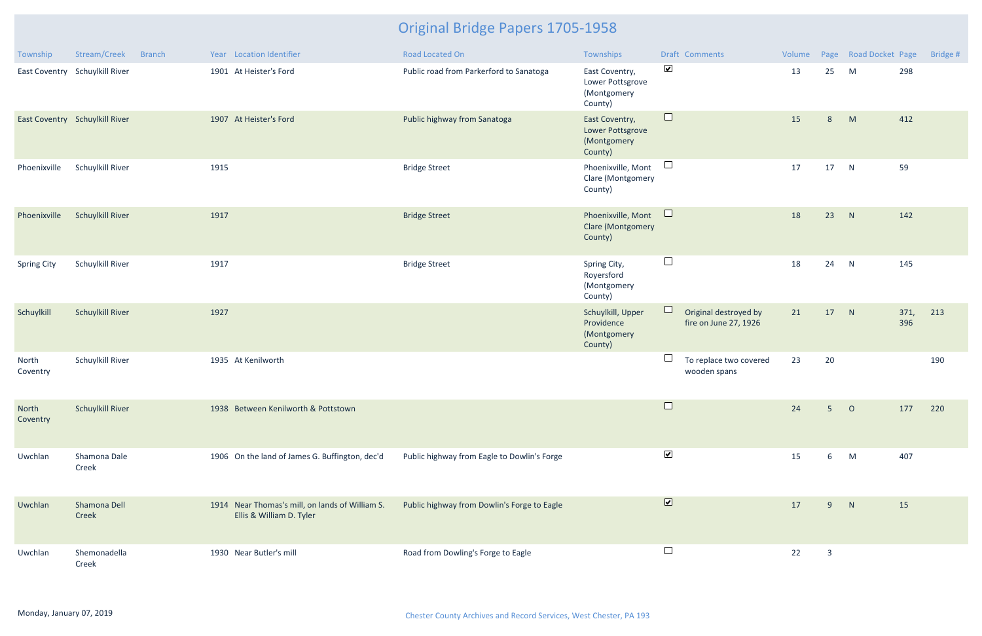| Township           | Stream/Creek                   | <b>Branch</b> | Year Location Identifier                                                    | Road Located On                             | Townships                                                    |                      | Draft Comments                                 | Volume |                | Page Road Docket Page |             | Bridge # |
|--------------------|--------------------------------|---------------|-----------------------------------------------------------------------------|---------------------------------------------|--------------------------------------------------------------|----------------------|------------------------------------------------|--------|----------------|-----------------------|-------------|----------|
|                    | East Coventry Schuylkill River |               | 1901 At Heister's Ford                                                      | Public road from Parkerford to Sanatoga     | East Coventry,<br>Lower Pottsgrove<br>(Montgomery<br>County) | $\blacktriangledown$ |                                                | 13     | 25             | M                     | 298         |          |
|                    | East Coventry Schuylkill River |               | 1907 At Heister's Ford                                                      | Public highway from Sanatoga                | East Coventry,<br>Lower Pottsgrove<br>(Montgomery<br>County) | $\Box$               |                                                | 15     | 8              | M                     | 412         |          |
| Phoenixville       | Schuylkill River               |               | 1915                                                                        | <b>Bridge Street</b>                        | Phoenixville, Mont<br>Clare (Montgomery<br>County)           | $\Box$               |                                                | 17     | 17             | N                     | 59          |          |
| Phoenixville       | <b>Schuylkill River</b>        |               | 1917                                                                        | <b>Bridge Street</b>                        | Phoenixville, Mont<br><b>Clare (Montgomery</b><br>County)    | $\Box$               |                                                | 18     | 23             | N                     | 142         |          |
| <b>Spring City</b> | Schuylkill River               |               | 1917                                                                        | <b>Bridge Street</b>                        | Spring City,<br>Royersford<br>(Montgomery<br>County)         | $\Box$               |                                                | 18     | 24             | N                     | 145         |          |
| Schuylkill         | <b>Schuylkill River</b>        |               | 1927                                                                        |                                             | Schuylkill, Upper<br>Providence<br>(Montgomery<br>County)    | $\Box$               | Original destroyed by<br>fire on June 27, 1926 | 21     | 17             | N                     | 371,<br>396 | 213      |
| North<br>Coventry  | Schuylkill River               |               | 1935 At Kenilworth                                                          |                                             |                                                              |                      | To replace two covered<br>wooden spans         | 23     | 20             |                       |             | 190      |
| North<br>Coventry  | <b>Schuylkill River</b>        |               | 1938 Between Kenilworth & Pottstown                                         |                                             |                                                              |                      |                                                | 24     | $5^{\circ}$    | $\circ$               | 177         | 220      |
| Uwchlan            | Shamona Dale<br>Creek          |               | 1906 On the land of James G. Buffington, dec'd                              | Public highway from Eagle to Dowlin's Forge |                                                              | $\blacktriangledown$ |                                                | 15     | 6              | M                     | 407         |          |
| Uwchlan            | Shamona Dell<br>Creek          |               | 1914 Near Thomas's mill, on lands of William S.<br>Ellis & William D. Tyler | Public highway from Dowlin's Forge to Eagle |                                                              | $\blacksquare$       |                                                | 17     | 9              | N                     | 15          |          |
| Uwchlan            | Shemonadella<br>Creek          |               | 1930 Near Butler's mill                                                     | Road from Dowling's Forge to Eagle          |                                                              | $\Box$               |                                                | 22     | $\overline{3}$ |                       |             |          |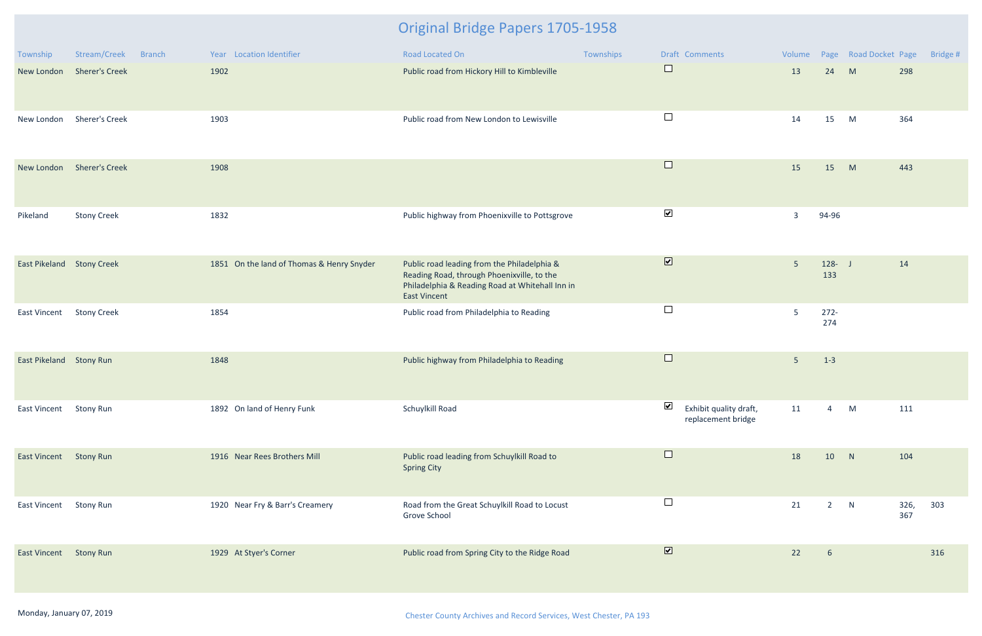| Township                         | Stream/Creek<br><b>Branch</b> | Year Location Identifier                  | Road Located On                                                                                                                                                     | Townships | Draft Comments                                                          | Volume         |                  | Page Road Docket Page |             | Bridge # |
|----------------------------------|-------------------------------|-------------------------------------------|---------------------------------------------------------------------------------------------------------------------------------------------------------------------|-----------|-------------------------------------------------------------------------|----------------|------------------|-----------------------|-------------|----------|
|                                  | New London Sherer's Creek     | 1902                                      | Public road from Hickory Hill to Kimbleville                                                                                                                        |           | $\Box$                                                                  | 13             | 24               | M                     | 298         |          |
| New London                       | <b>Sherer's Creek</b>         | 1903                                      | Public road from New London to Lewisville                                                                                                                           |           | $\Box$                                                                  | 14             | 15               | M                     | 364         |          |
|                                  | New London Sherer's Creek     | 1908                                      |                                                                                                                                                                     |           | $\Box$                                                                  | 15             | 15               | M                     | 443         |          |
| Pikeland                         | <b>Stony Creek</b>            | 1832                                      | Public highway from Phoenixville to Pottsgrove                                                                                                                      |           | $\blacktriangledown$                                                    | $\overline{3}$ | 94-96            |                       |             |          |
| <b>East Pikeland Stony Creek</b> |                               | 1851 On the land of Thomas & Henry Snyder | Public road leading from the Philadelphia &<br>Reading Road, through Phoenixville, to the<br>Philadelphia & Reading Road at Whitehall Inn in<br><b>East Vincent</b> |           | $\boxed{\textbf{v}}$                                                    | 5 <sup>5</sup> | $128 - J$<br>133 |                       | 14          |          |
| East Vincent                     | <b>Stony Creek</b>            | 1854                                      | Public road from Philadelphia to Reading                                                                                                                            |           | $\Box$                                                                  | 5              | $272 -$<br>274   |                       |             |          |
| East Pikeland Stony Run          |                               | 1848                                      | Public highway from Philadelphia to Reading                                                                                                                         |           | $\Box$                                                                  | $5\phantom{.}$ | $1 - 3$          |                       |             |          |
| <b>East Vincent</b>              | <b>Stony Run</b>              | 1892 On land of Henry Funk                | Schuylkill Road                                                                                                                                                     |           | $\overline{\mathbf{v}}$<br>Exhibit quality draft,<br>replacement bridge | 11             | $\overline{4}$   | M                     | 111         |          |
| East Vincent Stony Run           |                               | 1916 Near Rees Brothers Mill              | Public road leading from Schuylkill Road to<br><b>Spring City</b>                                                                                                   |           | $\Box$                                                                  | 18             | 10               | N                     | 104         |          |
| East Vincent                     | <b>Stony Run</b>              | 1920 Near Fry & Barr's Creamery           | Road from the Great Schuylkill Road to Locust<br>Grove School                                                                                                       |           | $\Box$                                                                  | 21             | $2^{\circ}$      | N                     | 326,<br>367 | 303      |
| East Vincent                     | <b>Stony Run</b>              | 1929 At Styer's Corner                    | Public road from Spring City to the Ridge Road                                                                                                                      |           | $\boxed{\blacktriangledown}$                                            | 22             | $6\overline{6}$  |                       |             | 316      |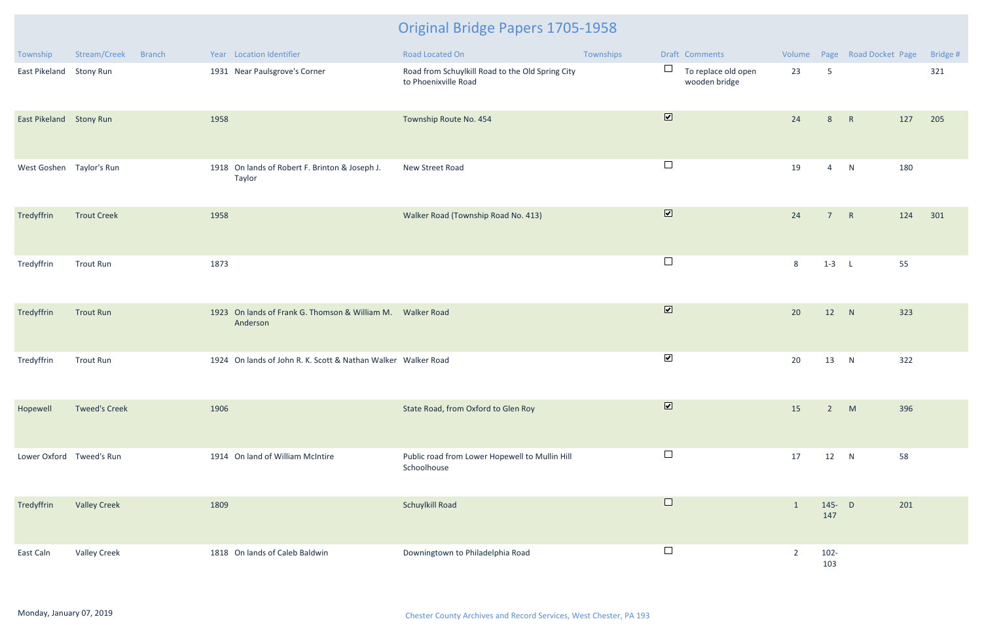| Township                 | Stream/Creek         | <b>Branch</b> |      | Year Location Identifier                                               | Road Located On                                                          | Townships |                         | Draft Comments                       |                |                 | Volume Page Road Docket Page |     | Bridge # |
|--------------------------|----------------------|---------------|------|------------------------------------------------------------------------|--------------------------------------------------------------------------|-----------|-------------------------|--------------------------------------|----------------|-----------------|------------------------------|-----|----------|
| East Pikeland            | <b>Stony Run</b>     |               |      | 1931 Near Paulsgrove's Corner                                          | Road from Schuylkill Road to the Old Spring City<br>to Phoenixville Road |           | $\Box$                  | To replace old open<br>wooden bridge | 23             | $5\phantom{.0}$ |                              |     | 321      |
| East Pikeland Stony Run  |                      |               | 1958 |                                                                        | Township Route No. 454                                                   |           | $\overline{\mathbf{v}}$ |                                      | 24             | 8               | R                            | 127 | 205      |
| West Goshen Taylor's Run |                      |               |      | 1918 On lands of Robert F. Brinton & Joseph J.<br>Taylor               | New Street Road                                                          |           | $\Box$                  |                                      | 19             | $\overline{4}$  | N                            | 180 |          |
| Tredyffrin               | <b>Trout Creek</b>   |               | 1958 |                                                                        | Walker Road (Township Road No. 413)                                      |           | $\overline{\mathbf{v}}$ |                                      | 24             | 7 <sup>7</sup>  | R                            | 124 | 301      |
| Tredyffrin               | <b>Trout Run</b>     |               | 1873 |                                                                        |                                                                          |           | $\Box$                  |                                      | 8              | $1-3$ L         |                              | 55  |          |
| Tredyffrin               | <b>Trout Run</b>     |               |      | 1923 On lands of Frank G. Thomson & William M. Walker Road<br>Anderson |                                                                          |           | $\overline{\mathbf{v}}$ |                                      | 20             | 12 N            |                              | 323 |          |
| Tredyffrin               | <b>Trout Run</b>     |               |      | 1924 On lands of John R. K. Scott & Nathan Walker Walker Road          |                                                                          |           | $\blacktriangledown$    |                                      | 20             | 13              | N                            | 322 |          |
| Hopewell                 | <b>Tweed's Creek</b> |               | 1906 |                                                                        | State Road, from Oxford to Glen Roy                                      |           | $\overline{\mathbf{v}}$ |                                      | 15             | $2^{\circ}$     | M                            | 396 |          |
| Lower Oxford Tweed's Run |                      |               |      | 1914 On land of William McIntire                                       | Public road from Lower Hopewell to Mullin Hill<br>Schoolhouse            |           | $\Box$                  |                                      | 17             | 12              | N                            | 58  |          |
| Tredyffrin               | <b>Valley Creek</b>  |               | 1809 |                                                                        | Schuylkill Road                                                          |           | $\Box$                  |                                      | $\mathbf{1}$   | 145- D<br>147   |                              | 201 |          |
| East Caln                | <b>Valley Creek</b>  |               |      | 1818 On lands of Caleb Baldwin                                         | Downingtown to Philadelphia Road                                         |           | $\Box$                  |                                      | $\overline{2}$ | $102 -$<br>103  |                              |     |          |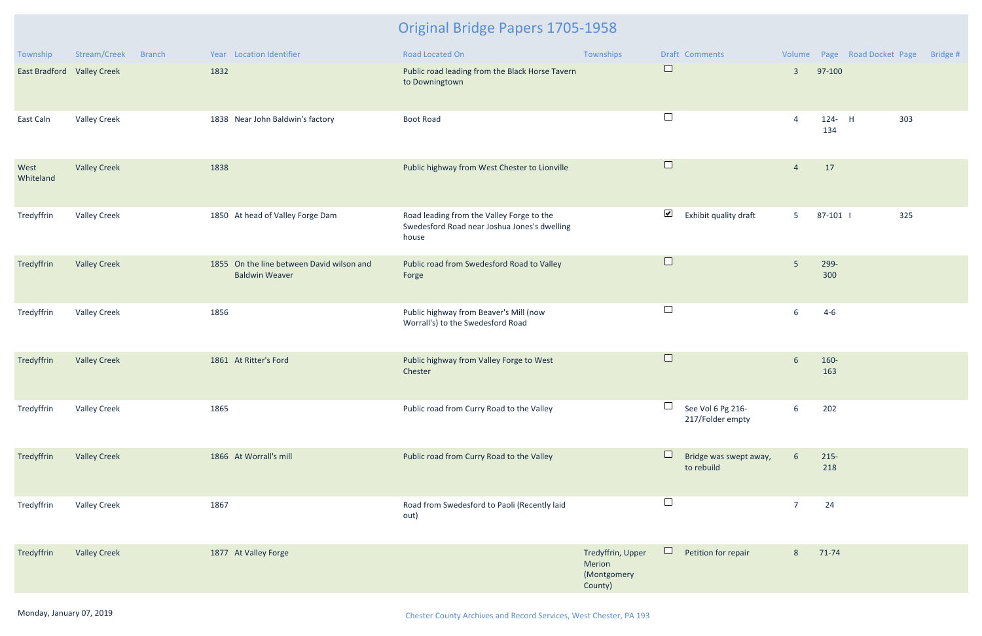| Township                   | Stream/Creek        | <b>Branch</b> |      | Year Location Identifier                                           | Road Located On                                                                                    | Townships                                             |                      | Draft Comments                        |                 |                | Volume Page Road Docket Page | Bridge # |
|----------------------------|---------------------|---------------|------|--------------------------------------------------------------------|----------------------------------------------------------------------------------------------------|-------------------------------------------------------|----------------------|---------------------------------------|-----------------|----------------|------------------------------|----------|
| East Bradford Valley Creek |                     |               | 1832 |                                                                    | Public road leading from the Black Horse Tavern<br>to Downingtown                                  |                                                       | $\Box$               |                                       | $\overline{3}$  | 97-100         |                              |          |
| East Caln                  | <b>Valley Creek</b> |               |      | 1838 Near John Baldwin's factory                                   | <b>Boot Road</b>                                                                                   |                                                       | $\Box$               |                                       | $\overline{4}$  | 124- H<br>134  | 303                          |          |
| West<br>Whiteland          | <b>Valley Creek</b> |               | 1838 |                                                                    | Public highway from West Chester to Lionville                                                      |                                                       | $\Box$               |                                       | $\overline{4}$  | 17             |                              |          |
| Tredyffrin                 | <b>Valley Creek</b> |               |      | 1850 At head of Valley Forge Dam                                   | Road leading from the Valley Forge to the<br>Swedesford Road near Joshua Jones's dwelling<br>house |                                                       | $\blacktriangledown$ | Exhibit quality draft                 | 5 <sub>1</sub>  | 87-101         | 325                          |          |
| Tredyffrin                 | <b>Valley Creek</b> |               |      | 1855 On the line between David wilson and<br><b>Baldwin Weaver</b> | Public road from Swedesford Road to Valley<br>Forge                                                |                                                       | $\Box$               |                                       | 5               | 299-<br>300    |                              |          |
| Tredyffrin                 | <b>Valley Creek</b> |               | 1856 |                                                                    | Public highway from Beaver's Mill (now<br>Worrall's) to the Swedesford Road                        |                                                       | $\Box$               |                                       | 6               | $4-6$          |                              |          |
| Tredyffrin                 | <b>Valley Creek</b> |               |      | 1861 At Ritter's Ford                                              | Public highway from Valley Forge to West<br>Chester                                                |                                                       | $\Box$               |                                       | $6\phantom{1}$  | 160-<br>163    |                              |          |
| Tredyffrin                 | <b>Valley Creek</b> |               | 1865 |                                                                    | Public road from Curry Road to the Valley                                                          |                                                       |                      | See Vol 6 Pg 216-<br>217/Folder empty | 6               | 202            |                              |          |
| Tredyffrin                 | <b>Valley Creek</b> |               |      | 1866 At Worrall's mill                                             | Public road from Curry Road to the Valley                                                          |                                                       | $\Box$               | Bridge was swept away,<br>to rebuild  | $6\overline{6}$ | $215 -$<br>218 |                              |          |
| Tredyffrin                 | <b>Valley Creek</b> |               | 1867 |                                                                    | Road from Swedesford to Paoli (Recently laid<br>out)                                               |                                                       | $\Box$               |                                       | $\overline{7}$  | 24             |                              |          |
| Tredyffrin                 | <b>Valley Creek</b> |               |      | 1877 At Valley Forge                                               |                                                                                                    | Tredyffrin, Upper<br>Merion<br>(Montgomery<br>County) | $\Box$               | Petition for repair                   | 8               | 71-74          |                              |          |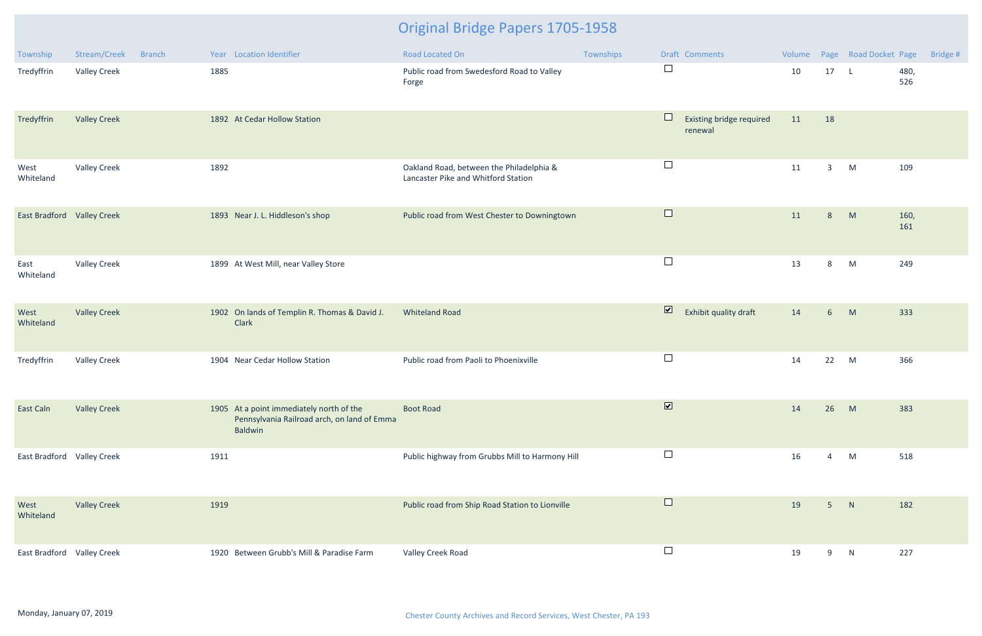| Township                   | Stream/Creek<br><b>Branch</b> | Year Location Identifier                                                                           | <b>Road Located On</b>                                                          | Townships | Draft Comments                                   | Volume |                | Page Road Docket Page |             | Bridge # |
|----------------------------|-------------------------------|----------------------------------------------------------------------------------------------------|---------------------------------------------------------------------------------|-----------|--------------------------------------------------|--------|----------------|-----------------------|-------------|----------|
| Tredyffrin                 | <b>Valley Creek</b>           | 1885                                                                                               | Public road from Swedesford Road to Valley<br>Forge                             |           | $\Box$                                           | 10     | 17             | $\mathsf{L}$          | 480,<br>526 |          |
| Tredyffrin                 | <b>Valley Creek</b>           | 1892 At Cedar Hollow Station                                                                       |                                                                                 |           | $\Box$<br>Existing bridge required<br>renewal    | 11     | 18             |                       |             |          |
| West<br>Whiteland          | <b>Valley Creek</b>           | 1892                                                                                               | Oakland Road, between the Philadelphia &<br>Lancaster Pike and Whitford Station |           | $\Box$                                           | 11     | 3 <sup>1</sup> | M                     | 109         |          |
| East Bradford Valley Creek |                               | 1893 Near J. L. Hiddleson's shop                                                                   | Public road from West Chester to Downingtown                                    |           | $\Box$                                           | 11     | 8 <sup>°</sup> | M                     | 160,<br>161 |          |
| East<br>Whiteland          | <b>Valley Creek</b>           | 1899 At West Mill, near Valley Store                                                               |                                                                                 |           | $\Box$                                           | 13     | 8              | M                     | 249         |          |
| West<br>Whiteland          | <b>Valley Creek</b>           | 1902 On lands of Templin R. Thomas & David J.<br>Clark                                             | <b>Whiteland Road</b>                                                           |           | $\overline{\mathbf{v}}$<br>Exhibit quality draft | 14     | 6 <sup>1</sup> | M                     | 333         |          |
| Tredyffrin                 | <b>Valley Creek</b>           | 1904 Near Cedar Hollow Station                                                                     | Public road from Paoli to Phoenixville                                          |           | $\Box$                                           | 14     | 22 M           |                       | 366         |          |
| East Caln                  | <b>Valley Creek</b>           | 1905 At a point immediately north of the<br>Pennsylvania Railroad arch, on land of Emma<br>Baldwin | <b>Boot Road</b>                                                                |           | $\overline{\mathbf{v}}$                          | 14     | 26             | M                     | 383         |          |
| East Bradford Valley Creek |                               | 1911                                                                                               | Public highway from Grubbs Mill to Harmony Hill                                 |           | $\Box$                                           | 16     | $\overline{4}$ | M                     | 518         |          |
| West<br>Whiteland          | <b>Valley Creek</b>           | 1919                                                                                               | Public road from Ship Road Station to Lionville                                 |           | $\Box$                                           | 19     | 5 <sup>1</sup> | N                     | 182         |          |
| East Bradford Valley Creek |                               | 1920 Between Grubb's Mill & Paradise Farm                                                          | Valley Creek Road                                                               |           | $\Box$                                           | 19     | 9              | N                     | 227         |          |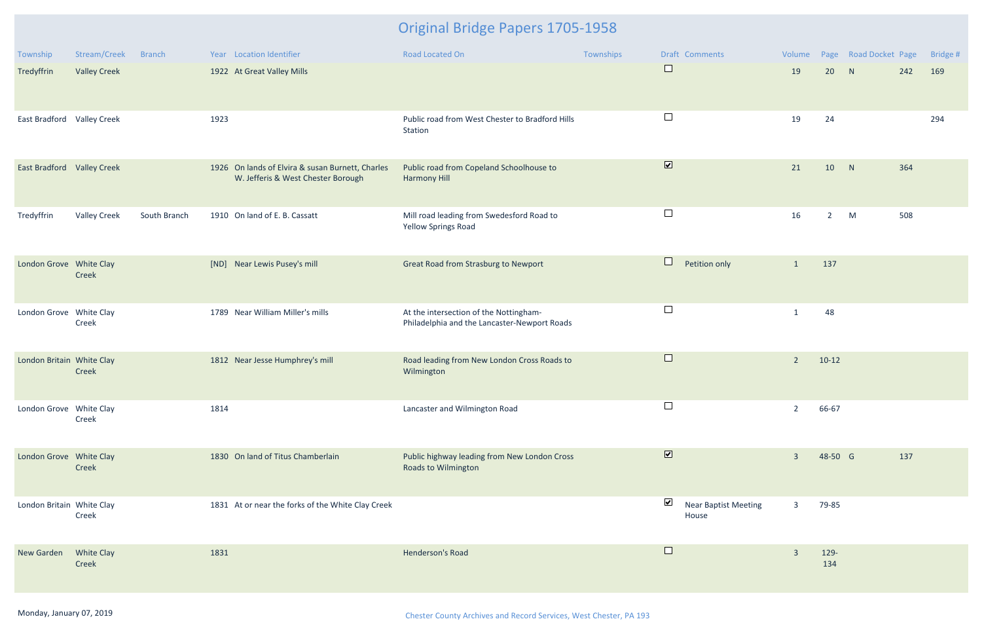| Township                   | Stream/Creek               | <b>Branch</b> | Year Location Identifier                                                               | Road Located On                                                                        | Townships               | Draft Comments                       | Volume         |             | Page Road Docket Page |     | Bridge # |
|----------------------------|----------------------------|---------------|----------------------------------------------------------------------------------------|----------------------------------------------------------------------------------------|-------------------------|--------------------------------------|----------------|-------------|-----------------------|-----|----------|
| Tredyffrin                 | <b>Valley Creek</b>        |               | 1922 At Great Valley Mills                                                             |                                                                                        | $\Box$                  |                                      | 19             | 20          | N                     | 242 | 169      |
| East Bradford Valley Creek |                            |               | 1923                                                                                   | Public road from West Chester to Bradford Hills<br>Station                             | $\Box$                  |                                      | 19             | 24          |                       |     | 294      |
| East Bradford Valley Creek |                            |               | 1926 On lands of Elvira & susan Burnett, Charles<br>W. Jefferis & West Chester Borough | Public road from Copeland Schoolhouse to<br><b>Harmony Hill</b>                        | $\blacksquare$          |                                      | 21             | 10          | N                     | 364 |          |
| Tredyffrin                 | <b>Valley Creek</b>        | South Branch  | 1910 On land of E. B. Cassatt                                                          | Mill road leading from Swedesford Road to<br><b>Yellow Springs Road</b>                | $\Box$                  |                                      | 16             | $2^{\circ}$ | M                     | 508 |          |
| London Grove White Clay    | Creek                      |               | Near Lewis Pusey's mill<br>[ND]                                                        | Great Road from Strasburg to Newport                                                   | $\Box$                  | Petition only                        | $\mathbf{1}$   | 137         |                       |     |          |
| London Grove White Clay    | Creek                      |               | 1789 Near William Miller's mills                                                       | At the intersection of the Nottingham-<br>Philadelphia and the Lancaster-Newport Roads | $\Box$                  |                                      | $\mathbf{1}$   | 48          |                       |     |          |
| London Britain White Clay  | Creek                      |               | 1812 Near Jesse Humphrey's mill                                                        | Road leading from New London Cross Roads to<br>Wilmington                              | $\Box$                  |                                      | $\overline{2}$ | $10-12$     |                       |     |          |
| London Grove White Clay    | Creek                      |               | 1814                                                                                   | Lancaster and Wilmington Road                                                          | $\Box$                  |                                      | 2              | 66-67       |                       |     |          |
| London Grove White Clay    | Creek                      |               | 1830 On land of Titus Chamberlain                                                      | Public highway leading from New London Cross<br><b>Roads to Wilmington</b>             | $\overline{\mathbf{v}}$ |                                      | $\overline{3}$ | 48-50 G     |                       | 137 |          |
| London Britain White Clay  | Creek                      |               | 1831 At or near the forks of the White Clay Creek                                      |                                                                                        | $\blacktriangledown$    | <b>Near Baptist Meeting</b><br>House | 3              | 79-85       |                       |     |          |
| New Garden                 | <b>White Clay</b><br>Creek |               | 1831                                                                                   | Henderson's Road                                                                       | $\Box$                  |                                      | $\overline{3}$ | 129-<br>134 |                       |     |          |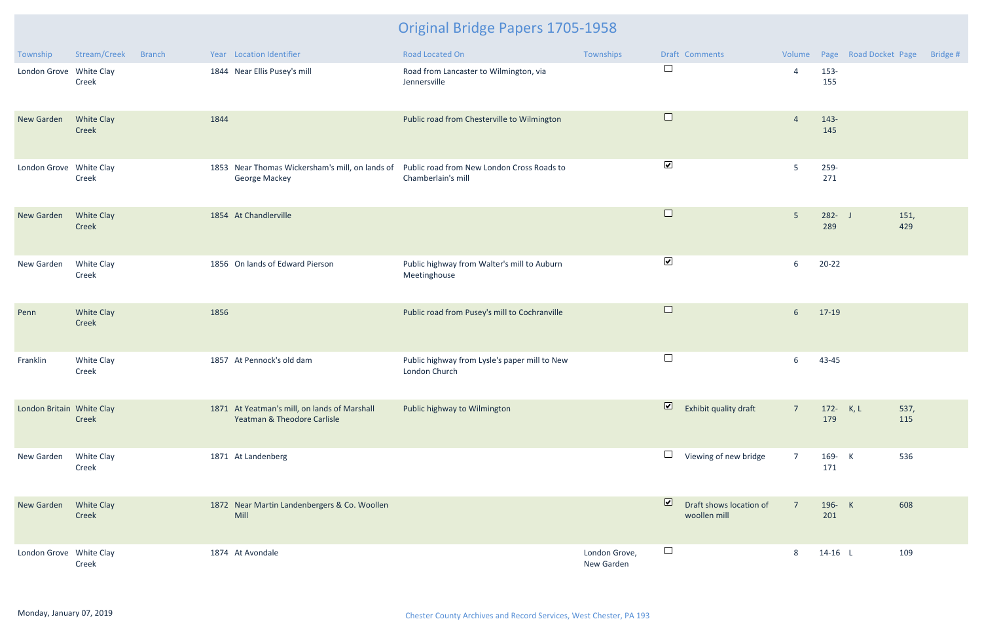| Township                  | Stream/Creek               | <b>Branch</b> |      | Year Location Identifier                                                    | Road Located On                                                                                                  | Townships                   |                         | Draft Comments                          |                |                  | Volume Page Road Docket Page | Bridge # |
|---------------------------|----------------------------|---------------|------|-----------------------------------------------------------------------------|------------------------------------------------------------------------------------------------------------------|-----------------------------|-------------------------|-----------------------------------------|----------------|------------------|------------------------------|----------|
| London Grove White Clay   | Creek                      |               |      | 1844 Near Ellis Pusey's mill                                                | Road from Lancaster to Wilmington, via<br>Jennersville                                                           |                             | $\Box$                  |                                         | $\overline{4}$ | 153-<br>155      |                              |          |
| New Garden                | <b>White Clay</b><br>Creek |               | 1844 |                                                                             | Public road from Chesterville to Wilmington                                                                      |                             | $\Box$                  |                                         | $\overline{4}$ | 143-<br>145      |                              |          |
| London Grove White Clay   | Creek                      |               |      | <b>George Mackey</b>                                                        | 1853 Near Thomas Wickersham's mill, on lands of Public road from New London Cross Roads to<br>Chamberlain's mill |                             | $\blacktriangledown$    |                                         | 5              | 259-<br>271      |                              |          |
| New Garden                | White Clay<br>Creek        |               |      | 1854 At Chandlerville                                                       |                                                                                                                  |                             | $\Box$                  |                                         | $5\phantom{.}$ | $282 - J$<br>289 | 151,<br>429                  |          |
| New Garden                | White Clay<br>Creek        |               |      | 1856 On lands of Edward Pierson                                             | Public highway from Walter's mill to Auburn<br>Meetinghouse                                                      |                             | $\blacktriangledown$    |                                         | 6              | $20 - 22$        |                              |          |
| Penn                      | <b>White Clay</b><br>Creek |               | 1856 |                                                                             | Public road from Pusey's mill to Cochranville                                                                    |                             | $\Box$                  |                                         | 6 <sup>1</sup> | 17-19            |                              |          |
| Franklin                  | White Clay<br>Creek        |               |      | 1857 At Pennock's old dam                                                   | Public highway from Lysle's paper mill to New<br>London Church                                                   |                             | $\Box$                  |                                         | 6              | 43-45            |                              |          |
| London Britain White Clay | Creek                      |               |      | 1871 At Yeatman's mill, on lands of Marshall<br>Yeatman & Theodore Carlisle | Public highway to Wilmington                                                                                     |                             | $\overline{\mathbf{z}}$ | Exhibit quality draft                   | $\overline{7}$ | 172- K, L<br>179 | 537,<br>115                  |          |
| New Garden                | White Clay<br>Creek        |               |      | 1871 At Landenberg                                                          |                                                                                                                  |                             |                         | Viewing of new bridge                   | $\overline{7}$ | 169- K<br>171    | 536                          |          |
| New Garden                | White Clay<br>Creek        |               |      | 1872 Near Martin Landenbergers & Co. Woollen<br>Mill                        |                                                                                                                  |                             | $\overline{\mathbf{v}}$ | Draft shows location of<br>woollen mill | $\overline{7}$ | 196- K<br>201    | 608                          |          |
| London Grove White Clay   | Creek                      |               |      | 1874 At Avondale                                                            |                                                                                                                  | London Grove,<br>New Garden | $\Box$                  |                                         | 8              | $14-16$ L        | 109                          |          |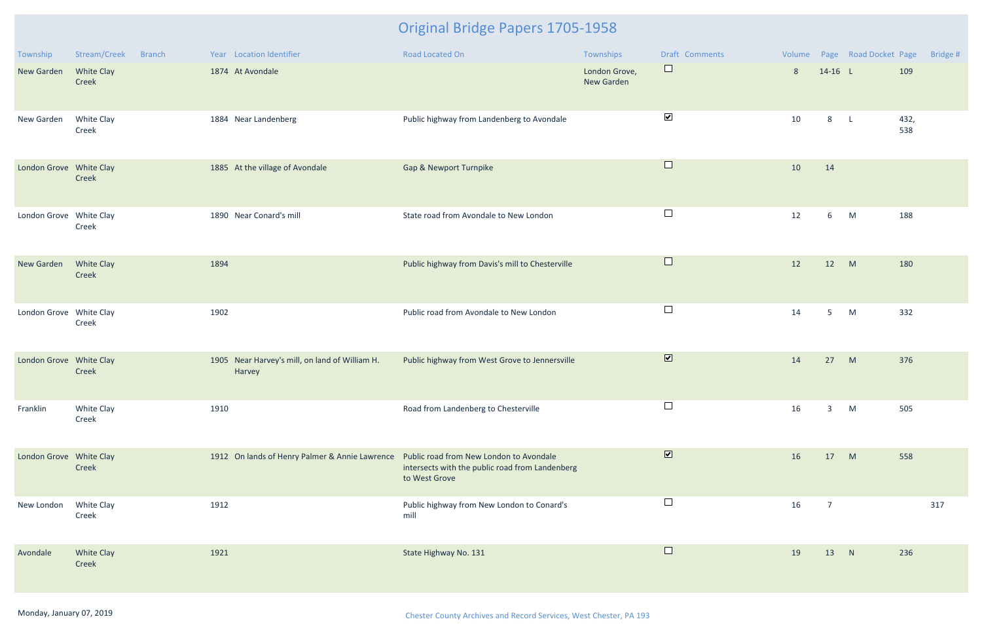| Township                | Stream/Creek<br><b>Branch</b> | Year Location Identifier                                 | <b>Road Located On</b>                                                                                      | Townships                          | Draft Comments          |    |                | Volume Page Road Docket Page |             | Bridge # |
|-------------------------|-------------------------------|----------------------------------------------------------|-------------------------------------------------------------------------------------------------------------|------------------------------------|-------------------------|----|----------------|------------------------------|-------------|----------|
| New Garden              | White Clay<br>Creek           | 1874 At Avondale                                         |                                                                                                             | London Grove,<br><b>New Garden</b> | $\Box$                  | 8  | $14-16$ L      |                              | 109         |          |
| New Garden              | White Clay<br>Creek           | 1884 Near Landenberg                                     | Public highway from Landenberg to Avondale                                                                  |                                    | $\blacktriangledown$    | 10 | 8              | $\mathsf{L}$                 | 432,<br>538 |          |
| London Grove White Clay | Creek                         | 1885 At the village of Avondale                          | <b>Gap &amp; Newport Turnpike</b>                                                                           |                                    | $\Box$                  | 10 | 14             |                              |             |          |
| London Grove White Clay | Creek                         | 1890 Near Conard's mill                                  | State road from Avondale to New London                                                                      |                                    | $\Box$                  | 12 | 6              | M                            | 188         |          |
| New Garden              | <b>White Clay</b><br>Creek    | 1894                                                     | Public highway from Davis's mill to Chesterville                                                            |                                    | $\Box$                  | 12 | 12             | M                            | 180         |          |
| London Grove White Clay | Creek                         | 1902                                                     | Public road from Avondale to New London                                                                     |                                    | $\Box$                  | 14 | 5 <sub>1</sub> | M                            | 332         |          |
| London Grove White Clay | Creek                         | 1905 Near Harvey's mill, on land of William H.<br>Harvey | Public highway from West Grove to Jennersville                                                              |                                    | $\overline{\mathbf{v}}$ | 14 | 27             | M                            | 376         |          |
| Franklin                | White Clay<br>Creek           | 1910                                                     | Road from Landenberg to Chesterville                                                                        |                                    | $\Box$                  | 16 | 3              | M                            | 505         |          |
| London Grove White Clay | Creek                         | 1912 On lands of Henry Palmer & Annie Lawrence           | Public road from New London to Avondale<br>intersects with the public road from Landenberg<br>to West Grove |                                    | $\overline{\mathbf{v}}$ | 16 | 17             | M                            | 558         |          |
| New London              | White Clay<br>Creek           | 1912                                                     | Public highway from New London to Conard's<br>mill                                                          |                                    | $\Box$                  | 16 | $\overline{7}$ |                              |             | 317      |
| Avondale                | White Clay<br>Creek           | 1921                                                     | State Highway No. 131                                                                                       |                                    | $\Box$                  | 19 | 13             | N                            | 236         |          |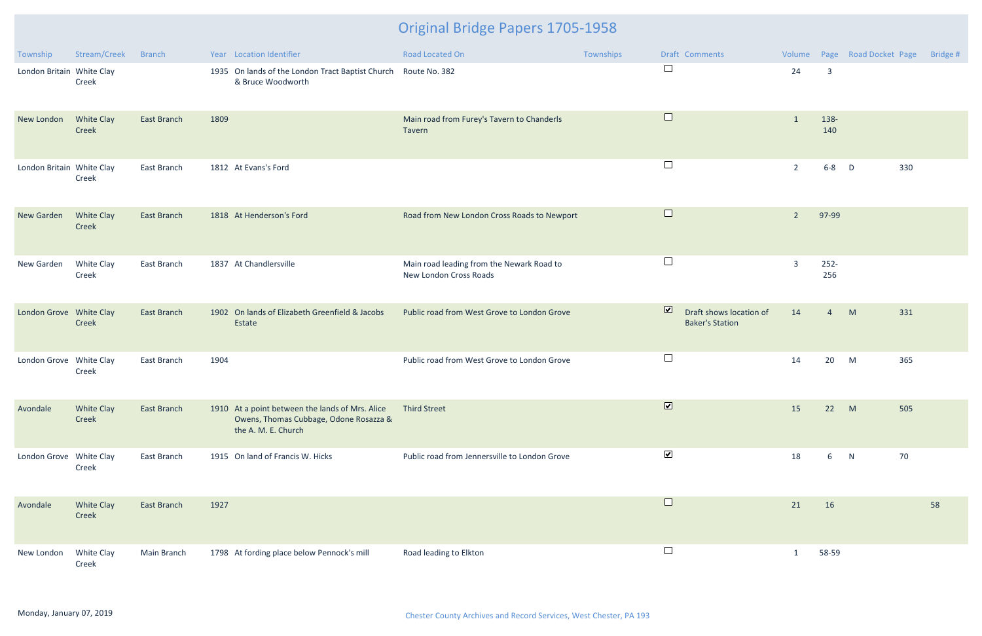| Township                  | Stream/Creek               | <b>Branch</b>      | Year Location Identifier                                                                                         | Road Located On                                                     | Townships | Draft Comments                                                               | Volume         |                         | Page Road Docket Page | Bridge # |
|---------------------------|----------------------------|--------------------|------------------------------------------------------------------------------------------------------------------|---------------------------------------------------------------------|-----------|------------------------------------------------------------------------------|----------------|-------------------------|-----------------------|----------|
| London Britain White Clay | Creek                      |                    | 1935 On lands of the London Tract Baptist Church Route No. 382<br>& Bruce Woodworth                              |                                                                     |           | $\Box$                                                                       | 24             | $\overline{\mathbf{3}}$ |                       |          |
| New London                | <b>White Clay</b><br>Creek | <b>East Branch</b> | 1809                                                                                                             | Main road from Furey's Tavern to Chanderls<br>Tavern                |           | $\Box$                                                                       | $\mathbf{1}$   | 138-<br>140             |                       |          |
| London Britain White Clay | Creek                      | East Branch        | 1812 At Evans's Ford                                                                                             |                                                                     |           | $\Box$                                                                       | $\overline{2}$ | $6 - 8$                 | 330<br>$\mathsf{D}$   |          |
| New Garden                | <b>White Clay</b><br>Creek | East Branch        | 1818 At Henderson's Ford                                                                                         | Road from New London Cross Roads to Newport                         |           | $\Box$                                                                       | $\overline{2}$ | 97-99                   |                       |          |
| New Garden                | White Clay<br>Creek        | East Branch        | 1837 At Chandlersville                                                                                           | Main road leading from the Newark Road to<br>New London Cross Roads |           | $\Box$                                                                       | $\overline{3}$ | $252 -$<br>256          |                       |          |
| London Grove White Clay   | Creek                      | <b>East Branch</b> | 1902 On lands of Elizabeth Greenfield & Jacobs<br>Estate                                                         | Public road from West Grove to London Grove                         |           | $\overline{\mathbf{v}}$<br>Draft shows location of<br><b>Baker's Station</b> | 14             | 4                       | M<br>331              |          |
| London Grove White Clay   | Creek                      | East Branch        | 1904                                                                                                             | Public road from West Grove to London Grove                         |           | $\Box$                                                                       | 14             | 20                      | M<br>365              |          |
| Avondale                  | <b>White Clay</b><br>Creek | <b>East Branch</b> | 1910 At a point between the lands of Mrs. Alice<br>Owens, Thomas Cubbage, Odone Rosazza &<br>the A. M. E. Church | <b>Third Street</b>                                                 |           | $\boxed{\blacktriangledown}$                                                 | 15             | 22 M                    | 505                   |          |
| London Grove White Clay   | Creek                      | East Branch        | 1915 On land of Francis W. Hicks                                                                                 | Public road from Jennersville to London Grove                       |           | $\blacktriangledown$                                                         | 18             | 6                       | 70<br>N               |          |
| Avondale                  | <b>White Clay</b><br>Creek | <b>East Branch</b> | 1927                                                                                                             |                                                                     |           | $\Box$                                                                       | 21             | 16                      |                       | 58       |
| New London                | White Clay<br>Creek        | Main Branch        | 1798 At fording place below Pennock's mill                                                                       | Road leading to Elkton                                              |           | $\Box$                                                                       | $\mathbf{1}$   | 58-59                   |                       |          |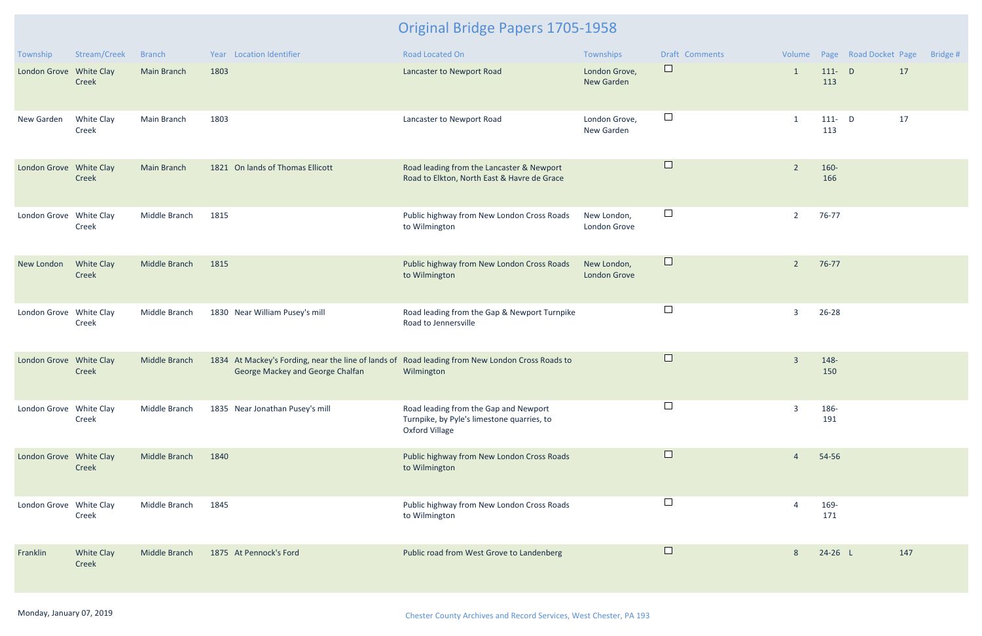| Township                | Stream/Creek               | <b>Branch</b>      | Year Location Identifier                                                                                                            | <b>Road Located On</b>                                                                                       | Townships                          | Draft Comments |                |                  | Volume Page Road Docket Page |     | Bridge # |
|-------------------------|----------------------------|--------------------|-------------------------------------------------------------------------------------------------------------------------------------|--------------------------------------------------------------------------------------------------------------|------------------------------------|----------------|----------------|------------------|------------------------------|-----|----------|
| London Grove White Clay | Creek                      | <b>Main Branch</b> | 1803                                                                                                                                | Lancaster to Newport Road                                                                                    | London Grove,<br><b>New Garden</b> | $\Box$         | 1              | $111 - D$<br>113 |                              | 17  |          |
| New Garden              | White Clay<br>Creek        | Main Branch        | 1803                                                                                                                                | Lancaster to Newport Road                                                                                    | London Grove,<br>New Garden        | $\Box$         |                | $111 - D$<br>113 |                              | 17  |          |
| London Grove White Clay | Creek                      | <b>Main Branch</b> | 1821 On lands of Thomas Ellicott                                                                                                    | Road leading from the Lancaster & Newport<br>Road to Elkton, North East & Havre de Grace                     |                                    | $\Box$         | $\overline{2}$ | 160-<br>166      |                              |     |          |
| London Grove White Clay | Creek                      | Middle Branch      | 1815                                                                                                                                | Public highway from New London Cross Roads<br>to Wilmington                                                  | New London,<br>London Grove        | $\Box$         | $\overline{2}$ | 76-77            |                              |     |          |
| New London              | <b>White Clay</b><br>Creek | Middle Branch      | 1815                                                                                                                                | Public highway from New London Cross Roads<br>to Wilmington                                                  | New London,<br><b>London Grove</b> | $\Box$         | $\overline{2}$ | 76-77            |                              |     |          |
| London Grove White Clay | Creek                      | Middle Branch      | 1830 Near William Pusey's mill                                                                                                      | Road leading from the Gap & Newport Turnpike<br>Road to Jennersville                                         |                                    | $\Box$         | $\overline{3}$ | 26-28            |                              |     |          |
| London Grove White Clay | Creek                      | Middle Branch      | 1834 At Mackey's Fording, near the line of lands of Road leading from New London Cross Roads to<br>George Mackey and George Chalfan | Wilmington                                                                                                   |                                    | $\Box$         | $\overline{3}$ | 148-<br>150      |                              |     |          |
| London Grove White Clay | Creek                      | Middle Branch      | 1835 Near Jonathan Pusey's mill                                                                                                     | Road leading from the Gap and Newport<br>Turnpike, by Pyle's limestone quarries, to<br><b>Oxford Village</b> |                                    |                | $\overline{3}$ | 186-<br>191      |                              |     |          |
| London Grove White Clay | Creek                      | Middle Branch      | 1840                                                                                                                                | Public highway from New London Cross Roads<br>to Wilmington                                                  |                                    | $\Box$         | $\overline{4}$ | 54-56            |                              |     |          |
| London Grove White Clay | Creek                      | Middle Branch      | 1845                                                                                                                                | Public highway from New London Cross Roads<br>to Wilmington                                                  |                                    | $\Box$         |                | 169-<br>171      |                              |     |          |
| Franklin                | <b>White Clay</b><br>Creek | Middle Branch      | 1875 At Pennock's Ford                                                                                                              | Public road from West Grove to Landenberg                                                                    |                                    | $\Box$         | 8              | $24-26$ L        |                              | 147 |          |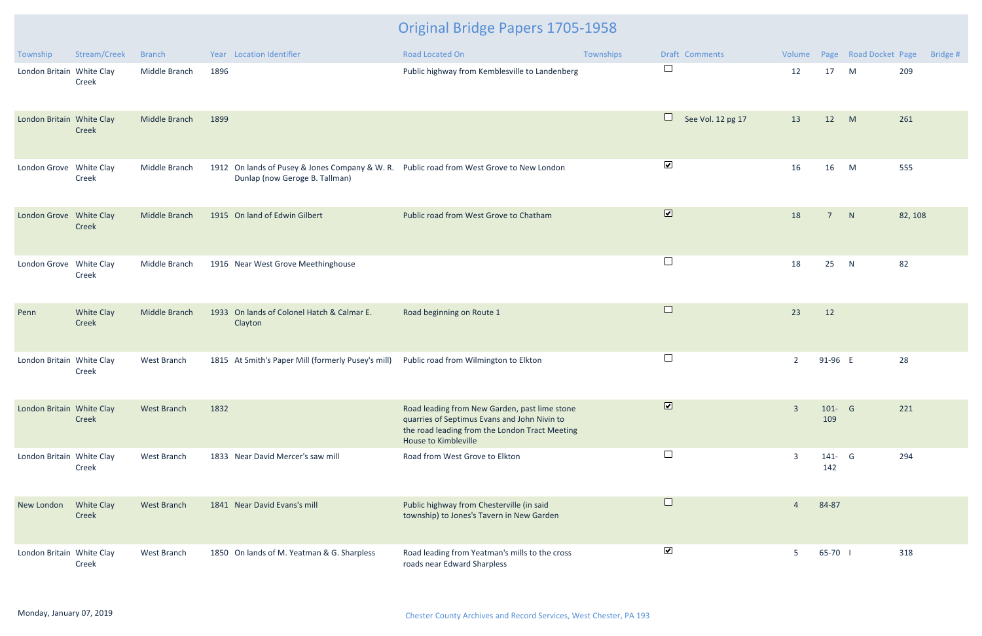| Township                  | Stream/Creek        | <b>Branch</b>      | Year Location Identifier                                                                                                   | <b>Road Located On</b>                                                                                                                                                         | Townships | Draft Comments              |                |                  | Volume Page Road Docket Page | Bridge # |
|---------------------------|---------------------|--------------------|----------------------------------------------------------------------------------------------------------------------------|--------------------------------------------------------------------------------------------------------------------------------------------------------------------------------|-----------|-----------------------------|----------------|------------------|------------------------------|----------|
| London Britain White Clay | Creek               | Middle Branch      | 1896                                                                                                                       | Public highway from Kemblesville to Landenberg                                                                                                                                 |           | $\Box$                      | 12             | 17               | M                            | 209      |
| London Britain White Clay | Creek               | Middle Branch      | 1899                                                                                                                       |                                                                                                                                                                                |           | $\Box$<br>See Vol. 12 pg 17 | 13             | 12               | M                            | 261      |
| London Grove White Clay   | Creek               | Middle Branch      | 1912 On lands of Pusey & Jones Company & W. R. Public road from West Grove to New London<br>Dunlap (now Geroge B. Tallman) |                                                                                                                                                                                |           | $\blacktriangledown$        | 16             | 16               | M                            | 555      |
| London Grove White Clay   | Creek               | Middle Branch      | 1915 On land of Edwin Gilbert                                                                                              | Public road from West Grove to Chatham                                                                                                                                         |           | $\overline{\mathbf{v}}$     | 18             | $\overline{7}$   | N                            | 82, 108  |
| London Grove White Clay   | Creek               | Middle Branch      | 1916 Near West Grove Meethinghouse                                                                                         |                                                                                                                                                                                |           | $\Box$                      | 18             | 25               | N                            | 82       |
| Penn                      | White Clay<br>Creek | Middle Branch      | 1933 On lands of Colonel Hatch & Calmar E.<br>Clayton                                                                      | Road beginning on Route 1                                                                                                                                                      |           | $\Box$                      | 23             | 12               |                              |          |
| London Britain White Clay | Creek               | West Branch        | 1815 At Smith's Paper Mill (formerly Pusey's mill)                                                                         | Public road from Wilmington to Elkton                                                                                                                                          |           | $\Box$                      | $\overline{2}$ | 91-96 E          |                              | 28       |
| London Britain White Clay | Creek               | <b>West Branch</b> | 1832                                                                                                                       | Road leading from New Garden, past lime stone<br>quarries of Septimus Evans and John Nivin to<br>the road leading from the London Tract Meeting<br><b>House to Kimbleville</b> |           | $\overline{\mathbf{v}}$     | $\overline{3}$ | $101 - G$<br>109 |                              | 221      |
| London Britain White Clay | Creek               | West Branch        | 1833 Near David Mercer's saw mill                                                                                          | Road from West Grove to Elkton                                                                                                                                                 |           | $\Box$                      | $\overline{3}$ | 141- G<br>142    |                              | 294      |
| New London                | White Clay<br>Creek | <b>West Branch</b> | 1841 Near David Evans's mill                                                                                               | Public highway from Chesterville (in said<br>township) to Jones's Tavern in New Garden                                                                                         |           | $\Box$                      | 4              | 84-87            |                              |          |
| London Britain White Clay | Creek               | West Branch        | 1850 On lands of M. Yeatman & G. Sharpless                                                                                 | Road leading from Yeatman's mills to the cross<br>roads near Edward Sharpless                                                                                                  |           | $\blacktriangledown$        | 5              | 65-70            |                              | 318      |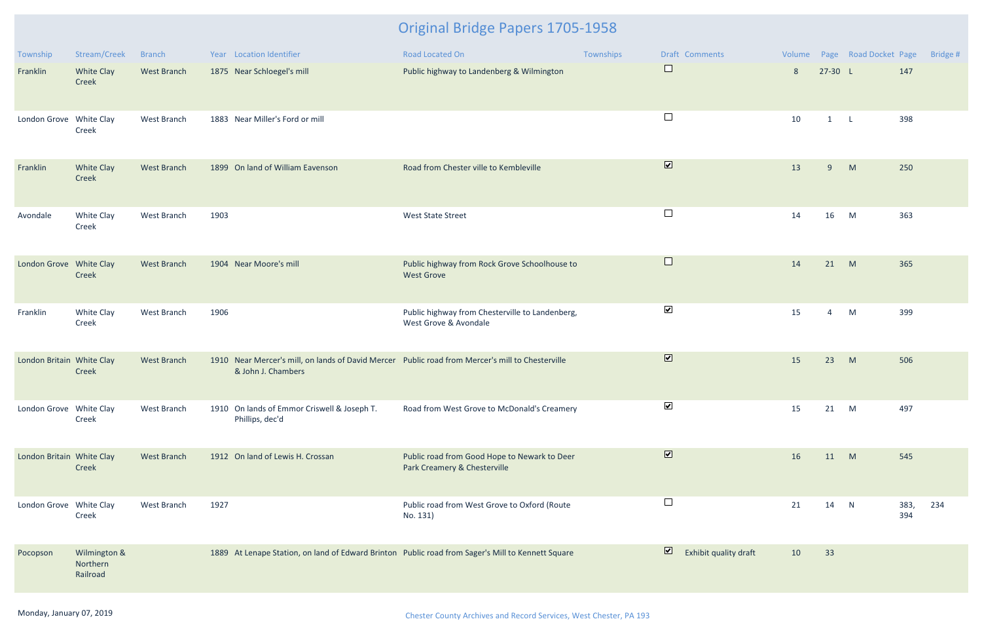| Township                  | Stream/Creek                         | <b>Branch</b>      | Year Location Identifier                                                                                               | Road Located On                                                              | Townships | Draft Comments                                   |                |                | Volume Page Road Docket Page |             | Bridge # |
|---------------------------|--------------------------------------|--------------------|------------------------------------------------------------------------------------------------------------------------|------------------------------------------------------------------------------|-----------|--------------------------------------------------|----------------|----------------|------------------------------|-------------|----------|
| Franklin                  | White Clay<br>Creek                  | West Branch        | 1875 Near Schloegel's mill                                                                                             | Public highway to Landenberg & Wilmington                                    |           | $\Box$                                           | $8\phantom{1}$ | $27-30 L$      |                              | 147         |          |
| London Grove White Clay   | Creek                                | West Branch        | 1883 Near Miller's Ford or mill                                                                                        |                                                                              |           | $\Box$                                           | 10             | $1 \quad L$    |                              | 398         |          |
| Franklin                  | White Clay<br>Creek                  | West Branch        | 1899 On land of William Eavenson                                                                                       | Road from Chester ville to Kembleville                                       |           | $\overline{\mathbf{v}}$                          | 13             | 9              | M                            | 250         |          |
| Avondale                  | White Clay<br>Creek                  | West Branch        | 1903                                                                                                                   | <b>West State Street</b>                                                     |           | $\Box$                                           | 14             | 16             | M                            | 363         |          |
| London Grove White Clay   | <b>Creek</b>                         | <b>West Branch</b> | 1904 Near Moore's mill                                                                                                 | Public highway from Rock Grove Schoolhouse to<br><b>West Grove</b>           |           | $\Box$                                           | 14             | 21             | M                            | 365         |          |
| Franklin                  | White Clay<br>Creek                  | West Branch        | 1906                                                                                                                   | Public highway from Chesterville to Landenberg,<br>West Grove & Avondale     |           | $\blacktriangledown$                             | 15             | $\overline{4}$ | M                            | 399         |          |
| London Britain White Clay | Creek                                | West Branch        | 1910 Near Mercer's mill, on lands of David Mercer Public road from Mercer's mill to Chesterville<br>& John J. Chambers |                                                                              |           | $\overline{\mathbf{v}}$                          | 15             | 23             | M                            | 506         |          |
| London Grove White Clay   | Creek                                | West Branch        | 1910 On lands of Emmor Criswell & Joseph T.<br>Phillips, dec'd                                                         | Road from West Grove to McDonald's Creamery                                  |           | $\blacktriangledown$                             | 15             | 21             | M                            | 497         |          |
| London Britain White Clay | Creek                                | <b>West Branch</b> | 1912 On land of Lewis H. Crossan                                                                                       | Public road from Good Hope to Newark to Deer<br>Park Creamery & Chesterville |           | $\overline{\mathbf{v}}$                          | 16             | 11 M           |                              | 545         |          |
| London Grove White Clay   | Creek                                | West Branch        | 1927                                                                                                                   | Public road from West Grove to Oxford (Route<br>No. 131)                     |           | $\Box$                                           | 21             | 14             | N                            | 383,<br>394 | 234      |
| Pocopson                  | Wilmington &<br>Northern<br>Railroad |                    | 1889 At Lenape Station, on land of Edward Brinton Public road from Sager's Mill to Kennett Square                      |                                                                              |           | $\overline{\mathbf{z}}$<br>Exhibit quality draft | 10             | 33             |                              |             |          |